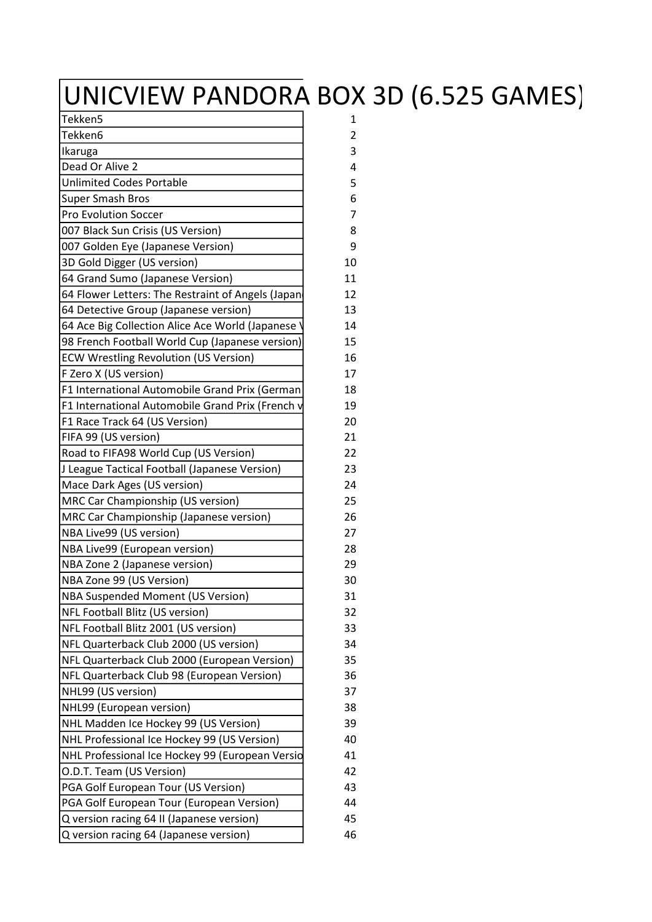## UNICVIEW PANDORA BOX 3D (6.525 GAMES)

| Tekken5                                           | 1              |
|---------------------------------------------------|----------------|
| Tekken6                                           | $\overline{2}$ |
| Ikaruga                                           | 3              |
| Dead Or Alive 2                                   | 4              |
| <b>Unlimited Codes Portable</b>                   | 5              |
| <b>Super Smash Bros</b>                           | 6              |
| <b>Pro Evolution Soccer</b>                       | 7              |
| 007 Black Sun Crisis (US Version)                 | 8              |
| 007 Golden Eye (Japanese Version)                 | 9              |
| 3D Gold Digger (US version)                       | 10             |
| 64 Grand Sumo (Japanese Version)                  | 11             |
| 64 Flower Letters: The Restraint of Angels (Japan | 12             |
| 64 Detective Group (Japanese version)             | 13             |
| 64 Ace Big Collection Alice Ace World (Japanese   | 14             |
| 98 French Football World Cup (Japanese version)   | 15             |
| <b>ECW Wrestling Revolution (US Version)</b>      | 16             |
| F Zero X (US version)                             | 17             |
| F1 International Automobile Grand Prix (German    | 18             |
| F1 International Automobile Grand Prix (French v  | 19             |
| F1 Race Track 64 (US Version)                     | 20             |
| FIFA 99 (US version)                              | 21             |
| Road to FIFA98 World Cup (US Version)             | 22             |
| J League Tactical Football (Japanese Version)     | 23             |
| Mace Dark Ages (US version)                       | 24             |
| MRC Car Championship (US version)                 | 25             |
| MRC Car Championship (Japanese version)           | 26             |
| NBA Live99 (US version)                           | 27             |
| NBA Live99 (European version)                     | 28             |
| NBA Zone 2 (Japanese version)                     | 29             |
| NBA Zone 99 (US Version)                          | 30             |
| NBA Suspended Moment (US Version)                 | 31             |
| NFL Football Blitz (US version)                   | 32             |
| NFL Football Blitz 2001 (US version)              | 33             |
| NFL Quarterback Club 2000 (US version)            | 34             |
| NFL Quarterback Club 2000 (European Version)      | 35             |
| NFL Quarterback Club 98 (European Version)        | 36             |
| NHL99 (US version)                                | 37             |
| NHL99 (European version)                          | 38             |
| NHL Madden Ice Hockey 99 (US Version)             | 39             |
| NHL Professional Ice Hockey 99 (US Version)       | 40             |
| NHL Professional Ice Hockey 99 (European Versio   | 41             |
| O.D.T. Team (US Version)                          | 42             |
| PGA Golf European Tour (US Version)               | 43             |
| PGA Golf European Tour (European Version)         | 44             |
| Q version racing 64 II (Japanese version)         | 45             |
| Q version racing 64 (Japanese version)            | 46             |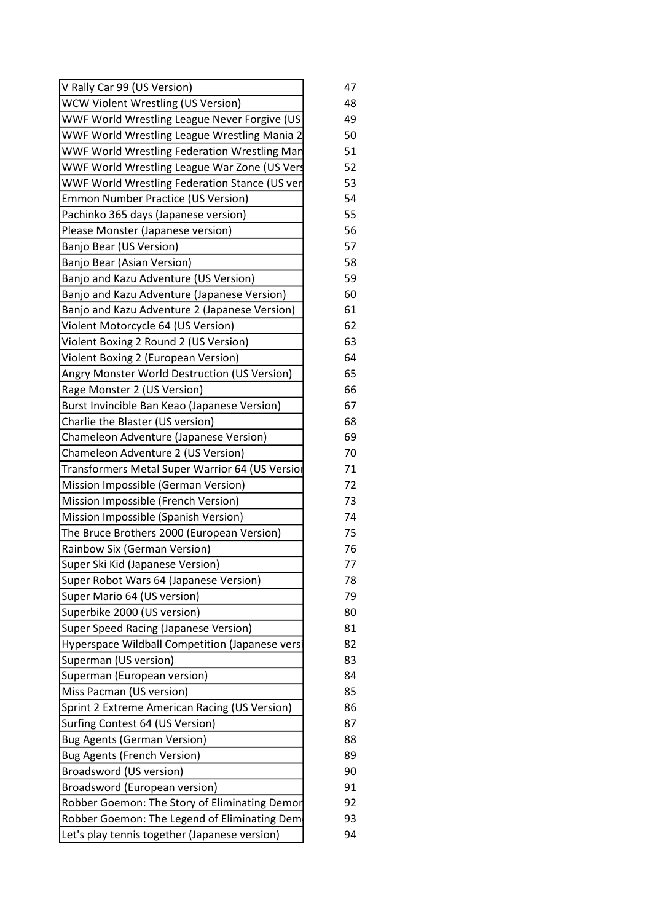| V Rally Car 99 (US Version)                     | 47 |
|-------------------------------------------------|----|
| <b>WCW Violent Wrestling (US Version)</b>       | 48 |
| WWF World Wrestling League Never Forgive (US    | 49 |
| WWF World Wrestling League Wrestling Mania 2    | 50 |
| WWF World Wrestling Federation Wrestling Man    | 51 |
| WWF World Wrestling League War Zone (US Vers    | 52 |
| WWF World Wrestling Federation Stance (US ver   | 53 |
| <b>Emmon Number Practice (US Version)</b>       | 54 |
| Pachinko 365 days (Japanese version)            | 55 |
| Please Monster (Japanese version)               | 56 |
| Banjo Bear (US Version)                         | 57 |
| Banjo Bear (Asian Version)                      | 58 |
| Banjo and Kazu Adventure (US Version)           | 59 |
| Banjo and Kazu Adventure (Japanese Version)     | 60 |
| Banjo and Kazu Adventure 2 (Japanese Version)   | 61 |
| Violent Motorcycle 64 (US Version)              | 62 |
| Violent Boxing 2 Round 2 (US Version)           | 63 |
| Violent Boxing 2 (European Version)             | 64 |
| Angry Monster World Destruction (US Version)    | 65 |
| Rage Monster 2 (US Version)                     | 66 |
| Burst Invincible Ban Keao (Japanese Version)    | 67 |
| Charlie the Blaster (US version)                | 68 |
| Chameleon Adventure (Japanese Version)          | 69 |
| Chameleon Adventure 2 (US Version)              | 70 |
| Transformers Metal Super Warrior 64 (US Versior | 71 |
| Mission Impossible (German Version)             | 72 |
| Mission Impossible (French Version)             | 73 |
| Mission Impossible (Spanish Version)            | 74 |
| The Bruce Brothers 2000 (European Version)      | 75 |
| Rainbow Six (German Version)                    | 76 |
| Super Ski Kid (Japanese Version)                | 77 |
| Super Robot Wars 64 (Japanese Version)          | 78 |
| Super Mario 64 (US version)                     | 79 |
| Superbike 2000 (US version)                     | 80 |
| Super Speed Racing (Japanese Version)           | 81 |
| Hyperspace Wildball Competition (Japanese versi | 82 |
| Superman (US version)                           | 83 |
| Superman (European version)                     | 84 |
| Miss Pacman (US version)                        | 85 |
| Sprint 2 Extreme American Racing (US Version)   | 86 |
| Surfing Contest 64 (US Version)                 | 87 |
| <b>Bug Agents (German Version)</b>              | 88 |
| <b>Bug Agents (French Version)</b>              | 89 |
| Broadsword (US version)                         | 90 |
| Broadsword (European version)                   | 91 |
| Robber Goemon: The Story of Eliminating Demor   | 92 |
| Robber Goemon: The Legend of Eliminating Dem    | 93 |
| Let's play tennis together (Japanese version)   | 94 |
|                                                 |    |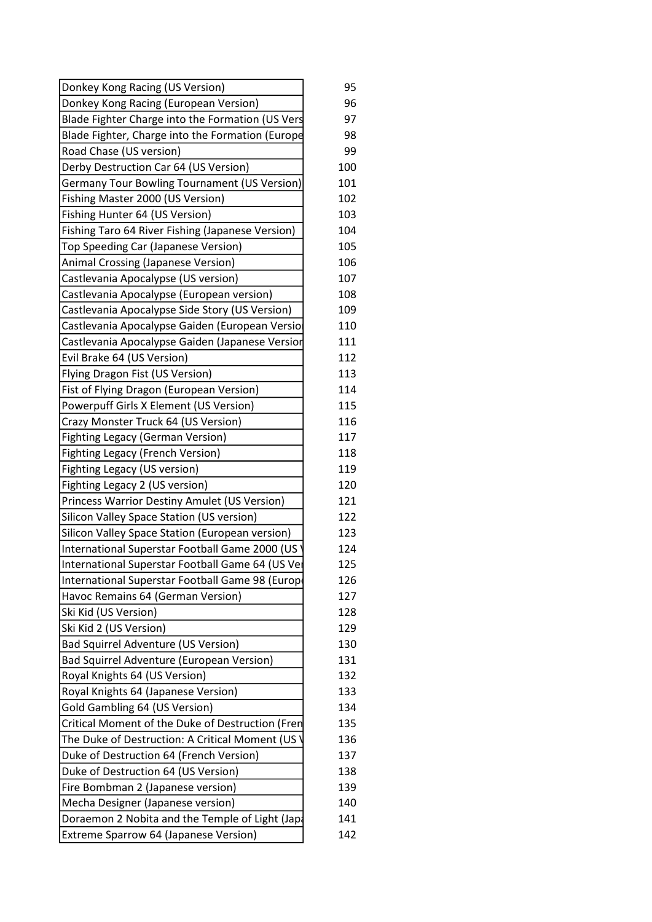| Donkey Kong Racing (US Version)                     | 95  |
|-----------------------------------------------------|-----|
| Donkey Kong Racing (European Version)               | 96  |
| Blade Fighter Charge into the Formation (US Vers    | 97  |
| Blade Fighter, Charge into the Formation (Europe    | 98  |
| Road Chase (US version)                             | 99  |
| Derby Destruction Car 64 (US Version)               | 100 |
| <b>Germany Tour Bowling Tournament (US Version)</b> | 101 |
| Fishing Master 2000 (US Version)                    | 102 |
| Fishing Hunter 64 (US Version)                      | 103 |
| Fishing Taro 64 River Fishing (Japanese Version)    | 104 |
| Top Speeding Car (Japanese Version)                 | 105 |
| Animal Crossing (Japanese Version)                  | 106 |
| Castlevania Apocalypse (US version)                 | 107 |
| Castlevania Apocalypse (European version)           | 108 |
| Castlevania Apocalypse Side Story (US Version)      | 109 |
| Castlevania Apocalypse Gaiden (European Versio      | 110 |
| Castlevania Apocalypse Gaiden (Japanese Versior     | 111 |
| Evil Brake 64 (US Version)                          | 112 |
| Flying Dragon Fist (US Version)                     | 113 |
| Fist of Flying Dragon (European Version)            | 114 |
| Powerpuff Girls X Element (US Version)              | 115 |
| Crazy Monster Truck 64 (US Version)                 | 116 |
| <b>Fighting Legacy (German Version)</b>             | 117 |
| <b>Fighting Legacy (French Version)</b>             | 118 |
| Fighting Legacy (US version)                        | 119 |
| Fighting Legacy 2 (US version)                      | 120 |
| Princess Warrior Destiny Amulet (US Version)        | 121 |
| Silicon Valley Space Station (US version)           | 122 |
| Silicon Valley Space Station (European version)     | 123 |
| International Superstar Football Game 2000 (US      | 124 |
| International Superstar Football Game 64 (US Ver    | 125 |
| International Superstar Football Game 98 (Europe    | 126 |
| Havoc Remains 64 (German Version)                   | 127 |
| Ski Kid (US Version)                                | 128 |
| Ski Kid 2 (US Version)                              | 129 |
| <b>Bad Squirrel Adventure (US Version)</b>          | 130 |
| Bad Squirrel Adventure (European Version)           | 131 |
| Royal Knights 64 (US Version)                       | 132 |
| Royal Knights 64 (Japanese Version)                 | 133 |
| Gold Gambling 64 (US Version)                       | 134 |
| Critical Moment of the Duke of Destruction (Fren    | 135 |
| The Duke of Destruction: A Critical Moment (US      | 136 |
| Duke of Destruction 64 (French Version)             | 137 |
| Duke of Destruction 64 (US Version)                 | 138 |
| Fire Bombman 2 (Japanese version)                   | 139 |
| Mecha Designer (Japanese version)                   | 140 |
| Doraemon 2 Nobita and the Temple of Light (Japa     | 141 |
| <b>Extreme Sparrow 64 (Japanese Version)</b>        | 142 |
|                                                     |     |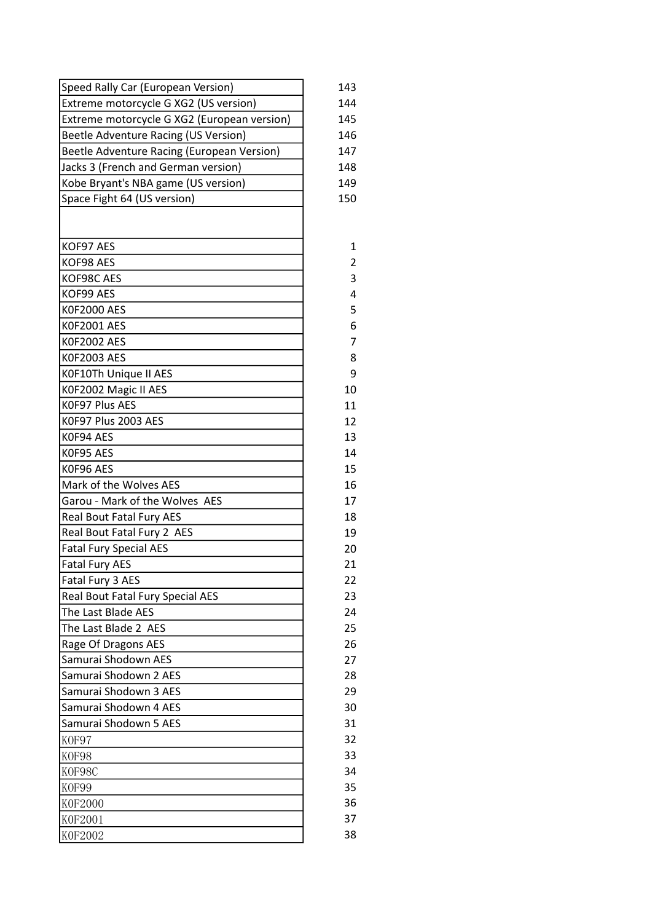| Speed Rally Car (European Version)          | 143            |
|---------------------------------------------|----------------|
| Extreme motorcycle G XG2 (US version)       | 144            |
| Extreme motorcycle G XG2 (European version) | 145            |
| Beetle Adventure Racing (US Version)        | 146            |
| Beetle Adventure Racing (European Version)  | 147            |
| Jacks 3 (French and German version)         | 148            |
| Kobe Bryant's NBA game (US version)         | 149            |
| Space Fight 64 (US version)                 | 150            |
|                                             |                |
| KOF97 AES                                   | 1              |
| KOF98 AES                                   | 2              |
| KOF98C AES                                  | 3              |
| KOF99 AES                                   | 4              |
| <b>K0F2000 AES</b>                          | 5              |
| K0F2001 AES                                 | 6              |
| K0F2002 AES                                 | $\overline{7}$ |
| K0F2003 AES                                 | 8              |
| K0F10Th Unique II AES                       | 9              |
| K0F2002 Magic II AES                        | 10             |
| K0F97 Plus AES                              | 11             |
| K0F97 Plus 2003 AES                         | 12             |
| K0F94 AES                                   | 13             |
| K0F95 AES                                   | 14             |
| K0F96 AES                                   | 15             |
| Mark of the Wolves AES                      | 16             |
| Garou - Mark of the Wolves AES              | 17             |
| Real Bout Fatal Fury AES                    | 18             |
| Real Bout Fatal Fury 2 AES                  | 19             |
| <b>Fatal Fury Special AES</b>               | 20             |
| <b>Fatal Fury AES</b>                       | 21             |
| Fatal Fury 3 AES                            | 22             |
| Real Bout Fatal Fury Special AES            | 23             |
| The Last Blade AES                          | 24             |
| The Last Blade 2 AES                        | 25             |
| Rage Of Dragons AES                         | 26             |
| Samurai Shodown AES                         | 27             |
| Samurai Shodown 2 AES                       | 28             |
| Samurai Shodown 3 AES                       | 29             |
| Samurai Shodown 4 AES                       | 30             |
| Samurai Shodown 5 AES                       | 31             |
| KOF97                                       | 32             |
| KOF98                                       | 33             |
| KOF98C                                      | 34             |
| KOF99                                       | 35             |
| <b>K0F2000</b>                              | 36             |
| K0F2001                                     | 37             |
| K0F2002                                     | 38             |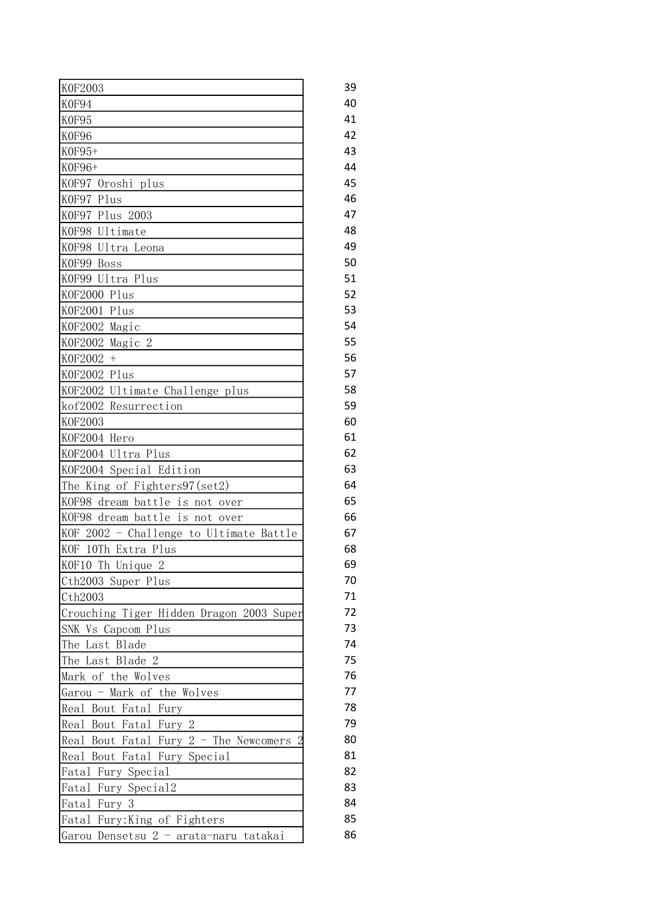| K0F2003                                  | 39 |
|------------------------------------------|----|
| K0F94                                    | 40 |
| KOF95                                    | 41 |
| K0F96                                    | 42 |
| $KOF95+$                                 | 43 |
| K0F96+                                   | 44 |
| KOF97 Oroshi plus                        | 45 |
| KOF97 Plus                               | 46 |
| K0F97 Plus 2003                          | 47 |
| KOF98 Ultimate                           | 48 |
| KOF98 Ultra Leona                        | 49 |
| KOF99 Boss                               | 50 |
| KOF99 Ultra Plus                         | 51 |
| KOF2000 Plus                             | 52 |
| KOF2001 Plus                             | 53 |
| KOF2002 Magic                            | 54 |
| KOF2002 Magic 2                          | 55 |
| K0F2002 +                                | 56 |
| K0F2002 Plus                             | 57 |
| KOF2002 Ultimate Challenge plus          | 58 |
| kof2002 Resurrection                     | 59 |
| <b>KOF2003</b>                           | 60 |
| KOF2004 Hero                             | 61 |
| KOF2004 Ultra Plus                       | 62 |
| KOF2004 Special Edition                  | 63 |
| The King of Fighters97(set2)             | 64 |
| KOF98 dream battle is not over           | 65 |
| KOF98 dream battle is not over           | 66 |
| KOF 2002 - Challenge to Ultimate Battle  | 67 |
| KOF 10Th Extra Plus                      | 68 |
| KOF10 Th Unique<br>2                     | 69 |
| Cth2003 Super Plus                       | 70 |
| Cth2003                                  | 71 |
| Crouching Tiger Hidden Dragon 2003 Super | 72 |
| SNK Vs Capcom Plus                       | 73 |
| Last Blade<br>The                        | 74 |
| The Last Blade 2                         | 75 |
| Mark of the Wolves                       | 76 |
| Garou - Mark of the Wolves               | 77 |
| Real Bout Fatal Fury                     | 78 |
| Real Bout Fatal Fury 2                   | 79 |
| Real Bout Fatal Fury $2$ - The Newcomers | 80 |
| Bout Fatal Fury Special<br>Real          | 81 |
| Fatal Fury Special                       | 82 |
| Fatal Fury Special2                      | 83 |
| Fatal Fury 3                             | 84 |
| Fatal Fury: King of Fighters             | 85 |
| Garou Densetsu 2 - arata-naru tatakai    | 86 |
|                                          |    |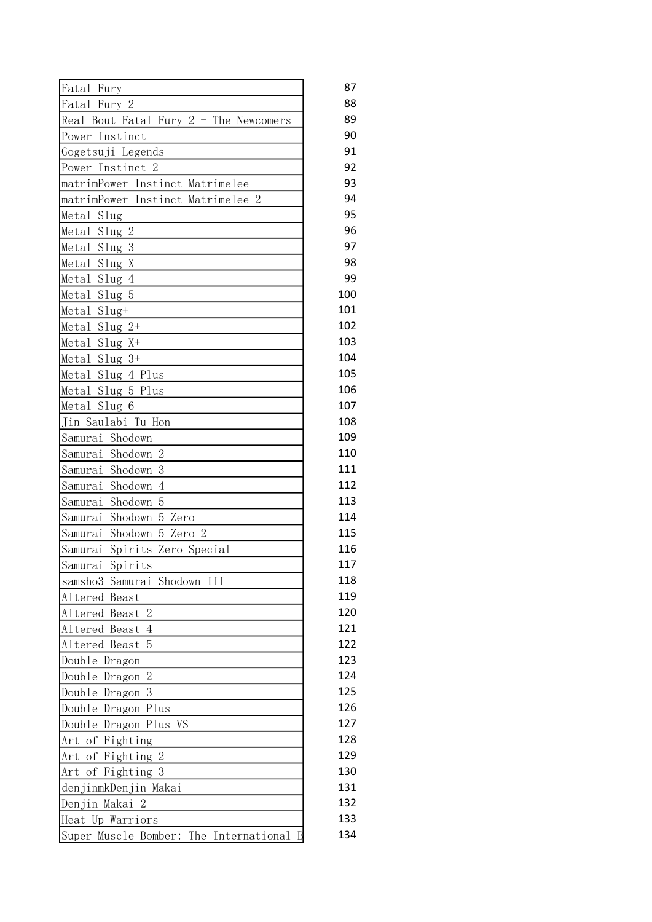| Fatal Fury                               | 87  |
|------------------------------------------|-----|
| Fatal Fury 2                             | 88  |
| Real Bout Fatal Fury $2$ - The Newcomers | 89  |
| Power Instinct                           | 90  |
| Gogetsuji Legends                        | 91  |
| Power Instinct 2                         | 92  |
| matrimPower Instinct Matrimelee          | 93  |
| matrimPower Instinct Matrimelee 2        | 94  |
| Metal Slug                               | 95  |
| Metal Slug 2                             | 96  |
| Metal Slug 3                             | 97  |
| Metal Slug X                             | 98  |
| Metal Slug 4                             | 99  |
| Metal Slug 5                             | 100 |
| Metal Slug+                              | 101 |
| Metal Slug 2+                            | 102 |
| $Slug X+$<br>Metal                       | 103 |
| Metal Slug 3+                            | 104 |
| Metal Slug 4 Plus                        | 105 |
| Metal Slug 5 Plus                        | 106 |
| Metal Slug 6                             | 107 |
| Jin Saulabi Tu Hon                       | 108 |
| Samurai Shodown                          | 109 |
| $\overline{2}$<br>Samurai Shodown        | 110 |
| 3<br>Samurai Shodown                     | 111 |
| Shodown<br>$\overline{4}$<br>Samurai     | 112 |
| 5<br>Samurai<br>Shodown                  | 113 |
| Samurai Shodown 5 Zero                   | 114 |
| Samurai<br>Shodown 5 Zero 2              | 115 |
| Samurai Spirits Zero Special             | 116 |
| Spirits<br>Samurai                       | 117 |
| samsho3 Samurai Shodown III              | 118 |
| Altered Beast                            | 119 |
| Altered Beast 2                          | 120 |
| Altered Beast<br>$\overline{4}$          | 121 |
| Altered Beast<br>5                       | 122 |
| Double Dragon                            | 123 |
| $\overline{2}$<br>Double Dragon          | 124 |
| 3<br>Double Dragon                       | 125 |
| Double Dragon Plus                       | 126 |
| Double Dragon Plus VS                    | 127 |
| Art of Fighting                          | 128 |
| $\mathbf{2}$<br>Art<br>of Fighting       | 129 |
| Art of Fighting 3                        | 130 |
| denjinmkDenjin Makai                     | 131 |
| Denjin Makai 2                           | 132 |
| Heat Up Warriors                         | 133 |
| Super Muscle Bomber: The International   | 134 |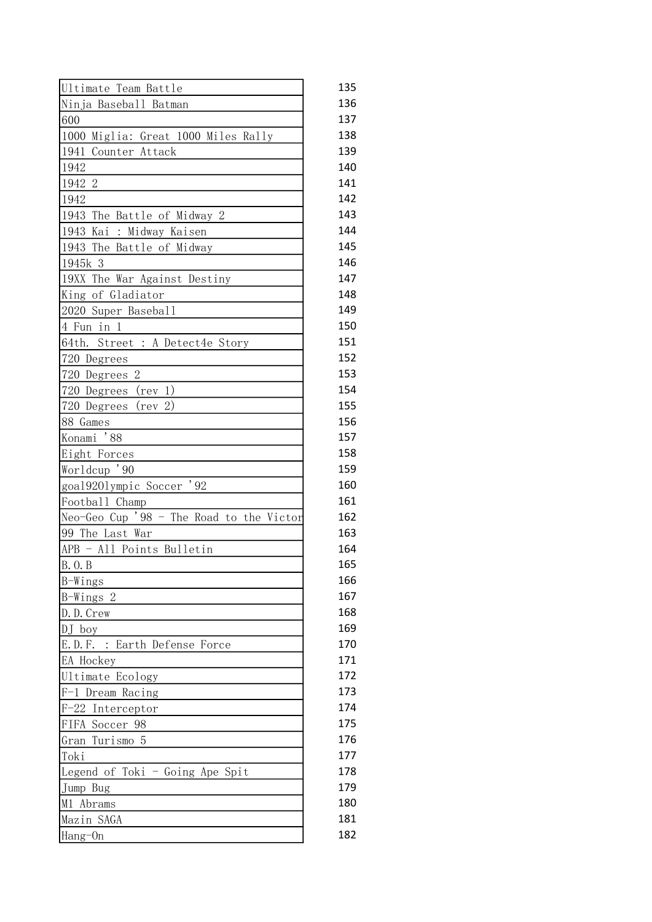| Ultimate Team Battle                     | 135 |
|------------------------------------------|-----|
| Ninja Baseball Batman                    | 136 |
| 600                                      | 137 |
| 1000 Miglia: Great 1000 Miles Rally      | 138 |
| 1941<br>Counter Attack                   | 139 |
| 1942                                     | 140 |
| 1942 2                                   | 141 |
| 1942                                     | 142 |
| 1943 The Battle of Midway 2              | 143 |
| 1943<br>Kai<br>: Midway Kaisen           | 144 |
| 1943 The Battle of Midway                | 145 |
| 1945k 3                                  | 146 |
| 19XX The War Against Destiny             | 147 |
| King of Gladiator                        | 148 |
| 2020 Super Baseball                      | 149 |
| 4 Fun in 1                               | 150 |
| Street : A Detect4e Story<br>64th.       | 151 |
| 720 Degrees                              | 152 |
| 720 Degrees 2                            | 153 |
| 720 Degrees<br>$(\text{rev } 1)$         | 154 |
| 720 Degrees<br>2)<br>(rev                | 155 |
| 88 Games                                 | 156 |
| Konami '88                               | 157 |
| Eight Forces                             | 158 |
| Worldcup '90                             | 159 |
| goal9201ympic Soccer<br>' 92             | 160 |
| Football Champ                           | 161 |
| Neo-Geo Cup '98 - The Road to the Victor | 162 |
| 99 The Last War                          | 163 |
| APB - All Points Bulletin                | 164 |
| B. O. B                                  | 165 |
| B-Wings                                  | 166 |
| B-Wings 2                                | 167 |
| D.D. Crew                                | 168 |
| $DJ$ boy                                 | 169 |
| E.D.F. : Earth Defense Force             | 170 |
| EA Hockey                                | 171 |
| Ultimate Ecology                         | 172 |
| F-1 Dream Racing                         | 173 |
| F-22 Interceptor                         | 174 |
| FIFA Soccer 98                           | 175 |
| Turismo 5<br>Gran                        | 176 |
| Toki                                     | 177 |
| Legend of Toki - Going Ape Spit          | 178 |
| Jump Bug                                 | 179 |
| M1 Abrams                                | 180 |
| Mazin SAGA                               | 181 |
|                                          | 182 |
| Hang-On                                  |     |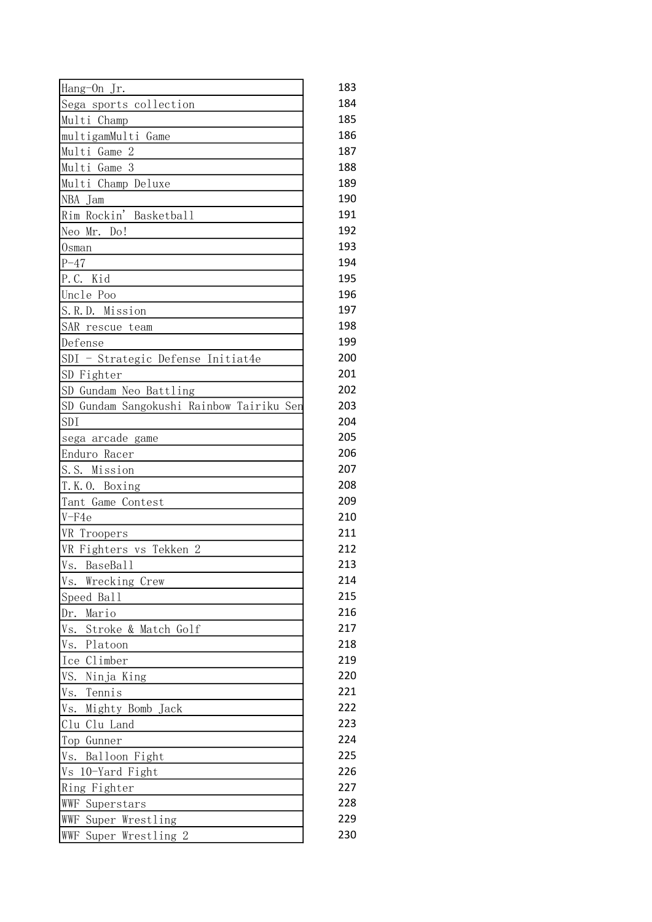| Hang-On Jr.                              | 183 |
|------------------------------------------|-----|
| Sega sports collection                   | 184 |
| Multi Champ                              | 185 |
| multigamMulti Game                       | 186 |
| Multi Game 2                             | 187 |
| Multi Game 3                             | 188 |
| Multi Champ Deluxe                       | 189 |
| NBA Jam                                  | 190 |
| Rim Rockin' Basketball                   | 191 |
| Neo Mr. Do!                              | 192 |
| Osman                                    | 193 |
| $P - 47$                                 | 194 |
| P.C. Kid                                 | 195 |
| Uncle Poo                                | 196 |
| S.R.D. Mission                           | 197 |
| SAR rescue team                          | 198 |
| Defense                                  | 199 |
| SDI - Strategic Defense Initiat4e        | 200 |
| SD Fighter                               | 201 |
| SD Gundam Neo Battling                   | 202 |
| SD Gundam Sangokushi Rainbow Tairiku Sen | 203 |
| SDI                                      | 204 |
| sega arcade game                         | 205 |
| Enduro Racer                             | 206 |
| S.S. Mission                             | 207 |
| T.K.O. Boxing                            | 208 |
| Tant Game Contest                        | 209 |
| $V-F4e$                                  | 210 |
| VR Troopers                              | 211 |
| VR Fighters vs Tekken 2                  | 212 |
| Vs. BaseBall                             | 213 |
| Vs.<br>Wrecking Crew                     | 214 |
| Speed Ball                               | 215 |
| Mario<br>Dr.                             | 216 |
| Vs.<br>Stroke & Match Golf               | 217 |
| Vs.<br>Platoon                           | 218 |
| Climber<br>Ice                           | 219 |
| VS.<br>Ninja King                        | 220 |
| Tennis<br>Vs.                            | 221 |
| Mighty Bomb Jack<br>Vs.                  | 222 |
| Clu Clu Land                             | 223 |
| Top Gunner                               | 224 |
| Vs.<br>Balloon Fight                     | 225 |
|                                          | 226 |
| 10-Yard Fight<br>Vs                      | 227 |
| Ring Fighter                             | 228 |
| WWF Superstars                           |     |
| WWF Super Wrestling                      | 229 |
| WWF<br>Super Wrestling 2                 | 230 |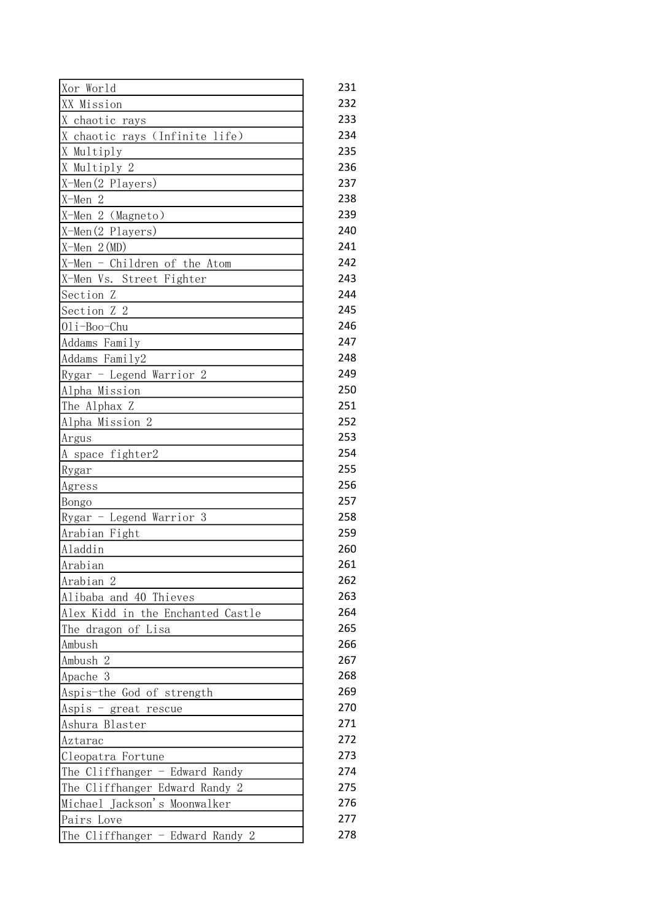| Xor World                         | 231 |
|-----------------------------------|-----|
| XX Mission                        | 232 |
| X chaotic rays                    | 233 |
| X chaotic rays (Infinite life)    | 234 |
| X Multiply                        | 235 |
| X Multiply 2                      | 236 |
| X-Men(2 Players)                  | 237 |
| X-Men 2                           | 238 |
| X-Men 2 (Magneto)                 | 239 |
| $X-Men(2$ Players)                | 240 |
| $X-Men 2(MD)$                     | 241 |
| X-Men - Children of the Atom      | 242 |
| X-Men Vs. Street Fighter          | 243 |
| Section Z                         | 244 |
| Section Z 2                       | 245 |
| 01i-Boo-Chu                       | 246 |
| Addams Family                     | 247 |
| Addams Family2                    | 248 |
| Rygar - Legend Warrior 2          | 249 |
| Alpha Mission                     | 250 |
| The Alphax Z                      | 251 |
| Alpha Mission 2                   | 252 |
| Argus                             | 253 |
| A space fighter2                  | 254 |
| Rygar                             | 255 |
| Agress                            | 256 |
| Bongo                             | 257 |
| Rygar - Legend Warrior 3          | 258 |
| Arabian Fight                     | 259 |
| Aladdin                           | 260 |
| Arabian                           | 261 |
| Arabian 2                         | 262 |
| Alibaba and 40 Thieves            | 263 |
| Alex Kidd in the Enchanted Castle | 264 |
| The dragon of Lisa                | 265 |
| Ambush                            | 266 |
| -2<br>Ambush                      | 267 |
| Apache 3                          | 268 |
| Aspis-the God of strength         | 269 |
| Aspis - great rescue              | 270 |
| Ashura Blaster                    | 271 |
| Aztarac                           | 272 |
| Cleopatra Fortune                 | 273 |
| The Cliffhanger $-$ Edward Randy  | 274 |
| The Cliffhanger Edward Randy 2    | 275 |
| Michael Jackson's Moonwalker      | 276 |
|                                   |     |
| Pairs Love                        | 277 |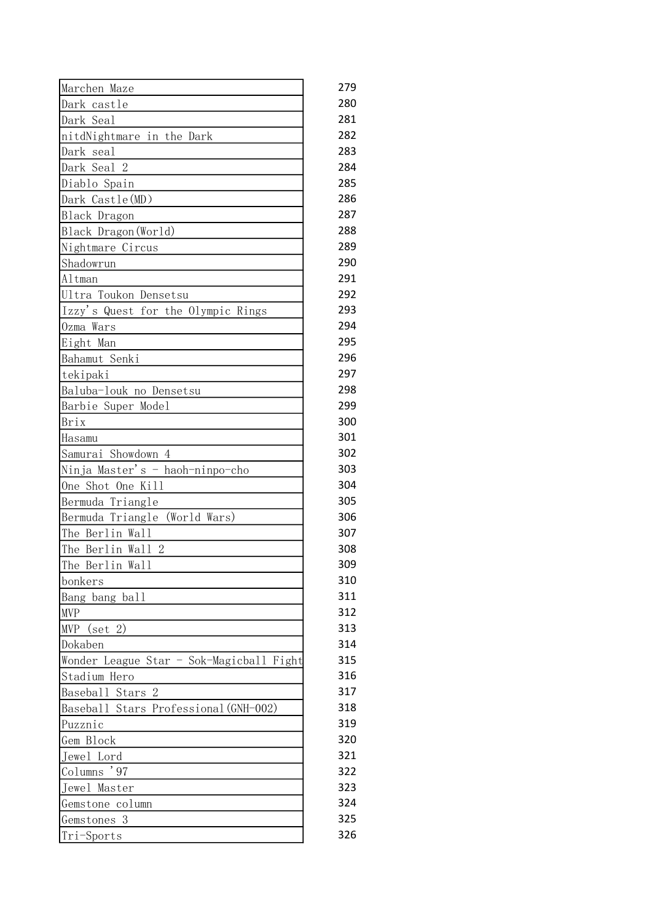| Marchen Maze                             | 279        |
|------------------------------------------|------------|
| Dark castle                              | 280        |
| Dark Seal                                | 281        |
| nitdNightmare in the Dark                | 282        |
| Dark seal                                | 283        |
| Dark Seal 2                              | 284        |
| Diablo Spain                             | 285        |
| Dark Castle (MD)                         | 286        |
| <b>Black Dragon</b>                      | 287        |
| Black Dragon (World)                     | 288        |
| Nightmare Circus                         | 289        |
| Shadowrun                                | 290        |
| Altman                                   | 291        |
| Ultra Toukon Densetsu                    | 292        |
| Izzy's Quest for the Olympic Rings       | 293        |
| Ozma Wars                                | 294        |
| Eight Man                                | 295        |
| Bahamut Senki                            | 296        |
| tekipaki                                 | 297        |
| Baluba-louk no Densetsu                  | 298        |
| Barbie Super Model                       | 299        |
| Brix                                     | 300        |
| Hasamu                                   | 301        |
| Showdown 4<br>Samurai                    | 302        |
| Ninja Master's - haoh-ninpo-cho          | 303        |
| One Shot One Kill                        | 304        |
| Bermuda Triangle                         | 305        |
| Bermuda Triangle<br>(World Wars)         | 306        |
| The Berlin Wall                          | 307        |
| $\mathbf{2}$                             | 308        |
| The Berlin Wall<br>The Berlin Wall       | 309        |
|                                          |            |
| bonkers                                  | 310<br>311 |
| Bang bang ball                           |            |
| <b>MVP</b>                               | 312        |
| MVP<br>$(\text{set} 2)$                  | 313        |
| Dokaben                                  | 314        |
| Wonder League Star - Sok-Magicball Fight | 315        |
| Stadium Hero                             | 316        |
| Baseball Stars 2                         | 317        |
| Baseball Stars Professional (GNH-002)    | 318        |
| Puzznic                                  | 319        |
| Gem Block                                | 320        |
| Jewel Lord                               | 321        |
| '97<br>Columns                           | 322        |
| Jewel Master                             | 323        |
| Gemstone column                          | 324        |
| Gemstones 3                              | 325        |
| Tri-Sports                               | 326        |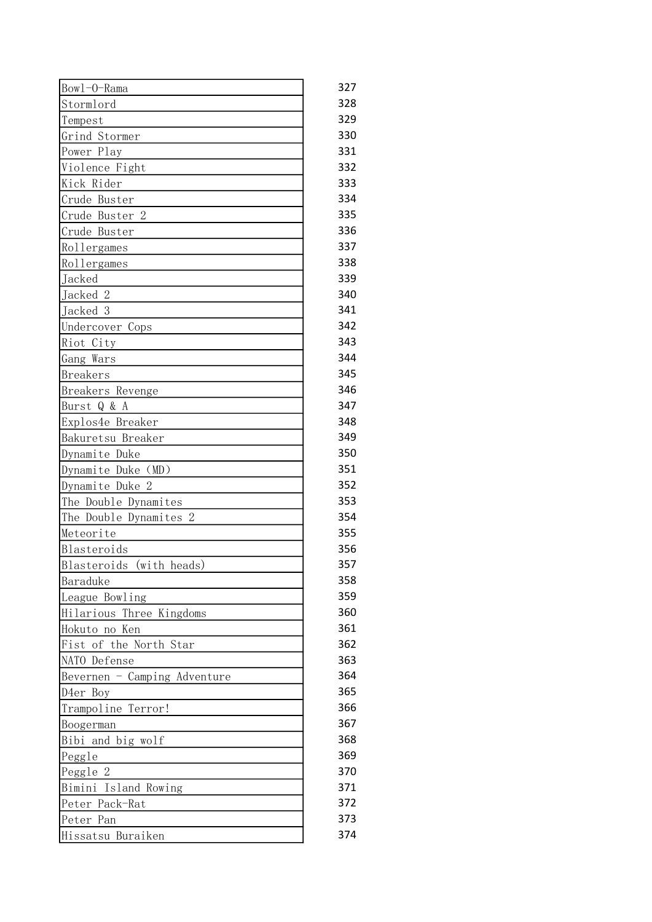| Bow1-0-Rama                  | 327 |
|------------------------------|-----|
| Stormlord                    | 328 |
| Tempest                      | 329 |
| Grind Stormer                | 330 |
| Power Play                   | 331 |
| Violence Fight               | 332 |
| Kick Rider                   | 333 |
| Crude Buster                 | 334 |
| Crude Buster 2               | 335 |
| Crude Buster                 | 336 |
| Rollergames                  | 337 |
| Rollergames                  | 338 |
| Jacked                       | 339 |
| Jacked 2                     | 340 |
| Jacked 3                     | 341 |
| Undercover Cops              | 342 |
| Riot City                    | 343 |
| Gang Wars                    | 344 |
| <b>Breakers</b>              | 345 |
| Breakers Revenge             | 346 |
| Burst Q & A                  | 347 |
| Explos4e Breaker             | 348 |
| Bakuretsu Breaker            | 349 |
| Dynamite Duke                | 350 |
| Dynamite Duke (MD)           | 351 |
| Dynamite Duke 2              | 352 |
| The Double Dynamites         | 353 |
| The Double Dynamites 2       | 354 |
| Meteorite                    | 355 |
| Blasteroids                  | 356 |
| (with heads)<br>Blasteroids  | 357 |
| Baraduke                     | 358 |
| League Bowling               | 359 |
| Hilarious Three Kingdoms     | 360 |
| Hokuto no Ken                | 361 |
| Fist of the North Star       | 362 |
| NATO Defense                 | 363 |
| Bevernen - Camping Adventure | 364 |
| D4er Boy                     | 365 |
| Trampoline Terror!           | 366 |
| Boogerman                    | 367 |
| Bibi and big wolf            | 368 |
| Peggle                       | 369 |
| Peggle 2                     | 370 |
| Bimini Island Rowing         | 371 |
| Peter Pack-Rat               | 372 |
| Peter Pan                    | 373 |
| Hissatsu Buraiken            | 374 |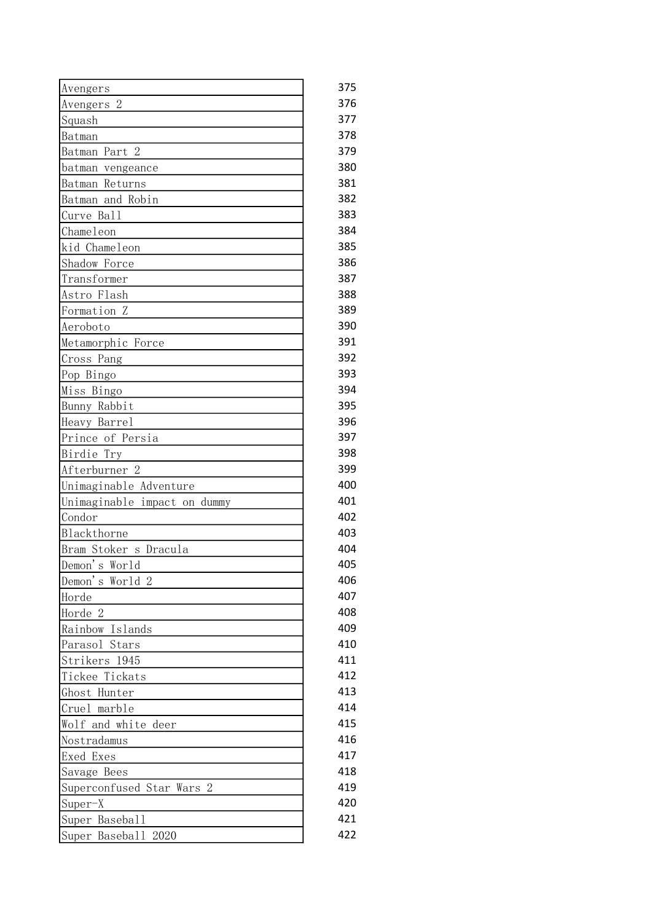| Avengers                     | 375 |
|------------------------------|-----|
| Avengers <sub>2</sub>        | 376 |
| Squash                       | 377 |
| Batman                       | 378 |
| Batman Part 2                | 379 |
| batman vengeance             | 380 |
| Batman Returns               | 381 |
| Batman and Robin             | 382 |
| Curve Ball                   | 383 |
| Chameleon                    | 384 |
| kid Chameleon                | 385 |
| Shadow Force                 | 386 |
| Transformer                  | 387 |
| Astro Flash                  | 388 |
| Formation Z                  | 389 |
| Aeroboto                     | 390 |
| Metamorphic Force            | 391 |
| Cross Pang                   | 392 |
| Pop Bingo                    | 393 |
| Miss Bingo                   | 394 |
| Bunny Rabbit                 | 395 |
| Heavy Barrel                 | 396 |
| Prince of Persia             | 397 |
| Birdie Try                   | 398 |
| Afterburner <sub>2</sub>     | 399 |
| Unimaginable Adventure       | 400 |
| Unimaginable impact on dummy | 401 |
| Condor                       | 402 |
| Blackthorne                  | 403 |
| Bram Stoker s Dracula        | 404 |
| Demon's World                | 405 |
| Demon's World 2              | 406 |
| Horde                        | 407 |
| Horde 2                      | 408 |
| Rainbow Islands              | 409 |
| Parasol<br>Stars             | 410 |
| Strikers 1945                | 411 |
| Tickee Tickats               | 412 |
| Ghost Hunter                 | 413 |
| Cruel marble                 | 414 |
| Wolf and white deer          | 415 |
| Nostradamus                  | 416 |
| Exed Exes                    | 417 |
| Savage Bees                  | 418 |
| Superconfused Star Wars<br>2 | 419 |
| $Super-X$                    | 420 |
| Super Baseball               | 421 |
| Super Baseball 2020          | 422 |
|                              |     |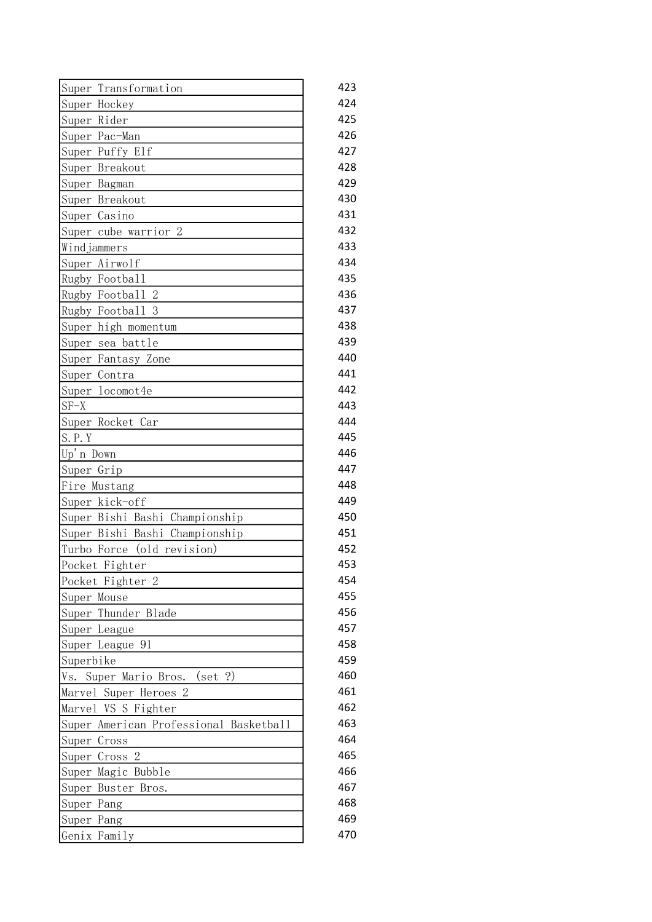| Super Transformation                   | 423 |
|----------------------------------------|-----|
| Super Hockey                           | 424 |
| Super Rider                            | 425 |
| Super Pac-Man                          | 426 |
| Super Puffy Elf                        | 427 |
| Super Breakout                         | 428 |
| Super Bagman                           | 429 |
| Super Breakout                         | 430 |
| Super Casino                           | 431 |
| Super cube warrior 2                   | 432 |
| Windjammers                            | 433 |
| Super Airwolf                          | 434 |
| Rugby Football                         | 435 |
| Rugby Football 2                       | 436 |
| Rugby Football 3                       | 437 |
| Super high momentum                    | 438 |
| Super<br>sea battle                    | 439 |
| Super Fantasy Zone                     | 440 |
| Super Contra                           | 441 |
| Super locomot4e                        | 442 |
| $SF-X$                                 | 443 |
| Super Rocket Car                       | 444 |
| S. P. Y                                | 445 |
| Up'n Down                              | 446 |
| Super Grip                             | 447 |
| Fire Mustang                           | 448 |
| Super kick-off                         | 449 |
| Super Bishi Bashi Championship         | 450 |
| Super Bishi Bashi Championship         | 451 |
| Turbo Force (old revision)             | 452 |
| Pocket Fighter                         | 453 |
| Pocket Fighter 2                       | 454 |
| Super Mouse                            | 455 |
| Super Thunder Blade                    | 456 |
| Super League                           | 457 |
| Super League 91                        | 458 |
| Superbike                              | 459 |
| ?)<br>Super Mario Bros.<br>(set<br>Vs. | 460 |
| Marvel Super Heroes 2                  | 461 |
| Marvel VS S Fighter                    | 462 |
| Super American Professional Basketball | 463 |
| Super Cross                            | 464 |
| $\overline{2}$<br>Super Cross          | 465 |
| Super Magic Bubble                     | 466 |
| Super Buster Bros.                     | 467 |
| Super Pang                             | 468 |
| Super Pang                             | 469 |
| Genix Family                           | 470 |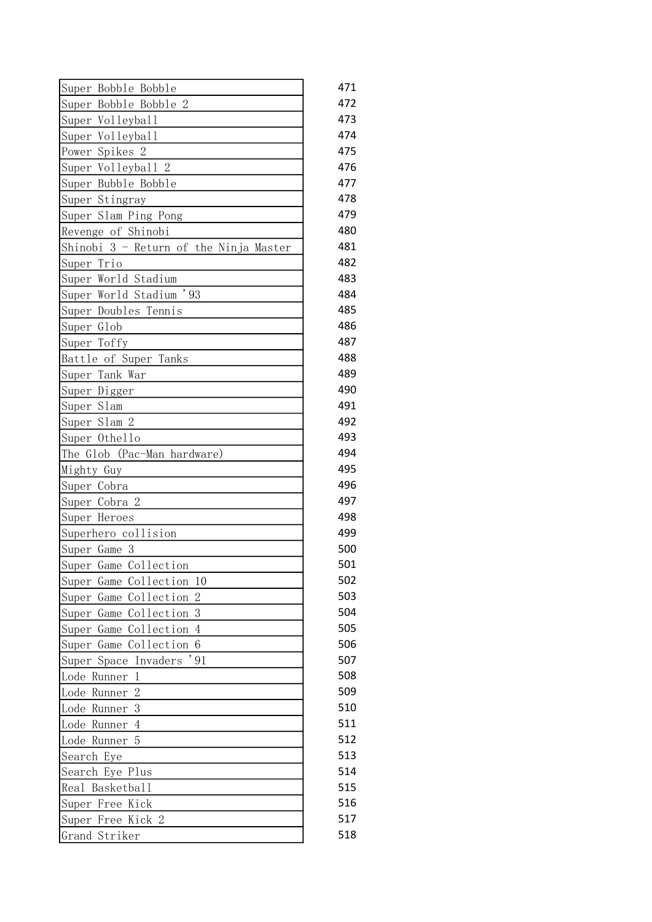| Super Bobble Bobble                           | 471 |
|-----------------------------------------------|-----|
| Super Bobble Bobble 2                         | 472 |
| Super Volleyball                              | 473 |
| Super Volleyball                              | 474 |
| Power Spikes 2                                | 475 |
| Super Volleyball 2                            | 476 |
| Super Bubble Bobble                           | 477 |
| Super Stingray                                | 478 |
| Super Slam Ping Pong                          | 479 |
| Revenge of Shinobi                            | 480 |
| Shinobi 3 - Return of the Ninja Master        | 481 |
| Super Trio                                    | 482 |
| Super World Stadium                           | 483 |
| Super World Stadium '93                       | 484 |
| Super Doubles Tennis                          | 485 |
| Super Glob                                    | 486 |
| Super Toffy                                   | 487 |
| Battle of Super Tanks                         | 488 |
| Super Tank War                                | 489 |
| Super Digger                                  | 490 |
| Super Slam                                    | 491 |
| Super Slam 2                                  | 492 |
| Super Othello                                 | 493 |
| The Glob (Pac-Man hardware)                   | 494 |
| Mighty Guy                                    | 495 |
| Super Cobra                                   | 496 |
| Super Cobra 2                                 | 497 |
| Super Heroes                                  | 498 |
| Superhero collision                           | 499 |
| Super Game 3                                  | 500 |
| Super Game Collection                         | 501 |
| Super Game Collection<br>10                   | 502 |
| $\overline{2}$<br>Collection<br>Super<br>Game | 503 |
| 3<br>Collection<br>Super<br>Game              | 504 |
| Game Collection<br>$\overline{4}$<br>Super    | 505 |
| 6<br>Collection<br>Super<br>Game              | 506 |
| ,91<br>Invaders<br>Super Space                | 507 |
| Lode<br>1<br>Runner                           | 508 |
| Lode<br>2<br>Runner                           | 509 |
| 3<br>Lode<br>Runner                           | 510 |
| Lode<br>Runner<br>4                           | 511 |
| 5<br>Lode Runner                              | 512 |
| Search Eye                                    | 513 |
| Search Eye Plus                               | 514 |
| Basketball<br>Real                            | 515 |
| Super Free Kick                               | 516 |
| Free Kick 2<br>Super                          | 517 |
| Grand Striker                                 | 518 |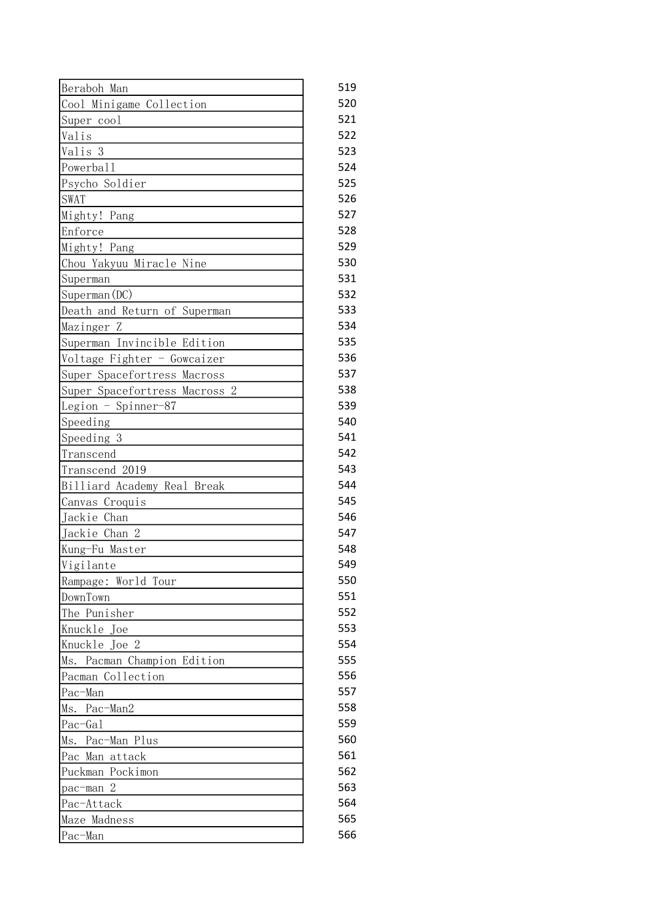| Beraboh Man                   | 519 |
|-------------------------------|-----|
| Cool Minigame Collection      | 520 |
| Super cool                    | 521 |
| Valis                         | 522 |
| Valis 3                       | 523 |
| Powerball                     | 524 |
| Psycho Soldier                | 525 |
| <b>SWAT</b>                   | 526 |
| Mighty! Pang                  | 527 |
| Enforce                       | 528 |
| Mighty! Pang                  | 529 |
| Chou Yakyuu Miracle Nine      | 530 |
| Superman                      | 531 |
| Superman (DC)                 | 532 |
| Death and Return of Superman  | 533 |
| Mazinger Z                    | 534 |
| Superman Invincible Edition   | 535 |
| Voltage Fighter - Gowcaizer   | 536 |
| Super Spacefortress Macross   | 537 |
| Super Spacefortress Macross 2 | 538 |
| Legion - Spinner-87           | 539 |
| Speeding                      | 540 |
| Speeding 3                    | 541 |
| Transcend                     | 542 |
| Transcend 2019                | 543 |
| Billiard Academy Real Break   | 544 |
| Canvas Croquis                | 545 |
| Jackie Chan                   | 546 |
| Jackie Chan 2                 | 547 |
| Kung-Fu Master                | 548 |
| Vigilante                     | 549 |
| Rampage: World Tour           | 550 |
| DownTown                      | 551 |
| The Punisher                  | 552 |
| Knuckle Joe                   | 553 |
| Knuckle Joe 2                 | 554 |
| Ms. Pacman Champion Edition   | 555 |
| Pacman Collection             | 556 |
| Pac-Man                       | 557 |
| Ms. Pac-Man2                  | 558 |
| Pac-Gal                       | 559 |
| Ms. Pac-Man Plus              | 560 |
| Man attack<br>Pac             | 561 |
| Puckman Pockimon              | 562 |
| $\overline{2}$<br>pac-man     | 563 |
| Pac-Attack                    | 564 |
| Maze Madness                  | 565 |
| Pac-Man                       | 566 |
|                               |     |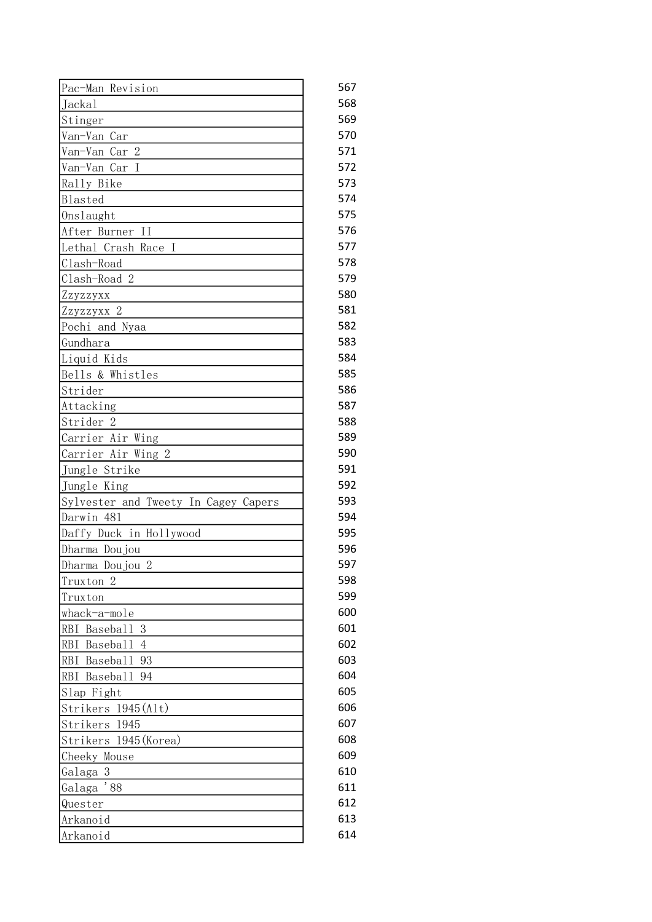| Pac-Man Revision                     | 567 |
|--------------------------------------|-----|
| Jackal                               | 568 |
| Stinger                              | 569 |
| Van-Van Car                          | 570 |
| Van-Van Car 2                        | 571 |
| Van-Van Car I                        | 572 |
| Rally Bike                           | 573 |
| Blasted                              | 574 |
| Onslaught                            | 575 |
| After Burner II                      | 576 |
| Lethal Crash Race I                  | 577 |
| Clash-Road                           | 578 |
| Clash-Road 2                         | 579 |
| Zzyzzyxx                             | 580 |
| Zzyzzyxx 2                           | 581 |
| Pochi and Nyaa                       | 582 |
| Gundhara                             | 583 |
| Liquid Kids                          | 584 |
| Bells & Whistles                     | 585 |
| Strider                              | 586 |
| Attacking                            | 587 |
| Strider <sub>2</sub>                 | 588 |
| Carrier Air Wing                     | 589 |
| Carrier Air Wing 2                   | 590 |
| Jungle Strike                        | 591 |
| Jungle King                          | 592 |
| Sylvester and Tweety In Cagey Capers | 593 |
| Darwin 481                           | 594 |
| Daffy Duck in Hollywood              | 595 |
| Dharma Doujou                        | 596 |
| Dharma Doujou 2                      | 597 |
| Truxton <sub>2</sub>                 | 598 |
| Truxton                              | 599 |
| whack-a-mole                         | 600 |
| <b>RBI</b><br>Baseball<br>3          | 601 |
| <b>RBI</b><br>Basebal1<br>4          | 602 |
| <b>RBI</b><br>Baseball<br>93         | 603 |
| RBI Baseball 94                      | 604 |
| Slap Fight                           | 605 |
| Strikers 1945(Alt)                   | 606 |
| Strikers 1945                        | 607 |
| Strikers 1945 (Korea)                | 608 |
| Cheeky Mouse                         | 609 |
| Galaga 3                             | 610 |
| $^\prime$ 88<br>Galaga               | 611 |
| Quester                              | 612 |
| Arkanoid                             | 613 |
| Arkanoid                             | 614 |
|                                      |     |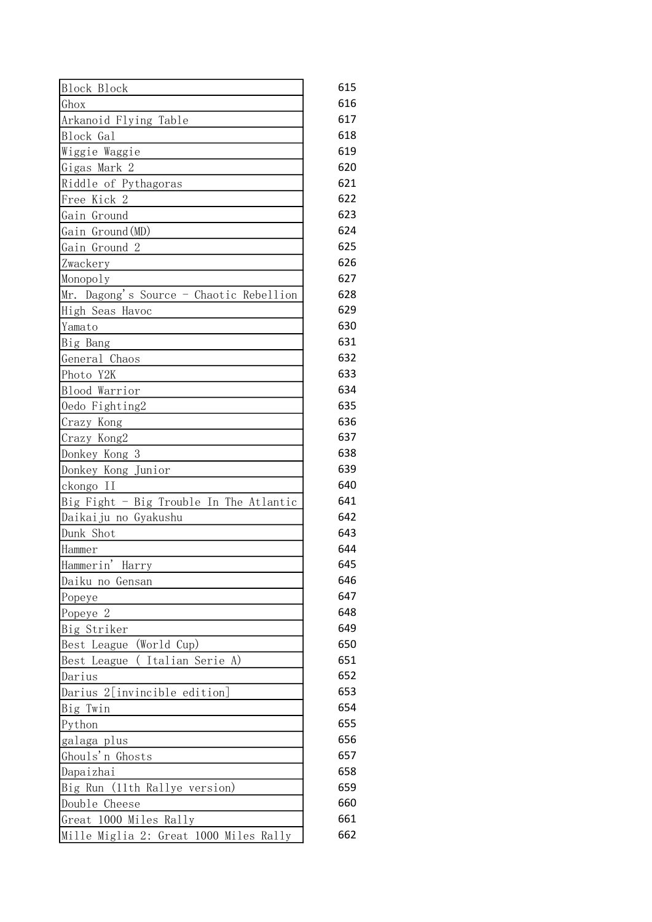| <b>Block Block</b>                      | 615 |
|-----------------------------------------|-----|
| Ghox                                    | 616 |
| Arkanoid Flying Table                   | 617 |
| Block Gal                               | 618 |
| Wiggie Waggie                           | 619 |
| Gigas Mark 2                            | 620 |
| Riddle of Pythagoras                    | 621 |
| Free Kick 2                             | 622 |
| Gain Ground                             | 623 |
| Gain Ground (MD)                        | 624 |
| Gain Ground 2                           | 625 |
| Zwackery                                | 626 |
| Monopoly                                | 627 |
| Mr. Dagong's Source - Chaotic Rebellion | 628 |
| High Seas Havoc                         | 629 |
| Yamato                                  | 630 |
| Big Bang                                | 631 |
| General Chaos                           | 632 |
| Photo Y2K                               | 633 |
| Blood Warrior                           | 634 |
| Oedo Fighting2                          | 635 |
| Crazy Kong                              | 636 |
| Crazy Kong2                             | 637 |
| Donkey Kong 3                           | 638 |
| Donkey Kong Junior                      | 639 |
| ckongo II                               | 640 |
| Big Fight - Big Trouble In The Atlantic | 641 |
| Daikaiju no Gyakushu                    | 642 |
| Dunk Shot                               | 643 |
| Hammer                                  | 644 |
| Hammerin'<br>Harry                      | 645 |
| Daiku no Gensan                         | 646 |
| Popeye                                  | 647 |
| Popeye 2                                | 648 |
| Big Striker                             | 649 |
| Best League<br>(World Cup)              | 650 |
| Best League<br>Italian Serie A)         | 651 |
| Darius                                  | 652 |
| Darius 2[invincible edition]            | 653 |
| Big Twin                                | 654 |
| Python                                  | 655 |
| galaga plus                             | 656 |
| Ghouls'n Ghosts                         | 657 |
| Dapaizhai                               | 658 |
| Big Run (11th Rallye version)           | 659 |
| Double Cheese                           | 660 |
| Great 1000 Miles Rally                  | 661 |
| Mille Miglia 2: Great 1000 Miles Rally  | 662 |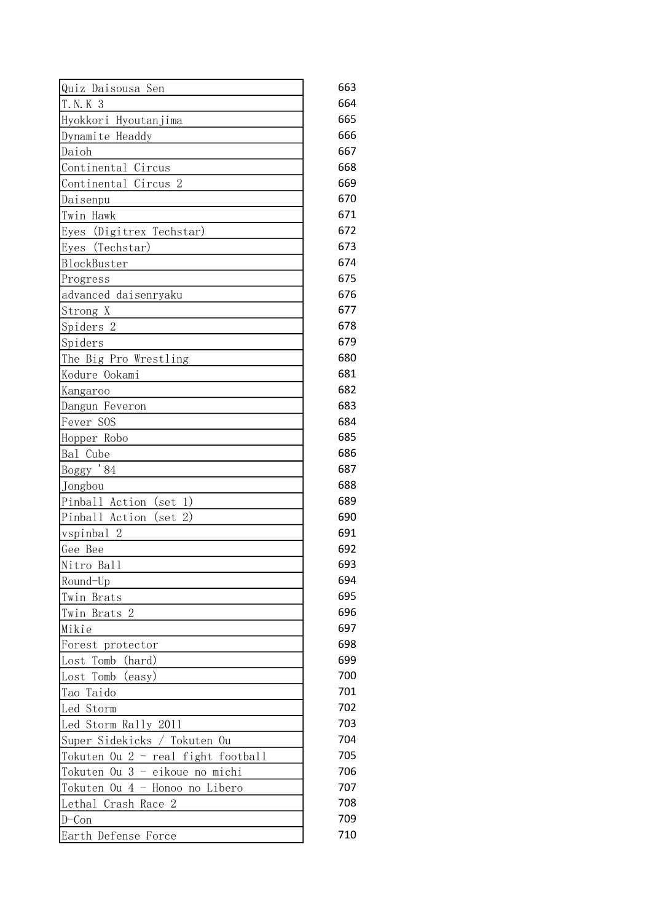| Quiz Daisousa Sen                   | 663 |
|-------------------------------------|-----|
| T. N. K 3                           | 664 |
| Hyokkori Hyoutanjima                | 665 |
| Dynamite Headdy                     | 666 |
| Daioh                               | 667 |
| Continental Circus                  | 668 |
| Continental Circus 2                | 669 |
| Daisenpu                            | 670 |
| Twin Hawk                           | 671 |
| Eyes (Digitrex Techstar)            | 672 |
| Eyes (Techstar)                     | 673 |
| BlockBuster                         | 674 |
| Progress                            | 675 |
| advanced daisenryaku                | 676 |
| Strong X                            | 677 |
| Spiders 2                           | 678 |
| Spiders                             | 679 |
| The Big Pro Wrestling               | 680 |
| Kodure Ookami                       | 681 |
| Kangaroo                            | 682 |
| Dangun Feveron                      | 683 |
| Fever SOS                           | 684 |
| Hopper Robo                         | 685 |
| Bal Cube                            | 686 |
| Boggy '84                           | 687 |
| Jongbou                             | 688 |
| Pinball Action<br>$(\text{set } 1)$ | 689 |
| Pinball Action<br>$(\text{set} 2)$  | 690 |
| vspinbal 2                          | 691 |
| Gee Bee                             | 692 |
| Nitro Ball                          | 693 |
| Round-Up                            | 694 |
| Twin Brats                          | 695 |
| Twin Brats 2                        | 696 |
| Mikie                               | 697 |
| Forest protector                    | 698 |
| Lost Tomb<br>(hard)                 | 699 |
| Tomb<br>(easy)<br>Lost              | 700 |
| Taido<br>Tao                        | 701 |
| Led Storm                           | 702 |
| Led Storm Rally 2011                | 703 |
| Super Sidekicks / Tokuten Ou        | 704 |
| Tokuten Ou 2 - real fight football  | 705 |
| Tokuten Ou 3 - eikoue no michi      | 706 |
| Tokuten Ou 4 - Honoo no Libero      | 707 |
| Lethal Crash Race 2                 | 708 |
| $D$ –Con                            | 709 |
| Earth Defense Force                 | 710 |
|                                     |     |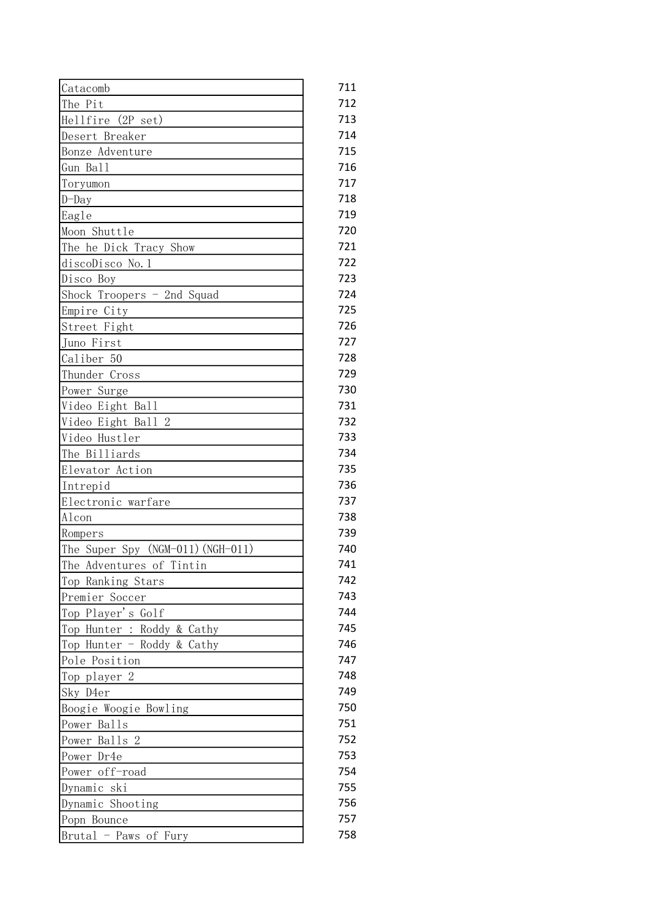| Catacomb                          | 711 |
|-----------------------------------|-----|
| The Pit                           | 712 |
| Hellfire (2P set)                 | 713 |
| Desert Breaker                    | 714 |
| Bonze Adventure                   | 715 |
| Gun Ball                          | 716 |
| Toryumon                          | 717 |
| $D$ -Day                          | 718 |
| Eagle                             | 719 |
| Moon Shuttle                      | 720 |
| The he Dick Tracy Show            | 721 |
| discoDisco No.1                   | 722 |
| Disco Boy                         | 723 |
| Shock Troopers - 2nd Squad        | 724 |
| Empire City                       | 725 |
| Street Fight                      | 726 |
| Juno First                        | 727 |
| Caliber 50                        | 728 |
| Thunder Cross                     | 729 |
| Power Surge                       | 730 |
| Video Eight Ball                  | 731 |
| Video Eight Ball 2                | 732 |
| Video Hustler                     | 733 |
| The Billiards                     | 734 |
| Elevator Action                   | 735 |
| Intrepid                          | 736 |
| Electronic warfare                | 737 |
| Alcon                             | 738 |
| Rompers                           | 739 |
| The Super Spy (NGM-011) (NGH-011) | 740 |
| The Adventures of Tintin          | 741 |
| Top Ranking Stars                 | 742 |
| Premier Soccer                    | 743 |
| Top Player's Golf                 | 744 |
| Top Hunter : Roddy & Cathy        | 745 |
| Top Hunter - Roddy & Cathy        | 746 |
| Pole Position                     | 747 |
| Top player 2                      | 748 |
| Sky D4er                          | 749 |
| Boogie Woogie Bowling             | 750 |
| Power Balls                       | 751 |
| Power Balls 2                     | 752 |
| Power Dr4e                        | 753 |
| Power off-road                    | 754 |
| Dynamic ski                       | 755 |
| Dynamic Shooting                  | 756 |
| Popn Bounce                       | 757 |
| Brutal - Paws of Fury             | 758 |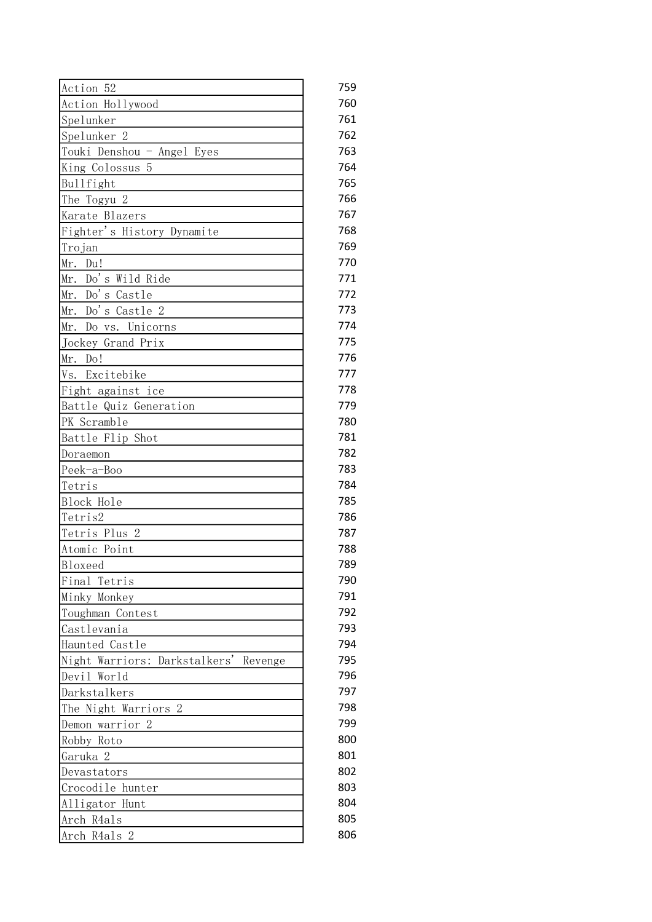| Action 52                                | 759 |
|------------------------------------------|-----|
| Action Hollywood                         | 760 |
| Spelunker                                | 761 |
| Spelunker 2                              | 762 |
| Touki Denshou - Angel Eyes               | 763 |
| King Colossus 5                          | 764 |
| Bullfight                                | 765 |
| The Togyu 2                              | 766 |
| Karate Blazers                           | 767 |
| Fighter's History Dynamite               | 768 |
| Trojan                                   | 769 |
| Mr. Du!                                  | 770 |
| Do's Wild Ride<br>Mr.                    | 771 |
| Mr. Do's Castle                          | 772 |
| Mr. Do's Castle 2                        | 773 |
| Mr. Do vs. Unicorns                      | 774 |
| Jockey Grand Prix                        | 775 |
| Mr. Do!                                  | 776 |
| Excitebike<br>Vs.                        | 777 |
| Fight against ice                        | 778 |
| Battle Quiz Generation                   | 779 |
| PK Scramble                              | 780 |
| Battle Flip Shot                         | 781 |
| Doraemon                                 | 782 |
| Peek-a-Boo                               | 783 |
| Tetris                                   | 784 |
| Block Hole                               | 785 |
| Tetris2                                  | 786 |
| Tetris Plus 2                            | 787 |
| Atomic Point                             | 788 |
| Bloxeed                                  | 789 |
| Final Tetris                             | 790 |
| Minky Monkey                             | 791 |
| Toughman Contest                         | 792 |
| Castlevania                              | 793 |
| Haunted Castle                           | 794 |
| Night Warriors: Darkstalkers'<br>Revenge | 795 |
| Devil World                              | 796 |
| Darkstalkers                             | 797 |
| The Night Warriors 2                     | 798 |
| Demon warrior 2                          | 799 |
| Robby Roto                               | 800 |
| Garuka 2                                 | 801 |
|                                          | 802 |
| Devastators                              | 803 |
| Crocodile hunter                         | 804 |
| Alligator Hunt                           |     |
| Arch R4als                               | 805 |
| Arch R4als 2                             | 806 |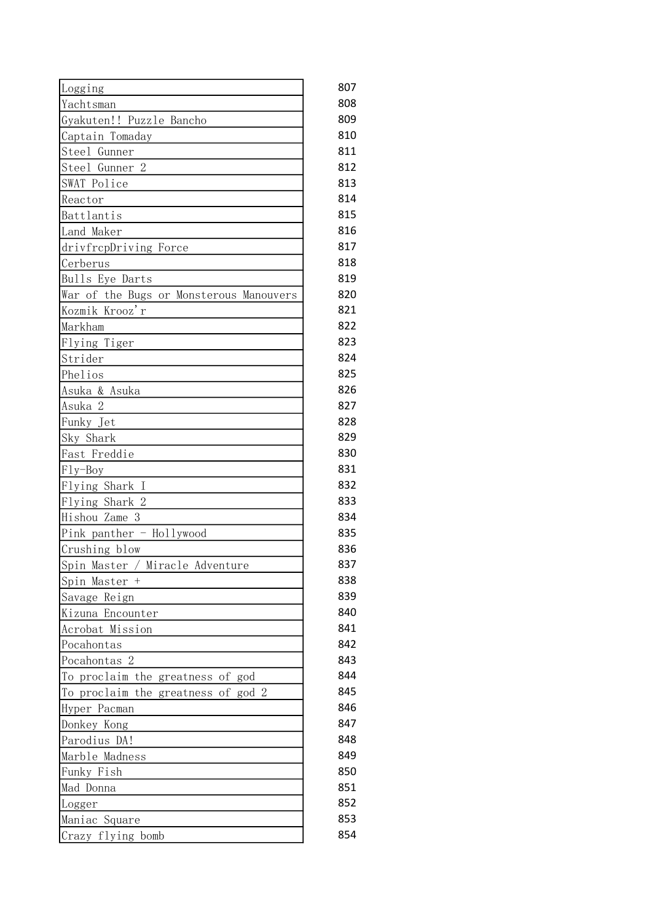| Logging                                 | 807 |
|-----------------------------------------|-----|
| Yachtsman                               | 808 |
| Gyakuten!! Puzzle Bancho                | 809 |
| Captain Tomaday                         | 810 |
| Steel Gunner                            | 811 |
| Steel Gunner 2                          | 812 |
| SWAT Police                             | 813 |
| Reactor                                 | 814 |
| Battlantis                              | 815 |
| Land Maker                              | 816 |
| drivfrepDriving Force                   | 817 |
| Cerberus                                | 818 |
| Bulls Eye Darts                         | 819 |
| War of the Bugs or Monsterous Manouvers | 820 |
| Kozmik Krooz'r                          | 821 |
| Markham                                 | 822 |
| Flying Tiger                            | 823 |
| Strider                                 | 824 |
| Phelios                                 | 825 |
| Asuka & Asuka                           | 826 |
| Asuka 2                                 | 827 |
| Funky Jet                               | 828 |
| Sky Shark                               | 829 |
| Fast Freddie                            | 830 |
| $Fly-Boy$                               | 831 |
| Flying Shark I                          | 832 |
| Flying Shark 2                          | 833 |
| Hishou Zame 3                           | 834 |
| $Pink$ panther - Hollywood              | 835 |
| Crushing blow                           | 836 |
| Spin Master / Miracle Adventure         | 837 |
| Spin Master +                           | 838 |
| Savage Reign                            | 839 |
| Kizuna Encounter                        | 840 |
| Acrobat Mission                         | 841 |
| Pocahontas                              | 842 |
| Pocahontas 2                            | 843 |
| To proclaim the greatness of god        | 844 |
| To proclaim the greatness of god 2      | 845 |
| Hyper Pacman                            | 846 |
| Donkey Kong                             | 847 |
| Parodius DA!                            | 848 |
| Marble Madness                          | 849 |
| Funky Fish                              | 850 |
| Mad Donna                               | 851 |
| Logger                                  | 852 |
| Maniac Square                           | 853 |
| Crazy flying bomb                       | 854 |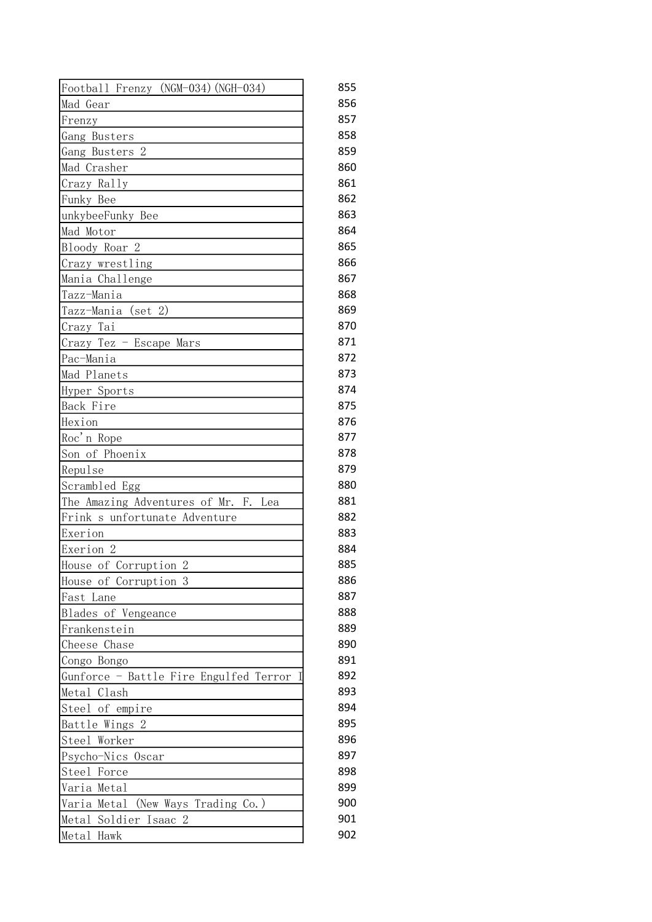| Football Frenzy (NGM-034) (NGH-034)     | 855 |
|-----------------------------------------|-----|
| Mad Gear                                | 856 |
| Frenzy                                  | 857 |
| Gang Busters                            | 858 |
| Gang Busters 2                          | 859 |
| Mad Crasher                             | 860 |
| Crazy Rally                             | 861 |
| Funky Bee                               | 862 |
| unkybeeFunky Bee                        | 863 |
| Mad Motor                               | 864 |
| Bloody Roar 2                           | 865 |
| Crazy wrestling                         | 866 |
| Mania Challenge                         | 867 |
| Tazz-Mania                              | 868 |
| (set 2)<br>Tazz-Mania                   | 869 |
| Crazy Tai                               | 870 |
| Crazy Tez - Escape Mars                 | 871 |
| Pac-Mania                               | 872 |
| Mad Planets                             | 873 |
| Hyper Sports                            | 874 |
| Back Fire                               | 875 |
| Hexion                                  | 876 |
|                                         | 877 |
| Roc'n Rope<br>Son of Phoenix            | 878 |
|                                         | 879 |
| Repulse                                 | 880 |
| Scrambled Egg                           | 881 |
| The Amazing Adventures of Mr. F.<br>Lea | 882 |
| Frink s unfortunate Adventure           |     |
| Exerion                                 | 883 |
| Exerion <sub>2</sub>                    | 884 |
| House of Corruption 2                   | 885 |
| House of Corruption 3                   | 886 |
| Fast Lane                               | 887 |
| Blades of Vengeance                     | 888 |
| Frankenstein                            | 889 |
| Cheese Chase                            | 890 |
| Congo Bongo                             | 891 |
| Gunforce - Battle Fire Engulfed Terror  | 892 |
| Metal Clash                             | 893 |
| Steel of empire                         | 894 |
| Battle Wings 2                          | 895 |
| Steel Worker                            | 896 |
| Psycho-Nics Oscar                       | 897 |
| Steel Force                             | 898 |
| Varia Metal                             | 899 |
| Varia Metal<br>(New Ways Trading Co.)   | 900 |
| Metal Soldier Isaac<br>2                | 901 |
| Metal Hawk                              | 902 |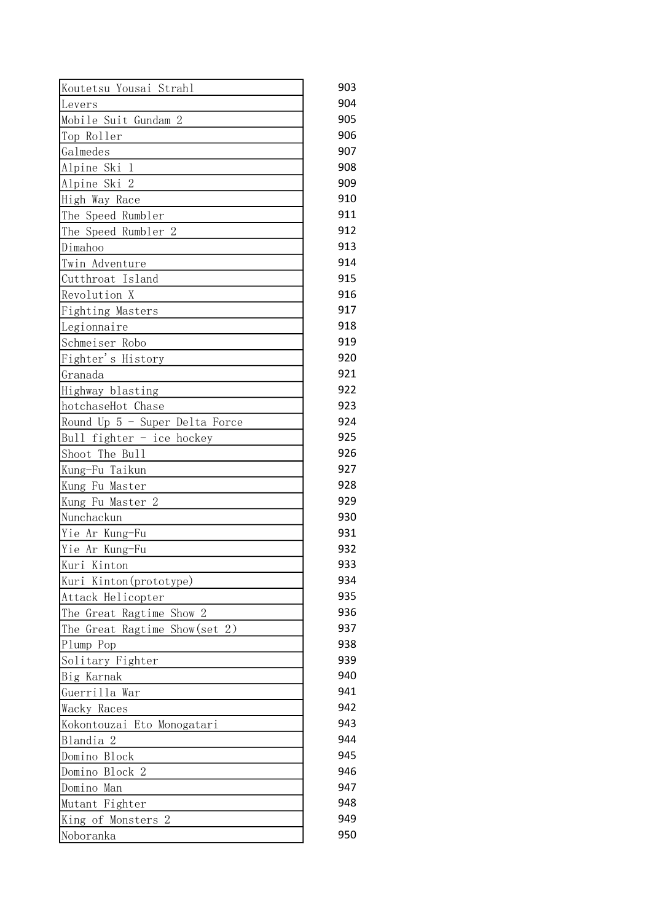| Koutetsu Yousai Strahl           | 903 |
|----------------------------------|-----|
| Levers                           | 904 |
| Mobile Suit Gundam 2             | 905 |
| Top Roller                       | 906 |
| Galmedes                         | 907 |
| Alpine Ski<br>-1                 | 908 |
| Alpine Ski 2                     | 909 |
| High Way Race                    | 910 |
| The Speed Rumbler                | 911 |
| The Speed Rumbler 2              | 912 |
| Dimahoo                          | 913 |
| Twin Adventure                   | 914 |
| Cutthroat Island                 | 915 |
| Revolution X                     | 916 |
| Fighting Masters                 | 917 |
| Legionnaire                      | 918 |
| Schmeiser Robo                   | 919 |
| Fighter's History                | 920 |
| Granada                          | 921 |
| Highway blasting                 | 922 |
| hotchaseHot Chase                | 923 |
| Round Up 5 - Super Delta Force   | 924 |
| Bull fighter - ice hockey        | 925 |
| Shoot The Bull                   | 926 |
| Kung-Fu Taikun                   | 927 |
| Kung Fu Master                   | 928 |
| Kung Fu Master 2                 | 929 |
| Nunchackun                       | 930 |
| Yie Ar Kung-Fu                   | 931 |
| Yie Ar Kung-Fu                   | 932 |
| Kuri Kinton                      | 933 |
| Kuri Kinton(prototype)           | 934 |
| Attack Helicopter                | 935 |
| The Great Ragtime Show 2         | 936 |
| The Great Ragtime Show(set 2)    | 937 |
| Plump Pop                        | 938 |
| Solitary Fighter                 | 939 |
| Big Karnak                       | 940 |
| Guerrilla War                    | 941 |
| Wacky Races                      | 942 |
| Kokontouzai Eto Monogatari       | 943 |
| Blandia 2                        | 944 |
| Domino Block                     | 945 |
| Domino Block 2                   | 946 |
| Domino Man                       | 947 |
|                                  | 948 |
| Mutant Fighter<br>$\overline{2}$ | 949 |
| King of Monsters                 |     |
| Noboranka                        | 950 |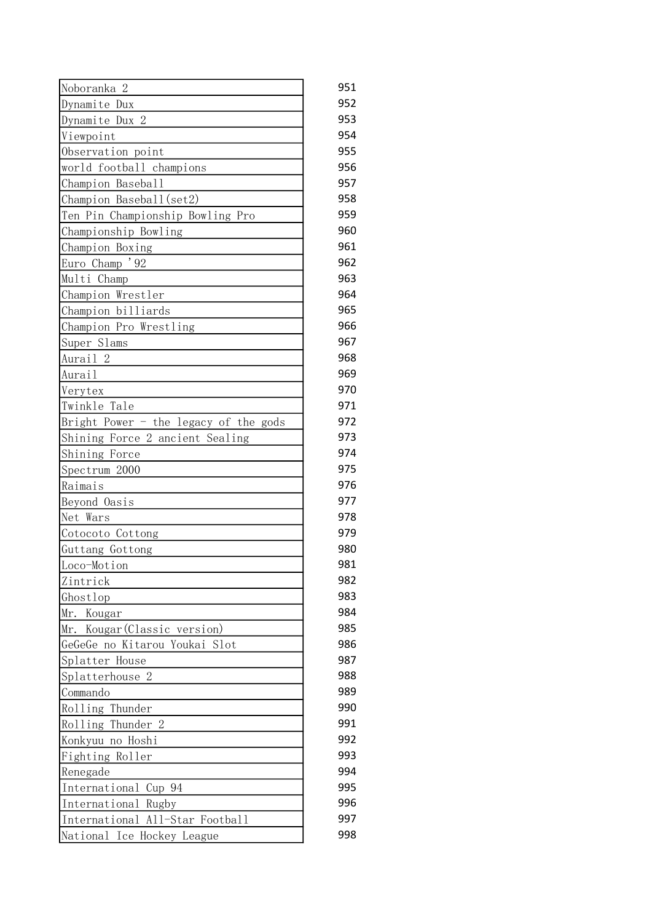| Noboranka 2                           | 951 |
|---------------------------------------|-----|
| Dynamite Dux                          | 952 |
| Dynamite Dux 2                        | 953 |
| Viewpoint                             | 954 |
| Observation point                     | 955 |
| world football champions              | 956 |
| Champion Baseball                     | 957 |
| Champion Baseball(set2)               | 958 |
| Ten Pin Championship Bowling Pro      | 959 |
| Championship Bowling                  | 960 |
| Champion Boxing                       | 961 |
| Euro Champ <sup>3</sup> 92            | 962 |
| Multi Champ                           | 963 |
| Champion Wrestler                     | 964 |
| Champion billiards                    | 965 |
| Champion Pro Wrestling                | 966 |
| Super Slams                           | 967 |
| Aurail <sub>2</sub>                   | 968 |
| Aurail                                | 969 |
| Verytex                               | 970 |
| Twinkle Tale                          | 971 |
| Bright Power - the legacy of the gods | 972 |
| Shining Force 2 ancient Sealing       | 973 |
| Shining Force                         | 974 |
| Spectrum 2000                         | 975 |
| Raimais                               | 976 |
| Beyond Oasis                          | 977 |
| Net Wars                              | 978 |
| Cotocoto Cottong                      | 979 |
| Guttang Gottong                       | 980 |
| Loco-Motion                           | 981 |
| Zintrick                              | 982 |
| Ghostlop                              | 983 |
| Kougar<br>Mr.                         | 984 |
| Mr. Kougar (Classic version)          | 985 |
| GeGeGe no Kitarou Youkai Slot         | 986 |
| Splatter House                        | 987 |
| Splatterhouse 2                       | 988 |
| Commando                              | 989 |
| Rolling Thunder                       | 990 |
| Rolling Thunder 2                     | 991 |
| Konkyuu no Hoshi                      | 992 |
| Fighting Roller                       | 993 |
|                                       | 994 |
| Renegade                              | 995 |
| International Cup 94                  | 996 |
| International Rugby                   |     |
| International All-Star Football       | 997 |
| National Ice Hockey League            | 998 |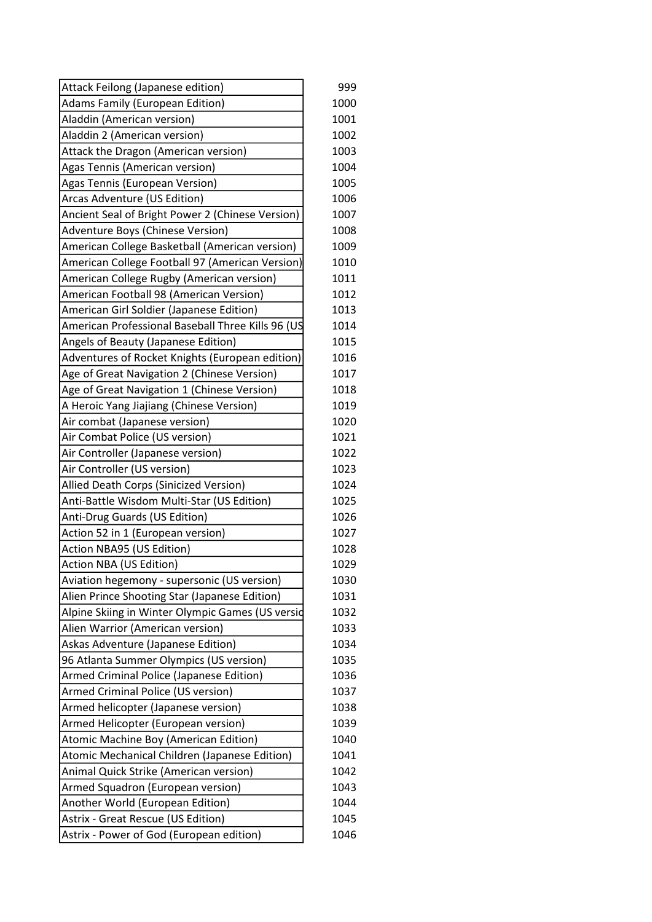| Attack Feilong (Japanese edition)                 | 999  |
|---------------------------------------------------|------|
| Adams Family (European Edition)                   | 1000 |
| Aladdin (American version)                        | 1001 |
| Aladdin 2 (American version)                      | 1002 |
| Attack the Dragon (American version)              | 1003 |
| Agas Tennis (American version)                    | 1004 |
| Agas Tennis (European Version)                    | 1005 |
| Arcas Adventure (US Edition)                      | 1006 |
| Ancient Seal of Bright Power 2 (Chinese Version)  | 1007 |
| Adventure Boys (Chinese Version)                  | 1008 |
| American College Basketball (American version)    | 1009 |
| American College Football 97 (American Version)   | 1010 |
| American College Rugby (American version)         | 1011 |
| American Football 98 (American Version)           | 1012 |
| American Girl Soldier (Japanese Edition)          | 1013 |
| American Professional Baseball Three Kills 96 (US | 1014 |
| Angels of Beauty (Japanese Edition)               | 1015 |
| Adventures of Rocket Knights (European edition)   | 1016 |
| Age of Great Navigation 2 (Chinese Version)       | 1017 |
| Age of Great Navigation 1 (Chinese Version)       | 1018 |
| A Heroic Yang Jiajiang (Chinese Version)          | 1019 |
| Air combat (Japanese version)                     | 1020 |
| Air Combat Police (US version)                    | 1021 |
| Air Controller (Japanese version)                 | 1022 |
| Air Controller (US version)                       | 1023 |
| Allied Death Corps (Sinicized Version)            | 1024 |
| Anti-Battle Wisdom Multi-Star (US Edition)        | 1025 |
| Anti-Drug Guards (US Edition)                     | 1026 |
| Action 52 in 1 (European version)                 | 1027 |
| Action NBA95 (US Edition)                         | 1028 |
| Action NBA (US Edition)                           | 1029 |
| Aviation hegemony - supersonic (US version)       | 1030 |
| Alien Prince Shooting Star (Japanese Edition)     | 1031 |
| Alpine Skiing in Winter Olympic Games (US versid  | 1032 |
| Alien Warrior (American version)                  | 1033 |
| Askas Adventure (Japanese Edition)                | 1034 |
| 96 Atlanta Summer Olympics (US version)           | 1035 |
| Armed Criminal Police (Japanese Edition)          | 1036 |
| Armed Criminal Police (US version)                | 1037 |
| Armed helicopter (Japanese version)               | 1038 |
| Armed Helicopter (European version)               | 1039 |
| Atomic Machine Boy (American Edition)             | 1040 |
| Atomic Mechanical Children (Japanese Edition)     | 1041 |
| Animal Quick Strike (American version)            | 1042 |
| Armed Squadron (European version)                 | 1043 |
| Another World (European Edition)                  | 1044 |
| Astrix - Great Rescue (US Edition)                | 1045 |
| Astrix - Power of God (European edition)          | 1046 |
|                                                   |      |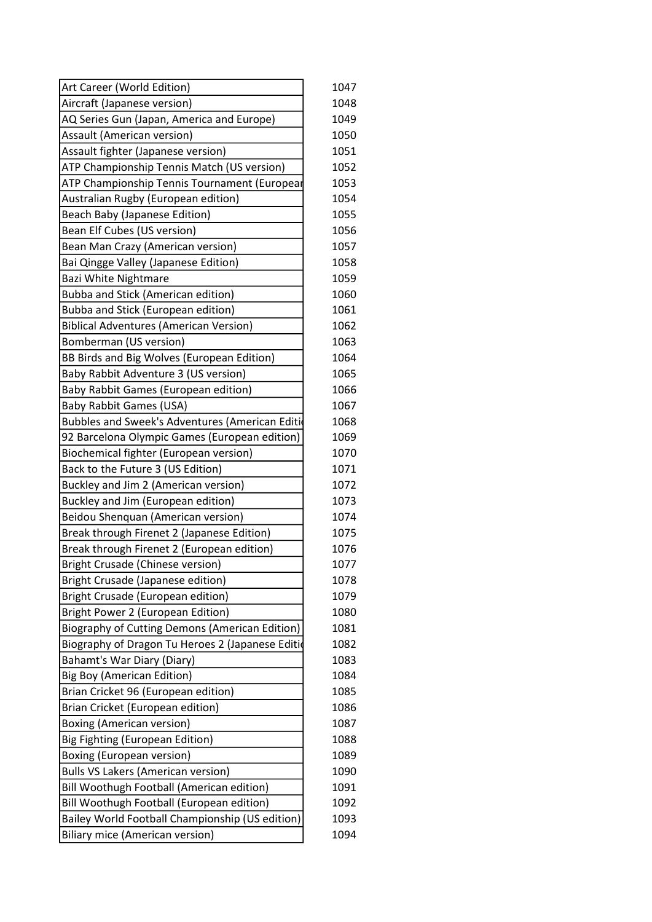| Art Career (World Edition)                        | 1047 |
|---------------------------------------------------|------|
| Aircraft (Japanese version)                       | 1048 |
| AQ Series Gun (Japan, America and Europe)         | 1049 |
| Assault (American version)                        | 1050 |
| Assault fighter (Japanese version)                | 1051 |
| <b>ATP Championship Tennis Match (US version)</b> | 1052 |
| ATP Championship Tennis Tournament (Europear      | 1053 |
| Australian Rugby (European edition)               | 1054 |
| <b>Beach Baby (Japanese Edition)</b>              | 1055 |
| Bean Elf Cubes (US version)                       | 1056 |
| Bean Man Crazy (American version)                 | 1057 |
| Bai Qingge Valley (Japanese Edition)              | 1058 |
| Bazi White Nightmare                              | 1059 |
| <b>Bubba and Stick (American edition)</b>         | 1060 |
| Bubba and Stick (European edition)                | 1061 |
| <b>Biblical Adventures (American Version)</b>     | 1062 |
| Bomberman (US version)                            | 1063 |
| BB Birds and Big Wolves (European Edition)        | 1064 |
| Baby Rabbit Adventure 3 (US version)              | 1065 |
| Baby Rabbit Games (European edition)              | 1066 |
| <b>Baby Rabbit Games (USA)</b>                    | 1067 |
| Bubbles and Sweek's Adventures (American Editi    | 1068 |
| 92 Barcelona Olympic Games (European edition)     | 1069 |
| Biochemical fighter (European version)            | 1070 |
| Back to the Future 3 (US Edition)                 | 1071 |
| Buckley and Jim 2 (American version)              | 1072 |
| Buckley and Jim (European edition)                | 1073 |
| Beidou Shenquan (American version)                | 1074 |
| Break through Firenet 2 (Japanese Edition)        | 1075 |
| Break through Firenet 2 (European edition)        | 1076 |
| Bright Crusade (Chinese version)                  | 1077 |
| Bright Crusade (Japanese edition)                 | 1078 |
| Bright Crusade (European edition)                 | 1079 |
| Bright Power 2 (European Edition)                 | 1080 |
| Biography of Cutting Demons (American Edition)    | 1081 |
| Biography of Dragon Tu Heroes 2 (Japanese Editio  | 1082 |
| Bahamt's War Diary (Diary)                        | 1083 |
| <b>Big Boy (American Edition)</b>                 | 1084 |
| Brian Cricket 96 (European edition)               | 1085 |
| Brian Cricket (European edition)                  | 1086 |
| <b>Boxing (American version)</b>                  | 1087 |
| Big Fighting (European Edition)                   | 1088 |
| Boxing (European version)                         | 1089 |
| <b>Bulls VS Lakers (American version)</b>         | 1090 |
| Bill Woothugh Football (American edition)         | 1091 |
| Bill Woothugh Football (European edition)         | 1092 |
| Bailey World Football Championship (US edition)   | 1093 |
| <b>Biliary mice (American version)</b>            | 1094 |
|                                                   |      |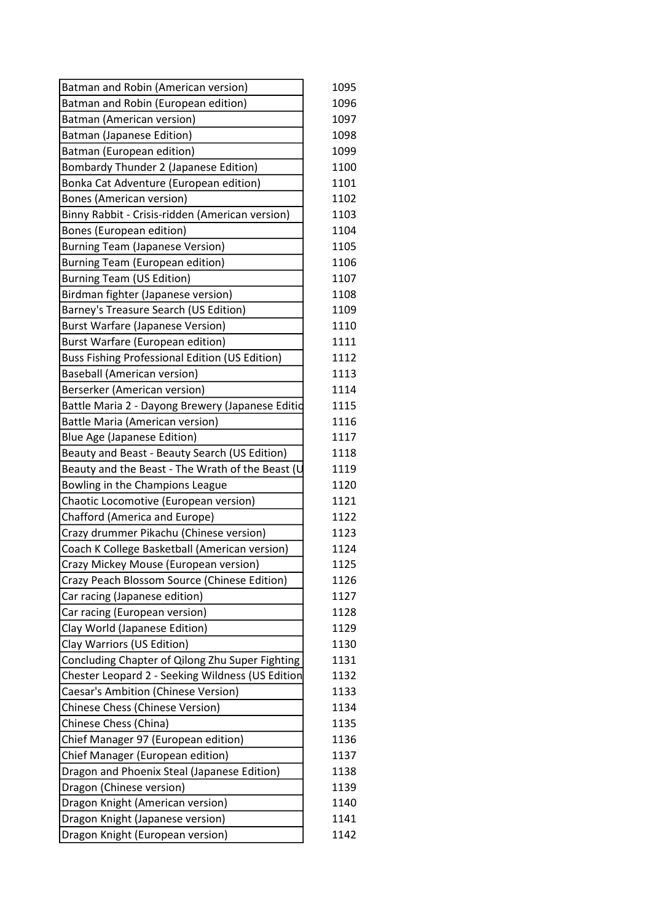| Batman and Robin (American version)              | 1095 |
|--------------------------------------------------|------|
| Batman and Robin (European edition)              | 1096 |
| Batman (American version)                        | 1097 |
| <b>Batman (Japanese Edition)</b>                 | 1098 |
| Batman (European edition)                        | 1099 |
| Bombardy Thunder 2 (Japanese Edition)            | 1100 |
| Bonka Cat Adventure (European edition)           | 1101 |
| <b>Bones (American version)</b>                  | 1102 |
| Binny Rabbit - Crisis-ridden (American version)  | 1103 |
| Bones (European edition)                         | 1104 |
| <b>Burning Team (Japanese Version)</b>           | 1105 |
| Burning Team (European edition)                  | 1106 |
| <b>Burning Team (US Edition)</b>                 | 1107 |
| Birdman fighter (Japanese version)               | 1108 |
| Barney's Treasure Search (US Edition)            | 1109 |
| <b>Burst Warfare (Japanese Version)</b>          | 1110 |
| <b>Burst Warfare (European edition)</b>          | 1111 |
| Buss Fishing Professional Edition (US Edition)   | 1112 |
| <b>Baseball (American version)</b>               | 1113 |
| Berserker (American version)                     | 1114 |
| Battle Maria 2 - Dayong Brewery (Japanese Editid | 1115 |
| <b>Battle Maria (American version)</b>           | 1116 |
| <b>Blue Age (Japanese Edition)</b>               | 1117 |
| Beauty and Beast - Beauty Search (US Edition)    | 1118 |
| Beauty and the Beast - The Wrath of the Beast (U | 1119 |
| Bowling in the Champions League                  | 1120 |
| Chaotic Locomotive (European version)            | 1121 |
| Chafford (America and Europe)                    | 1122 |
| Crazy drummer Pikachu (Chinese version)          | 1123 |
| Coach K College Basketball (American version)    | 1124 |
| Crazy Mickey Mouse (European version)            | 1125 |
| Crazy Peach Blossom Source (Chinese Edition)     | 1126 |
| Car racing (Japanese edition)                    | 1127 |
| Car racing (European version)                    | 1128 |
| Clay World (Japanese Edition)                    | 1129 |
| Clay Warriors (US Edition)                       | 1130 |
| Concluding Chapter of Qilong Zhu Super Fighting  | 1131 |
| Chester Leopard 2 - Seeking Wildness (US Edition | 1132 |
| Caesar's Ambition (Chinese Version)              | 1133 |
| Chinese Chess (Chinese Version)                  | 1134 |
| Chinese Chess (China)                            | 1135 |
| Chief Manager 97 (European edition)              | 1136 |
| Chief Manager (European edition)                 | 1137 |
| Dragon and Phoenix Steal (Japanese Edition)      | 1138 |
| Dragon (Chinese version)                         | 1139 |
| Dragon Knight (American version)                 | 1140 |
| Dragon Knight (Japanese version)                 | 1141 |
| Dragon Knight (European version)                 | 1142 |
|                                                  |      |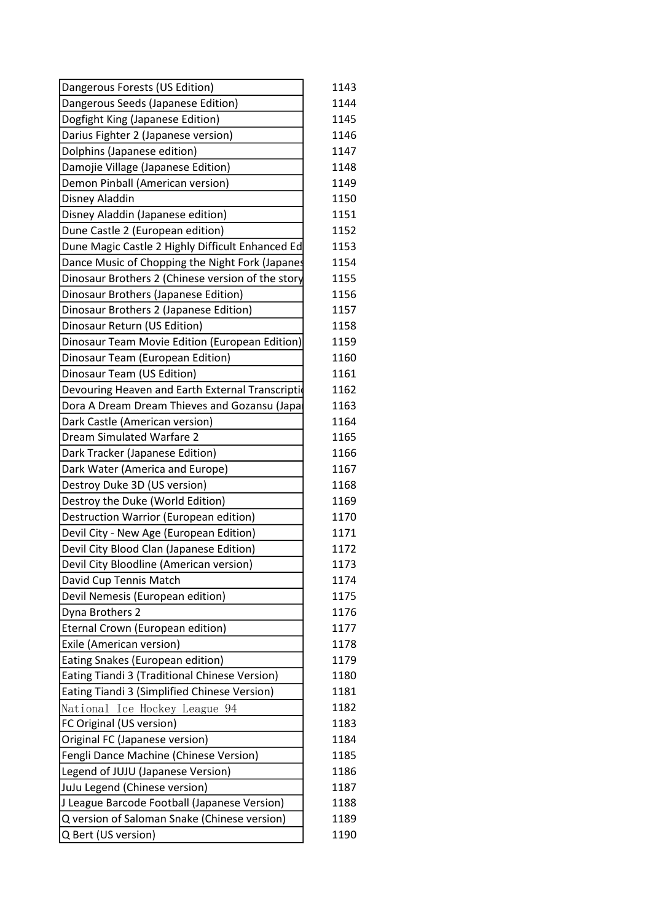| Dangerous Forests (US Edition)                    |
|---------------------------------------------------|
| Dangerous Seeds (Japanese Edition)                |
| Dogfight King (Japanese Edition)                  |
| Darius Fighter 2 (Japanese version)               |
| Dolphins (Japanese edition)                       |
| Damojie Village (Japanese Edition)                |
| Demon Pinball (American version)                  |
| Disney Aladdin                                    |
| Disney Aladdin (Japanese edition)                 |
| Dune Castle 2 (European edition)                  |
| Dune Magic Castle 2 Highly Difficult Enhanced Ed  |
| Dance Music of Chopping the Night Fork (Japanes   |
| Dinosaur Brothers 2 (Chinese version of the story |
| Dinosaur Brothers (Japanese Edition)              |
| Dinosaur Brothers 2 (Japanese Edition)            |
| Dinosaur Return (US Edition)                      |
| Dinosaur Team Movie Edition (European Edition)    |
| Dinosaur Team (European Edition)                  |
| Dinosaur Team (US Edition)                        |
| Devouring Heaven and Earth External Transcription |
| Dora A Dream Dream Thieves and Gozansu (Japa      |
| Dark Castle (American version)                    |
| Dream Simulated Warfare 2                         |
| Dark Tracker (Japanese Edition)                   |
| Dark Water (America and Europe)                   |
| Destroy Duke 3D (US version)                      |
| Destroy the Duke (World Edition)                  |
| Destruction Warrior (European edition)            |
| Devil City - New Age (European Edition)           |
| Devil City Blood Clan (Japanese Edition)          |
| Devil City Bloodline (American version)           |
| David Cup Tennis Match                            |
| Devil Nemesis (European edition)                  |
| Dyna Brothers 2                                   |
| Eternal Crown (European edition)                  |
| Exile (American version)                          |
| Eating Snakes (European edition)                  |
| Eating Tiandi 3 (Traditional Chinese Version)     |
| Eating Tiandi 3 (Simplified Chinese Version)      |
| National Ice Hockey League 94                     |
| FC Original (US version)                          |
| Original FC (Japanese version)                    |
| Fengli Dance Machine (Chinese Version)            |
| Legend of JUJU (Japanese Version)                 |
| JuJu Legend (Chinese version)                     |
| J League Barcode Football (Japanese Version)      |
| Q version of Saloman Snake (Chinese version)      |
| Q Bert (US version)                               |
|                                                   |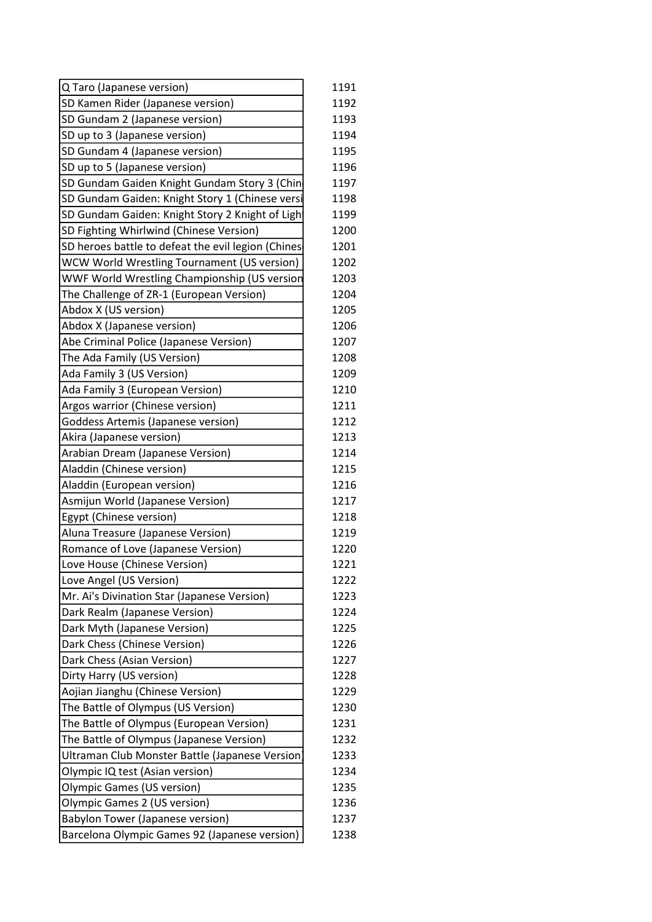| SD Kamen Rider (Japanese version)<br>1192<br>SD Gundam 2 (Japanese version)<br>1193<br>1194<br>SD up to 3 (Japanese version)<br>1195<br>SD Gundam 4 (Japanese version)<br>SD up to 5 (Japanese version)<br>1196<br>SD Gundam Gaiden Knight Gundam Story 3 (Chin<br>1197<br>SD Gundam Gaiden: Knight Story 1 (Chinese versi<br>1198<br>SD Gundam Gaiden: Knight Story 2 Knight of Light<br>1199<br>SD Fighting Whirlwind (Chinese Version)<br>1200<br>SD heroes battle to defeat the evil legion (Chines<br>1201<br>WCW World Wrestling Tournament (US version)<br>1202<br>WWF World Wrestling Championship (US version<br>1203<br>The Challenge of ZR-1 (European Version)<br>1204<br>Abdox X (US version)<br>1205<br>1206<br>Abdox X (Japanese version)<br>Abe Criminal Police (Japanese Version)<br>1207<br>1208<br>The Ada Family (US Version)<br>Ada Family 3 (US Version)<br>1209<br>Ada Family 3 (European Version)<br>1210<br>Argos warrior (Chinese version)<br>1211<br>Goddess Artemis (Japanese version)<br>1212<br>Akira (Japanese version)<br>1213<br>Arabian Dream (Japanese Version)<br>1214<br>Aladdin (Chinese version)<br>1215<br>Aladdin (European version)<br>1216<br>Asmijun World (Japanese Version)<br>1217<br>Egypt (Chinese version)<br>1218<br>Aluna Treasure (Japanese Version)<br>1219<br>Romance of Love (Japanese Version)<br>1220<br>Love House (Chinese Version)<br>1221<br>Love Angel (US Version)<br>1222<br>Mr. Ai's Divination Star (Japanese Version)<br>1223<br>Dark Realm (Japanese Version)<br>1224<br>Dark Myth (Japanese Version)<br>1225<br>Dark Chess (Chinese Version)<br>1226<br>1227<br>Dark Chess (Asian Version)<br>Dirty Harry (US version)<br>1228<br>1229<br>Aojian Jianghu (Chinese Version)<br>The Battle of Olympus (US Version)<br>1230<br>The Battle of Olympus (European Version)<br>1231<br>The Battle of Olympus (Japanese Version)<br>1232<br>Ultraman Club Monster Battle (Japanese Version)<br>1233<br>Olympic IQ test (Asian version)<br>1234<br><b>Olympic Games (US version)</b><br>1235<br>Olympic Games 2 (US version)<br>1236<br>Babylon Tower (Japanese version)<br>1237 | Q Taro (Japanese version)                     | 1191 |
|-----------------------------------------------------------------------------------------------------------------------------------------------------------------------------------------------------------------------------------------------------------------------------------------------------------------------------------------------------------------------------------------------------------------------------------------------------------------------------------------------------------------------------------------------------------------------------------------------------------------------------------------------------------------------------------------------------------------------------------------------------------------------------------------------------------------------------------------------------------------------------------------------------------------------------------------------------------------------------------------------------------------------------------------------------------------------------------------------------------------------------------------------------------------------------------------------------------------------------------------------------------------------------------------------------------------------------------------------------------------------------------------------------------------------------------------------------------------------------------------------------------------------------------------------------------------------------------------------------------------------------------------------------------------------------------------------------------------------------------------------------------------------------------------------------------------------------------------------------------------------------------------------------------------------------------------------------------------------------------------------------------------------------------------------------------------------------------------------------------------------------------------------|-----------------------------------------------|------|
|                                                                                                                                                                                                                                                                                                                                                                                                                                                                                                                                                                                                                                                                                                                                                                                                                                                                                                                                                                                                                                                                                                                                                                                                                                                                                                                                                                                                                                                                                                                                                                                                                                                                                                                                                                                                                                                                                                                                                                                                                                                                                                                                               |                                               |      |
|                                                                                                                                                                                                                                                                                                                                                                                                                                                                                                                                                                                                                                                                                                                                                                                                                                                                                                                                                                                                                                                                                                                                                                                                                                                                                                                                                                                                                                                                                                                                                                                                                                                                                                                                                                                                                                                                                                                                                                                                                                                                                                                                               |                                               |      |
|                                                                                                                                                                                                                                                                                                                                                                                                                                                                                                                                                                                                                                                                                                                                                                                                                                                                                                                                                                                                                                                                                                                                                                                                                                                                                                                                                                                                                                                                                                                                                                                                                                                                                                                                                                                                                                                                                                                                                                                                                                                                                                                                               |                                               |      |
|                                                                                                                                                                                                                                                                                                                                                                                                                                                                                                                                                                                                                                                                                                                                                                                                                                                                                                                                                                                                                                                                                                                                                                                                                                                                                                                                                                                                                                                                                                                                                                                                                                                                                                                                                                                                                                                                                                                                                                                                                                                                                                                                               |                                               |      |
|                                                                                                                                                                                                                                                                                                                                                                                                                                                                                                                                                                                                                                                                                                                                                                                                                                                                                                                                                                                                                                                                                                                                                                                                                                                                                                                                                                                                                                                                                                                                                                                                                                                                                                                                                                                                                                                                                                                                                                                                                                                                                                                                               |                                               |      |
|                                                                                                                                                                                                                                                                                                                                                                                                                                                                                                                                                                                                                                                                                                                                                                                                                                                                                                                                                                                                                                                                                                                                                                                                                                                                                                                                                                                                                                                                                                                                                                                                                                                                                                                                                                                                                                                                                                                                                                                                                                                                                                                                               |                                               |      |
|                                                                                                                                                                                                                                                                                                                                                                                                                                                                                                                                                                                                                                                                                                                                                                                                                                                                                                                                                                                                                                                                                                                                                                                                                                                                                                                                                                                                                                                                                                                                                                                                                                                                                                                                                                                                                                                                                                                                                                                                                                                                                                                                               |                                               |      |
|                                                                                                                                                                                                                                                                                                                                                                                                                                                                                                                                                                                                                                                                                                                                                                                                                                                                                                                                                                                                                                                                                                                                                                                                                                                                                                                                                                                                                                                                                                                                                                                                                                                                                                                                                                                                                                                                                                                                                                                                                                                                                                                                               |                                               |      |
|                                                                                                                                                                                                                                                                                                                                                                                                                                                                                                                                                                                                                                                                                                                                                                                                                                                                                                                                                                                                                                                                                                                                                                                                                                                                                                                                                                                                                                                                                                                                                                                                                                                                                                                                                                                                                                                                                                                                                                                                                                                                                                                                               |                                               |      |
|                                                                                                                                                                                                                                                                                                                                                                                                                                                                                                                                                                                                                                                                                                                                                                                                                                                                                                                                                                                                                                                                                                                                                                                                                                                                                                                                                                                                                                                                                                                                                                                                                                                                                                                                                                                                                                                                                                                                                                                                                                                                                                                                               |                                               |      |
|                                                                                                                                                                                                                                                                                                                                                                                                                                                                                                                                                                                                                                                                                                                                                                                                                                                                                                                                                                                                                                                                                                                                                                                                                                                                                                                                                                                                                                                                                                                                                                                                                                                                                                                                                                                                                                                                                                                                                                                                                                                                                                                                               |                                               |      |
|                                                                                                                                                                                                                                                                                                                                                                                                                                                                                                                                                                                                                                                                                                                                                                                                                                                                                                                                                                                                                                                                                                                                                                                                                                                                                                                                                                                                                                                                                                                                                                                                                                                                                                                                                                                                                                                                                                                                                                                                                                                                                                                                               |                                               |      |
|                                                                                                                                                                                                                                                                                                                                                                                                                                                                                                                                                                                                                                                                                                                                                                                                                                                                                                                                                                                                                                                                                                                                                                                                                                                                                                                                                                                                                                                                                                                                                                                                                                                                                                                                                                                                                                                                                                                                                                                                                                                                                                                                               |                                               |      |
|                                                                                                                                                                                                                                                                                                                                                                                                                                                                                                                                                                                                                                                                                                                                                                                                                                                                                                                                                                                                                                                                                                                                                                                                                                                                                                                                                                                                                                                                                                                                                                                                                                                                                                                                                                                                                                                                                                                                                                                                                                                                                                                                               |                                               |      |
|                                                                                                                                                                                                                                                                                                                                                                                                                                                                                                                                                                                                                                                                                                                                                                                                                                                                                                                                                                                                                                                                                                                                                                                                                                                                                                                                                                                                                                                                                                                                                                                                                                                                                                                                                                                                                                                                                                                                                                                                                                                                                                                                               |                                               |      |
|                                                                                                                                                                                                                                                                                                                                                                                                                                                                                                                                                                                                                                                                                                                                                                                                                                                                                                                                                                                                                                                                                                                                                                                                                                                                                                                                                                                                                                                                                                                                                                                                                                                                                                                                                                                                                                                                                                                                                                                                                                                                                                                                               |                                               |      |
|                                                                                                                                                                                                                                                                                                                                                                                                                                                                                                                                                                                                                                                                                                                                                                                                                                                                                                                                                                                                                                                                                                                                                                                                                                                                                                                                                                                                                                                                                                                                                                                                                                                                                                                                                                                                                                                                                                                                                                                                                                                                                                                                               |                                               |      |
|                                                                                                                                                                                                                                                                                                                                                                                                                                                                                                                                                                                                                                                                                                                                                                                                                                                                                                                                                                                                                                                                                                                                                                                                                                                                                                                                                                                                                                                                                                                                                                                                                                                                                                                                                                                                                                                                                                                                                                                                                                                                                                                                               |                                               |      |
|                                                                                                                                                                                                                                                                                                                                                                                                                                                                                                                                                                                                                                                                                                                                                                                                                                                                                                                                                                                                                                                                                                                                                                                                                                                                                                                                                                                                                                                                                                                                                                                                                                                                                                                                                                                                                                                                                                                                                                                                                                                                                                                                               |                                               |      |
|                                                                                                                                                                                                                                                                                                                                                                                                                                                                                                                                                                                                                                                                                                                                                                                                                                                                                                                                                                                                                                                                                                                                                                                                                                                                                                                                                                                                                                                                                                                                                                                                                                                                                                                                                                                                                                                                                                                                                                                                                                                                                                                                               |                                               |      |
|                                                                                                                                                                                                                                                                                                                                                                                                                                                                                                                                                                                                                                                                                                                                                                                                                                                                                                                                                                                                                                                                                                                                                                                                                                                                                                                                                                                                                                                                                                                                                                                                                                                                                                                                                                                                                                                                                                                                                                                                                                                                                                                                               |                                               |      |
|                                                                                                                                                                                                                                                                                                                                                                                                                                                                                                                                                                                                                                                                                                                                                                                                                                                                                                                                                                                                                                                                                                                                                                                                                                                                                                                                                                                                                                                                                                                                                                                                                                                                                                                                                                                                                                                                                                                                                                                                                                                                                                                                               |                                               |      |
|                                                                                                                                                                                                                                                                                                                                                                                                                                                                                                                                                                                                                                                                                                                                                                                                                                                                                                                                                                                                                                                                                                                                                                                                                                                                                                                                                                                                                                                                                                                                                                                                                                                                                                                                                                                                                                                                                                                                                                                                                                                                                                                                               |                                               |      |
|                                                                                                                                                                                                                                                                                                                                                                                                                                                                                                                                                                                                                                                                                                                                                                                                                                                                                                                                                                                                                                                                                                                                                                                                                                                                                                                                                                                                                                                                                                                                                                                                                                                                                                                                                                                                                                                                                                                                                                                                                                                                                                                                               |                                               |      |
|                                                                                                                                                                                                                                                                                                                                                                                                                                                                                                                                                                                                                                                                                                                                                                                                                                                                                                                                                                                                                                                                                                                                                                                                                                                                                                                                                                                                                                                                                                                                                                                                                                                                                                                                                                                                                                                                                                                                                                                                                                                                                                                                               |                                               |      |
|                                                                                                                                                                                                                                                                                                                                                                                                                                                                                                                                                                                                                                                                                                                                                                                                                                                                                                                                                                                                                                                                                                                                                                                                                                                                                                                                                                                                                                                                                                                                                                                                                                                                                                                                                                                                                                                                                                                                                                                                                                                                                                                                               |                                               |      |
|                                                                                                                                                                                                                                                                                                                                                                                                                                                                                                                                                                                                                                                                                                                                                                                                                                                                                                                                                                                                                                                                                                                                                                                                                                                                                                                                                                                                                                                                                                                                                                                                                                                                                                                                                                                                                                                                                                                                                                                                                                                                                                                                               |                                               |      |
|                                                                                                                                                                                                                                                                                                                                                                                                                                                                                                                                                                                                                                                                                                                                                                                                                                                                                                                                                                                                                                                                                                                                                                                                                                                                                                                                                                                                                                                                                                                                                                                                                                                                                                                                                                                                                                                                                                                                                                                                                                                                                                                                               |                                               |      |
|                                                                                                                                                                                                                                                                                                                                                                                                                                                                                                                                                                                                                                                                                                                                                                                                                                                                                                                                                                                                                                                                                                                                                                                                                                                                                                                                                                                                                                                                                                                                                                                                                                                                                                                                                                                                                                                                                                                                                                                                                                                                                                                                               |                                               |      |
|                                                                                                                                                                                                                                                                                                                                                                                                                                                                                                                                                                                                                                                                                                                                                                                                                                                                                                                                                                                                                                                                                                                                                                                                                                                                                                                                                                                                                                                                                                                                                                                                                                                                                                                                                                                                                                                                                                                                                                                                                                                                                                                                               |                                               |      |
|                                                                                                                                                                                                                                                                                                                                                                                                                                                                                                                                                                                                                                                                                                                                                                                                                                                                                                                                                                                                                                                                                                                                                                                                                                                                                                                                                                                                                                                                                                                                                                                                                                                                                                                                                                                                                                                                                                                                                                                                                                                                                                                                               |                                               |      |
|                                                                                                                                                                                                                                                                                                                                                                                                                                                                                                                                                                                                                                                                                                                                                                                                                                                                                                                                                                                                                                                                                                                                                                                                                                                                                                                                                                                                                                                                                                                                                                                                                                                                                                                                                                                                                                                                                                                                                                                                                                                                                                                                               |                                               |      |
|                                                                                                                                                                                                                                                                                                                                                                                                                                                                                                                                                                                                                                                                                                                                                                                                                                                                                                                                                                                                                                                                                                                                                                                                                                                                                                                                                                                                                                                                                                                                                                                                                                                                                                                                                                                                                                                                                                                                                                                                                                                                                                                                               |                                               |      |
|                                                                                                                                                                                                                                                                                                                                                                                                                                                                                                                                                                                                                                                                                                                                                                                                                                                                                                                                                                                                                                                                                                                                                                                                                                                                                                                                                                                                                                                                                                                                                                                                                                                                                                                                                                                                                                                                                                                                                                                                                                                                                                                                               |                                               |      |
|                                                                                                                                                                                                                                                                                                                                                                                                                                                                                                                                                                                                                                                                                                                                                                                                                                                                                                                                                                                                                                                                                                                                                                                                                                                                                                                                                                                                                                                                                                                                                                                                                                                                                                                                                                                                                                                                                                                                                                                                                                                                                                                                               |                                               |      |
|                                                                                                                                                                                                                                                                                                                                                                                                                                                                                                                                                                                                                                                                                                                                                                                                                                                                                                                                                                                                                                                                                                                                                                                                                                                                                                                                                                                                                                                                                                                                                                                                                                                                                                                                                                                                                                                                                                                                                                                                                                                                                                                                               |                                               |      |
|                                                                                                                                                                                                                                                                                                                                                                                                                                                                                                                                                                                                                                                                                                                                                                                                                                                                                                                                                                                                                                                                                                                                                                                                                                                                                                                                                                                                                                                                                                                                                                                                                                                                                                                                                                                                                                                                                                                                                                                                                                                                                                                                               |                                               |      |
|                                                                                                                                                                                                                                                                                                                                                                                                                                                                                                                                                                                                                                                                                                                                                                                                                                                                                                                                                                                                                                                                                                                                                                                                                                                                                                                                                                                                                                                                                                                                                                                                                                                                                                                                                                                                                                                                                                                                                                                                                                                                                                                                               |                                               |      |
|                                                                                                                                                                                                                                                                                                                                                                                                                                                                                                                                                                                                                                                                                                                                                                                                                                                                                                                                                                                                                                                                                                                                                                                                                                                                                                                                                                                                                                                                                                                                                                                                                                                                                                                                                                                                                                                                                                                                                                                                                                                                                                                                               |                                               |      |
|                                                                                                                                                                                                                                                                                                                                                                                                                                                                                                                                                                                                                                                                                                                                                                                                                                                                                                                                                                                                                                                                                                                                                                                                                                                                                                                                                                                                                                                                                                                                                                                                                                                                                                                                                                                                                                                                                                                                                                                                                                                                                                                                               |                                               |      |
|                                                                                                                                                                                                                                                                                                                                                                                                                                                                                                                                                                                                                                                                                                                                                                                                                                                                                                                                                                                                                                                                                                                                                                                                                                                                                                                                                                                                                                                                                                                                                                                                                                                                                                                                                                                                                                                                                                                                                                                                                                                                                                                                               |                                               |      |
|                                                                                                                                                                                                                                                                                                                                                                                                                                                                                                                                                                                                                                                                                                                                                                                                                                                                                                                                                                                                                                                                                                                                                                                                                                                                                                                                                                                                                                                                                                                                                                                                                                                                                                                                                                                                                                                                                                                                                                                                                                                                                                                                               |                                               |      |
|                                                                                                                                                                                                                                                                                                                                                                                                                                                                                                                                                                                                                                                                                                                                                                                                                                                                                                                                                                                                                                                                                                                                                                                                                                                                                                                                                                                                                                                                                                                                                                                                                                                                                                                                                                                                                                                                                                                                                                                                                                                                                                                                               |                                               |      |
|                                                                                                                                                                                                                                                                                                                                                                                                                                                                                                                                                                                                                                                                                                                                                                                                                                                                                                                                                                                                                                                                                                                                                                                                                                                                                                                                                                                                                                                                                                                                                                                                                                                                                                                                                                                                                                                                                                                                                                                                                                                                                                                                               |                                               |      |
|                                                                                                                                                                                                                                                                                                                                                                                                                                                                                                                                                                                                                                                                                                                                                                                                                                                                                                                                                                                                                                                                                                                                                                                                                                                                                                                                                                                                                                                                                                                                                                                                                                                                                                                                                                                                                                                                                                                                                                                                                                                                                                                                               |                                               |      |
|                                                                                                                                                                                                                                                                                                                                                                                                                                                                                                                                                                                                                                                                                                                                                                                                                                                                                                                                                                                                                                                                                                                                                                                                                                                                                                                                                                                                                                                                                                                                                                                                                                                                                                                                                                                                                                                                                                                                                                                                                                                                                                                                               |                                               |      |
|                                                                                                                                                                                                                                                                                                                                                                                                                                                                                                                                                                                                                                                                                                                                                                                                                                                                                                                                                                                                                                                                                                                                                                                                                                                                                                                                                                                                                                                                                                                                                                                                                                                                                                                                                                                                                                                                                                                                                                                                                                                                                                                                               | Barcelona Olympic Games 92 (Japanese version) | 1238 |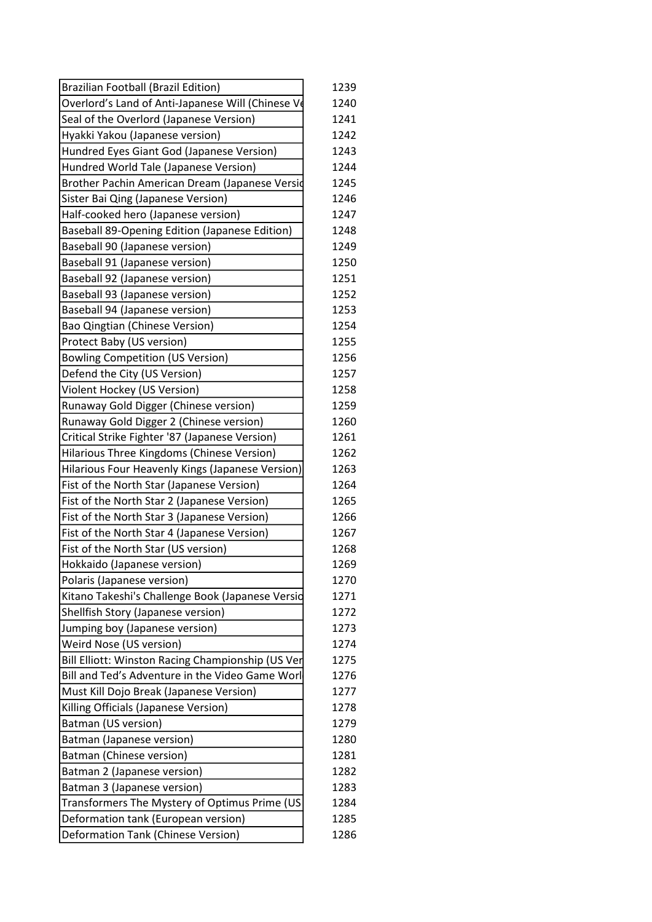| <b>Brazilian Football (Brazil Edition)</b>        | 1239 |
|---------------------------------------------------|------|
| Overlord's Land of Anti-Japanese Will (Chinese Ve | 1240 |
| Seal of the Overlord (Japanese Version)           | 1241 |
| Hyakki Yakou (Japanese version)                   | 1242 |
| Hundred Eyes Giant God (Japanese Version)         | 1243 |
| Hundred World Tale (Japanese Version)             | 1244 |
| Brother Pachin American Dream (Japanese Versid    | 1245 |
| Sister Bai Qing (Japanese Version)                | 1246 |
| Half-cooked hero (Japanese version)               | 1247 |
| Baseball 89-Opening Edition (Japanese Edition)    | 1248 |
| Baseball 90 (Japanese version)                    | 1249 |
| Baseball 91 (Japanese version)                    | 1250 |
| Baseball 92 (Japanese version)                    | 1251 |
| Baseball 93 (Japanese version)                    | 1252 |
| Baseball 94 (Japanese version)                    | 1253 |
| Bao Qingtian (Chinese Version)                    | 1254 |
| Protect Baby (US version)                         | 1255 |
| <b>Bowling Competition (US Version)</b>           | 1256 |
| Defend the City (US Version)                      | 1257 |
| Violent Hockey (US Version)                       | 1258 |
| Runaway Gold Digger (Chinese version)             | 1259 |
| Runaway Gold Digger 2 (Chinese version)           | 1260 |
| Critical Strike Fighter '87 (Japanese Version)    | 1261 |
| Hilarious Three Kingdoms (Chinese Version)        | 1262 |
| Hilarious Four Heavenly Kings (Japanese Version)  | 1263 |
| Fist of the North Star (Japanese Version)         | 1264 |
| Fist of the North Star 2 (Japanese Version)       | 1265 |
| Fist of the North Star 3 (Japanese Version)       | 1266 |
| Fist of the North Star 4 (Japanese Version)       | 1267 |
| Fist of the North Star (US version)               | 1268 |
| Hokkaido (Japanese version)                       | 1269 |
| Polaris (Japanese version)                        | 1270 |
| Kitano Takeshi's Challenge Book (Japanese Versid  | 1271 |
| Shellfish Story (Japanese version)                | 1272 |
| Jumping boy (Japanese version)                    | 1273 |
| Weird Nose (US version)                           | 1274 |
| Bill Elliott: Winston Racing Championship (US Ver | 1275 |
| Bill and Ted's Adventure in the Video Game Worl   | 1276 |
| Must Kill Dojo Break (Japanese Version)           | 1277 |
| Killing Officials (Japanese Version)              | 1278 |
| Batman (US version)                               | 1279 |
| Batman (Japanese version)                         | 1280 |
| Batman (Chinese version)                          | 1281 |
| Batman 2 (Japanese version)                       | 1282 |
| Batman 3 (Japanese version)                       | 1283 |
| Transformers The Mystery of Optimus Prime (US     | 1284 |
| Deformation tank (European version)               | 1285 |
| Deformation Tank (Chinese Version)                | 1286 |
|                                                   |      |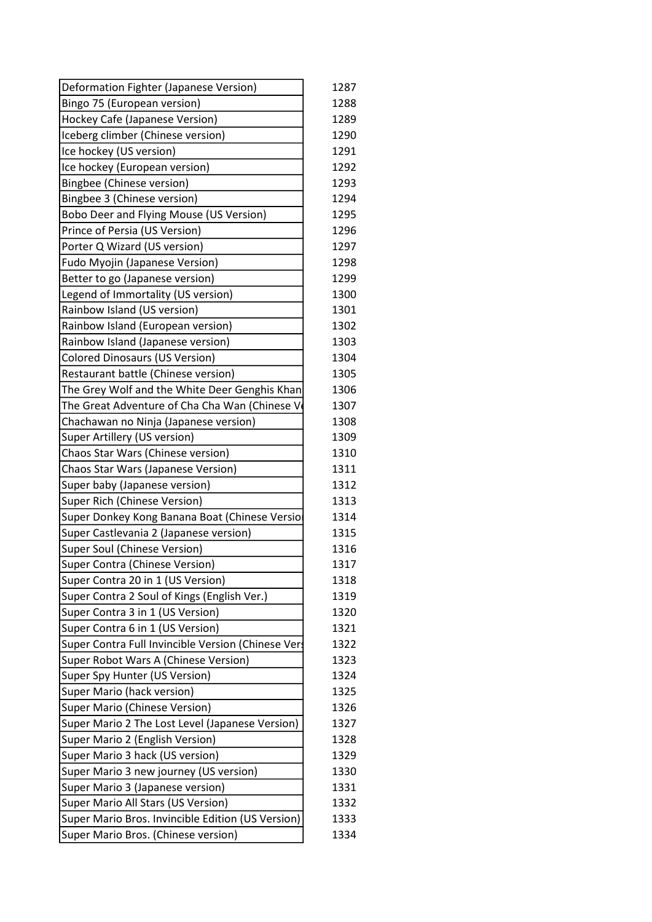| Deformation Fighter (Japanese Version)             | 1287 |
|----------------------------------------------------|------|
| Bingo 75 (European version)                        | 1288 |
| Hockey Cafe (Japanese Version)                     | 1289 |
| Iceberg climber (Chinese version)                  | 1290 |
| Ice hockey (US version)                            | 1291 |
| Ice hockey (European version)                      | 1292 |
| <b>Bingbee (Chinese version)</b>                   | 1293 |
| Bingbee 3 (Chinese version)                        | 1294 |
| Bobo Deer and Flying Mouse (US Version)            | 1295 |
| Prince of Persia (US Version)                      | 1296 |
| Porter Q Wizard (US version)                       | 1297 |
| <b>Fudo Myojin (Japanese Version)</b>              | 1298 |
| Better to go (Japanese version)                    | 1299 |
| Legend of Immortality (US version)                 | 1300 |
| Rainbow Island (US version)                        | 1301 |
| Rainbow Island (European version)                  | 1302 |
| Rainbow Island (Japanese version)                  | 1303 |
| <b>Colored Dinosaurs (US Version)</b>              | 1304 |
| Restaurant battle (Chinese version)                | 1305 |
| The Grey Wolf and the White Deer Genghis Khan      | 1306 |
| The Great Adventure of Cha Cha Wan (Chinese V      | 1307 |
| Chachawan no Ninja (Japanese version)              | 1308 |
| Super Artillery (US version)                       | 1309 |
| Chaos Star Wars (Chinese version)                  | 1310 |
| Chaos Star Wars (Japanese Version)                 | 1311 |
| Super baby (Japanese version)                      | 1312 |
| Super Rich (Chinese Version)                       | 1313 |
| Super Donkey Kong Banana Boat (Chinese Versio      | 1314 |
| Super Castlevania 2 (Japanese version)             | 1315 |
| Super Soul (Chinese Version)                       | 1316 |
| <b>Super Contra (Chinese Version)</b>              | 1317 |
| Super Contra 20 in 1 (US Version)                  | 1318 |
| Super Contra 2 Soul of Kings (English Ver.)        | 1319 |
| Super Contra 3 in 1 (US Version)                   | 1320 |
| Super Contra 6 in 1 (US Version)                   | 1321 |
| Super Contra Full Invincible Version (Chinese Vers | 1322 |
| Super Robot Wars A (Chinese Version)               | 1323 |
| Super Spy Hunter (US Version)                      | 1324 |
| Super Mario (hack version)                         | 1325 |
| Super Mario (Chinese Version)                      | 1326 |
| Super Mario 2 The Lost Level (Japanese Version)    | 1327 |
| Super Mario 2 (English Version)                    | 1328 |
| Super Mario 3 hack (US version)                    | 1329 |
| Super Mario 3 new journey (US version)             | 1330 |
| Super Mario 3 (Japanese version)                   | 1331 |
| Super Mario All Stars (US Version)                 | 1332 |
| Super Mario Bros. Invincible Edition (US Version)  | 1333 |
| Super Mario Bros. (Chinese version)                | 1334 |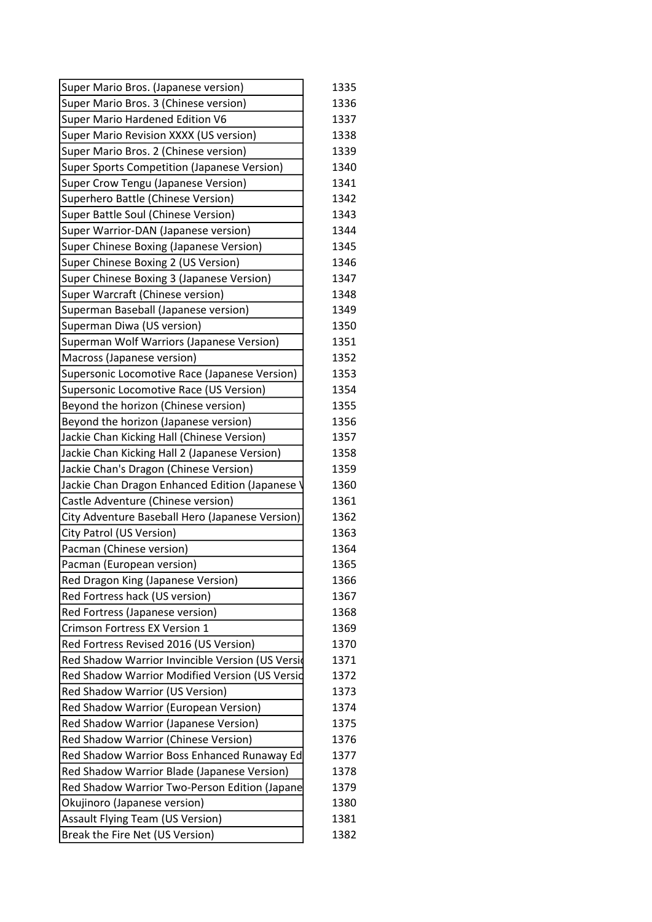| Super Mario Bros. (Japanese version)             | 1335 |
|--------------------------------------------------|------|
| Super Mario Bros. 3 (Chinese version)            | 1336 |
| <b>Super Mario Hardened Edition V6</b>           | 1337 |
| Super Mario Revision XXXX (US version)           | 1338 |
| Super Mario Bros. 2 (Chinese version)            | 1339 |
| Super Sports Competition (Japanese Version)      | 1340 |
| <b>Super Crow Tengu (Japanese Version)</b>       | 1341 |
| Superhero Battle (Chinese Version)               | 1342 |
| Super Battle Soul (Chinese Version)              | 1343 |
| Super Warrior-DAN (Japanese version)             | 1344 |
| Super Chinese Boxing (Japanese Version)          | 1345 |
| Super Chinese Boxing 2 (US Version)              | 1346 |
| Super Chinese Boxing 3 (Japanese Version)        | 1347 |
| Super Warcraft (Chinese version)                 | 1348 |
| Superman Baseball (Japanese version)             | 1349 |
| Superman Diwa (US version)                       | 1350 |
| Superman Wolf Warriors (Japanese Version)        | 1351 |
| Macross (Japanese version)                       | 1352 |
| Supersonic Locomotive Race (Japanese Version)    | 1353 |
| Supersonic Locomotive Race (US Version)          | 1354 |
| Beyond the horizon (Chinese version)             | 1355 |
| Beyond the horizon (Japanese version)            | 1356 |
| Jackie Chan Kicking Hall (Chinese Version)       | 1357 |
| Jackie Chan Kicking Hall 2 (Japanese Version)    | 1358 |
| Jackie Chan's Dragon (Chinese Version)           | 1359 |
| Jackie Chan Dragon Enhanced Edition (Japanese    | 1360 |
| Castle Adventure (Chinese version)               | 1361 |
| City Adventure Baseball Hero (Japanese Version)  | 1362 |
| City Patrol (US Version)                         | 1363 |
| Pacman (Chinese version)                         | 1364 |
| Pacman (European version)                        | 1365 |
| Red Dragon King (Japanese Version)               | 1366 |
| Red Fortress hack (US version)                   | 1367 |
| Red Fortress (Japanese version)                  | 1368 |
| Crimson Fortress EX Version 1                    | 1369 |
| Red Fortress Revised 2016 (US Version)           | 1370 |
| Red Shadow Warrior Invincible Version (US Versid | 1371 |
| Red Shadow Warrior Modified Version (US Versid   | 1372 |
| Red Shadow Warrior (US Version)                  | 1373 |
| Red Shadow Warrior (European Version)            | 1374 |
| Red Shadow Warrior (Japanese Version)            | 1375 |
| Red Shadow Warrior (Chinese Version)             | 1376 |
| Red Shadow Warrior Boss Enhanced Runaway Ed      | 1377 |
| Red Shadow Warrior Blade (Japanese Version)      | 1378 |
| Red Shadow Warrior Two-Person Edition (Japane    | 1379 |
| Okujinoro (Japanese version)                     | 1380 |
| <b>Assault Flying Team (US Version)</b>          | 1381 |
| Break the Fire Net (US Version)                  | 1382 |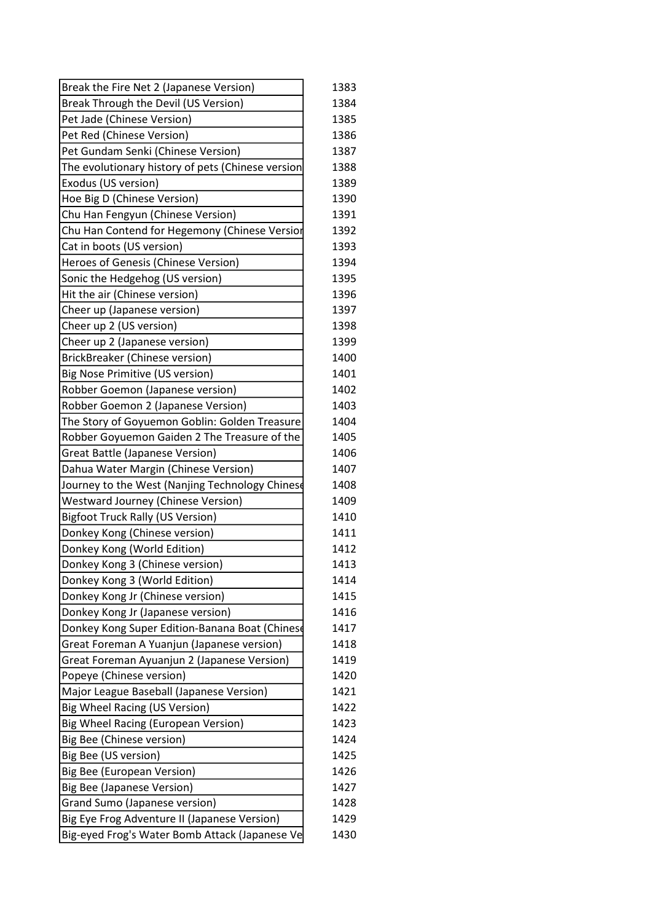| Break the Fire Net 2 (Japanese Version)           | 1383 |
|---------------------------------------------------|------|
| Break Through the Devil (US Version)              | 1384 |
| Pet Jade (Chinese Version)                        | 1385 |
| Pet Red (Chinese Version)                         | 1386 |
| Pet Gundam Senki (Chinese Version)                | 1387 |
| The evolutionary history of pets (Chinese version | 1388 |
| Exodus (US version)                               | 1389 |
| Hoe Big D (Chinese Version)                       | 1390 |
| Chu Han Fengyun (Chinese Version)                 | 1391 |
| Chu Han Contend for Hegemony (Chinese Versior     | 1392 |
| Cat in boots (US version)                         | 1393 |
| Heroes of Genesis (Chinese Version)               | 1394 |
| Sonic the Hedgehog (US version)                   | 1395 |
| Hit the air (Chinese version)                     | 1396 |
| Cheer up (Japanese version)                       | 1397 |
| Cheer up 2 (US version)                           | 1398 |
| Cheer up 2 (Japanese version)                     | 1399 |
| <b>BrickBreaker (Chinese version)</b>             | 1400 |
| <b>Big Nose Primitive (US version)</b>            | 1401 |
| Robber Goemon (Japanese version)                  | 1402 |
| Robber Goemon 2 (Japanese Version)                | 1403 |
| The Story of Goyuemon Goblin: Golden Treasure     | 1404 |
| Robber Goyuemon Gaiden 2 The Treasure of the      | 1405 |
| <b>Great Battle (Japanese Version)</b>            | 1406 |
| Dahua Water Margin (Chinese Version)              | 1407 |
| Journey to the West (Nanjing Technology Chinese   | 1408 |
| <b>Westward Journey (Chinese Version)</b>         | 1409 |
| <b>Bigfoot Truck Rally (US Version)</b>           | 1410 |
| Donkey Kong (Chinese version)                     | 1411 |
| Donkey Kong (World Edition)                       | 1412 |
| Donkey Kong 3 (Chinese version)                   | 1413 |
| Donkey Kong 3 (World Edition)                     | 1414 |
| Donkey Kong Jr (Chinese version)                  | 1415 |
| Donkey Kong Jr (Japanese version)                 | 1416 |
| Donkey Kong Super Edition-Banana Boat (Chinese    | 1417 |
| Great Foreman A Yuanjun (Japanese version)        | 1418 |
| Great Foreman Ayuanjun 2 (Japanese Version)       | 1419 |
| Popeye (Chinese version)                          | 1420 |
| Major League Baseball (Japanese Version)          | 1421 |
| <b>Big Wheel Racing (US Version)</b>              | 1422 |
| <b>Big Wheel Racing (European Version)</b>        | 1423 |
| Big Bee (Chinese version)                         | 1424 |
| Big Bee (US version)                              | 1425 |
| <b>Big Bee (European Version)</b>                 | 1426 |
| <b>Big Bee (Japanese Version)</b>                 | 1427 |
| Grand Sumo (Japanese version)                     | 1428 |
| Big Eye Frog Adventure II (Japanese Version)      | 1429 |
| Big-eyed Frog's Water Bomb Attack (Japanese Ve    | 1430 |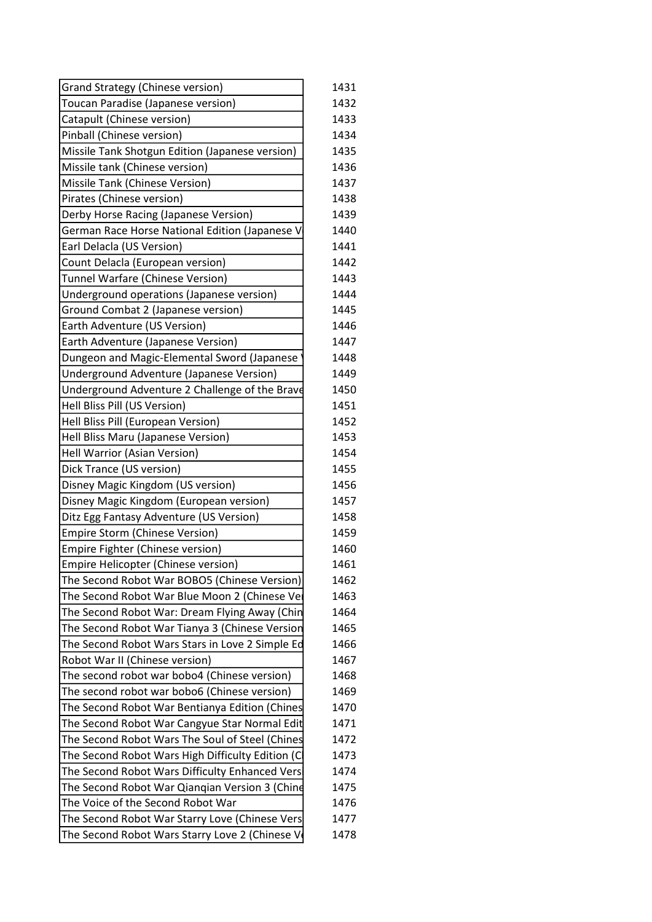| <b>Grand Strategy (Chinese version)</b>          | 1431 |
|--------------------------------------------------|------|
| Toucan Paradise (Japanese version)               | 1432 |
| Catapult (Chinese version)                       | 1433 |
| Pinball (Chinese version)                        | 1434 |
| Missile Tank Shotgun Edition (Japanese version)  | 1435 |
| Missile tank (Chinese version)                   | 1436 |
| Missile Tank (Chinese Version)                   | 1437 |
| Pirates (Chinese version)                        | 1438 |
| Derby Horse Racing (Japanese Version)            | 1439 |
| German Race Horse National Edition (Japanese V   | 1440 |
| Earl Delacla (US Version)                        | 1441 |
| Count Delacla (European version)                 | 1442 |
| Tunnel Warfare (Chinese Version)                 | 1443 |
| Underground operations (Japanese version)        | 1444 |
| Ground Combat 2 (Japanese version)               | 1445 |
| Earth Adventure (US Version)                     | 1446 |
| Earth Adventure (Japanese Version)               | 1447 |
| Dungeon and Magic-Elemental Sword (Japanese      | 1448 |
| Underground Adventure (Japanese Version)         | 1449 |
| Underground Adventure 2 Challenge of the Brave   | 1450 |
| Hell Bliss Pill (US Version)                     | 1451 |
| Hell Bliss Pill (European Version)               | 1452 |
| Hell Bliss Maru (Japanese Version)               | 1453 |
| Hell Warrior (Asian Version)                     | 1454 |
| Dick Trance (US version)                         | 1455 |
| Disney Magic Kingdom (US version)                | 1456 |
| Disney Magic Kingdom (European version)          | 1457 |
| Ditz Egg Fantasy Adventure (US Version)          | 1458 |
| <b>Empire Storm (Chinese Version)</b>            | 1459 |
| Empire Fighter (Chinese version)                 | 1460 |
| Empire Helicopter (Chinese version)              | 1461 |
| The Second Robot War BOBO5 (Chinese Version)     | 1462 |
| The Second Robot War Blue Moon 2 (Chinese Ver    | 1463 |
| The Second Robot War: Dream Flying Away (Chin    | 1464 |
| The Second Robot War Tianya 3 (Chinese Version   | 1465 |
| The Second Robot Wars Stars in Love 2 Simple Ed  | 1466 |
| Robot War II (Chinese version)                   | 1467 |
| The second robot war bobo4 (Chinese version)     | 1468 |
| The second robot war bobo6 (Chinese version)     | 1469 |
| The Second Robot War Bentianya Edition (Chines   | 1470 |
| The Second Robot War Cangyue Star Normal Edit    | 1471 |
| The Second Robot Wars The Soul of Steel (Chines  | 1472 |
| The Second Robot Wars High Difficulty Edition (C | 1473 |
| The Second Robot Wars Difficulty Enhanced Vers   | 1474 |
| The Second Robot War Qianqian Version 3 (Chind   | 1475 |
| The Voice of the Second Robot War                | 1476 |
| The Second Robot War Starry Love (Chinese Vers   | 1477 |
| The Second Robot Wars Starry Love 2 (Chinese V   | 1478 |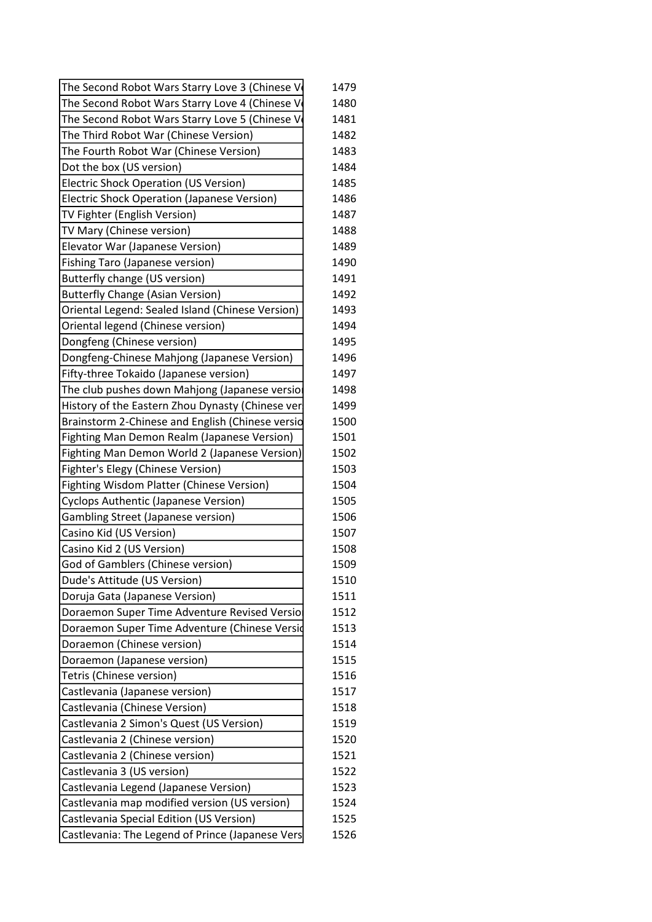| The Second Robot Wars Starry Love 3 (Chinese V   | 1479 |
|--------------------------------------------------|------|
| The Second Robot Wars Starry Love 4 (Chinese V   | 1480 |
| The Second Robot Wars Starry Love 5 (Chinese V   | 1481 |
| The Third Robot War (Chinese Version)            | 1482 |
| The Fourth Robot War (Chinese Version)           | 1483 |
| Dot the box (US version)                         | 1484 |
| <b>Electric Shock Operation (US Version)</b>     | 1485 |
| Electric Shock Operation (Japanese Version)      | 1486 |
| TV Fighter (English Version)                     | 1487 |
| TV Mary (Chinese version)                        | 1488 |
| Elevator War (Japanese Version)                  | 1489 |
| Fishing Taro (Japanese version)                  | 1490 |
| Butterfly change (US version)                    | 1491 |
| <b>Butterfly Change (Asian Version)</b>          | 1492 |
| Oriental Legend: Sealed Island (Chinese Version) | 1493 |
| Oriental legend (Chinese version)                | 1494 |
| Dongfeng (Chinese version)                       | 1495 |
| Dongfeng-Chinese Mahjong (Japanese Version)      | 1496 |
| Fifty-three Tokaido (Japanese version)           | 1497 |
| The club pushes down Mahjong (Japanese versior   | 1498 |
| History of the Eastern Zhou Dynasty (Chinese ver | 1499 |
| Brainstorm 2-Chinese and English (Chinese versio | 1500 |
| Fighting Man Demon Realm (Japanese Version)      | 1501 |
| Fighting Man Demon World 2 (Japanese Version)    | 1502 |
| Fighter's Elegy (Chinese Version)                | 1503 |
| Fighting Wisdom Platter (Chinese Version)        | 1504 |
| Cyclops Authentic (Japanese Version)             | 1505 |
| <b>Gambling Street (Japanese version)</b>        | 1506 |
| Casino Kid (US Version)                          | 1507 |
| Casino Kid 2 (US Version)                        | 1508 |
| God of Gamblers (Chinese version)                | 1509 |
| Dude's Attitude (US Version)                     | 1510 |
| Doruja Gata (Japanese Version)                   | 1511 |
| Doraemon Super Time Adventure Revised Versio     | 1512 |
| Doraemon Super Time Adventure (Chinese Versid    | 1513 |
| Doraemon (Chinese version)                       | 1514 |
| Doraemon (Japanese version)                      | 1515 |
| Tetris (Chinese version)                         | 1516 |
| Castlevania (Japanese version)                   | 1517 |
| Castlevania (Chinese Version)                    | 1518 |
| Castlevania 2 Simon's Quest (US Version)         | 1519 |
| Castlevania 2 (Chinese version)                  | 1520 |
| Castlevania 2 (Chinese version)                  | 1521 |
| Castlevania 3 (US version)                       | 1522 |
| Castlevania Legend (Japanese Version)            | 1523 |
| Castlevania map modified version (US version)    | 1524 |
| Castlevania Special Edition (US Version)         | 1525 |
| Castlevania: The Legend of Prince (Japanese Vers | 1526 |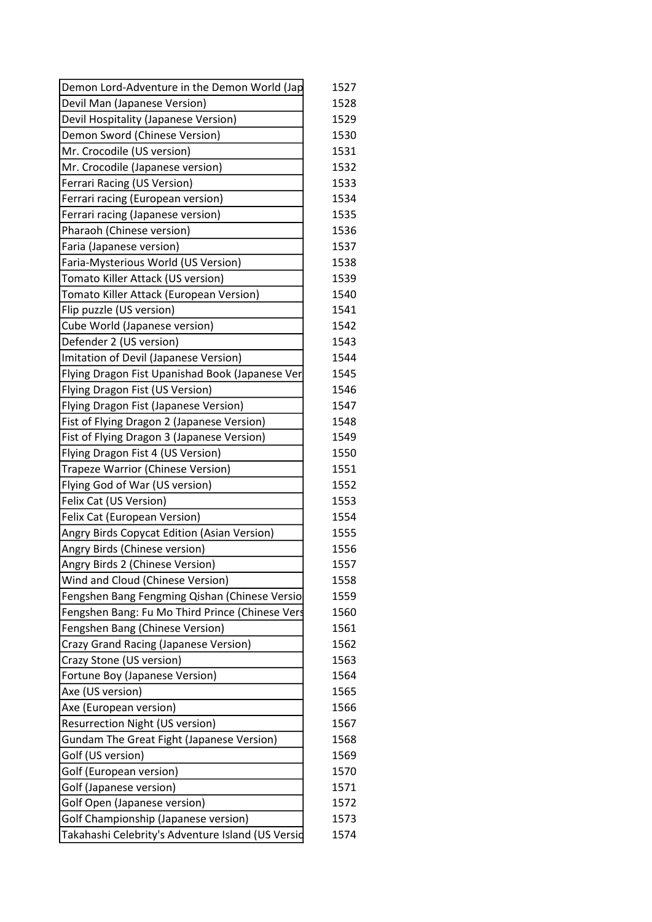| Demon Lord-Adventure in the Demon World (Jap      | 1527         |
|---------------------------------------------------|--------------|
| Devil Man (Japanese Version)                      | 1528         |
| Devil Hospitality (Japanese Version)              | 1529         |
| Demon Sword (Chinese Version)                     | 1530         |
| Mr. Crocodile (US version)                        | 1531         |
| Mr. Crocodile (Japanese version)                  | 1532         |
| Ferrari Racing (US Version)                       | 1533         |
| Ferrari racing (European version)                 | 1534         |
| Ferrari racing (Japanese version)                 | 1535         |
| Pharaoh (Chinese version)                         | 1536         |
| Faria (Japanese version)                          | 1537         |
| Faria-Mysterious World (US Version)               | 1538         |
| Tomato Killer Attack (US version)                 | 1539         |
| Tomato Killer Attack (European Version)           | 1540         |
| Flip puzzle (US version)                          | 1541         |
| Cube World (Japanese version)                     | 1542         |
| Defender 2 (US version)                           | 1543         |
| Imitation of Devil (Japanese Version)             | 1544         |
| Flying Dragon Fist Upanishad Book (Japanese Ver   | 1545         |
| Flying Dragon Fist (US Version)                   | 1546         |
| Flying Dragon Fist (Japanese Version)             | 1547         |
| Fist of Flying Dragon 2 (Japanese Version)        | 1548         |
| Fist of Flying Dragon 3 (Japanese Version)        | 1549         |
| Flying Dragon Fist 4 (US Version)                 | 1550         |
| Trapeze Warrior (Chinese Version)                 | 1551         |
| Flying God of War (US version)                    | 1552         |
| Felix Cat (US Version)                            | 1553         |
| Felix Cat (European Version)                      | 1554         |
| Angry Birds Copycat Edition (Asian Version)       | 1555         |
| Angry Birds (Chinese version)                     | 1556         |
| Angry Birds 2 (Chinese Version)                   | 1557         |
| Wind and Cloud (Chinese Version)                  |              |
| Fengshen Bang Fengming Qishan (Chinese Versio     | 1558<br>1559 |
|                                                   | 1560         |
| Fengshen Bang: Fu Mo Third Prince (Chinese Vers   |              |
| Fengshen Bang (Chinese Version)                   | 1561         |
| Crazy Grand Racing (Japanese Version)             | 1562         |
| Crazy Stone (US version)                          | 1563         |
| Fortune Boy (Japanese Version)                    | 1564         |
| Axe (US version)                                  | 1565         |
| Axe (European version)                            | 1566         |
| <b>Resurrection Night (US version)</b>            | 1567         |
| <b>Gundam The Great Fight (Japanese Version)</b>  | 1568         |
| Golf (US version)                                 | 1569         |
| Golf (European version)                           | 1570         |
| Golf (Japanese version)                           | 1571         |
| Golf Open (Japanese version)                      | 1572         |
| Golf Championship (Japanese version)              | 1573         |
| Takahashi Celebrity's Adventure Island (US Versid | 1574         |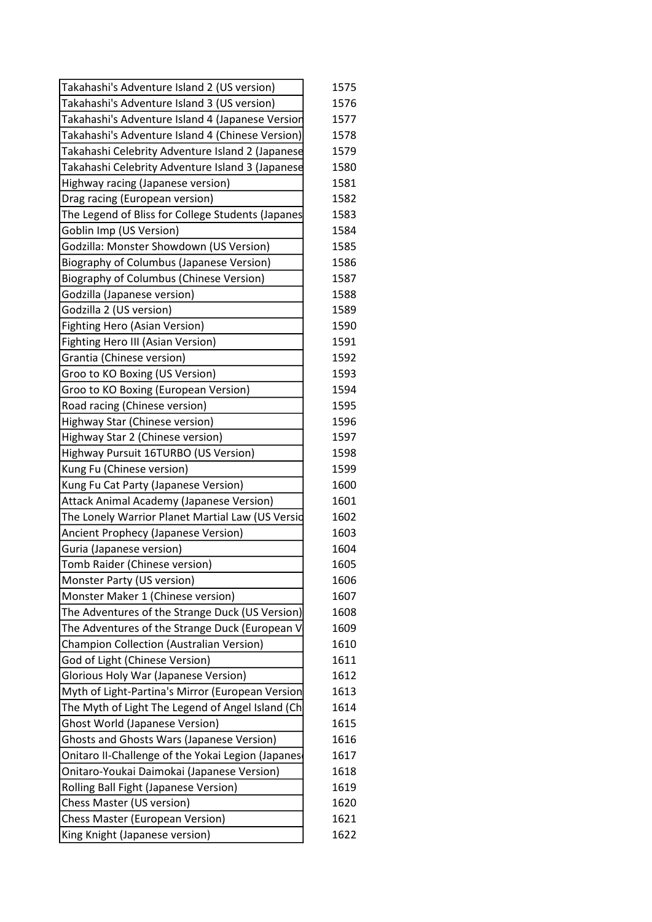| Takahashi's Adventure Island 2 (US version)       | 1575 |
|---------------------------------------------------|------|
| Takahashi's Adventure Island 3 (US version)       | 1576 |
| Takahashi's Adventure Island 4 (Japanese Version  | 1577 |
| Takahashi's Adventure Island 4 (Chinese Version)  | 1578 |
| Takahashi Celebrity Adventure Island 2 (Japanese  | 1579 |
| Takahashi Celebrity Adventure Island 3 (Japanese  | 1580 |
| Highway racing (Japanese version)                 | 1581 |
| Drag racing (European version)                    | 1582 |
| The Legend of Bliss for College Students (Japanes | 1583 |
| Goblin Imp (US Version)                           | 1584 |
| Godzilla: Monster Showdown (US Version)           | 1585 |
| <b>Biography of Columbus (Japanese Version)</b>   | 1586 |
| <b>Biography of Columbus (Chinese Version)</b>    | 1587 |
| Godzilla (Japanese version)                       | 1588 |
| Godzilla 2 (US version)                           | 1589 |
| <b>Fighting Hero (Asian Version)</b>              | 1590 |
| Fighting Hero III (Asian Version)                 | 1591 |
| Grantia (Chinese version)                         | 1592 |
| Groo to KO Boxing (US Version)                    | 1593 |
| Groo to KO Boxing (European Version)              | 1594 |
| Road racing (Chinese version)                     | 1595 |
| Highway Star (Chinese version)                    | 1596 |
| Highway Star 2 (Chinese version)                  | 1597 |
| Highway Pursuit 16TURBO (US Version)              | 1598 |
| Kung Fu (Chinese version)                         | 1599 |
| Kung Fu Cat Party (Japanese Version)              | 1600 |
| Attack Animal Academy (Japanese Version)          | 1601 |
| The Lonely Warrior Planet Martial Law (US Versid  | 1602 |
| Ancient Prophecy (Japanese Version)               | 1603 |
| Guria (Japanese version)                          | 1604 |
| Tomb Raider (Chinese version)                     | 1605 |
| Monster Party (US version)                        | 1606 |
| Monster Maker 1 (Chinese version)                 | 1607 |
| The Adventures of the Strange Duck (US Version)   | 1608 |
| The Adventures of the Strange Duck (European V    | 1609 |
| Champion Collection (Australian Version)          | 1610 |
| God of Light (Chinese Version)                    | 1611 |
| <b>Glorious Holy War (Japanese Version)</b>       | 1612 |
| Myth of Light-Partina's Mirror (European Version  | 1613 |
| The Myth of Light The Legend of Angel Island (Ch  | 1614 |
| <b>Ghost World (Japanese Version)</b>             | 1615 |
| <b>Ghosts and Ghosts Wars (Japanese Version)</b>  | 1616 |
| Onitaro II-Challenge of the Yokai Legion (Japanes | 1617 |
| Onitaro-Youkai Daimokai (Japanese Version)        | 1618 |
| Rolling Ball Fight (Japanese Version)             | 1619 |
| Chess Master (US version)                         | 1620 |
| <b>Chess Master (European Version)</b>            | 1621 |
| King Knight (Japanese version)                    | 1622 |
|                                                   |      |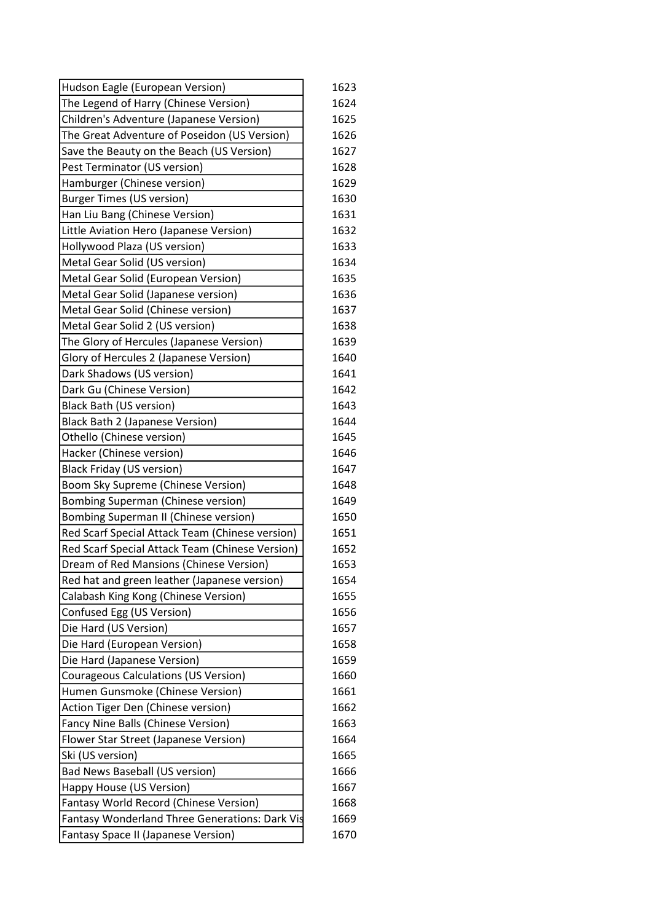| Hudson Eagle (European Version)                 | 1623 |
|-------------------------------------------------|------|
| The Legend of Harry (Chinese Version)           | 1624 |
| Children's Adventure (Japanese Version)         | 1625 |
| The Great Adventure of Poseidon (US Version)    | 1626 |
| Save the Beauty on the Beach (US Version)       | 1627 |
| Pest Terminator (US version)                    | 1628 |
| Hamburger (Chinese version)                     | 1629 |
| <b>Burger Times (US version)</b>                | 1630 |
| Han Liu Bang (Chinese Version)                  | 1631 |
| Little Aviation Hero (Japanese Version)         | 1632 |
| Hollywood Plaza (US version)                    | 1633 |
| Metal Gear Solid (US version)                   | 1634 |
| Metal Gear Solid (European Version)             | 1635 |
| Metal Gear Solid (Japanese version)             | 1636 |
| Metal Gear Solid (Chinese version)              | 1637 |
| Metal Gear Solid 2 (US version)                 | 1638 |
| The Glory of Hercules (Japanese Version)        | 1639 |
| Glory of Hercules 2 (Japanese Version)          | 1640 |
| Dark Shadows (US version)                       | 1641 |
| Dark Gu (Chinese Version)                       | 1642 |
| <b>Black Bath (US version)</b>                  | 1643 |
| Black Bath 2 (Japanese Version)                 | 1644 |
| Othello (Chinese version)                       | 1645 |
| Hacker (Chinese version)                        | 1646 |
| <b>Black Friday (US version)</b>                | 1647 |
| Boom Sky Supreme (Chinese Version)              | 1648 |
| Bombing Superman (Chinese version)              | 1649 |
| Bombing Superman II (Chinese version)           | 1650 |
| Red Scarf Special Attack Team (Chinese version) | 1651 |
| Red Scarf Special Attack Team (Chinese Version) | 1652 |
| Dream of Red Mansions (Chinese Version)         | 1653 |
| Red hat and green leather (Japanese version)    | 1654 |
| Calabash King Kong (Chinese Version)            | 1655 |
| Confused Egg (US Version)                       | 1656 |
| Die Hard (US Version)                           | 1657 |
| Die Hard (European Version)                     | 1658 |
| Die Hard (Japanese Version)                     | 1659 |
| <b>Courageous Calculations (US Version)</b>     | 1660 |
| Humen Gunsmoke (Chinese Version)                | 1661 |
| Action Tiger Den (Chinese version)              | 1662 |
| Fancy Nine Balls (Chinese Version)              | 1663 |
| Flower Star Street (Japanese Version)           | 1664 |
| Ski (US version)                                | 1665 |
| <b>Bad News Baseball (US version)</b>           | 1666 |
| Happy House (US Version)                        | 1667 |
| Fantasy World Record (Chinese Version)          | 1668 |
| Fantasy Wonderland Three Generations: Dark Vis  | 1669 |
| Fantasy Space II (Japanese Version)             | 1670 |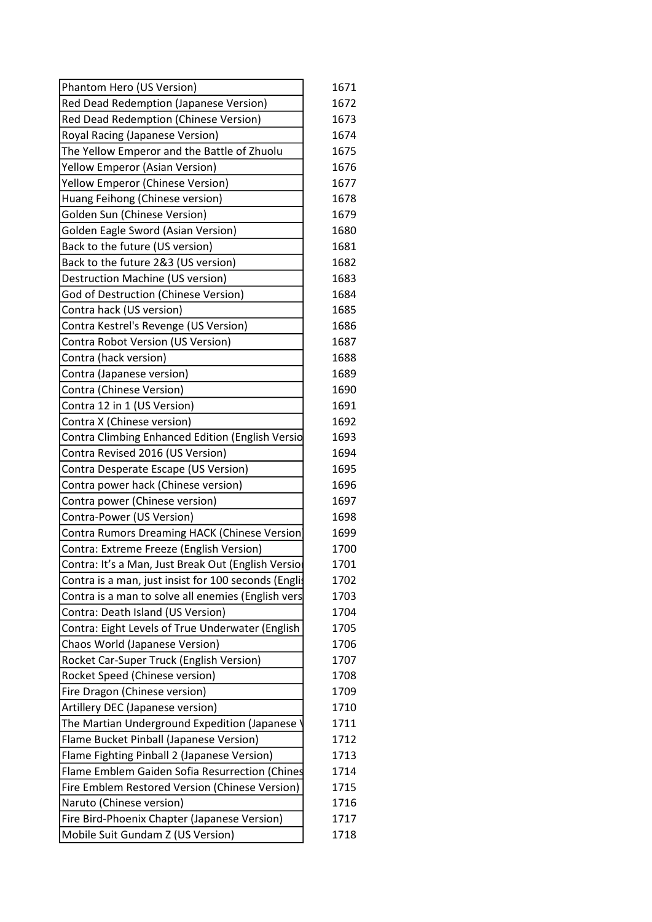| Phantom Hero (US Version)                            | 1671 |
|------------------------------------------------------|------|
| Red Dead Redemption (Japanese Version)               | 1672 |
| Red Dead Redemption (Chinese Version)                | 1673 |
| Royal Racing (Japanese Version)                      | 1674 |
| The Yellow Emperor and the Battle of Zhuolu          | 1675 |
| Yellow Emperor (Asian Version)                       | 1676 |
| Yellow Emperor (Chinese Version)                     | 1677 |
| Huang Feihong (Chinese version)                      | 1678 |
| Golden Sun (Chinese Version)                         | 1679 |
| <b>Golden Eagle Sword (Asian Version)</b>            | 1680 |
| Back to the future (US version)                      | 1681 |
| Back to the future 2&3 (US version)                  | 1682 |
| Destruction Machine (US version)                     | 1683 |
| God of Destruction (Chinese Version)                 | 1684 |
| Contra hack (US version)                             | 1685 |
| Contra Kestrel's Revenge (US Version)                | 1686 |
| Contra Robot Version (US Version)                    | 1687 |
| Contra (hack version)                                | 1688 |
| Contra (Japanese version)                            | 1689 |
| Contra (Chinese Version)                             | 1690 |
| Contra 12 in 1 (US Version)                          | 1691 |
| Contra X (Chinese version)                           | 1692 |
| Contra Climbing Enhanced Edition (English Versio     | 1693 |
| Contra Revised 2016 (US Version)                     | 1694 |
| Contra Desperate Escape (US Version)                 | 1695 |
| Contra power hack (Chinese version)                  | 1696 |
| Contra power (Chinese version)                       | 1697 |
| Contra-Power (US Version)                            | 1698 |
| Contra Rumors Dreaming HACK (Chinese Version)        | 1699 |
| Contra: Extreme Freeze (English Version)             | 1700 |
| Contra: It's a Man, Just Break Out (English Versio   | 1701 |
| Contra is a man, just insist for 100 seconds (Englis | 1702 |
| Contra is a man to solve all enemies (English vers   | 1703 |
| Contra: Death Island (US Version)                    | 1704 |
| Contra: Eight Levels of True Underwater (English     | 1705 |
| Chaos World (Japanese Version)                       | 1706 |
| <b>Rocket Car-Super Truck (English Version)</b>      | 1707 |
| Rocket Speed (Chinese version)                       | 1708 |
| Fire Dragon (Chinese version)                        | 1709 |
| Artillery DEC (Japanese version)                     | 1710 |
| The Martian Underground Expedition (Japanese         | 1711 |
| Flame Bucket Pinball (Japanese Version)              | 1712 |
| Flame Fighting Pinball 2 (Japanese Version)          | 1713 |
| Flame Emblem Gaiden Sofia Resurrection (Chines       | 1714 |
| Fire Emblem Restored Version (Chinese Version)       | 1715 |
| Naruto (Chinese version)                             | 1716 |
| Fire Bird-Phoenix Chapter (Japanese Version)         | 1717 |
| Mobile Suit Gundam Z (US Version)                    | 1718 |
|                                                      |      |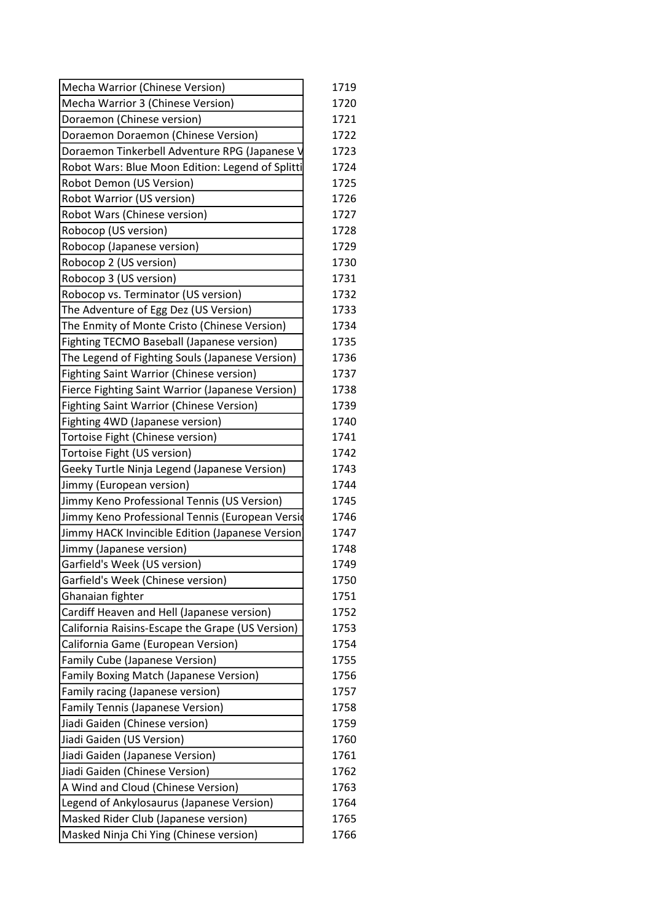| Mecha Warrior (Chinese Version)                  | 1719 |
|--------------------------------------------------|------|
| Mecha Warrior 3 (Chinese Version)                | 1720 |
| Doraemon (Chinese version)                       | 1721 |
| Doraemon Doraemon (Chinese Version)              | 1722 |
| Doraemon Tinkerbell Adventure RPG (Japanese V    | 1723 |
| Robot Wars: Blue Moon Edition: Legend of Splitti | 1724 |
| Robot Demon (US Version)                         | 1725 |
| Robot Warrior (US version)                       | 1726 |
| Robot Wars (Chinese version)                     | 1727 |
| Robocop (US version)                             | 1728 |
| Robocop (Japanese version)                       | 1729 |
| Robocop 2 (US version)                           | 1730 |
| Robocop 3 (US version)                           | 1731 |
| Robocop vs. Terminator (US version)              | 1732 |
| The Adventure of Egg Dez (US Version)            | 1733 |
| The Enmity of Monte Cristo (Chinese Version)     | 1734 |
| Fighting TECMO Baseball (Japanese version)       | 1735 |
| The Legend of Fighting Souls (Japanese Version)  | 1736 |
| Fighting Saint Warrior (Chinese version)         | 1737 |
| Fierce Fighting Saint Warrior (Japanese Version) | 1738 |
| <b>Fighting Saint Warrior (Chinese Version)</b>  | 1739 |
| Fighting 4WD (Japanese version)                  | 1740 |
| Tortoise Fight (Chinese version)                 | 1741 |
| Tortoise Fight (US version)                      | 1742 |
| Geeky Turtle Ninja Legend (Japanese Version)     | 1743 |
| Jimmy (European version)                         | 1744 |
| Jimmy Keno Professional Tennis (US Version)      | 1745 |
| Jimmy Keno Professional Tennis (European Versid  | 1746 |
| Jimmy HACK Invincible Edition (Japanese Version) | 1747 |
| Jimmy (Japanese version)                         | 1748 |
| Garfield's Week (US version)                     | 1749 |
| Garfield's Week (Chinese version)                | 1750 |
| Ghanaian fighter                                 | 1751 |
| Cardiff Heaven and Hell (Japanese version)       | 1752 |
| California Raisins-Escape the Grape (US Version) | 1753 |
| California Game (European Version)               | 1754 |
| <b>Family Cube (Japanese Version)</b>            | 1755 |
| Family Boxing Match (Japanese Version)           | 1756 |
| Family racing (Japanese version)                 | 1757 |
| <b>Family Tennis (Japanese Version)</b>          | 1758 |
| Jiadi Gaiden (Chinese version)                   | 1759 |
| Jiadi Gaiden (US Version)                        | 1760 |
| Jiadi Gaiden (Japanese Version)                  | 1761 |
| Jiadi Gaiden (Chinese Version)                   | 1762 |
| A Wind and Cloud (Chinese Version)               | 1763 |
| Legend of Ankylosaurus (Japanese Version)        | 1764 |
| Masked Rider Club (Japanese version)             | 1765 |
| Masked Ninja Chi Ying (Chinese version)          | 1766 |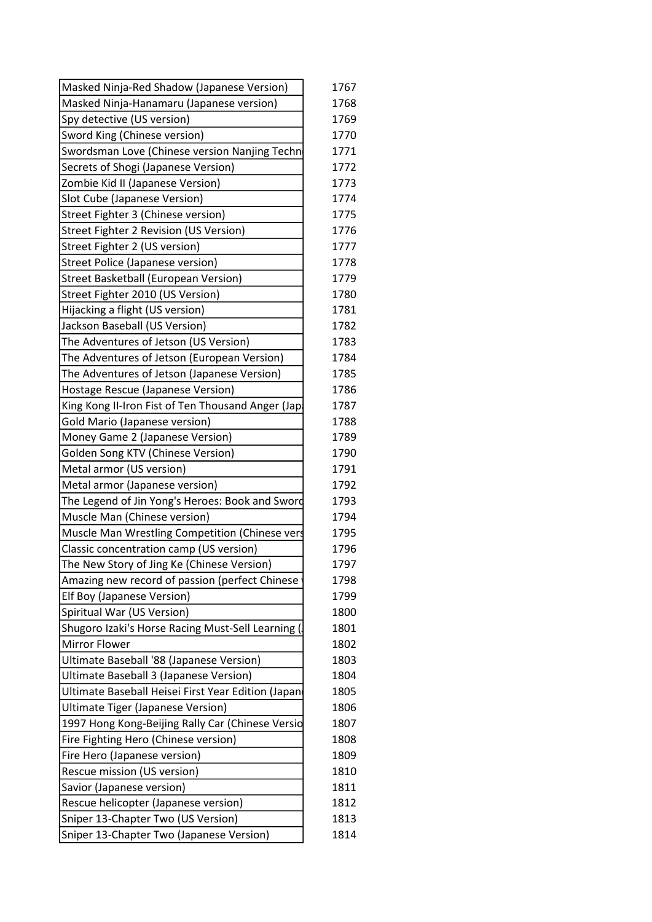| Masked Ninja-Red Shadow (Japanese Version)         | 1767 |
|----------------------------------------------------|------|
| Masked Ninja-Hanamaru (Japanese version)           | 1768 |
| Spy detective (US version)                         | 1769 |
| Sword King (Chinese version)                       | 1770 |
| Swordsman Love (Chinese version Nanjing Techn      | 1771 |
| Secrets of Shogi (Japanese Version)                | 1772 |
| Zombie Kid II (Japanese Version)                   | 1773 |
| Slot Cube (Japanese Version)                       | 1774 |
| Street Fighter 3 (Chinese version)                 | 1775 |
| Street Fighter 2 Revision (US Version)             | 1776 |
| Street Fighter 2 (US version)                      | 1777 |
| Street Police (Japanese version)                   | 1778 |
| Street Basketball (European Version)               | 1779 |
| Street Fighter 2010 (US Version)                   | 1780 |
| Hijacking a flight (US version)                    | 1781 |
| Jackson Baseball (US Version)                      | 1782 |
| The Adventures of Jetson (US Version)              | 1783 |
| The Adventures of Jetson (European Version)        | 1784 |
| The Adventures of Jetson (Japanese Version)        | 1785 |
| Hostage Rescue (Japanese Version)                  | 1786 |
| King Kong II-Iron Fist of Ten Thousand Anger (Jap  | 1787 |
| Gold Mario (Japanese version)                      | 1788 |
| Money Game 2 (Japanese Version)                    | 1789 |
| <b>Golden Song KTV (Chinese Version)</b>           | 1790 |
| Metal armor (US version)                           | 1791 |
| Metal armor (Japanese version)                     | 1792 |
| The Legend of Jin Yong's Heroes: Book and Sword    | 1793 |
| Muscle Man (Chinese version)                       | 1794 |
| Muscle Man Wrestling Competition (Chinese vers     | 1795 |
| Classic concentration camp (US version)            | 1796 |
| The New Story of Jing Ke (Chinese Version)         | 1797 |
| Amazing new record of passion (perfect Chinese     | 1798 |
| <b>Elf Boy (Japanese Version)</b>                  | 1799 |
| Spiritual War (US Version)                         | 1800 |
| Shugoro Izaki's Horse Racing Must-Sell Learning (  | 1801 |
| <b>Mirror Flower</b>                               | 1802 |
| Ultimate Baseball '88 (Japanese Version)           | 1803 |
| Ultimate Baseball 3 (Japanese Version)             | 1804 |
| Ultimate Baseball Heisei First Year Edition (Japan | 1805 |
| Ultimate Tiger (Japanese Version)                  | 1806 |
| 1997 Hong Kong-Beijing Rally Car (Chinese Versio   | 1807 |
| Fire Fighting Hero (Chinese version)               | 1808 |
| Fire Hero (Japanese version)                       | 1809 |
| Rescue mission (US version)                        | 1810 |
| Savior (Japanese version)                          | 1811 |
| Rescue helicopter (Japanese version)               | 1812 |
| Sniper 13-Chapter Two (US Version)                 | 1813 |
| Sniper 13-Chapter Two (Japanese Version)           | 1814 |
|                                                    |      |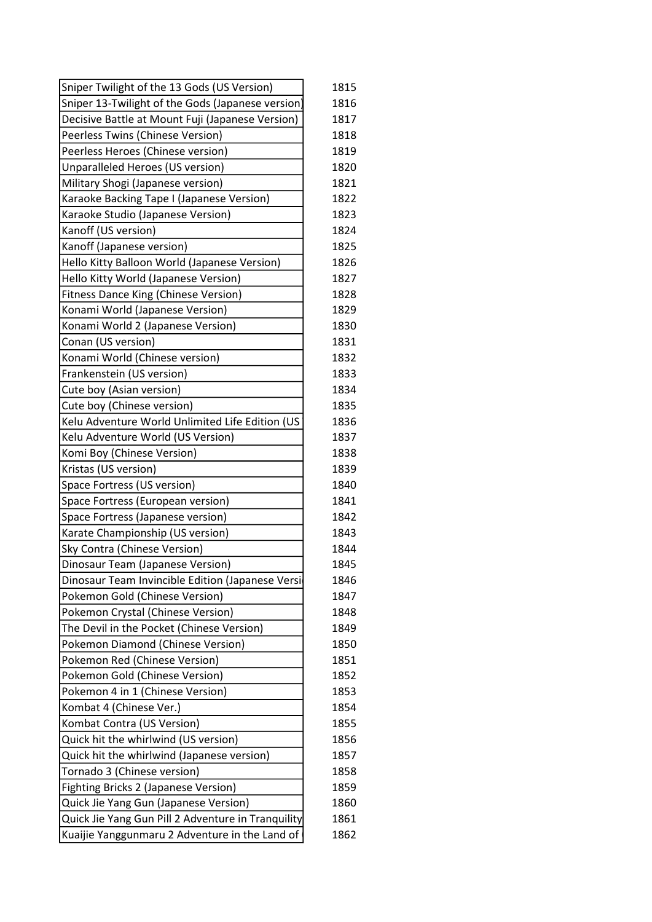| Sniper Twilight of the 13 Gods (US Version)        | 1815 |
|----------------------------------------------------|------|
| Sniper 13-Twilight of the Gods (Japanese version)  | 1816 |
| Decisive Battle at Mount Fuji (Japanese Version)   | 1817 |
| Peerless Twins (Chinese Version)                   | 1818 |
| Peerless Heroes (Chinese version)                  | 1819 |
| Unparalleled Heroes (US version)                   | 1820 |
| Military Shogi (Japanese version)                  | 1821 |
| Karaoke Backing Tape I (Japanese Version)          | 1822 |
| Karaoke Studio (Japanese Version)                  | 1823 |
| Kanoff (US version)                                | 1824 |
| Kanoff (Japanese version)                          | 1825 |
| Hello Kitty Balloon World (Japanese Version)       | 1826 |
| Hello Kitty World (Japanese Version)               | 1827 |
| <b>Fitness Dance King (Chinese Version)</b>        | 1828 |
| Konami World (Japanese Version)                    | 1829 |
| Konami World 2 (Japanese Version)                  | 1830 |
| Conan (US version)                                 | 1831 |
| Konami World (Chinese version)                     | 1832 |
| Frankenstein (US version)                          | 1833 |
| Cute boy (Asian version)                           | 1834 |
| Cute boy (Chinese version)                         | 1835 |
| Kelu Adventure World Unlimited Life Edition (US    | 1836 |
| Kelu Adventure World (US Version)                  | 1837 |
| Komi Boy (Chinese Version)                         | 1838 |
| Kristas (US version)                               | 1839 |
| Space Fortress (US version)                        | 1840 |
| Space Fortress (European version)                  | 1841 |
| Space Fortress (Japanese version)                  | 1842 |
| Karate Championship (US version)                   | 1843 |
| Sky Contra (Chinese Version)                       | 1844 |
| Dinosaur Team (Japanese Version)                   | 1845 |
| Dinosaur Team Invincible Edition (Japanese Versi   | 1846 |
| Pokemon Gold (Chinese Version)                     | 1847 |
| Pokemon Crystal (Chinese Version)                  | 1848 |
| The Devil in the Pocket (Chinese Version)          | 1849 |
| Pokemon Diamond (Chinese Version)                  | 1850 |
| Pokemon Red (Chinese Version)                      | 1851 |
| Pokemon Gold (Chinese Version)                     | 1852 |
| Pokemon 4 in 1 (Chinese Version)                   | 1853 |
| Kombat 4 (Chinese Ver.)                            | 1854 |
| Kombat Contra (US Version)                         | 1855 |
| Quick hit the whirlwind (US version)               | 1856 |
| Quick hit the whirlwind (Japanese version)         | 1857 |
| Tornado 3 (Chinese version)                        | 1858 |
| Fighting Bricks 2 (Japanese Version)               | 1859 |
| Quick Jie Yang Gun (Japanese Version)              | 1860 |
| Quick Jie Yang Gun Pill 2 Adventure in Tranquility | 1861 |
| Kuaijie Yanggunmaru 2 Adventure in the Land of     | 1862 |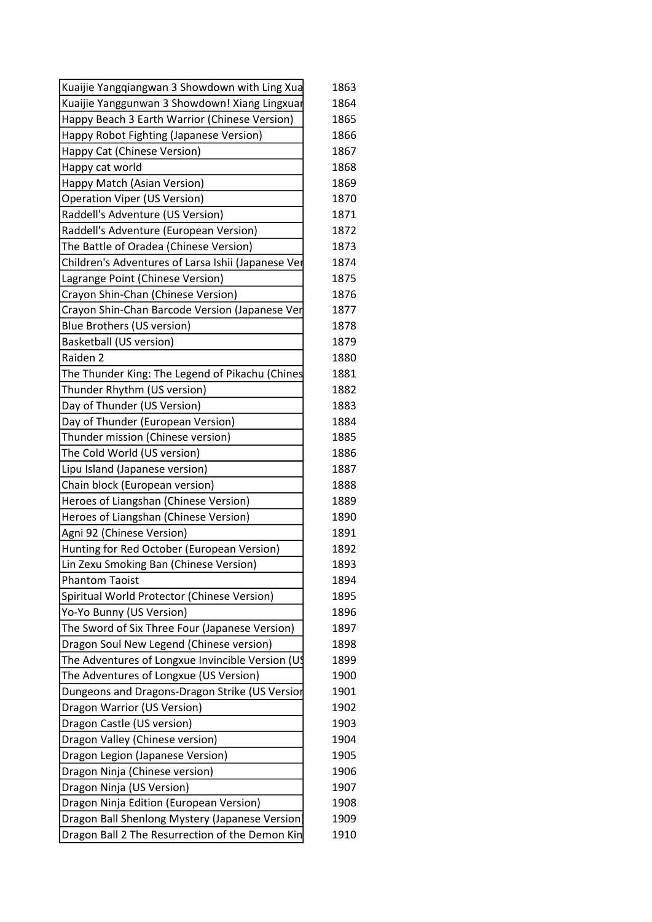| Kuaijie Yangqiangwan 3 Showdown with Ling Xua      | 1863 |
|----------------------------------------------------|------|
| Kuaijie Yanggunwan 3 Showdown! Xiang Lingxuar      | 1864 |
| Happy Beach 3 Earth Warrior (Chinese Version)      | 1865 |
| Happy Robot Fighting (Japanese Version)            | 1866 |
| Happy Cat (Chinese Version)                        | 1867 |
| Happy cat world                                    | 1868 |
| Happy Match (Asian Version)                        | 1869 |
| <b>Operation Viper (US Version)</b>                | 1870 |
| Raddell's Adventure (US Version)                   | 1871 |
| Raddell's Adventure (European Version)             | 1872 |
| The Battle of Oradea (Chinese Version)             | 1873 |
| Children's Adventures of Larsa Ishii (Japanese Ver | 1874 |
| Lagrange Point (Chinese Version)                   | 1875 |
| Crayon Shin-Chan (Chinese Version)                 | 1876 |
| Crayon Shin-Chan Barcode Version (Japanese Ver     | 1877 |
| Blue Brothers (US version)                         | 1878 |
| Basketball (US version)                            | 1879 |
| Raiden 2                                           | 1880 |
| The Thunder King: The Legend of Pikachu (Chines    | 1881 |
| Thunder Rhythm (US version)                        | 1882 |
| Day of Thunder (US Version)                        | 1883 |
| Day of Thunder (European Version)                  | 1884 |
| Thunder mission (Chinese version)                  | 1885 |
| The Cold World (US version)                        | 1886 |
| Lipu Island (Japanese version)                     | 1887 |
| Chain block (European version)                     | 1888 |
| Heroes of Liangshan (Chinese Version)              | 1889 |
| Heroes of Liangshan (Chinese Version)              | 1890 |
| Agni 92 (Chinese Version)                          | 1891 |
| Hunting for Red October (European Version)         | 1892 |
| Lin Zexu Smoking Ban (Chinese Version)             | 1893 |
| <b>Phantom Taoist</b>                              | 1894 |
| Spiritual World Protector (Chinese Version)        | 1895 |
| Yo-Yo Bunny (US Version)                           | 1896 |
| The Sword of Six Three Four (Japanese Version)     | 1897 |
| Dragon Soul New Legend (Chinese version)           | 1898 |
| The Adventures of Longxue Invincible Version (U\$) | 1899 |
| The Adventures of Longxue (US Version)             | 1900 |
| Dungeons and Dragons-Dragon Strike (US Version     | 1901 |
| Dragon Warrior (US Version)                        | 1902 |
| Dragon Castle (US version)                         | 1903 |
| Dragon Valley (Chinese version)                    | 1904 |
| Dragon Legion (Japanese Version)                   | 1905 |
| Dragon Ninja (Chinese version)                     | 1906 |
| Dragon Ninja (US Version)                          | 1907 |
| Dragon Ninja Edition (European Version)            | 1908 |
| Dragon Ball Shenlong Mystery (Japanese Version)    | 1909 |
| Dragon Ball 2 The Resurrection of the Demon Kin    | 1910 |
|                                                    |      |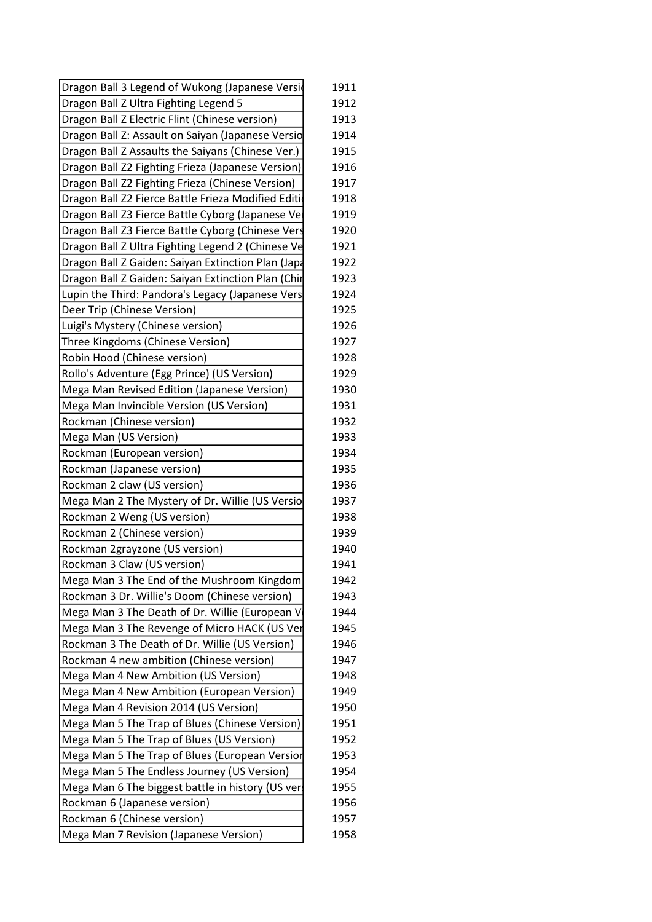| Dragon Ball 3 Legend of Wukong (Japanese Versid    | 1911 |
|----------------------------------------------------|------|
| Dragon Ball Z Ultra Fighting Legend 5              | 1912 |
| Dragon Ball Z Electric Flint (Chinese version)     | 1913 |
| Dragon Ball Z: Assault on Saiyan (Japanese Versio  | 1914 |
| Dragon Ball Z Assaults the Saiyans (Chinese Ver.)  | 1915 |
| Dragon Ball Z2 Fighting Frieza (Japanese Version)  | 1916 |
| Dragon Ball Z2 Fighting Frieza (Chinese Version)   | 1917 |
| Dragon Ball Z2 Fierce Battle Frieza Modified Editi | 1918 |
| Dragon Ball Z3 Fierce Battle Cyborg (Japanese Ve   | 1919 |
| Dragon Ball Z3 Fierce Battle Cyborg (Chinese Vers  | 1920 |
| Dragon Ball Z Ultra Fighting Legend 2 (Chinese Ve  | 1921 |
| Dragon Ball Z Gaiden: Saiyan Extinction Plan (Japa | 1922 |
| Dragon Ball Z Gaiden: Saiyan Extinction Plan (Chir | 1923 |
| Lupin the Third: Pandora's Legacy (Japanese Vers   | 1924 |
| Deer Trip (Chinese Version)                        | 1925 |
| Luigi's Mystery (Chinese version)                  | 1926 |
| Three Kingdoms (Chinese Version)                   | 1927 |
| Robin Hood (Chinese version)                       | 1928 |
| Rollo's Adventure (Egg Prince) (US Version)        | 1929 |
| Mega Man Revised Edition (Japanese Version)        | 1930 |
| Mega Man Invincible Version (US Version)           | 1931 |
| Rockman (Chinese version)                          | 1932 |
| Mega Man (US Version)                              | 1933 |
| Rockman (European version)                         | 1934 |
| Rockman (Japanese version)                         | 1935 |
| Rockman 2 claw (US version)                        | 1936 |
| Mega Man 2 The Mystery of Dr. Willie (US Versio    | 1937 |
| Rockman 2 Weng (US version)                        | 1938 |
| Rockman 2 (Chinese version)                        | 1939 |
| Rockman 2grayzone (US version)                     | 1940 |
| Rockman 3 Claw (US version)                        | 1941 |
| Mega Man 3 The End of the Mushroom Kingdom         | 1942 |
| Rockman 3 Dr. Willie's Doom (Chinese version)      | 1943 |
| Mega Man 3 The Death of Dr. Willie (European V     | 1944 |
| Mega Man 3 The Revenge of Micro HACK (US Ver       | 1945 |
| Rockman 3 The Death of Dr. Willie (US Version)     | 1946 |
| Rockman 4 new ambition (Chinese version)           | 1947 |
| Mega Man 4 New Ambition (US Version)               | 1948 |
| Mega Man 4 New Ambition (European Version)         | 1949 |
| Mega Man 4 Revision 2014 (US Version)              | 1950 |
| Mega Man 5 The Trap of Blues (Chinese Version)     | 1951 |
| Mega Man 5 The Trap of Blues (US Version)          | 1952 |
| Mega Man 5 The Trap of Blues (European Versior     | 1953 |
| Mega Man 5 The Endless Journey (US Version)        | 1954 |
| Mega Man 6 The biggest battle in history (US ver   | 1955 |
| Rockman 6 (Japanese version)                       | 1956 |
| Rockman 6 (Chinese version)                        | 1957 |
| Mega Man 7 Revision (Japanese Version)             | 1958 |
|                                                    |      |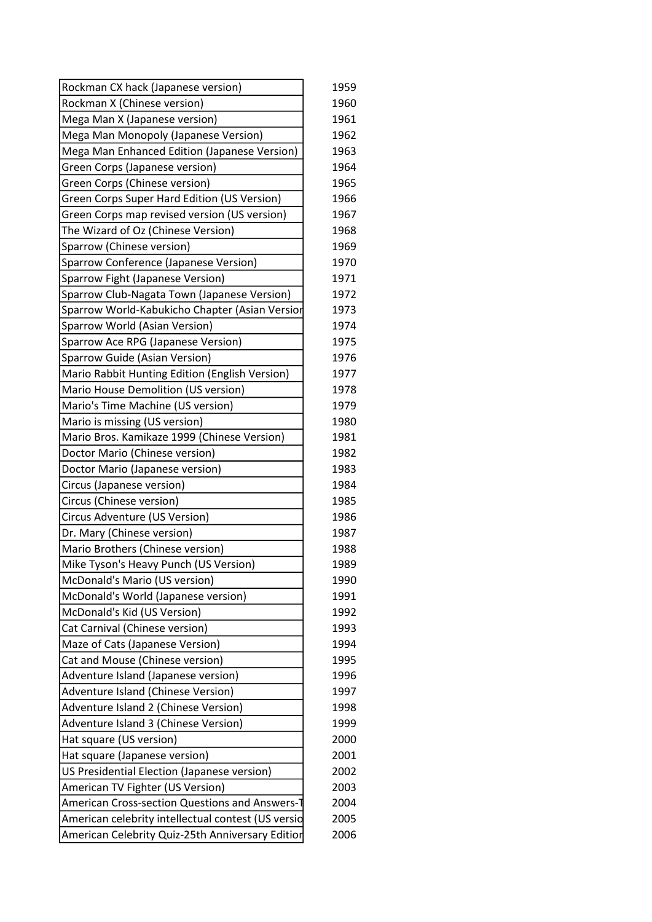| Rockman CX hack (Japanese version)                 | 1959 |
|----------------------------------------------------|------|
| Rockman X (Chinese version)                        | 1960 |
| Mega Man X (Japanese version)                      | 1961 |
| Mega Man Monopoly (Japanese Version)               | 1962 |
| Mega Man Enhanced Edition (Japanese Version)       | 1963 |
| Green Corps (Japanese version)                     | 1964 |
| Green Corps (Chinese version)                      | 1965 |
| Green Corps Super Hard Edition (US Version)        | 1966 |
| Green Corps map revised version (US version)       | 1967 |
| The Wizard of Oz (Chinese Version)                 | 1968 |
| Sparrow (Chinese version)                          | 1969 |
| Sparrow Conference (Japanese Version)              | 1970 |
| Sparrow Fight (Japanese Version)                   | 1971 |
| Sparrow Club-Nagata Town (Japanese Version)        | 1972 |
| Sparrow World-Kabukicho Chapter (Asian Version     | 1973 |
| Sparrow World (Asian Version)                      | 1974 |
| Sparrow Ace RPG (Japanese Version)                 | 1975 |
| Sparrow Guide (Asian Version)                      | 1976 |
| Mario Rabbit Hunting Edition (English Version)     | 1977 |
| Mario House Demolition (US version)                | 1978 |
| Mario's Time Machine (US version)                  | 1979 |
| Mario is missing (US version)                      | 1980 |
| Mario Bros. Kamikaze 1999 (Chinese Version)        | 1981 |
| Doctor Mario (Chinese version)                     | 1982 |
| Doctor Mario (Japanese version)                    | 1983 |
| Circus (Japanese version)                          | 1984 |
| Circus (Chinese version)                           | 1985 |
| Circus Adventure (US Version)                      | 1986 |
| Dr. Mary (Chinese version)                         | 1987 |
| Mario Brothers (Chinese version)                   | 1988 |
| Mike Tyson's Heavy Punch (US Version)              | 1989 |
| McDonald's Mario (US version)                      | 1990 |
| McDonald's World (Japanese version)                | 1991 |
| McDonald's Kid (US Version)                        | 1992 |
| Cat Carnival (Chinese version)                     | 1993 |
| Maze of Cats (Japanese Version)                    | 1994 |
| Cat and Mouse (Chinese version)                    | 1995 |
| Adventure Island (Japanese version)                | 1996 |
| Adventure Island (Chinese Version)                 | 1997 |
| Adventure Island 2 (Chinese Version)               | 1998 |
| Adventure Island 3 (Chinese Version)               | 1999 |
| Hat square (US version)                            | 2000 |
| Hat square (Japanese version)                      | 2001 |
| US Presidential Election (Japanese version)        | 2002 |
| American TV Fighter (US Version)                   | 2003 |
| American Cross-section Questions and Answers-1     | 2004 |
| American celebrity intellectual contest (US versio | 2005 |
| American Celebrity Quiz-25th Anniversary Editior   | 2006 |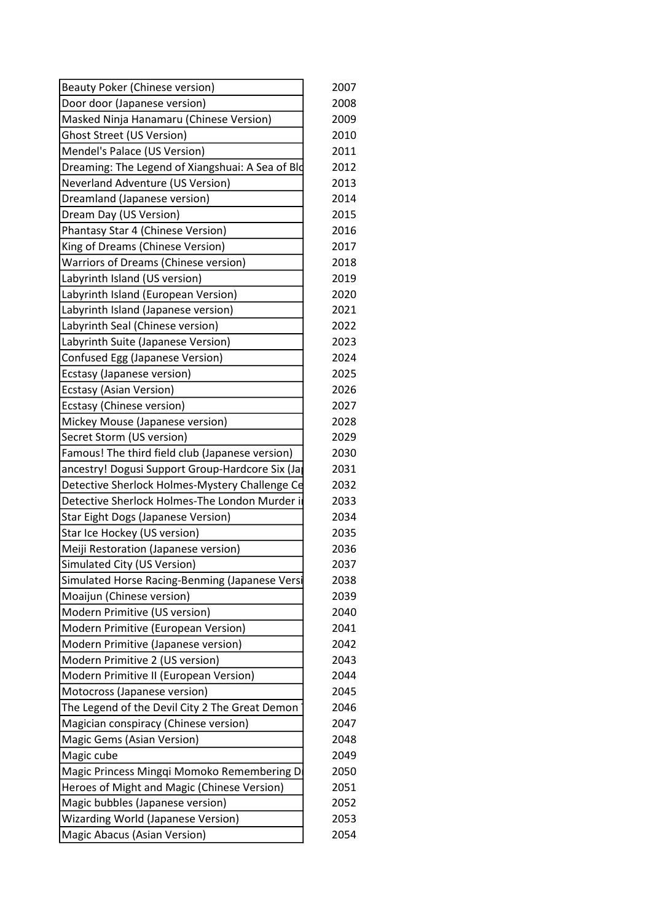| Door door (Japanese version)<br>2008<br>Masked Ninja Hanamaru (Chinese Version)<br>2009<br><b>Ghost Street (US Version)</b><br>2010<br>Mendel's Palace (US Version)<br>2011<br>Dreaming: The Legend of Xiangshuai: A Sea of Bld<br>2012<br><b>Neverland Adventure (US Version)</b><br>2013<br>Dreamland (Japanese version)<br>2014<br>2015<br>Dream Day (US Version)<br>Phantasy Star 4 (Chinese Version)<br>2016<br>King of Dreams (Chinese Version)<br>2017<br>Warriors of Dreams (Chinese version)<br>2018<br>Labyrinth Island (US version)<br>2019<br>Labyrinth Island (European Version)<br>2020<br>Labyrinth Island (Japanese version)<br>2021<br>Labyrinth Seal (Chinese version)<br>2022<br>Labyrinth Suite (Japanese Version)<br>2023<br>Confused Egg (Japanese Version)<br>2024<br>Ecstasy (Japanese version)<br>2025<br><b>Ecstasy (Asian Version)</b><br>2026<br>2027<br>Ecstasy (Chinese version)<br>2028<br>Mickey Mouse (Japanese version)<br>Secret Storm (US version)<br>2029<br>Famous! The third field club (Japanese version)<br>2030<br>ancestry! Dogusi Support Group-Hardcore Six (Ja<br>2031<br>Detective Sherlock Holmes-Mystery Challenge Ce<br>2032<br>Detective Sherlock Holmes-The London Murder i<br>2033<br>Star Eight Dogs (Japanese Version)<br>2034<br>Star Ice Hockey (US version)<br>2035<br>Meiji Restoration (Japanese version)<br>2036<br>Simulated City (US Version)<br>2037<br>Simulated Horse Racing-Benming (Japanese Versi<br>2038<br>Moaijun (Chinese version)<br>2039<br>Modern Primitive (US version)<br>2040<br>Modern Primitive (European Version)<br>2041<br>Modern Primitive (Japanese version)<br>2042<br>Modern Primitive 2 (US version)<br>2043<br>Modern Primitive II (European Version)<br>2044<br>2045<br>Motocross (Japanese version)<br>The Legend of the Devil City 2 The Great Demon<br>2046<br>Magician conspiracy (Chinese version)<br>2047<br>Magic Gems (Asian Version)<br>2048<br>Magic cube<br>2049<br>Magic Princess Mingqi Momoko Remembering D<br>2050<br>Heroes of Might and Magic (Chinese Version)<br>2051<br>Magic bubbles (Japanese version)<br>2052<br><b>Wizarding World (Japanese Version)</b><br>2053<br>2054 | <b>Beauty Poker (Chinese version)</b> | 2007 |
|----------------------------------------------------------------------------------------------------------------------------------------------------------------------------------------------------------------------------------------------------------------------------------------------------------------------------------------------------------------------------------------------------------------------------------------------------------------------------------------------------------------------------------------------------------------------------------------------------------------------------------------------------------------------------------------------------------------------------------------------------------------------------------------------------------------------------------------------------------------------------------------------------------------------------------------------------------------------------------------------------------------------------------------------------------------------------------------------------------------------------------------------------------------------------------------------------------------------------------------------------------------------------------------------------------------------------------------------------------------------------------------------------------------------------------------------------------------------------------------------------------------------------------------------------------------------------------------------------------------------------------------------------------------------------------------------------------------------------------------------------------------------------------------------------------------------------------------------------------------------------------------------------------------------------------------------------------------------------------------------------------------------------------------------------------------------------------------------------------------------------------------------------------------------------------------------|---------------------------------------|------|
|                                                                                                                                                                                                                                                                                                                                                                                                                                                                                                                                                                                                                                                                                                                                                                                                                                                                                                                                                                                                                                                                                                                                                                                                                                                                                                                                                                                                                                                                                                                                                                                                                                                                                                                                                                                                                                                                                                                                                                                                                                                                                                                                                                                              |                                       |      |
|                                                                                                                                                                                                                                                                                                                                                                                                                                                                                                                                                                                                                                                                                                                                                                                                                                                                                                                                                                                                                                                                                                                                                                                                                                                                                                                                                                                                                                                                                                                                                                                                                                                                                                                                                                                                                                                                                                                                                                                                                                                                                                                                                                                              |                                       |      |
|                                                                                                                                                                                                                                                                                                                                                                                                                                                                                                                                                                                                                                                                                                                                                                                                                                                                                                                                                                                                                                                                                                                                                                                                                                                                                                                                                                                                                                                                                                                                                                                                                                                                                                                                                                                                                                                                                                                                                                                                                                                                                                                                                                                              |                                       |      |
|                                                                                                                                                                                                                                                                                                                                                                                                                                                                                                                                                                                                                                                                                                                                                                                                                                                                                                                                                                                                                                                                                                                                                                                                                                                                                                                                                                                                                                                                                                                                                                                                                                                                                                                                                                                                                                                                                                                                                                                                                                                                                                                                                                                              |                                       |      |
|                                                                                                                                                                                                                                                                                                                                                                                                                                                                                                                                                                                                                                                                                                                                                                                                                                                                                                                                                                                                                                                                                                                                                                                                                                                                                                                                                                                                                                                                                                                                                                                                                                                                                                                                                                                                                                                                                                                                                                                                                                                                                                                                                                                              |                                       |      |
|                                                                                                                                                                                                                                                                                                                                                                                                                                                                                                                                                                                                                                                                                                                                                                                                                                                                                                                                                                                                                                                                                                                                                                                                                                                                                                                                                                                                                                                                                                                                                                                                                                                                                                                                                                                                                                                                                                                                                                                                                                                                                                                                                                                              |                                       |      |
|                                                                                                                                                                                                                                                                                                                                                                                                                                                                                                                                                                                                                                                                                                                                                                                                                                                                                                                                                                                                                                                                                                                                                                                                                                                                                                                                                                                                                                                                                                                                                                                                                                                                                                                                                                                                                                                                                                                                                                                                                                                                                                                                                                                              |                                       |      |
|                                                                                                                                                                                                                                                                                                                                                                                                                                                                                                                                                                                                                                                                                                                                                                                                                                                                                                                                                                                                                                                                                                                                                                                                                                                                                                                                                                                                                                                                                                                                                                                                                                                                                                                                                                                                                                                                                                                                                                                                                                                                                                                                                                                              |                                       |      |
|                                                                                                                                                                                                                                                                                                                                                                                                                                                                                                                                                                                                                                                                                                                                                                                                                                                                                                                                                                                                                                                                                                                                                                                                                                                                                                                                                                                                                                                                                                                                                                                                                                                                                                                                                                                                                                                                                                                                                                                                                                                                                                                                                                                              |                                       |      |
|                                                                                                                                                                                                                                                                                                                                                                                                                                                                                                                                                                                                                                                                                                                                                                                                                                                                                                                                                                                                                                                                                                                                                                                                                                                                                                                                                                                                                                                                                                                                                                                                                                                                                                                                                                                                                                                                                                                                                                                                                                                                                                                                                                                              |                                       |      |
|                                                                                                                                                                                                                                                                                                                                                                                                                                                                                                                                                                                                                                                                                                                                                                                                                                                                                                                                                                                                                                                                                                                                                                                                                                                                                                                                                                                                                                                                                                                                                                                                                                                                                                                                                                                                                                                                                                                                                                                                                                                                                                                                                                                              |                                       |      |
|                                                                                                                                                                                                                                                                                                                                                                                                                                                                                                                                                                                                                                                                                                                                                                                                                                                                                                                                                                                                                                                                                                                                                                                                                                                                                                                                                                                                                                                                                                                                                                                                                                                                                                                                                                                                                                                                                                                                                                                                                                                                                                                                                                                              |                                       |      |
|                                                                                                                                                                                                                                                                                                                                                                                                                                                                                                                                                                                                                                                                                                                                                                                                                                                                                                                                                                                                                                                                                                                                                                                                                                                                                                                                                                                                                                                                                                                                                                                                                                                                                                                                                                                                                                                                                                                                                                                                                                                                                                                                                                                              |                                       |      |
|                                                                                                                                                                                                                                                                                                                                                                                                                                                                                                                                                                                                                                                                                                                                                                                                                                                                                                                                                                                                                                                                                                                                                                                                                                                                                                                                                                                                                                                                                                                                                                                                                                                                                                                                                                                                                                                                                                                                                                                                                                                                                                                                                                                              |                                       |      |
|                                                                                                                                                                                                                                                                                                                                                                                                                                                                                                                                                                                                                                                                                                                                                                                                                                                                                                                                                                                                                                                                                                                                                                                                                                                                                                                                                                                                                                                                                                                                                                                                                                                                                                                                                                                                                                                                                                                                                                                                                                                                                                                                                                                              |                                       |      |
|                                                                                                                                                                                                                                                                                                                                                                                                                                                                                                                                                                                                                                                                                                                                                                                                                                                                                                                                                                                                                                                                                                                                                                                                                                                                                                                                                                                                                                                                                                                                                                                                                                                                                                                                                                                                                                                                                                                                                                                                                                                                                                                                                                                              |                                       |      |
|                                                                                                                                                                                                                                                                                                                                                                                                                                                                                                                                                                                                                                                                                                                                                                                                                                                                                                                                                                                                                                                                                                                                                                                                                                                                                                                                                                                                                                                                                                                                                                                                                                                                                                                                                                                                                                                                                                                                                                                                                                                                                                                                                                                              |                                       |      |
|                                                                                                                                                                                                                                                                                                                                                                                                                                                                                                                                                                                                                                                                                                                                                                                                                                                                                                                                                                                                                                                                                                                                                                                                                                                                                                                                                                                                                                                                                                                                                                                                                                                                                                                                                                                                                                                                                                                                                                                                                                                                                                                                                                                              |                                       |      |
|                                                                                                                                                                                                                                                                                                                                                                                                                                                                                                                                                                                                                                                                                                                                                                                                                                                                                                                                                                                                                                                                                                                                                                                                                                                                                                                                                                                                                                                                                                                                                                                                                                                                                                                                                                                                                                                                                                                                                                                                                                                                                                                                                                                              |                                       |      |
|                                                                                                                                                                                                                                                                                                                                                                                                                                                                                                                                                                                                                                                                                                                                                                                                                                                                                                                                                                                                                                                                                                                                                                                                                                                                                                                                                                                                                                                                                                                                                                                                                                                                                                                                                                                                                                                                                                                                                                                                                                                                                                                                                                                              |                                       |      |
|                                                                                                                                                                                                                                                                                                                                                                                                                                                                                                                                                                                                                                                                                                                                                                                                                                                                                                                                                                                                                                                                                                                                                                                                                                                                                                                                                                                                                                                                                                                                                                                                                                                                                                                                                                                                                                                                                                                                                                                                                                                                                                                                                                                              |                                       |      |
|                                                                                                                                                                                                                                                                                                                                                                                                                                                                                                                                                                                                                                                                                                                                                                                                                                                                                                                                                                                                                                                                                                                                                                                                                                                                                                                                                                                                                                                                                                                                                                                                                                                                                                                                                                                                                                                                                                                                                                                                                                                                                                                                                                                              |                                       |      |
|                                                                                                                                                                                                                                                                                                                                                                                                                                                                                                                                                                                                                                                                                                                                                                                                                                                                                                                                                                                                                                                                                                                                                                                                                                                                                                                                                                                                                                                                                                                                                                                                                                                                                                                                                                                                                                                                                                                                                                                                                                                                                                                                                                                              |                                       |      |
|                                                                                                                                                                                                                                                                                                                                                                                                                                                                                                                                                                                                                                                                                                                                                                                                                                                                                                                                                                                                                                                                                                                                                                                                                                                                                                                                                                                                                                                                                                                                                                                                                                                                                                                                                                                                                                                                                                                                                                                                                                                                                                                                                                                              |                                       |      |
|                                                                                                                                                                                                                                                                                                                                                                                                                                                                                                                                                                                                                                                                                                                                                                                                                                                                                                                                                                                                                                                                                                                                                                                                                                                                                                                                                                                                                                                                                                                                                                                                                                                                                                                                                                                                                                                                                                                                                                                                                                                                                                                                                                                              |                                       |      |
|                                                                                                                                                                                                                                                                                                                                                                                                                                                                                                                                                                                                                                                                                                                                                                                                                                                                                                                                                                                                                                                                                                                                                                                                                                                                                                                                                                                                                                                                                                                                                                                                                                                                                                                                                                                                                                                                                                                                                                                                                                                                                                                                                                                              |                                       |      |
|                                                                                                                                                                                                                                                                                                                                                                                                                                                                                                                                                                                                                                                                                                                                                                                                                                                                                                                                                                                                                                                                                                                                                                                                                                                                                                                                                                                                                                                                                                                                                                                                                                                                                                                                                                                                                                                                                                                                                                                                                                                                                                                                                                                              |                                       |      |
|                                                                                                                                                                                                                                                                                                                                                                                                                                                                                                                                                                                                                                                                                                                                                                                                                                                                                                                                                                                                                                                                                                                                                                                                                                                                                                                                                                                                                                                                                                                                                                                                                                                                                                                                                                                                                                                                                                                                                                                                                                                                                                                                                                                              |                                       |      |
|                                                                                                                                                                                                                                                                                                                                                                                                                                                                                                                                                                                                                                                                                                                                                                                                                                                                                                                                                                                                                                                                                                                                                                                                                                                                                                                                                                                                                                                                                                                                                                                                                                                                                                                                                                                                                                                                                                                                                                                                                                                                                                                                                                                              |                                       |      |
|                                                                                                                                                                                                                                                                                                                                                                                                                                                                                                                                                                                                                                                                                                                                                                                                                                                                                                                                                                                                                                                                                                                                                                                                                                                                                                                                                                                                                                                                                                                                                                                                                                                                                                                                                                                                                                                                                                                                                                                                                                                                                                                                                                                              |                                       |      |
|                                                                                                                                                                                                                                                                                                                                                                                                                                                                                                                                                                                                                                                                                                                                                                                                                                                                                                                                                                                                                                                                                                                                                                                                                                                                                                                                                                                                                                                                                                                                                                                                                                                                                                                                                                                                                                                                                                                                                                                                                                                                                                                                                                                              |                                       |      |
|                                                                                                                                                                                                                                                                                                                                                                                                                                                                                                                                                                                                                                                                                                                                                                                                                                                                                                                                                                                                                                                                                                                                                                                                                                                                                                                                                                                                                                                                                                                                                                                                                                                                                                                                                                                                                                                                                                                                                                                                                                                                                                                                                                                              |                                       |      |
|                                                                                                                                                                                                                                                                                                                                                                                                                                                                                                                                                                                                                                                                                                                                                                                                                                                                                                                                                                                                                                                                                                                                                                                                                                                                                                                                                                                                                                                                                                                                                                                                                                                                                                                                                                                                                                                                                                                                                                                                                                                                                                                                                                                              |                                       |      |
|                                                                                                                                                                                                                                                                                                                                                                                                                                                                                                                                                                                                                                                                                                                                                                                                                                                                                                                                                                                                                                                                                                                                                                                                                                                                                                                                                                                                                                                                                                                                                                                                                                                                                                                                                                                                                                                                                                                                                                                                                                                                                                                                                                                              |                                       |      |
|                                                                                                                                                                                                                                                                                                                                                                                                                                                                                                                                                                                                                                                                                                                                                                                                                                                                                                                                                                                                                                                                                                                                                                                                                                                                                                                                                                                                                                                                                                                                                                                                                                                                                                                                                                                                                                                                                                                                                                                                                                                                                                                                                                                              |                                       |      |
|                                                                                                                                                                                                                                                                                                                                                                                                                                                                                                                                                                                                                                                                                                                                                                                                                                                                                                                                                                                                                                                                                                                                                                                                                                                                                                                                                                                                                                                                                                                                                                                                                                                                                                                                                                                                                                                                                                                                                                                                                                                                                                                                                                                              |                                       |      |
|                                                                                                                                                                                                                                                                                                                                                                                                                                                                                                                                                                                                                                                                                                                                                                                                                                                                                                                                                                                                                                                                                                                                                                                                                                                                                                                                                                                                                                                                                                                                                                                                                                                                                                                                                                                                                                                                                                                                                                                                                                                                                                                                                                                              |                                       |      |
|                                                                                                                                                                                                                                                                                                                                                                                                                                                                                                                                                                                                                                                                                                                                                                                                                                                                                                                                                                                                                                                                                                                                                                                                                                                                                                                                                                                                                                                                                                                                                                                                                                                                                                                                                                                                                                                                                                                                                                                                                                                                                                                                                                                              |                                       |      |
|                                                                                                                                                                                                                                                                                                                                                                                                                                                                                                                                                                                                                                                                                                                                                                                                                                                                                                                                                                                                                                                                                                                                                                                                                                                                                                                                                                                                                                                                                                                                                                                                                                                                                                                                                                                                                                                                                                                                                                                                                                                                                                                                                                                              |                                       |      |
|                                                                                                                                                                                                                                                                                                                                                                                                                                                                                                                                                                                                                                                                                                                                                                                                                                                                                                                                                                                                                                                                                                                                                                                                                                                                                                                                                                                                                                                                                                                                                                                                                                                                                                                                                                                                                                                                                                                                                                                                                                                                                                                                                                                              |                                       |      |
|                                                                                                                                                                                                                                                                                                                                                                                                                                                                                                                                                                                                                                                                                                                                                                                                                                                                                                                                                                                                                                                                                                                                                                                                                                                                                                                                                                                                                                                                                                                                                                                                                                                                                                                                                                                                                                                                                                                                                                                                                                                                                                                                                                                              |                                       |      |
|                                                                                                                                                                                                                                                                                                                                                                                                                                                                                                                                                                                                                                                                                                                                                                                                                                                                                                                                                                                                                                                                                                                                                                                                                                                                                                                                                                                                                                                                                                                                                                                                                                                                                                                                                                                                                                                                                                                                                                                                                                                                                                                                                                                              |                                       |      |
|                                                                                                                                                                                                                                                                                                                                                                                                                                                                                                                                                                                                                                                                                                                                                                                                                                                                                                                                                                                                                                                                                                                                                                                                                                                                                                                                                                                                                                                                                                                                                                                                                                                                                                                                                                                                                                                                                                                                                                                                                                                                                                                                                                                              |                                       |      |
|                                                                                                                                                                                                                                                                                                                                                                                                                                                                                                                                                                                                                                                                                                                                                                                                                                                                                                                                                                                                                                                                                                                                                                                                                                                                                                                                                                                                                                                                                                                                                                                                                                                                                                                                                                                                                                                                                                                                                                                                                                                                                                                                                                                              |                                       |      |
|                                                                                                                                                                                                                                                                                                                                                                                                                                                                                                                                                                                                                                                                                                                                                                                                                                                                                                                                                                                                                                                                                                                                                                                                                                                                                                                                                                                                                                                                                                                                                                                                                                                                                                                                                                                                                                                                                                                                                                                                                                                                                                                                                                                              |                                       |      |
|                                                                                                                                                                                                                                                                                                                                                                                                                                                                                                                                                                                                                                                                                                                                                                                                                                                                                                                                                                                                                                                                                                                                                                                                                                                                                                                                                                                                                                                                                                                                                                                                                                                                                                                                                                                                                                                                                                                                                                                                                                                                                                                                                                                              |                                       |      |
|                                                                                                                                                                                                                                                                                                                                                                                                                                                                                                                                                                                                                                                                                                                                                                                                                                                                                                                                                                                                                                                                                                                                                                                                                                                                                                                                                                                                                                                                                                                                                                                                                                                                                                                                                                                                                                                                                                                                                                                                                                                                                                                                                                                              | Magic Abacus (Asian Version)          |      |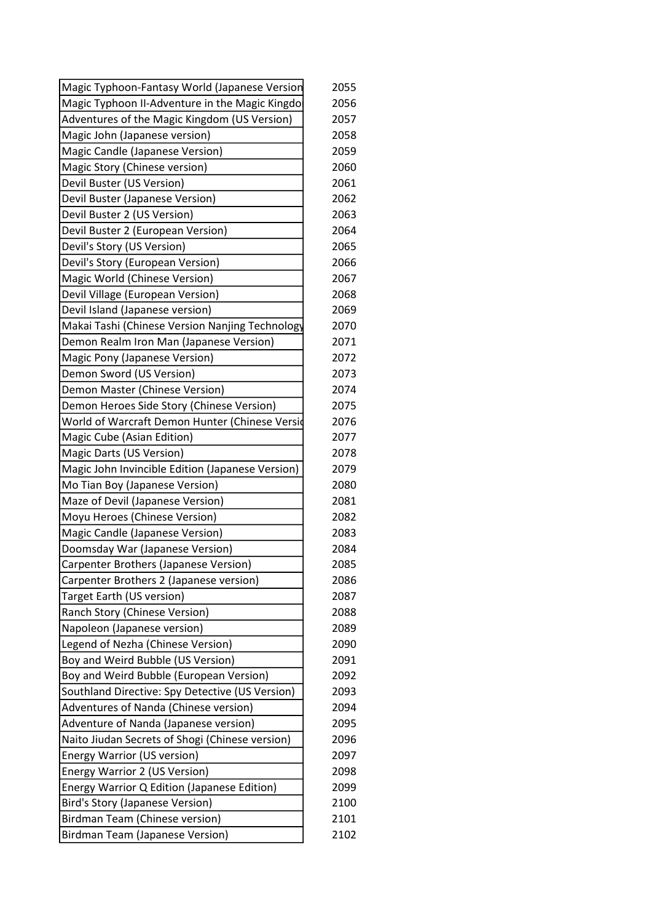| Magic Typhoon-Fantasy World (Japanese Version    | 2055 |
|--------------------------------------------------|------|
| Magic Typhoon II-Adventure in the Magic Kingdo   | 2056 |
| Adventures of the Magic Kingdom (US Version)     | 2057 |
| Magic John (Japanese version)                    | 2058 |
| Magic Candle (Japanese Version)                  | 2059 |
| Magic Story (Chinese version)                    | 2060 |
| Devil Buster (US Version)                        | 2061 |
| Devil Buster (Japanese Version)                  | 2062 |
| Devil Buster 2 (US Version)                      | 2063 |
| Devil Buster 2 (European Version)                | 2064 |
| Devil's Story (US Version)                       | 2065 |
| Devil's Story (European Version)                 | 2066 |
| Magic World (Chinese Version)                    | 2067 |
| Devil Village (European Version)                 | 2068 |
| Devil Island (Japanese version)                  | 2069 |
| Makai Tashi (Chinese Version Nanjing Technology  | 2070 |
| Demon Realm Iron Man (Japanese Version)          | 2071 |
| Magic Pony (Japanese Version)                    | 2072 |
| Demon Sword (US Version)                         | 2073 |
| Demon Master (Chinese Version)                   | 2074 |
| Demon Heroes Side Story (Chinese Version)        | 2075 |
| World of Warcraft Demon Hunter (Chinese Versid   | 2076 |
| Magic Cube (Asian Edition)                       | 2077 |
| Magic Darts (US Version)                         | 2078 |
| Magic John Invincible Edition (Japanese Version) | 2079 |
| Mo Tian Boy (Japanese Version)                   | 2080 |
| Maze of Devil (Japanese Version)                 | 2081 |
| Moyu Heroes (Chinese Version)                    | 2082 |
| Magic Candle (Japanese Version)                  | 2083 |
| Doomsday War (Japanese Version)                  | 2084 |
| Carpenter Brothers (Japanese Version)            | 2085 |
| Carpenter Brothers 2 (Japanese version)          | 2086 |
| Target Earth (US version)                        | 2087 |
| Ranch Story (Chinese Version)                    | 2088 |
| Napoleon (Japanese version)                      | 2089 |
| Legend of Nezha (Chinese Version)                | 2090 |
| Boy and Weird Bubble (US Version)                | 2091 |
| Boy and Weird Bubble (European Version)          | 2092 |
| Southland Directive: Spy Detective (US Version)  | 2093 |
| Adventures of Nanda (Chinese version)            | 2094 |
| Adventure of Nanda (Japanese version)            | 2095 |
| Naito Jiudan Secrets of Shogi (Chinese version)  | 2096 |
| <b>Energy Warrior (US version)</b>               | 2097 |
| Energy Warrior 2 (US Version)                    | 2098 |
| Energy Warrior Q Edition (Japanese Edition)      | 2099 |
| <b>Bird's Story (Japanese Version)</b>           | 2100 |
| <b>Birdman Team (Chinese version)</b>            | 2101 |
| <b>Birdman Team (Japanese Version)</b>           | 2102 |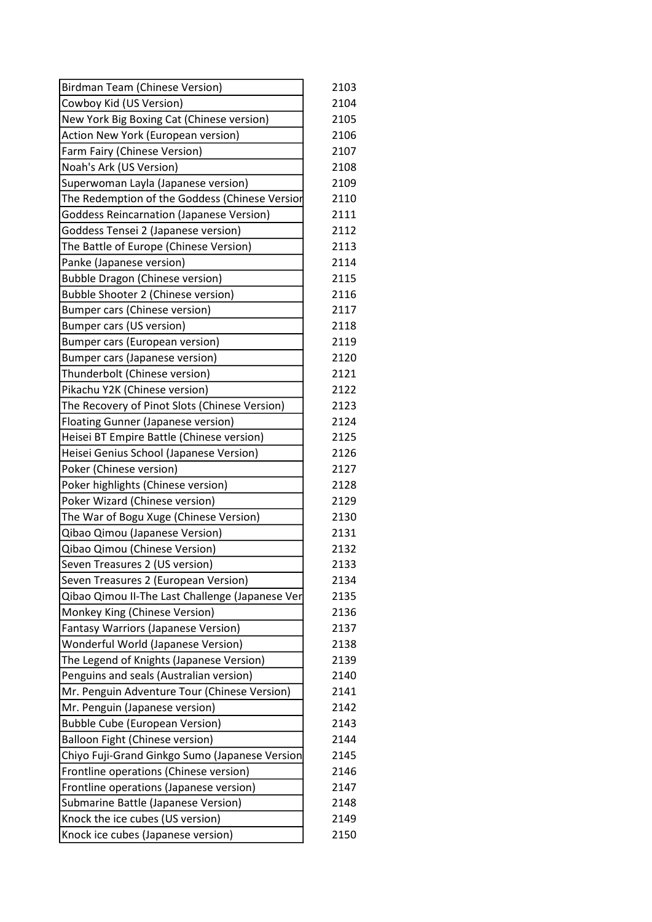| <b>Birdman Team (Chinese Version)</b>           | 2103 |
|-------------------------------------------------|------|
| Cowboy Kid (US Version)                         | 2104 |
| New York Big Boxing Cat (Chinese version)       | 2105 |
| Action New York (European version)              | 2106 |
| Farm Fairy (Chinese Version)                    | 2107 |
| Noah's Ark (US Version)                         | 2108 |
| Superwoman Layla (Japanese version)             | 2109 |
| The Redemption of the Goddess (Chinese Versior  | 2110 |
| <b>Goddess Reincarnation (Japanese Version)</b> | 2111 |
| Goddess Tensei 2 (Japanese version)             | 2112 |
| The Battle of Europe (Chinese Version)          | 2113 |
| Panke (Japanese version)                        | 2114 |
| <b>Bubble Dragon (Chinese version)</b>          | 2115 |
| Bubble Shooter 2 (Chinese version)              | 2116 |
| <b>Bumper cars (Chinese version)</b>            | 2117 |
| <b>Bumper cars (US version)</b>                 | 2118 |
| Bumper cars (European version)                  | 2119 |
| <b>Bumper cars (Japanese version)</b>           | 2120 |
| Thunderbolt (Chinese version)                   | 2121 |
| Pikachu Y2K (Chinese version)                   | 2122 |
| The Recovery of Pinot Slots (Chinese Version)   | 2123 |
| <b>Floating Gunner (Japanese version)</b>       | 2124 |
| Heisei BT Empire Battle (Chinese version)       | 2125 |
| Heisei Genius School (Japanese Version)         | 2126 |
| Poker (Chinese version)                         | 2127 |
| Poker highlights (Chinese version)              | 2128 |
| Poker Wizard (Chinese version)                  | 2129 |
| The War of Bogu Xuge (Chinese Version)          | 2130 |
| Qibao Qimou (Japanese Version)                  | 2131 |
| Qibao Qimou (Chinese Version)                   | 2132 |
| Seven Treasures 2 (US version)                  | 2133 |
| Seven Treasures 2 (European Version)            | 2134 |
| Qibao Qimou II-The Last Challenge (Japanese Ver | 2135 |
| Monkey King (Chinese Version)                   | 2136 |
| <b>Fantasy Warriors (Japanese Version)</b>      | 2137 |
| Wonderful World (Japanese Version)              | 2138 |
| The Legend of Knights (Japanese Version)        | 2139 |
| Penguins and seals (Australian version)         | 2140 |
| Mr. Penguin Adventure Tour (Chinese Version)    | 2141 |
| Mr. Penguin (Japanese version)                  | 2142 |
| <b>Bubble Cube (European Version)</b>           | 2143 |
| Balloon Fight (Chinese version)                 | 2144 |
| Chiyo Fuji-Grand Ginkgo Sumo (Japanese Version  | 2145 |
| Frontline operations (Chinese version)          | 2146 |
| Frontline operations (Japanese version)         | 2147 |
| Submarine Battle (Japanese Version)             | 2148 |
| Knock the ice cubes (US version)                | 2149 |
| Knock ice cubes (Japanese version)              | 2150 |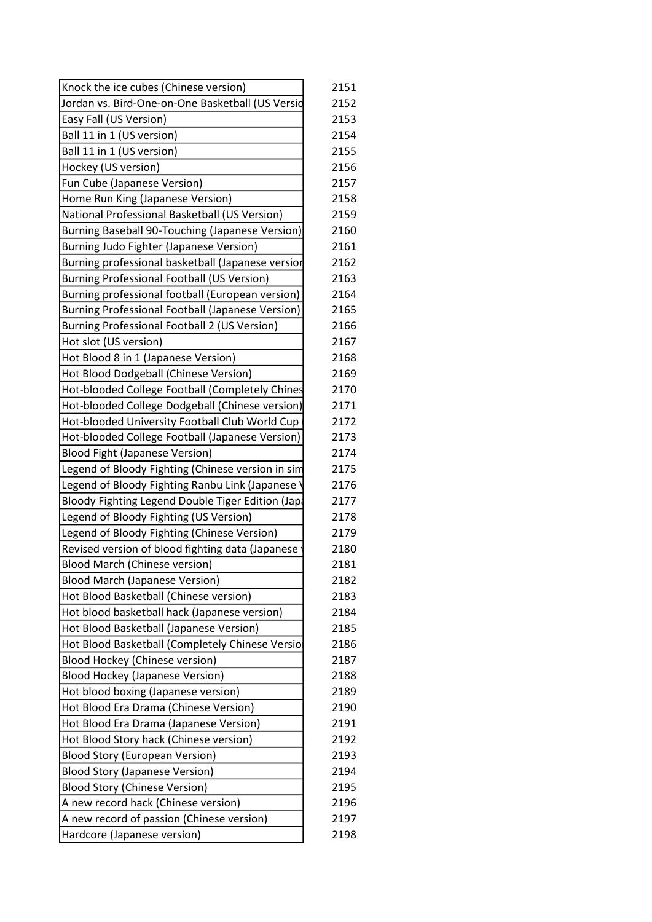| Knock the ice cubes (Chinese version)             | 2151 |
|---------------------------------------------------|------|
| Jordan vs. Bird-One-on-One Basketball (US Versid  | 2152 |
| Easy Fall (US Version)                            | 2153 |
| Ball 11 in 1 (US version)                         | 2154 |
| Ball 11 in 1 (US version)                         | 2155 |
| Hockey (US version)                               | 2156 |
| Fun Cube (Japanese Version)                       | 2157 |
| Home Run King (Japanese Version)                  | 2158 |
| National Professional Basketball (US Version)     | 2159 |
| Burning Baseball 90-Touching (Japanese Version)   | 2160 |
| Burning Judo Fighter (Japanese Version)           | 2161 |
| Burning professional basketball (Japanese versior | 2162 |
| <b>Burning Professional Football (US Version)</b> | 2163 |
| Burning professional football (European version)  | 2164 |
| Burning Professional Football (Japanese Version)  | 2165 |
| Burning Professional Football 2 (US Version)      | 2166 |
| Hot slot (US version)                             | 2167 |
| Hot Blood 8 in 1 (Japanese Version)               | 2168 |
| Hot Blood Dodgeball (Chinese Version)             | 2169 |
| Hot-blooded College Football (Completely Chines   | 2170 |
| Hot-blooded College Dodgeball (Chinese version)   | 2171 |
| Hot-blooded University Football Club World Cup    | 2172 |
| Hot-blooded College Football (Japanese Version)   | 2173 |
| <b>Blood Fight (Japanese Version)</b>             | 2174 |
| Legend of Bloody Fighting (Chinese version in sim | 2175 |
| Legend of Bloody Fighting Ranbu Link (Japanese    | 2176 |
| Bloody Fighting Legend Double Tiger Edition (Japa | 2177 |
| Legend of Bloody Fighting (US Version)            | 2178 |
| Legend of Bloody Fighting (Chinese Version)       | 2179 |
| Revised version of blood fighting data (Japanese  | 2180 |
| <b>Blood March (Chinese version)</b>              | 2181 |
| <b>Blood March (Japanese Version)</b>             | 2182 |
| Hot Blood Basketball (Chinese version)            | 2183 |
| Hot blood basketball hack (Japanese version)      | 2184 |
| Hot Blood Basketball (Japanese Version)           | 2185 |
| Hot Blood Basketball (Completely Chinese Versio   | 2186 |
| <b>Blood Hockey (Chinese version)</b>             | 2187 |
| <b>Blood Hockey (Japanese Version)</b>            | 2188 |
| Hot blood boxing (Japanese version)               | 2189 |
| Hot Blood Era Drama (Chinese Version)             | 2190 |
| Hot Blood Era Drama (Japanese Version)            | 2191 |
| Hot Blood Story hack (Chinese version)            | 2192 |
| <b>Blood Story (European Version)</b>             | 2193 |
| <b>Blood Story (Japanese Version)</b>             | 2194 |
| <b>Blood Story (Chinese Version)</b>              | 2195 |
| A new record hack (Chinese version)               | 2196 |
| A new record of passion (Chinese version)         | 2197 |
| Hardcore (Japanese version)                       | 2198 |
|                                                   |      |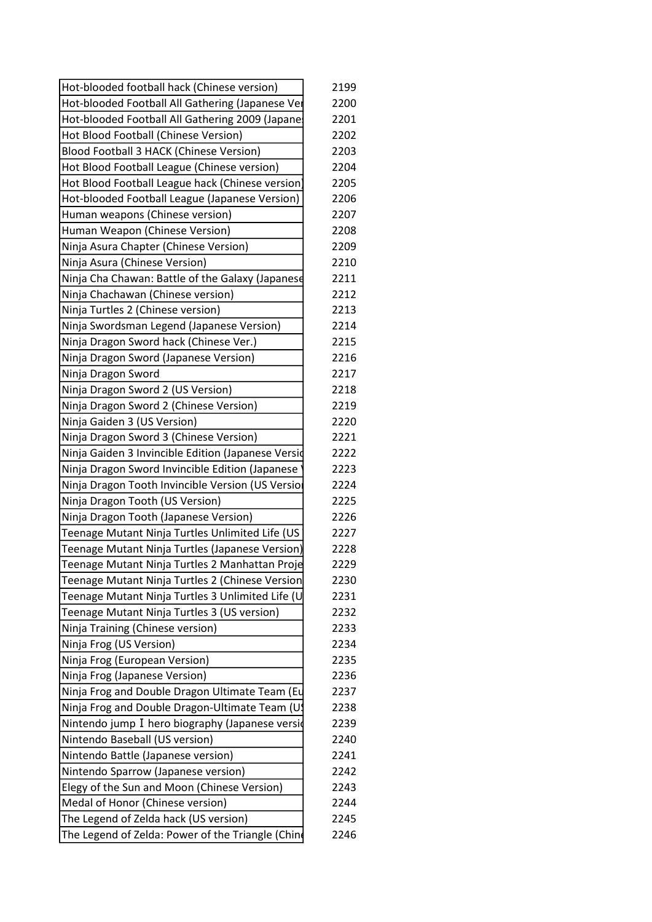| Hot-blooded football hack (Chinese version)        | 2199 |
|----------------------------------------------------|------|
| Hot-blooded Football All Gathering (Japanese Ver   | 2200 |
| Hot-blooded Football All Gathering 2009 (Japane:   | 2201 |
| Hot Blood Football (Chinese Version)               | 2202 |
| Blood Football 3 HACK (Chinese Version)            | 2203 |
| Hot Blood Football League (Chinese version)        | 2204 |
| Hot Blood Football League hack (Chinese version    | 2205 |
| Hot-blooded Football League (Japanese Version)     | 2206 |
| Human weapons (Chinese version)                    | 2207 |
| Human Weapon (Chinese Version)                     | 2208 |
| Ninja Asura Chapter (Chinese Version)              | 2209 |
| Ninja Asura (Chinese Version)                      | 2210 |
| Ninja Cha Chawan: Battle of the Galaxy (Japanese   | 2211 |
| Ninja Chachawan (Chinese version)                  | 2212 |
| Ninja Turtles 2 (Chinese version)                  | 2213 |
| Ninja Swordsman Legend (Japanese Version)          | 2214 |
| Ninja Dragon Sword hack (Chinese Ver.)             | 2215 |
| Ninja Dragon Sword (Japanese Version)              | 2216 |
| Ninja Dragon Sword                                 | 2217 |
| Ninja Dragon Sword 2 (US Version)                  | 2218 |
| Ninja Dragon Sword 2 (Chinese Version)             | 2219 |
| Ninja Gaiden 3 (US Version)                        | 2220 |
| Ninja Dragon Sword 3 (Chinese Version)             | 2221 |
| Ninja Gaiden 3 Invincible Edition (Japanese Versid | 2222 |
| Ninja Dragon Sword Invincible Edition (Japanese    | 2223 |
| Ninja Dragon Tooth Invincible Version (US Versio   | 2224 |
| Ninja Dragon Tooth (US Version)                    | 2225 |
| Ninja Dragon Tooth (Japanese Version)              | 2226 |
| Teenage Mutant Ninja Turtles Unlimited Life (US    | 2227 |
| Teenage Mutant Ninja Turtles (Japanese Version)    | 2228 |
| Teenage Mutant Ninja Turtles 2 Manhattan Proje     | 2229 |
| Teenage Mutant Ninja Turtles 2 (Chinese Version    | 2230 |
| Teenage Mutant Ninja Turtles 3 Unlimited Life (U   | 2231 |
| Teenage Mutant Ninja Turtles 3 (US version)        | 2232 |
| Ninja Training (Chinese version)                   | 2233 |
| Ninja Frog (US Version)                            | 2234 |
| Ninja Frog (European Version)                      | 2235 |
| Ninja Frog (Japanese Version)                      | 2236 |
| Ninja Frog and Double Dragon Ultimate Team (Eu     | 2237 |
| Ninja Frog and Double Dragon-Ultimate Team (U)     | 2238 |
| Nintendo jump I hero biography (Japanese versid    | 2239 |
| Nintendo Baseball (US version)                     | 2240 |
| Nintendo Battle (Japanese version)                 | 2241 |
| Nintendo Sparrow (Japanese version)                | 2242 |
| Elegy of the Sun and Moon (Chinese Version)        | 2243 |
| Medal of Honor (Chinese version)                   | 2244 |
| The Legend of Zelda hack (US version)              | 2245 |
| The Legend of Zelda: Power of the Triangle (Chin   | 2246 |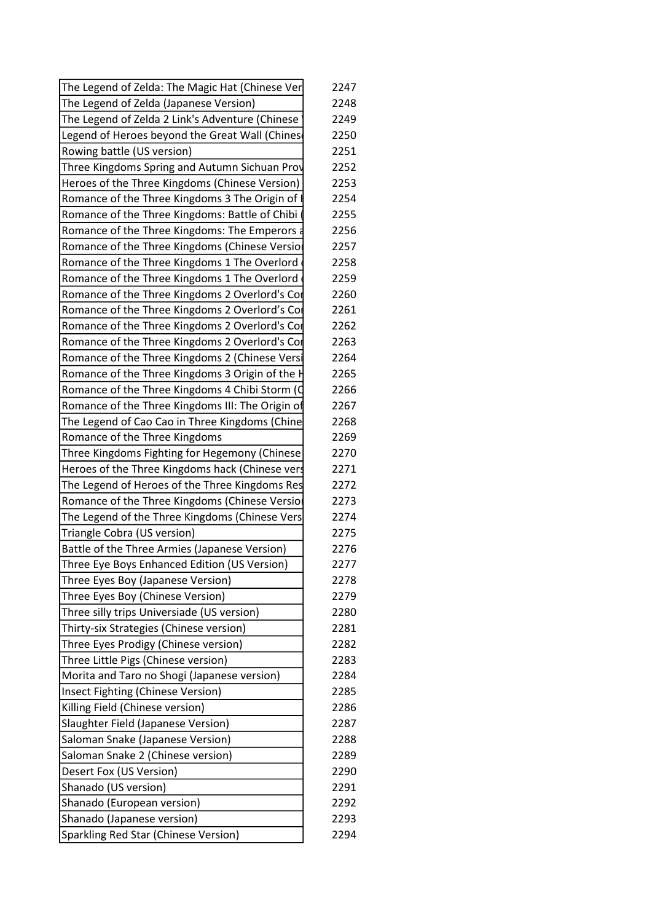| 2248<br>2249<br>2250<br>2251<br>Three Kingdoms Spring and Autumn Sichuan Prov<br>2252<br>2253<br>2254<br>2255<br>2256<br>2257<br>2258<br>2259<br>2260<br>2261<br>Romance of the Three Kingdoms 2 Overlord's Cor<br>2262<br>Romance of the Three Kingdoms 2 Overlord's Cor<br>2263<br>2264<br>2265<br>2266<br>Romance of the Three Kingdoms III: The Origin of<br>2267<br>The Legend of Cao Cao in Three Kingdoms (Chine<br>2268<br>2269<br>2270<br>Heroes of the Three Kingdoms hack (Chinese vers<br>2271<br>The Legend of Heroes of the Three Kingdoms Res<br>2272<br>2273<br>2274<br>2275<br>2276<br>2277<br>2278<br>2279<br>2280<br>2281<br>2282<br>2283<br>2284<br>2285<br>2286<br>2287<br>2288<br>2289<br>2290<br>2291<br>2292<br>2293<br>2294 | The Legend of Zelda: The Magic Hat (Chinese Ver | 2247 |
|------------------------------------------------------------------------------------------------------------------------------------------------------------------------------------------------------------------------------------------------------------------------------------------------------------------------------------------------------------------------------------------------------------------------------------------------------------------------------------------------------------------------------------------------------------------------------------------------------------------------------------------------------------------------------------------------------------------------------------------------------|-------------------------------------------------|------|
|                                                                                                                                                                                                                                                                                                                                                                                                                                                                                                                                                                                                                                                                                                                                                      | The Legend of Zelda (Japanese Version)          |      |
|                                                                                                                                                                                                                                                                                                                                                                                                                                                                                                                                                                                                                                                                                                                                                      | The Legend of Zelda 2 Link's Adventure (Chinese |      |
|                                                                                                                                                                                                                                                                                                                                                                                                                                                                                                                                                                                                                                                                                                                                                      | Legend of Heroes beyond the Great Wall (Chines  |      |
|                                                                                                                                                                                                                                                                                                                                                                                                                                                                                                                                                                                                                                                                                                                                                      | Rowing battle (US version)                      |      |
|                                                                                                                                                                                                                                                                                                                                                                                                                                                                                                                                                                                                                                                                                                                                                      |                                                 |      |
|                                                                                                                                                                                                                                                                                                                                                                                                                                                                                                                                                                                                                                                                                                                                                      | Heroes of the Three Kingdoms (Chinese Version)  |      |
|                                                                                                                                                                                                                                                                                                                                                                                                                                                                                                                                                                                                                                                                                                                                                      | Romance of the Three Kingdoms 3 The Origin of I |      |
|                                                                                                                                                                                                                                                                                                                                                                                                                                                                                                                                                                                                                                                                                                                                                      | Romance of the Three Kingdoms: Battle of Chibi  |      |
|                                                                                                                                                                                                                                                                                                                                                                                                                                                                                                                                                                                                                                                                                                                                                      | Romance of the Three Kingdoms: The Emperors a   |      |
|                                                                                                                                                                                                                                                                                                                                                                                                                                                                                                                                                                                                                                                                                                                                                      | Romance of the Three Kingdoms (Chinese Versior  |      |
|                                                                                                                                                                                                                                                                                                                                                                                                                                                                                                                                                                                                                                                                                                                                                      | Romance of the Three Kingdoms 1 The Overlord    |      |
|                                                                                                                                                                                                                                                                                                                                                                                                                                                                                                                                                                                                                                                                                                                                                      | Romance of the Three Kingdoms 1 The Overlord    |      |
|                                                                                                                                                                                                                                                                                                                                                                                                                                                                                                                                                                                                                                                                                                                                                      | Romance of the Three Kingdoms 2 Overlord's Cor  |      |
|                                                                                                                                                                                                                                                                                                                                                                                                                                                                                                                                                                                                                                                                                                                                                      | Romance of the Three Kingdoms 2 Overlord's Cor  |      |
|                                                                                                                                                                                                                                                                                                                                                                                                                                                                                                                                                                                                                                                                                                                                                      |                                                 |      |
|                                                                                                                                                                                                                                                                                                                                                                                                                                                                                                                                                                                                                                                                                                                                                      |                                                 |      |
|                                                                                                                                                                                                                                                                                                                                                                                                                                                                                                                                                                                                                                                                                                                                                      | Romance of the Three Kingdoms 2 (Chinese Versi  |      |
|                                                                                                                                                                                                                                                                                                                                                                                                                                                                                                                                                                                                                                                                                                                                                      | Romance of the Three Kingdoms 3 Origin of the F |      |
|                                                                                                                                                                                                                                                                                                                                                                                                                                                                                                                                                                                                                                                                                                                                                      | Romance of the Three Kingdoms 4 Chibi Storm (C  |      |
|                                                                                                                                                                                                                                                                                                                                                                                                                                                                                                                                                                                                                                                                                                                                                      |                                                 |      |
|                                                                                                                                                                                                                                                                                                                                                                                                                                                                                                                                                                                                                                                                                                                                                      |                                                 |      |
|                                                                                                                                                                                                                                                                                                                                                                                                                                                                                                                                                                                                                                                                                                                                                      | Romance of the Three Kingdoms                   |      |
|                                                                                                                                                                                                                                                                                                                                                                                                                                                                                                                                                                                                                                                                                                                                                      | Three Kingdoms Fighting for Hegemony (Chinese   |      |
|                                                                                                                                                                                                                                                                                                                                                                                                                                                                                                                                                                                                                                                                                                                                                      |                                                 |      |
|                                                                                                                                                                                                                                                                                                                                                                                                                                                                                                                                                                                                                                                                                                                                                      |                                                 |      |
|                                                                                                                                                                                                                                                                                                                                                                                                                                                                                                                                                                                                                                                                                                                                                      | Romance of the Three Kingdoms (Chinese Version  |      |
|                                                                                                                                                                                                                                                                                                                                                                                                                                                                                                                                                                                                                                                                                                                                                      | The Legend of the Three Kingdoms (Chinese Vers  |      |
|                                                                                                                                                                                                                                                                                                                                                                                                                                                                                                                                                                                                                                                                                                                                                      | Triangle Cobra (US version)                     |      |
|                                                                                                                                                                                                                                                                                                                                                                                                                                                                                                                                                                                                                                                                                                                                                      | Battle of the Three Armies (Japanese Version)   |      |
|                                                                                                                                                                                                                                                                                                                                                                                                                                                                                                                                                                                                                                                                                                                                                      | Three Eye Boys Enhanced Edition (US Version)    |      |
|                                                                                                                                                                                                                                                                                                                                                                                                                                                                                                                                                                                                                                                                                                                                                      | Three Eyes Boy (Japanese Version)               |      |
|                                                                                                                                                                                                                                                                                                                                                                                                                                                                                                                                                                                                                                                                                                                                                      | Three Eyes Boy (Chinese Version)                |      |
|                                                                                                                                                                                                                                                                                                                                                                                                                                                                                                                                                                                                                                                                                                                                                      | Three silly trips Universiade (US version)      |      |
|                                                                                                                                                                                                                                                                                                                                                                                                                                                                                                                                                                                                                                                                                                                                                      | Thirty-six Strategies (Chinese version)         |      |
|                                                                                                                                                                                                                                                                                                                                                                                                                                                                                                                                                                                                                                                                                                                                                      | Three Eyes Prodigy (Chinese version)            |      |
|                                                                                                                                                                                                                                                                                                                                                                                                                                                                                                                                                                                                                                                                                                                                                      | Three Little Pigs (Chinese version)             |      |
|                                                                                                                                                                                                                                                                                                                                                                                                                                                                                                                                                                                                                                                                                                                                                      | Morita and Taro no Shogi (Japanese version)     |      |
|                                                                                                                                                                                                                                                                                                                                                                                                                                                                                                                                                                                                                                                                                                                                                      | Insect Fighting (Chinese Version)               |      |
|                                                                                                                                                                                                                                                                                                                                                                                                                                                                                                                                                                                                                                                                                                                                                      | Killing Field (Chinese version)                 |      |
|                                                                                                                                                                                                                                                                                                                                                                                                                                                                                                                                                                                                                                                                                                                                                      | Slaughter Field (Japanese Version)              |      |
|                                                                                                                                                                                                                                                                                                                                                                                                                                                                                                                                                                                                                                                                                                                                                      | Saloman Snake (Japanese Version)                |      |
|                                                                                                                                                                                                                                                                                                                                                                                                                                                                                                                                                                                                                                                                                                                                                      | Saloman Snake 2 (Chinese version)               |      |
|                                                                                                                                                                                                                                                                                                                                                                                                                                                                                                                                                                                                                                                                                                                                                      | Desert Fox (US Version)                         |      |
|                                                                                                                                                                                                                                                                                                                                                                                                                                                                                                                                                                                                                                                                                                                                                      | Shanado (US version)                            |      |
|                                                                                                                                                                                                                                                                                                                                                                                                                                                                                                                                                                                                                                                                                                                                                      | Shanado (European version)                      |      |
|                                                                                                                                                                                                                                                                                                                                                                                                                                                                                                                                                                                                                                                                                                                                                      | Shanado (Japanese version)                      |      |
|                                                                                                                                                                                                                                                                                                                                                                                                                                                                                                                                                                                                                                                                                                                                                      | Sparkling Red Star (Chinese Version)            |      |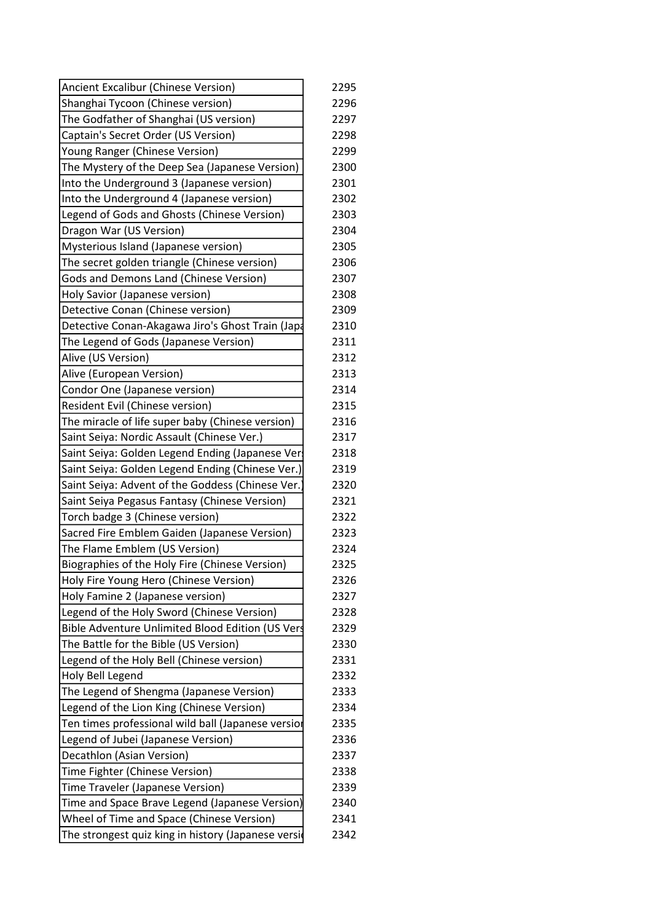| Ancient Excalibur (Chinese Version)                | 2295 |
|----------------------------------------------------|------|
| Shanghai Tycoon (Chinese version)                  | 2296 |
| The Godfather of Shanghai (US version)             | 2297 |
| Captain's Secret Order (US Version)                | 2298 |
| Young Ranger (Chinese Version)                     | 2299 |
| The Mystery of the Deep Sea (Japanese Version)     | 2300 |
| Into the Underground 3 (Japanese version)          | 2301 |
| Into the Underground 4 (Japanese version)          | 2302 |
| Legend of Gods and Ghosts (Chinese Version)        | 2303 |
| Dragon War (US Version)                            | 2304 |
| Mysterious Island (Japanese version)               | 2305 |
| The secret golden triangle (Chinese version)       | 2306 |
| Gods and Demons Land (Chinese Version)             | 2307 |
| Holy Savior (Japanese version)                     | 2308 |
| Detective Conan (Chinese version)                  | 2309 |
| Detective Conan-Akagawa Jiro's Ghost Train (Japa   | 2310 |
| The Legend of Gods (Japanese Version)              | 2311 |
| Alive (US Version)                                 | 2312 |
| Alive (European Version)                           | 2313 |
| Condor One (Japanese version)                      | 2314 |
| Resident Evil (Chinese version)                    | 2315 |
| The miracle of life super baby (Chinese version)   | 2316 |
| Saint Seiya: Nordic Assault (Chinese Ver.)         | 2317 |
| Saint Seiya: Golden Legend Ending (Japanese Ver    | 2318 |
| Saint Seiya: Golden Legend Ending (Chinese Ver.)   | 2319 |
| Saint Seiya: Advent of the Goddess (Chinese Ver.   | 2320 |
| Saint Seiya Pegasus Fantasy (Chinese Version)      | 2321 |
| Torch badge 3 (Chinese version)                    | 2322 |
| Sacred Fire Emblem Gaiden (Japanese Version)       | 2323 |
| The Flame Emblem (US Version)                      | 2324 |
| Biographies of the Holy Fire (Chinese Version)     | 2325 |
| Holy Fire Young Hero (Chinese Version)             | 2326 |
| Holy Famine 2 (Japanese version)                   | 2327 |
| Legend of the Holy Sword (Chinese Version)         | 2328 |
| Bible Adventure Unlimited Blood Edition (US Vers   | 2329 |
| The Battle for the Bible (US Version)              | 2330 |
| Legend of the Holy Bell (Chinese version)          | 2331 |
| Holy Bell Legend                                   | 2332 |
| The Legend of Shengma (Japanese Version)           | 2333 |
| Legend of the Lion King (Chinese Version)          | 2334 |
| Ten times professional wild ball (Japanese versior | 2335 |
| Legend of Jubei (Japanese Version)                 | 2336 |
| Decathlon (Asian Version)                          | 2337 |
| Time Fighter (Chinese Version)                     | 2338 |
| Time Traveler (Japanese Version)                   | 2339 |
| Time and Space Brave Legend (Japanese Version)     | 2340 |
| Wheel of Time and Space (Chinese Version)          | 2341 |
| The strongest quiz king in history (Japanese versi | 2342 |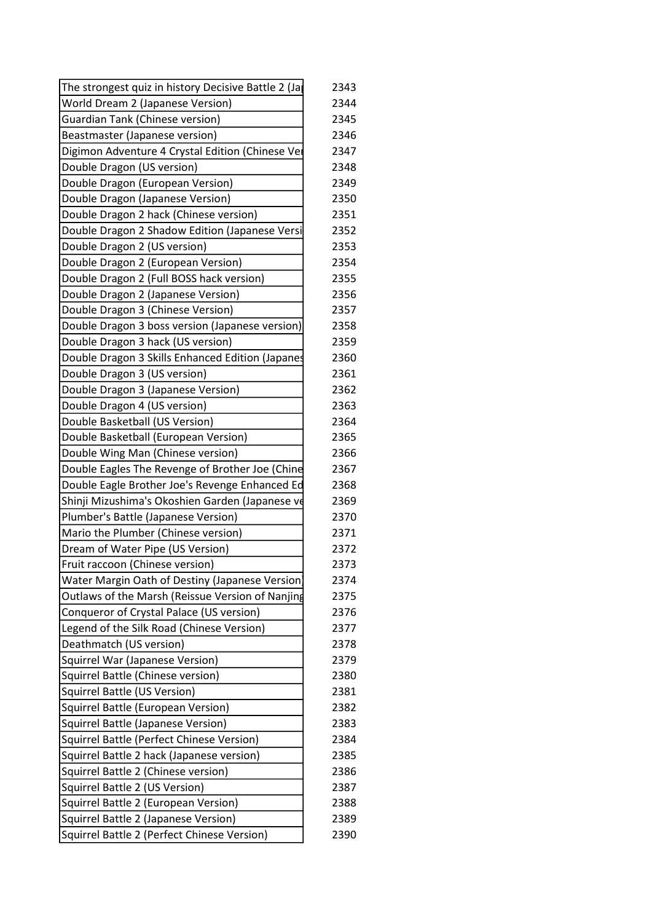| The strongest quiz in history Decisive Battle 2 (Ja | 2343 |
|-----------------------------------------------------|------|
| World Dream 2 (Japanese Version)                    | 2344 |
| <b>Guardian Tank (Chinese version)</b>              | 2345 |
| Beastmaster (Japanese version)                      | 2346 |
| Digimon Adventure 4 Crystal Edition (Chinese Ver    | 2347 |
| Double Dragon (US version)                          | 2348 |
| Double Dragon (European Version)                    | 2349 |
| Double Dragon (Japanese Version)                    | 2350 |
| Double Dragon 2 hack (Chinese version)              | 2351 |
| Double Dragon 2 Shadow Edition (Japanese Versi      | 2352 |
| Double Dragon 2 (US version)                        | 2353 |
| Double Dragon 2 (European Version)                  | 2354 |
| Double Dragon 2 (Full BOSS hack version)            | 2355 |
| Double Dragon 2 (Japanese Version)                  | 2356 |
| Double Dragon 3 (Chinese Version)                   | 2357 |
| Double Dragon 3 boss version (Japanese version)     | 2358 |
| Double Dragon 3 hack (US version)                   | 2359 |
| Double Dragon 3 Skills Enhanced Edition (Japanes    | 2360 |
| Double Dragon 3 (US version)                        | 2361 |
| Double Dragon 3 (Japanese Version)                  | 2362 |
| Double Dragon 4 (US version)                        | 2363 |
| Double Basketball (US Version)                      | 2364 |
| Double Basketball (European Version)                | 2365 |
| Double Wing Man (Chinese version)                   | 2366 |
| Double Eagles The Revenge of Brother Joe (Chine     | 2367 |
| Double Eagle Brother Joe's Revenge Enhanced Ed      | 2368 |
| Shinji Mizushima's Okoshien Garden (Japanese ve     | 2369 |
| Plumber's Battle (Japanese Version)                 | 2370 |
| Mario the Plumber (Chinese version)                 | 2371 |
| Dream of Water Pipe (US Version)                    | 2372 |
| Fruit raccoon (Chinese version)                     | 2373 |
| Water Margin Oath of Destiny (Japanese Version)     | 2374 |
| Outlaws of the Marsh (Reissue Version of Nanjing    | 2375 |
| Conqueror of Crystal Palace (US version)            | 2376 |
| Legend of the Silk Road (Chinese Version)           | 2377 |
| Deathmatch (US version)                             | 2378 |
| Squirrel War (Japanese Version)                     | 2379 |
| Squirrel Battle (Chinese version)                   | 2380 |
| Squirrel Battle (US Version)                        | 2381 |
| Squirrel Battle (European Version)                  | 2382 |
| Squirrel Battle (Japanese Version)                  | 2383 |
| Squirrel Battle (Perfect Chinese Version)           | 2384 |
| Squirrel Battle 2 hack (Japanese version)           | 2385 |
| Squirrel Battle 2 (Chinese version)                 | 2386 |
| Squirrel Battle 2 (US Version)                      | 2387 |
| Squirrel Battle 2 (European Version)                | 2388 |
| Squirrel Battle 2 (Japanese Version)                | 2389 |
| Squirrel Battle 2 (Perfect Chinese Version)         | 2390 |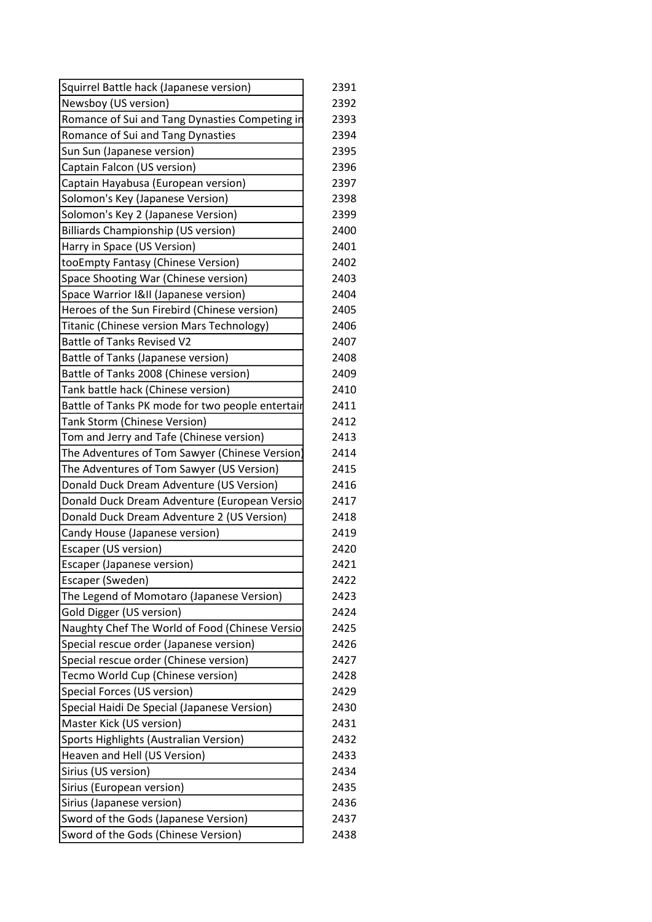| Squirrel Battle hack (Japanese version)          | 2391 |
|--------------------------------------------------|------|
| Newsboy (US version)                             | 2392 |
| Romance of Sui and Tang Dynasties Competing in   | 2393 |
| Romance of Sui and Tang Dynasties                | 2394 |
| Sun Sun (Japanese version)                       | 2395 |
| Captain Falcon (US version)                      | 2396 |
| Captain Hayabusa (European version)              | 2397 |
| Solomon's Key (Japanese Version)                 | 2398 |
| Solomon's Key 2 (Japanese Version)               | 2399 |
| Billiards Championship (US version)              | 2400 |
| Harry in Space (US Version)                      | 2401 |
| tooEmpty Fantasy (Chinese Version)               | 2402 |
| Space Shooting War (Chinese version)             | 2403 |
| Space Warrior I&II (Japanese version)            | 2404 |
| Heroes of the Sun Firebird (Chinese version)     | 2405 |
| Titanic (Chinese version Mars Technology)        | 2406 |
| <b>Battle of Tanks Revised V2</b>                | 2407 |
| Battle of Tanks (Japanese version)               | 2408 |
| Battle of Tanks 2008 (Chinese version)           | 2409 |
| Tank battle hack (Chinese version)               | 2410 |
| Battle of Tanks PK mode for two people entertair | 2411 |
| <b>Tank Storm (Chinese Version)</b>              | 2412 |
| Tom and Jerry and Tafe (Chinese version)         | 2413 |
| The Adventures of Tom Sawyer (Chinese Version)   | 2414 |
| The Adventures of Tom Sawyer (US Version)        | 2415 |
| Donald Duck Dream Adventure (US Version)         | 2416 |
| Donald Duck Dream Adventure (European Versio     | 2417 |
| Donald Duck Dream Adventure 2 (US Version)       | 2418 |
| Candy House (Japanese version)                   | 2419 |
| <b>Escaper (US version)</b>                      | 2420 |
| <b>Escaper (Japanese version)</b>                | 2421 |
| Escaper (Sweden)                                 | 2422 |
| The Legend of Momotaro (Japanese Version)        | 2423 |
| Gold Digger (US version)                         | 2424 |
| Naughty Chef The World of Food (Chinese Versio   | 2425 |
| Special rescue order (Japanese version)          | 2426 |
| Special rescue order (Chinese version)           | 2427 |
| Tecmo World Cup (Chinese version)                | 2428 |
| Special Forces (US version)                      | 2429 |
| Special Haidi De Special (Japanese Version)      | 2430 |
| Master Kick (US version)                         | 2431 |
| Sports Highlights (Australian Version)           | 2432 |
| Heaven and Hell (US Version)                     | 2433 |
| Sirius (US version)                              | 2434 |
| Sirius (European version)                        | 2435 |
| Sirius (Japanese version)                        | 2436 |
| Sword of the Gods (Japanese Version)             | 2437 |
| Sword of the Gods (Chinese Version)              | 2438 |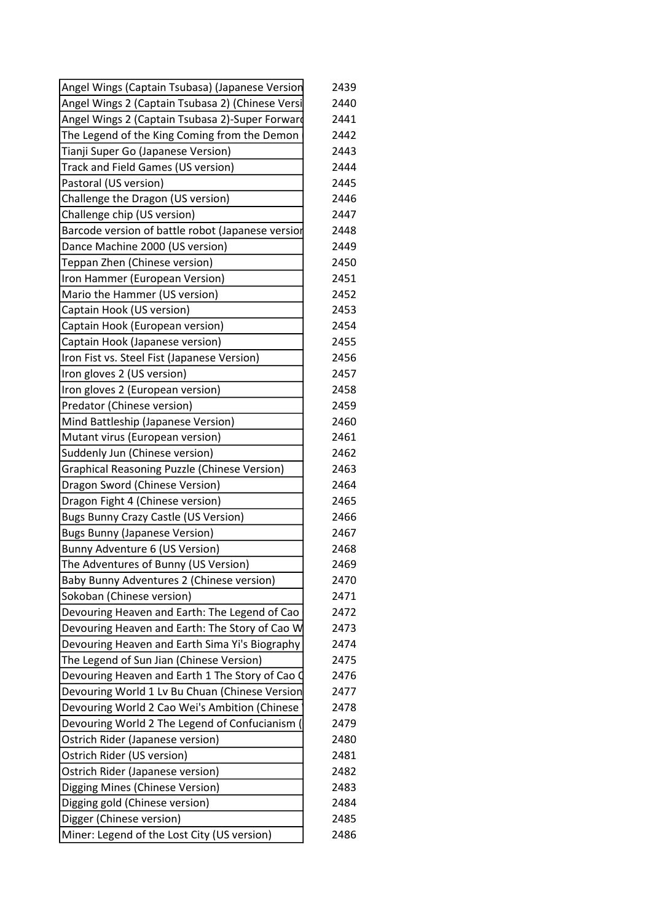| Angel Wings (Captain Tsubasa) (Japanese Version     | 2439 |
|-----------------------------------------------------|------|
| Angel Wings 2 (Captain Tsubasa 2) (Chinese Versi    | 2440 |
| Angel Wings 2 (Captain Tsubasa 2)-Super Forward     | 2441 |
| The Legend of the King Coming from the Demon        | 2442 |
| Tianji Super Go (Japanese Version)                  | 2443 |
| Track and Field Games (US version)                  | 2444 |
| Pastoral (US version)                               | 2445 |
| Challenge the Dragon (US version)                   | 2446 |
| Challenge chip (US version)                         | 2447 |
| Barcode version of battle robot (Japanese versior   | 2448 |
| Dance Machine 2000 (US version)                     | 2449 |
| Teppan Zhen (Chinese version)                       | 2450 |
| Iron Hammer (European Version)                      | 2451 |
| Mario the Hammer (US version)                       | 2452 |
| Captain Hook (US version)                           | 2453 |
| Captain Hook (European version)                     | 2454 |
| Captain Hook (Japanese version)                     | 2455 |
| Iron Fist vs. Steel Fist (Japanese Version)         | 2456 |
| Iron gloves 2 (US version)                          | 2457 |
| Iron gloves 2 (European version)                    | 2458 |
| Predator (Chinese version)                          | 2459 |
| Mind Battleship (Japanese Version)                  | 2460 |
| Mutant virus (European version)                     | 2461 |
| Suddenly Jun (Chinese version)                      | 2462 |
| <b>Graphical Reasoning Puzzle (Chinese Version)</b> | 2463 |
| Dragon Sword (Chinese Version)                      | 2464 |
| Dragon Fight 4 (Chinese version)                    | 2465 |
| <b>Bugs Bunny Crazy Castle (US Version)</b>         | 2466 |
| <b>Bugs Bunny (Japanese Version)</b>                | 2467 |
| Bunny Adventure 6 (US Version)                      | 2468 |
| The Adventures of Bunny (US Version)                | 2469 |
| Baby Bunny Adventures 2 (Chinese version)           | 2470 |
| Sokoban (Chinese version)                           | 2471 |
| Devouring Heaven and Earth: The Legend of Cao       | 2472 |
| Devouring Heaven and Earth: The Story of Cao W      | 2473 |
| Devouring Heaven and Earth Sima Yi's Biography      | 2474 |
| The Legend of Sun Jian (Chinese Version)            | 2475 |
| Devouring Heaven and Earth 1 The Story of Cao O     | 2476 |
| Devouring World 1 Lv Bu Chuan (Chinese Version      | 2477 |
| Devouring World 2 Cao Wei's Ambition (Chinese       | 2478 |
| Devouring World 2 The Legend of Confucianism (      | 2479 |
| Ostrich Rider (Japanese version)                    | 2480 |
| Ostrich Rider (US version)                          | 2481 |
| Ostrich Rider (Japanese version)                    | 2482 |
| Digging Mines (Chinese Version)                     | 2483 |
| Digging gold (Chinese version)                      | 2484 |
| Digger (Chinese version)                            | 2485 |
| Miner: Legend of the Lost City (US version)         | 2486 |
|                                                     |      |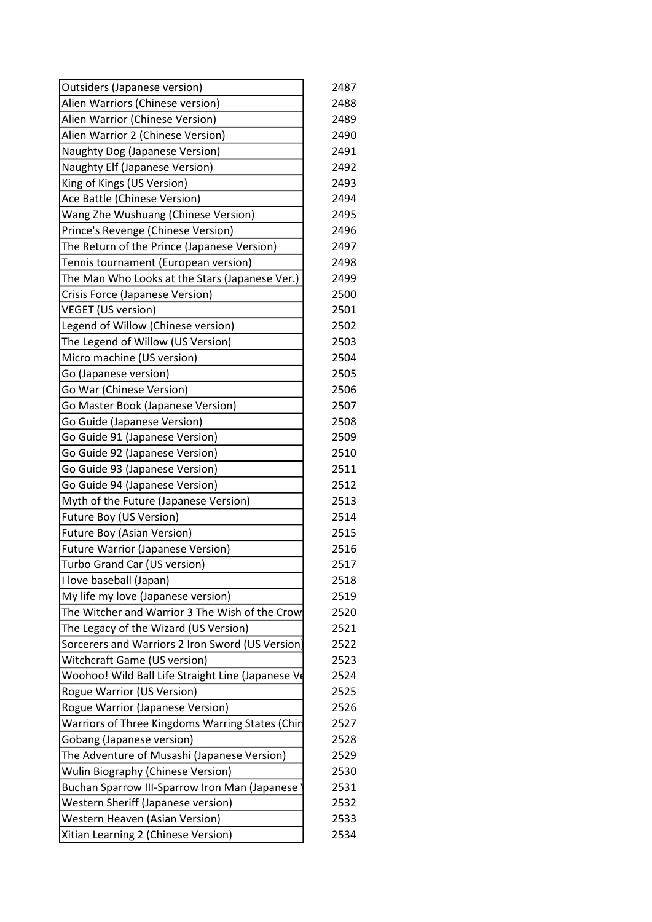| Outsiders (Japanese version)                      | 2487 |
|---------------------------------------------------|------|
| Alien Warriors (Chinese version)                  | 2488 |
| Alien Warrior (Chinese Version)                   | 2489 |
| Alien Warrior 2 (Chinese Version)                 | 2490 |
| Naughty Dog (Japanese Version)                    | 2491 |
| <b>Naughty Elf (Japanese Version)</b>             | 2492 |
| King of Kings (US Version)                        | 2493 |
| Ace Battle (Chinese Version)                      | 2494 |
| Wang Zhe Wushuang (Chinese Version)               | 2495 |
| Prince's Revenge (Chinese Version)                | 2496 |
| The Return of the Prince (Japanese Version)       | 2497 |
| Tennis tournament (European version)              | 2498 |
| The Man Who Looks at the Stars (Japanese Ver.)    | 2499 |
| Crisis Force (Japanese Version)                   | 2500 |
| <b>VEGET (US version)</b>                         | 2501 |
| Legend of Willow (Chinese version)                | 2502 |
| The Legend of Willow (US Version)                 | 2503 |
| Micro machine (US version)                        | 2504 |
| Go (Japanese version)                             | 2505 |
| Go War (Chinese Version)                          | 2506 |
| Go Master Book (Japanese Version)                 | 2507 |
| Go Guide (Japanese Version)                       | 2508 |
| Go Guide 91 (Japanese Version)                    | 2509 |
| Go Guide 92 (Japanese Version)                    | 2510 |
| Go Guide 93 (Japanese Version)                    | 2511 |
| Go Guide 94 (Japanese Version)                    | 2512 |
| Myth of the Future (Japanese Version)             | 2513 |
| Future Boy (US Version)                           | 2514 |
| <b>Future Boy (Asian Version)</b>                 | 2515 |
| <b>Future Warrior (Japanese Version)</b>          | 2516 |
| Turbo Grand Car (US version)                      | 2517 |
| I love baseball (Japan)                           | 2518 |
| My life my love (Japanese version)                | 2519 |
| The Witcher and Warrior 3 The Wish of the Crow    | 2520 |
| The Legacy of the Wizard (US Version)             | 2521 |
| Sorcerers and Warriors 2 Iron Sword (US Version)  | 2522 |
| Witchcraft Game (US version)                      | 2523 |
| Woohoo! Wild Ball Life Straight Line (Japanese Ve | 2524 |
| <b>Rogue Warrior (US Version)</b>                 | 2525 |
| Rogue Warrior (Japanese Version)                  | 2526 |
| Warriors of Three Kingdoms Warring States (Chin   | 2527 |
| Gobang (Japanese version)                         | 2528 |
| The Adventure of Musashi (Japanese Version)       | 2529 |
| <b>Wulin Biography (Chinese Version)</b>          | 2530 |
| Buchan Sparrow III-Sparrow Iron Man (Japanese     | 2531 |
| Western Sheriff (Japanese version)                | 2532 |
| Western Heaven (Asian Version)                    | 2533 |
| Xitian Learning 2 (Chinese Version)               | 2534 |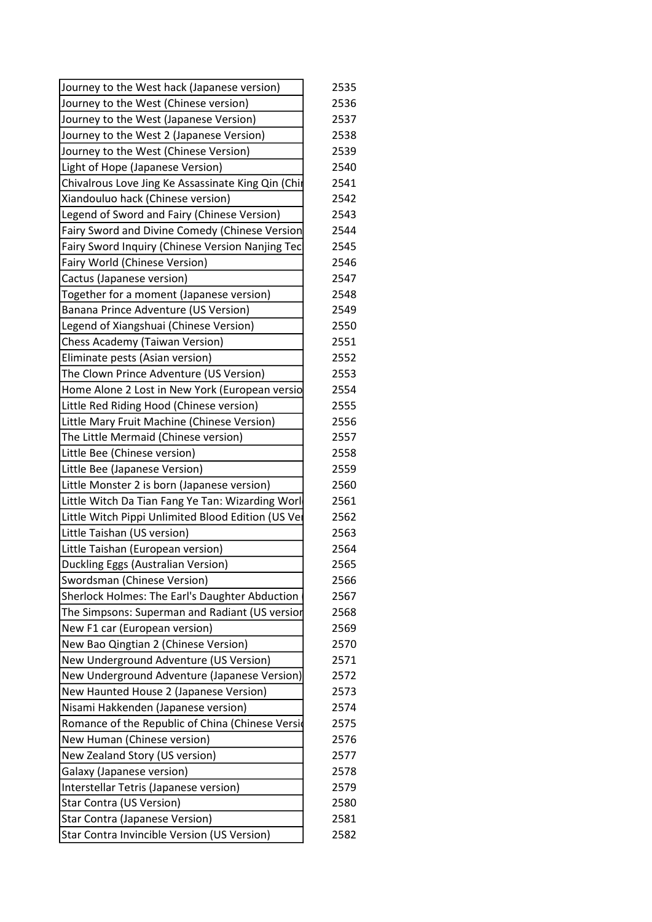| Journey to the West hack (Japanese version)             | 2535 |
|---------------------------------------------------------|------|
| Journey to the West (Chinese version)                   | 2536 |
| Journey to the West (Japanese Version)                  | 2537 |
| Journey to the West 2 (Japanese Version)                | 2538 |
| Journey to the West (Chinese Version)                   | 2539 |
| Light of Hope (Japanese Version)                        | 2540 |
| Chivalrous Love Jing Ke Assassinate King Qin (Chir      | 2541 |
| Xiandouluo hack (Chinese version)                       | 2542 |
| Legend of Sword and Fairy (Chinese Version)             | 2543 |
| <b>Fairy Sword and Divine Comedy (Chinese Version</b>   | 2544 |
| <b>Fairy Sword Inquiry (Chinese Version Nanjing Tec</b> | 2545 |
| Fairy World (Chinese Version)                           | 2546 |
| Cactus (Japanese version)                               | 2547 |
| Together for a moment (Japanese version)                | 2548 |
| Banana Prince Adventure (US Version)                    | 2549 |
| Legend of Xiangshuai (Chinese Version)                  | 2550 |
| <b>Chess Academy (Taiwan Version)</b>                   | 2551 |
| Eliminate pests (Asian version)                         | 2552 |
| The Clown Prince Adventure (US Version)                 | 2553 |
| Home Alone 2 Lost in New York (European versio          | 2554 |
| Little Red Riding Hood (Chinese version)                | 2555 |
| Little Mary Fruit Machine (Chinese Version)             | 2556 |
| The Little Mermaid (Chinese version)                    | 2557 |
| Little Bee (Chinese version)                            | 2558 |
| Little Bee (Japanese Version)                           | 2559 |
| Little Monster 2 is born (Japanese version)             | 2560 |
| Little Witch Da Tian Fang Ye Tan: Wizarding Worl        | 2561 |
| Little Witch Pippi Unlimited Blood Edition (US Ver      | 2562 |
| Little Taishan (US version)                             | 2563 |
| Little Taishan (European version)                       | 2564 |
| Duckling Eggs (Australian Version)                      | 2565 |
| Swordsman (Chinese Version)                             | 2566 |
| Sherlock Holmes: The Earl's Daughter Abduction          | 2567 |
| The Simpsons: Superman and Radiant (US versior          | 2568 |
| New F1 car (European version)                           | 2569 |
| New Bao Qingtian 2 (Chinese Version)                    | 2570 |
| New Underground Adventure (US Version)                  | 2571 |
| New Underground Adventure (Japanese Version)            | 2572 |
| New Haunted House 2 (Japanese Version)                  | 2573 |
| Nisami Hakkenden (Japanese version)                     | 2574 |
| Romance of the Republic of China (Chinese Versid        | 2575 |
| New Human (Chinese version)                             | 2576 |
| New Zealand Story (US version)                          | 2577 |
| Galaxy (Japanese version)                               | 2578 |
| Interstellar Tetris (Japanese version)                  | 2579 |
| Star Contra (US Version)                                | 2580 |
| Star Contra (Japanese Version)                          | 2581 |
| Star Contra Invincible Version (US Version)             | 2582 |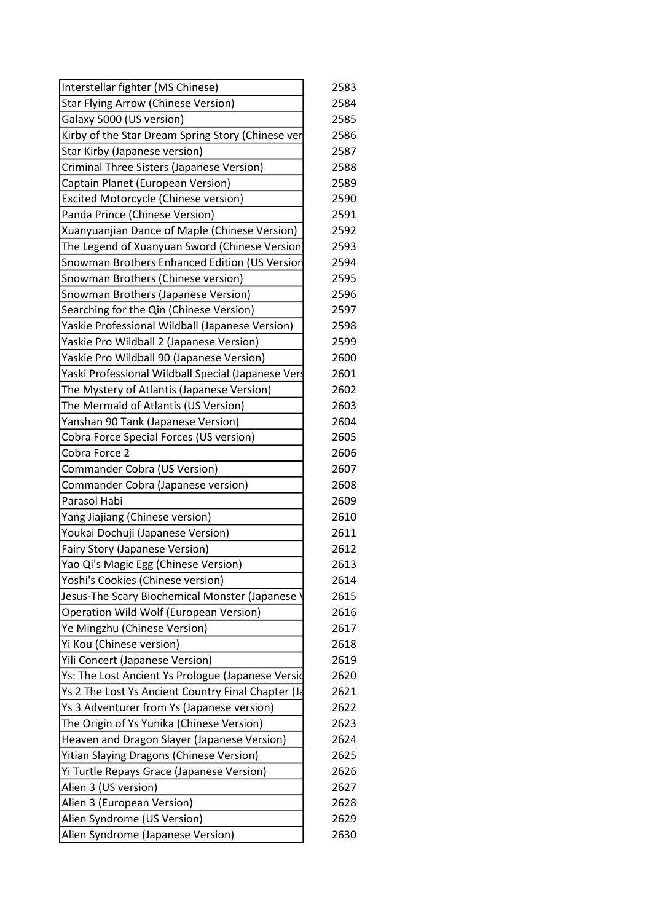| Interstellar fighter (MS Chinese)                                 | 2583 |
|-------------------------------------------------------------------|------|
| <b>Star Flying Arrow (Chinese Version)</b>                        | 2584 |
| Galaxy 5000 (US version)                                          | 2585 |
| Kirby of the Star Dream Spring Story (Chinese ver                 | 2586 |
| Star Kirby (Japanese version)                                     | 2587 |
| Criminal Three Sisters (Japanese Version)                         | 2588 |
| Captain Planet (European Version)                                 | 2589 |
| <b>Excited Motorcycle (Chinese version)</b>                       | 2590 |
| Panda Prince (Chinese Version)                                    | 2591 |
| Xuanyuanjian Dance of Maple (Chinese Version)                     | 2592 |
| The Legend of Xuanyuan Sword (Chinese Version                     | 2593 |
| Snowman Brothers Enhanced Edition (US Versior                     | 2594 |
| Snowman Brothers (Chinese version)                                | 2595 |
| Snowman Brothers (Japanese Version)                               | 2596 |
| Searching for the Qin (Chinese Version)                           | 2597 |
| Yaskie Professional Wildball (Japanese Version)                   | 2598 |
| Yaskie Pro Wildball 2 (Japanese Version)                          | 2599 |
| Yaskie Pro Wildball 90 (Japanese Version)                         | 2600 |
| Yaski Professional Wildball Special (Japanese Vers                | 2601 |
| The Mystery of Atlantis (Japanese Version)                        | 2602 |
| The Mermaid of Atlantis (US Version)                              | 2603 |
| Yanshan 90 Tank (Japanese Version)                                | 2604 |
| Cobra Force Special Forces (US version)                           | 2605 |
| Cobra Force 2                                                     | 2606 |
| Commander Cobra (US Version)                                      | 2607 |
| Commander Cobra (Japanese version)                                | 2608 |
| Parasol Habi                                                      | 2609 |
| Yang Jiajiang (Chinese version)                                   | 2610 |
| Youkai Dochuji (Japanese Version)                                 | 2611 |
| <b>Fairy Story (Japanese Version)</b>                             | 2612 |
| Yao Qi's Magic Egg (Chinese Version)                              | 2613 |
| Yoshi's Cookies (Chinese version)                                 | 2614 |
| Jesus-The Scary Biochemical Monster (Japanese                     | 2615 |
| Operation Wild Wolf (European Version)                            | 2616 |
| Ye Mingzhu (Chinese Version)                                      | 2617 |
| Yi Kou (Chinese version)                                          | 2618 |
| Yili Concert (Japanese Version)                                   | 2619 |
| Ys: The Lost Ancient Ys Prologue (Japanese Versid                 | 2620 |
| Ys 2 The Lost Ys Ancient Country Final Chapter (Ja                | 2621 |
| Ys 3 Adventurer from Ys (Japanese version)                        | 2622 |
| The Origin of Ys Yunika (Chinese Version)                         | 2623 |
| Heaven and Dragon Slayer (Japanese Version)                       | 2624 |
| Yitian Slaying Dragons (Chinese Version)                          | 2625 |
|                                                                   | 2626 |
| Yi Turtle Repays Grace (Japanese Version)<br>Alien 3 (US version) | 2627 |
| Alien 3 (European Version)                                        | 2628 |
|                                                                   |      |
| Alien Syndrome (US Version)                                       | 2629 |
| Alien Syndrome (Japanese Version)                                 | 2630 |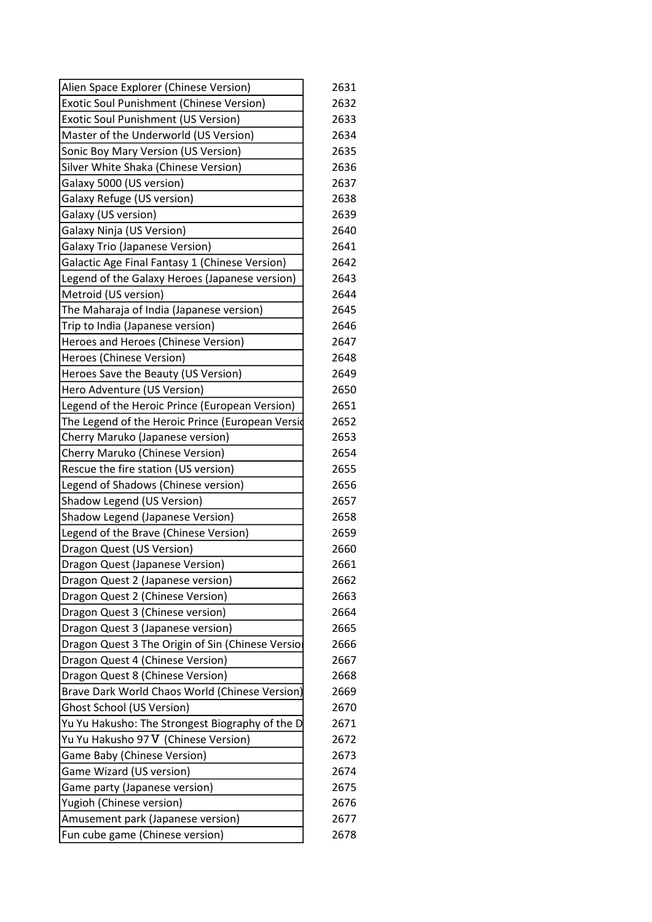| Alien Space Explorer (Chinese Version)            | 2631 |
|---------------------------------------------------|------|
| Exotic Soul Punishment (Chinese Version)          | 2632 |
| <b>Exotic Soul Punishment (US Version)</b>        | 2633 |
| Master of the Underworld (US Version)             | 2634 |
| Sonic Boy Mary Version (US Version)               | 2635 |
| Silver White Shaka (Chinese Version)              | 2636 |
| Galaxy 5000 (US version)                          | 2637 |
| Galaxy Refuge (US version)                        | 2638 |
| Galaxy (US version)                               | 2639 |
| <b>Galaxy Ninja (US Version)</b>                  | 2640 |
| <b>Galaxy Trio (Japanese Version)</b>             | 2641 |
| Galactic Age Final Fantasy 1 (Chinese Version)    | 2642 |
| Legend of the Galaxy Heroes (Japanese version)    | 2643 |
| Metroid (US version)                              | 2644 |
| The Maharaja of India (Japanese version)          | 2645 |
| Trip to India (Japanese version)                  | 2646 |
| Heroes and Heroes (Chinese Version)               | 2647 |
| Heroes (Chinese Version)                          | 2648 |
| Heroes Save the Beauty (US Version)               | 2649 |
| Hero Adventure (US Version)                       | 2650 |
| Legend of the Heroic Prince (European Version)    | 2651 |
| The Legend of the Heroic Prince (European Versid  | 2652 |
| Cherry Maruko (Japanese version)                  | 2653 |
| <b>Cherry Maruko (Chinese Version)</b>            | 2654 |
| Rescue the fire station (US version)              | 2655 |
| Legend of Shadows (Chinese version)               | 2656 |
| Shadow Legend (US Version)                        | 2657 |
| Shadow Legend (Japanese Version)                  | 2658 |
| Legend of the Brave (Chinese Version)             | 2659 |
| Dragon Quest (US Version)                         | 2660 |
| <b>Dragon Quest (Japanese Version)</b>            | 2661 |
| Dragon Quest 2 (Japanese version)                 | 2662 |
| Dragon Quest 2 (Chinese Version)                  | 2663 |
| Dragon Quest 3 (Chinese version)                  | 2664 |
| Dragon Quest 3 (Japanese version)                 | 2665 |
| Dragon Quest 3 The Origin of Sin (Chinese Versior | 2666 |
| Dragon Quest 4 (Chinese Version)                  | 2667 |
| Dragon Quest 8 (Chinese Version)                  | 2668 |
| Brave Dark World Chaos World (Chinese Version)    | 2669 |
| <b>Ghost School (US Version)</b>                  | 2670 |
| Yu Yu Hakusho: The Strongest Biography of the D   | 2671 |
| Yu Yu Hakusho 97 V (Chinese Version)              | 2672 |
| Game Baby (Chinese Version)                       | 2673 |
| Game Wizard (US version)                          | 2674 |
| Game party (Japanese version)                     | 2675 |
| Yugioh (Chinese version)                          | 2676 |
| Amusement park (Japanese version)                 | 2677 |
| Fun cube game (Chinese version)                   | 2678 |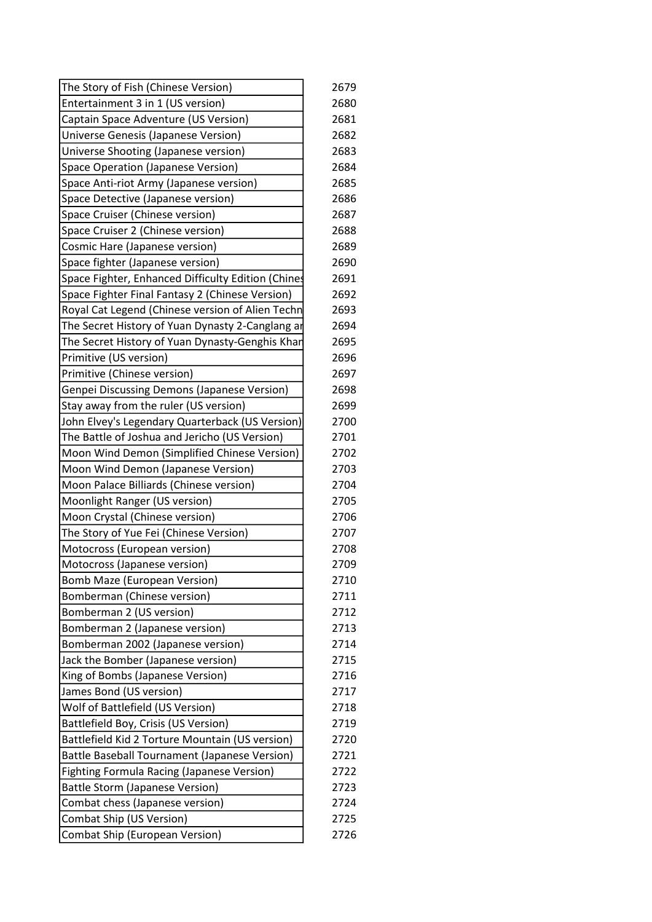| The Story of Fish (Chinese Version)                | 2679 |
|----------------------------------------------------|------|
| Entertainment 3 in 1 (US version)                  | 2680 |
| Captain Space Adventure (US Version)               | 2681 |
| Universe Genesis (Japanese Version)                | 2682 |
| Universe Shooting (Japanese version)               | 2683 |
| Space Operation (Japanese Version)                 | 2684 |
| Space Anti-riot Army (Japanese version)            | 2685 |
| Space Detective (Japanese version)                 | 2686 |
| Space Cruiser (Chinese version)                    | 2687 |
| Space Cruiser 2 (Chinese version)                  | 2688 |
| Cosmic Hare (Japanese version)                     | 2689 |
| Space fighter (Japanese version)                   | 2690 |
| Space Fighter, Enhanced Difficulty Edition (Chines | 2691 |
| Space Fighter Final Fantasy 2 (Chinese Version)    | 2692 |
| Royal Cat Legend (Chinese version of Alien Techn   | 2693 |
| The Secret History of Yuan Dynasty 2-Canglang ar   | 2694 |
| The Secret History of Yuan Dynasty-Genghis Khar    | 2695 |
| Primitive (US version)                             | 2696 |
| Primitive (Chinese version)                        | 2697 |
| Genpei Discussing Demons (Japanese Version)        | 2698 |
| Stay away from the ruler (US version)              | 2699 |
| John Elvey's Legendary Quarterback (US Version)    | 2700 |
| The Battle of Joshua and Jericho (US Version)      | 2701 |
| Moon Wind Demon (Simplified Chinese Version)       | 2702 |
| Moon Wind Demon (Japanese Version)                 | 2703 |
| Moon Palace Billiards (Chinese version)            | 2704 |
| Moonlight Ranger (US version)                      | 2705 |
| Moon Crystal (Chinese version)                     | 2706 |
| The Story of Yue Fei (Chinese Version)             | 2707 |
| Motocross (European version)                       | 2708 |
| Motocross (Japanese version)                       | 2709 |
| <b>Bomb Maze (European Version)</b>                | 2710 |
| Bomberman (Chinese version)                        | 2711 |
| Bomberman 2 (US version)                           | 2712 |
| Bomberman 2 (Japanese version)                     | 2713 |
| Bomberman 2002 (Japanese version)                  | 2714 |
| Jack the Bomber (Japanese version)                 | 2715 |
| King of Bombs (Japanese Version)                   | 2716 |
| James Bond (US version)                            | 2717 |
| Wolf of Battlefield (US Version)                   | 2718 |
| Battlefield Boy, Crisis (US Version)               | 2719 |
| Battlefield Kid 2 Torture Mountain (US version)    | 2720 |
| Battle Baseball Tournament (Japanese Version)      | 2721 |
| <b>Fighting Formula Racing (Japanese Version)</b>  | 2722 |
| <b>Battle Storm (Japanese Version)</b>             | 2723 |
| Combat chess (Japanese version)                    | 2724 |
| Combat Ship (US Version)                           | 2725 |
| Combat Ship (European Version)                     | 2726 |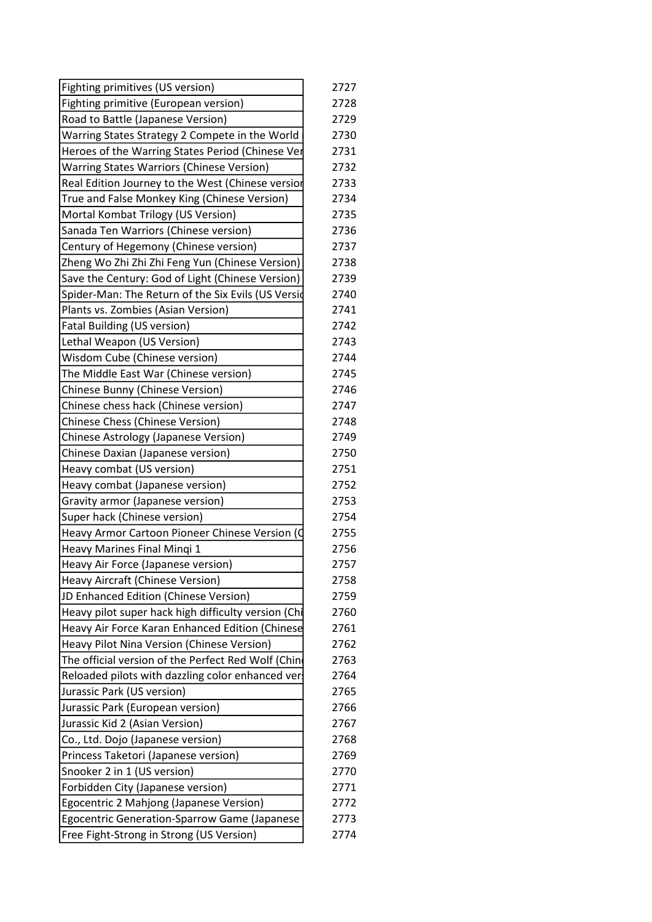| Fighting primitives (US version)                    | 2727 |
|-----------------------------------------------------|------|
| Fighting primitive (European version)               | 2728 |
| Road to Battle (Japanese Version)                   | 2729 |
| Warring States Strategy 2 Compete in the World      | 2730 |
| Heroes of the Warring States Period (Chinese Ver    | 2731 |
| Warring States Warriors (Chinese Version)           | 2732 |
| Real Edition Journey to the West (Chinese version   | 2733 |
| True and False Monkey King (Chinese Version)        | 2734 |
| Mortal Kombat Trilogy (US Version)                  | 2735 |
| Sanada Ten Warriors (Chinese version)               | 2736 |
| Century of Hegemony (Chinese version)               | 2737 |
| Zheng Wo Zhi Zhi Zhi Feng Yun (Chinese Version)     | 2738 |
| Save the Century: God of Light (Chinese Version)    | 2739 |
| Spider-Man: The Return of the Six Evils (US Versid  | 2740 |
| Plants vs. Zombies (Asian Version)                  | 2741 |
| <b>Fatal Building (US version)</b>                  | 2742 |
| Lethal Weapon (US Version)                          | 2743 |
| Wisdom Cube (Chinese version)                       | 2744 |
| The Middle East War (Chinese version)               | 2745 |
| Chinese Bunny (Chinese Version)                     | 2746 |
| Chinese chess hack (Chinese version)                | 2747 |
| Chinese Chess (Chinese Version)                     | 2748 |
| Chinese Astrology (Japanese Version)                | 2749 |
| Chinese Daxian (Japanese version)                   | 2750 |
| Heavy combat (US version)                           | 2751 |
| Heavy combat (Japanese version)                     | 2752 |
| Gravity armor (Japanese version)                    | 2753 |
| Super hack (Chinese version)                        | 2754 |
| Heavy Armor Cartoon Pioneer Chinese Version (O      | 2755 |
| Heavy Marines Final Minqi 1                         | 2756 |
| Heavy Air Force (Japanese version)                  | 2757 |
| Heavy Aircraft (Chinese Version)                    | 2758 |
| JD Enhanced Edition (Chinese Version)               | 2759 |
| Heavy pilot super hack high difficulty version (Chi | 2760 |
| Heavy Air Force Karan Enhanced Edition (Chinese     | 2761 |
| Heavy Pilot Nina Version (Chinese Version)          | 2762 |
| The official version of the Perfect Red Wolf (Chin  | 2763 |
| Reloaded pilots with dazzling color enhanced vers   | 2764 |
| Jurassic Park (US version)                          | 2765 |
| Jurassic Park (European version)                    | 2766 |
| Jurassic Kid 2 (Asian Version)                      | 2767 |
| Co., Ltd. Dojo (Japanese version)                   | 2768 |
| Princess Taketori (Japanese version)                | 2769 |
| Snooker 2 in 1 (US version)                         | 2770 |
| Forbidden City (Japanese version)                   | 2771 |
| Egocentric 2 Mahjong (Japanese Version)             | 2772 |
| Egocentric Generation-Sparrow Game (Japanese        | 2773 |
| Free Fight-Strong in Strong (US Version)            | 2774 |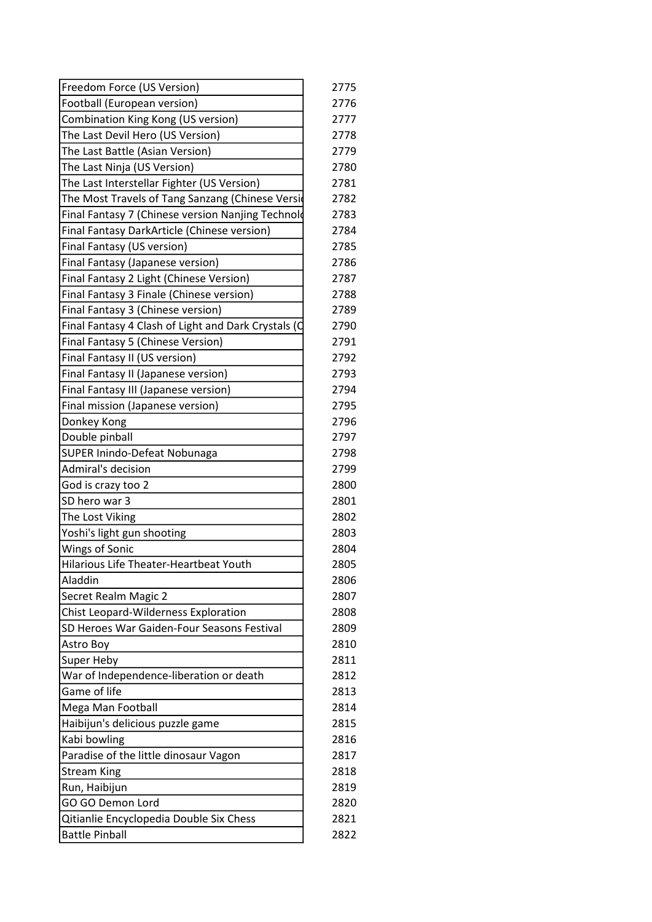| Freedom Force (US Version)                          | 2775 |
|-----------------------------------------------------|------|
| Football (European version)                         | 2776 |
| Combination King Kong (US version)                  | 2777 |
| The Last Devil Hero (US Version)                    | 2778 |
| The Last Battle (Asian Version)                     | 2779 |
| The Last Ninja (US Version)                         | 2780 |
| The Last Interstellar Fighter (US Version)          | 2781 |
| The Most Travels of Tang Sanzang (Chinese Versid    | 2782 |
| Final Fantasy 7 (Chinese version Nanjing Technold   | 2783 |
| Final Fantasy DarkArticle (Chinese version)         | 2784 |
| Final Fantasy (US version)                          | 2785 |
| Final Fantasy (Japanese version)                    | 2786 |
| Final Fantasy 2 Light (Chinese Version)             | 2787 |
| Final Fantasy 3 Finale (Chinese version)            | 2788 |
| Final Fantasy 3 (Chinese version)                   | 2789 |
| Final Fantasy 4 Clash of Light and Dark Crystals (C | 2790 |
| Final Fantasy 5 (Chinese Version)                   | 2791 |
| Final Fantasy II (US version)                       | 2792 |
| Final Fantasy II (Japanese version)                 | 2793 |
| Final Fantasy III (Japanese version)                | 2794 |
| Final mission (Japanese version)                    | 2795 |
| Donkey Kong                                         | 2796 |
| Double pinball                                      | 2797 |
| SUPER Inindo-Defeat Nobunaga                        | 2798 |
| Admiral's decision                                  | 2799 |
| God is crazy too 2                                  | 2800 |
| SD hero war 3                                       | 2801 |
| The Lost Viking                                     | 2802 |
| Yoshi's light gun shooting                          | 2803 |
| <b>Wings of Sonic</b>                               | 2804 |
| Hilarious Life Theater-Heartbeat Youth              | 2805 |
| Aladdin                                             | 2806 |
| Secret Realm Magic 2                                | 2807 |
| <b>Chist Leopard-Wilderness Exploration</b>         | 2808 |
| SD Heroes War Gaiden-Four Seasons Festival          | 2809 |
| Astro Boy                                           | 2810 |
| <b>Super Heby</b>                                   | 2811 |
| War of Independence-liberation or death             | 2812 |
| Game of life                                        | 2813 |
| Mega Man Football                                   | 2814 |
| Haibijun's delicious puzzle game                    | 2815 |
| Kabi bowling                                        | 2816 |
| Paradise of the little dinosaur Vagon               | 2817 |
| <b>Stream King</b>                                  | 2818 |
| Run, Haibijun                                       | 2819 |
| GO GO Demon Lord                                    | 2820 |
| Qitianlie Encyclopedia Double Six Chess             | 2821 |
| <b>Battle Pinball</b>                               | 2822 |
|                                                     |      |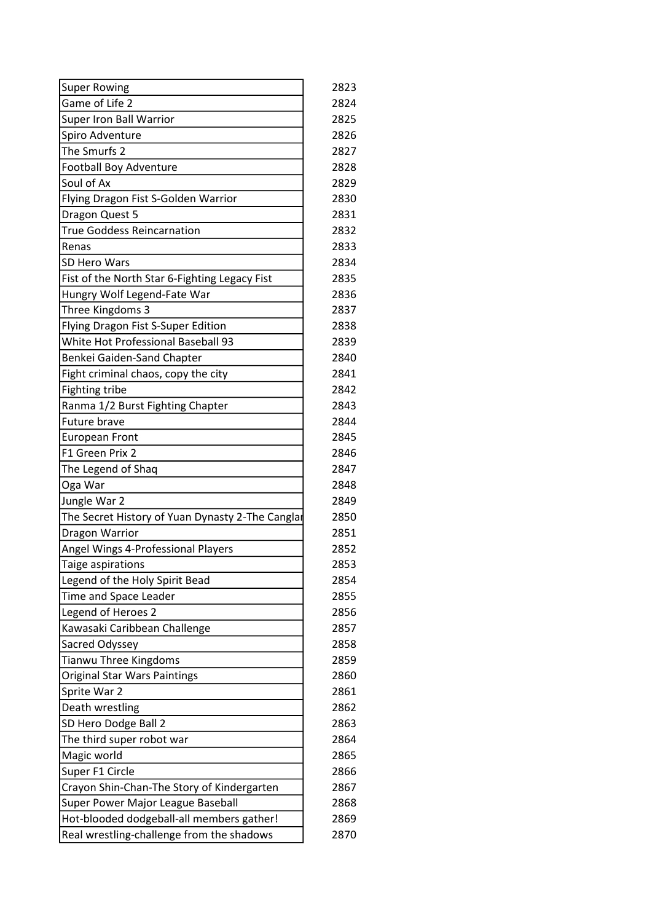| <b>Super Rowing</b>                              | 2823 |
|--------------------------------------------------|------|
| Game of Life 2                                   | 2824 |
| Super Iron Ball Warrior                          | 2825 |
| Spiro Adventure                                  | 2826 |
| The Smurfs 2                                     | 2827 |
| <b>Football Boy Adventure</b>                    | 2828 |
| Soul of Ax                                       | 2829 |
| Flying Dragon Fist S-Golden Warrior              | 2830 |
| Dragon Quest 5                                   | 2831 |
| <b>True Goddess Reincarnation</b>                | 2832 |
| Renas                                            | 2833 |
| <b>SD Hero Wars</b>                              | 2834 |
| Fist of the North Star 6-Fighting Legacy Fist    | 2835 |
| Hungry Wolf Legend-Fate War                      | 2836 |
| Three Kingdoms 3                                 | 2837 |
| Flying Dragon Fist S-Super Edition               | 2838 |
| White Hot Professional Baseball 93               | 2839 |
| Benkei Gaiden-Sand Chapter                       | 2840 |
| Fight criminal chaos, copy the city              | 2841 |
| <b>Fighting tribe</b>                            | 2842 |
| Ranma 1/2 Burst Fighting Chapter                 | 2843 |
| Future brave                                     | 2844 |
| <b>European Front</b>                            | 2845 |
| F1 Green Prix 2                                  | 2846 |
| The Legend of Shaq                               | 2847 |
| Oga War                                          | 2848 |
| Jungle War 2                                     | 2849 |
| The Secret History of Yuan Dynasty 2-The Canglar | 2850 |
| <b>Dragon Warrior</b>                            | 2851 |
| Angel Wings 4-Professional Players               | 2852 |
| Taige aspirations                                | 2853 |
| Legend of the Holy Spirit Bead                   | 2854 |
| Time and Space Leader                            | 2855 |
| Legend of Heroes 2                               | 2856 |
| Kawasaki Caribbean Challenge                     | 2857 |
| Sacred Odyssey                                   | 2858 |
| <b>Tianwu Three Kingdoms</b>                     | 2859 |
| <b>Original Star Wars Paintings</b>              | 2860 |
| Sprite War 2                                     | 2861 |
| Death wrestling                                  | 2862 |
| SD Hero Dodge Ball 2                             | 2863 |
| The third super robot war                        | 2864 |
| Magic world                                      | 2865 |
| Super F1 Circle                                  | 2866 |
| Crayon Shin-Chan-The Story of Kindergarten       | 2867 |
| Super Power Major League Baseball                | 2868 |
| Hot-blooded dodgeball-all members gather!        | 2869 |
| Real wrestling-challenge from the shadows        | 2870 |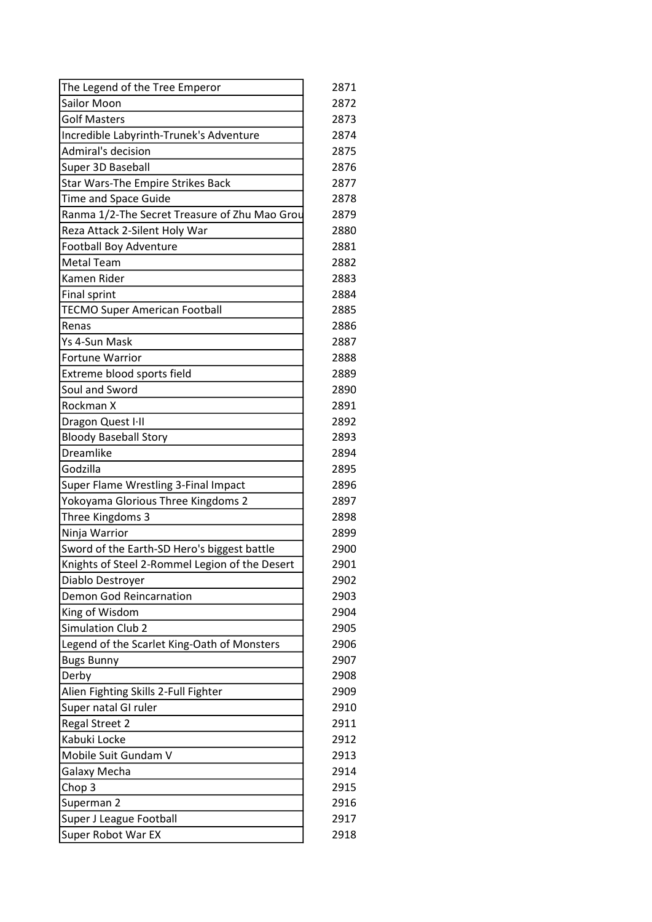| The Legend of the Tree Emperor                 | 2871 |
|------------------------------------------------|------|
| Sailor Moon                                    | 2872 |
| <b>Golf Masters</b>                            | 2873 |
| Incredible Labyrinth-Trunek's Adventure        | 2874 |
| Admiral's decision                             | 2875 |
| Super 3D Baseball                              | 2876 |
| Star Wars-The Empire Strikes Back              | 2877 |
| Time and Space Guide                           | 2878 |
| Ranma 1/2-The Secret Treasure of Zhu Mao Grou  | 2879 |
| Reza Attack 2-Silent Holy War                  | 2880 |
| Football Boy Adventure                         | 2881 |
| <b>Metal Team</b>                              | 2882 |
| Kamen Rider                                    | 2883 |
| Final sprint                                   | 2884 |
| <b>TECMO Super American Football</b>           | 2885 |
| <b>Renas</b>                                   | 2886 |
| Ys 4-Sun Mask                                  | 2887 |
| Fortune Warrior                                | 2888 |
| Extreme blood sports field                     | 2889 |
| Soul and Sword                                 | 2890 |
| Rockman X                                      | 2891 |
| Dragon Quest I-II                              | 2892 |
| <b>Bloody Baseball Story</b>                   | 2893 |
| Dreamlike                                      | 2894 |
| Godzilla                                       | 2895 |
| Super Flame Wrestling 3-Final Impact           | 2896 |
| Yokoyama Glorious Three Kingdoms 2             | 2897 |
| Three Kingdoms 3                               | 2898 |
| Ninja Warrior                                  | 2899 |
| Sword of the Earth-SD Hero's biggest battle    | 2900 |
| Knights of Steel 2-Rommel Legion of the Desert | 2901 |
| Diablo Destroyer                               | 2902 |
| Demon God Reincarnation                        | 2903 |
| King of Wisdom                                 | 2904 |
| <b>Simulation Club 2</b>                       | 2905 |
| Legend of the Scarlet King-Oath of Monsters    | 2906 |
| <b>Bugs Bunny</b>                              | 2907 |
| Derby                                          | 2908 |
| Alien Fighting Skills 2-Full Fighter           | 2909 |
| Super natal GI ruler                           | 2910 |
| <b>Regal Street 2</b>                          | 2911 |
| Kabuki Locke                                   | 2912 |
| Mobile Suit Gundam V                           | 2913 |
| Galaxy Mecha                                   | 2914 |
| Chop 3                                         | 2915 |
| Superman 2                                     | 2916 |
| Super J League Football                        | 2917 |
| Super Robot War EX                             | 2918 |
|                                                |      |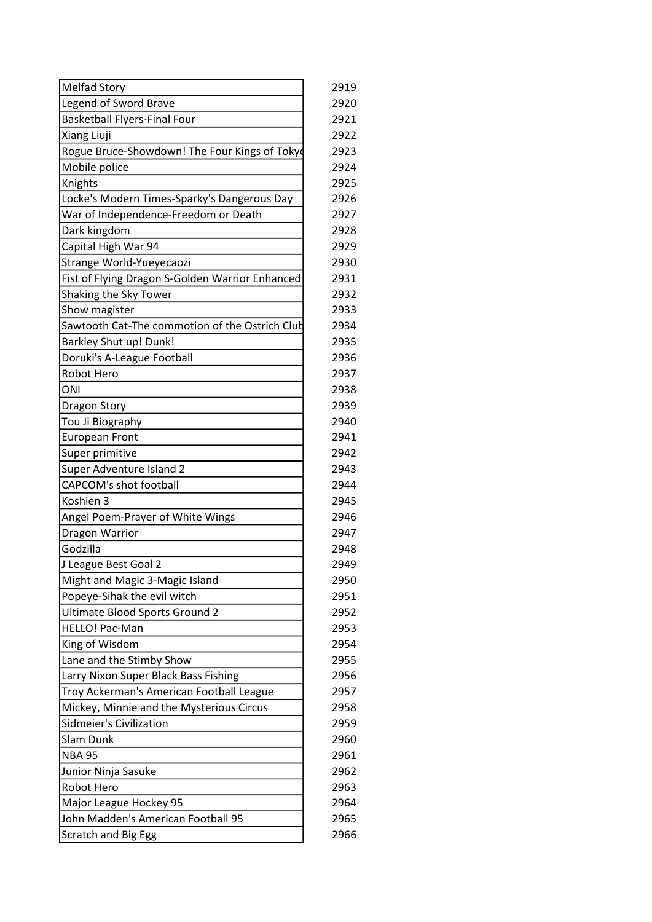| <b>Melfad Story</b>                             | 2919 |
|-------------------------------------------------|------|
| Legend of Sword Brave                           | 2920 |
| <b>Basketball Flyers-Final Four</b>             | 2921 |
| Xiang Liuji                                     | 2922 |
| Rogue Bruce-Showdown! The Four Kings of Tokyo   | 2923 |
| Mobile police                                   | 2924 |
| Knights                                         | 2925 |
| Locke's Modern Times-Sparky's Dangerous Day     | 2926 |
| War of Independence-Freedom or Death            | 2927 |
| Dark kingdom                                    | 2928 |
| Capital High War 94                             | 2929 |
| Strange World-Yueyecaozi                        | 2930 |
| Fist of Flying Dragon S-Golden Warrior Enhanced | 2931 |
| Shaking the Sky Tower                           | 2932 |
| Show magister                                   | 2933 |
| Sawtooth Cat-The commotion of the Ostrich Club  | 2934 |
| <b>Barkley Shut up! Dunk!</b>                   | 2935 |
| Doruki's A-League Football                      | 2936 |
| <b>Robot Hero</b>                               | 2937 |
| ONI                                             | 2938 |
| <b>Dragon Story</b>                             | 2939 |
| Tou Ji Biography                                | 2940 |
| <b>European Front</b>                           | 2941 |
| Super primitive                                 | 2942 |
| Super Adventure Island 2                        | 2943 |
| <b>CAPCOM's shot football</b>                   | 2944 |
| Koshien 3                                       | 2945 |
| Angel Poem-Prayer of White Wings                | 2946 |
| Dragon Warrior                                  | 2947 |
| Godzilla                                        | 2948 |
| J League Best Goal 2                            | 2949 |
| Might and Magic 3-Magic Island                  | 2950 |
| Popeye-Sihak the evil witch                     | 2951 |
| Ultimate Blood Sports Ground 2                  | 2952 |
| HELLO! Pac-Man                                  | 2953 |
| King of Wisdom                                  | 2954 |
| Lane and the Stimby Show                        | 2955 |
| Larry Nixon Super Black Bass Fishing            | 2956 |
| Troy Ackerman's American Football League        | 2957 |
| Mickey, Minnie and the Mysterious Circus        | 2958 |
| Sidmeier's Civilization                         | 2959 |
| Slam Dunk                                       | 2960 |
| <b>NBA 95</b>                                   | 2961 |
| Junior Ninja Sasuke                             | 2962 |
| Robot Hero                                      | 2963 |
| Major League Hockey 95                          | 2964 |
| John Madden's American Football 95              | 2965 |
| <b>Scratch and Big Egg</b>                      | 2966 |
|                                                 |      |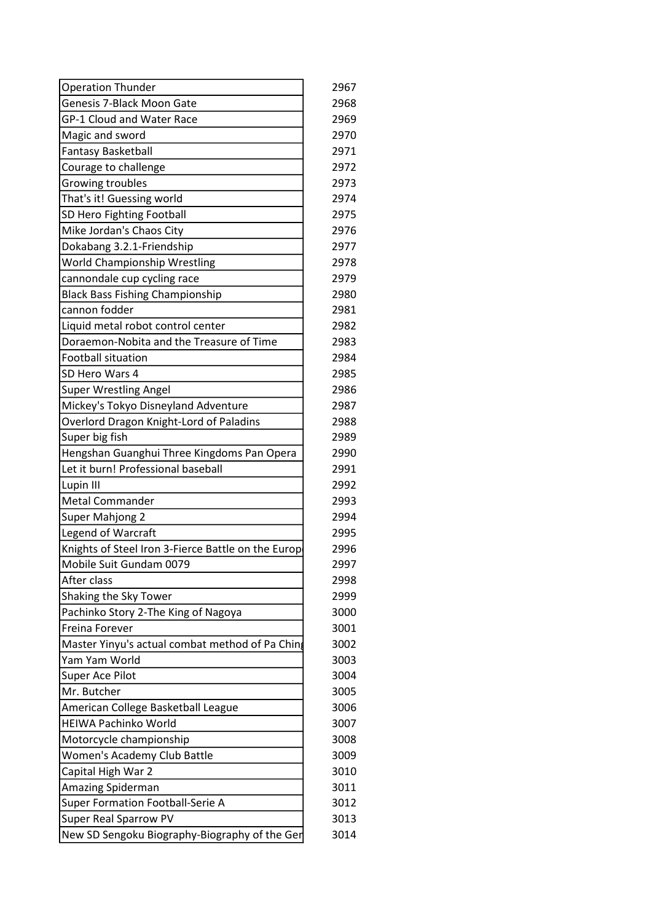| <b>Operation Thunder</b>                           | 2967 |
|----------------------------------------------------|------|
| Genesis 7-Black Moon Gate                          | 2968 |
| <b>GP-1 Cloud and Water Race</b>                   | 2969 |
| Magic and sword                                    | 2970 |
| <b>Fantasy Basketball</b>                          | 2971 |
| Courage to challenge                               | 2972 |
| Growing troubles                                   | 2973 |
| That's it! Guessing world                          | 2974 |
| SD Hero Fighting Football                          | 2975 |
| Mike Jordan's Chaos City                           | 2976 |
| Dokabang 3.2.1-Friendship                          | 2977 |
| <b>World Championship Wrestling</b>                | 2978 |
| cannondale cup cycling race                        | 2979 |
| <b>Black Bass Fishing Championship</b>             | 2980 |
| cannon fodder                                      | 2981 |
| Liquid metal robot control center                  | 2982 |
| Doraemon-Nobita and the Treasure of Time           | 2983 |
| <b>Football situation</b>                          | 2984 |
| SD Hero Wars 4                                     | 2985 |
| <b>Super Wrestling Angel</b>                       | 2986 |
| Mickey's Tokyo Disneyland Adventure                | 2987 |
| Overlord Dragon Knight-Lord of Paladins            | 2988 |
| Super big fish                                     | 2989 |
| Hengshan Guanghui Three Kingdoms Pan Opera         | 2990 |
| Let it burn! Professional baseball                 | 2991 |
| Lupin III                                          | 2992 |
| <b>Metal Commander</b>                             | 2993 |
| Super Mahjong 2                                    | 2994 |
| Legend of Warcraft                                 | 2995 |
| Knights of Steel Iron 3-Fierce Battle on the Europ | 2996 |
| Mobile Suit Gundam 0079                            | 2997 |
| After class                                        | 2998 |
| Shaking the Sky Tower                              | 2999 |
| Pachinko Story 2-The King of Nagoya                | 3000 |
| <b>Freina Forever</b>                              | 3001 |
| Master Yinyu's actual combat method of Pa Ching    | 3002 |
| Yam Yam World                                      | 3003 |
| Super Ace Pilot                                    | 3004 |
| Mr. Butcher                                        | 3005 |
| American College Basketball League                 | 3006 |
| <b>HEIWA Pachinko World</b>                        | 3007 |
| Motorcycle championship                            | 3008 |
| Women's Academy Club Battle                        | 3009 |
| Capital High War 2                                 | 3010 |
| Amazing Spiderman                                  | 3011 |
| Super Formation Football-Serie A                   | 3012 |
| Super Real Sparrow PV                              | 3013 |
| New SD Sengoku Biography-Biography of the Ger      | 3014 |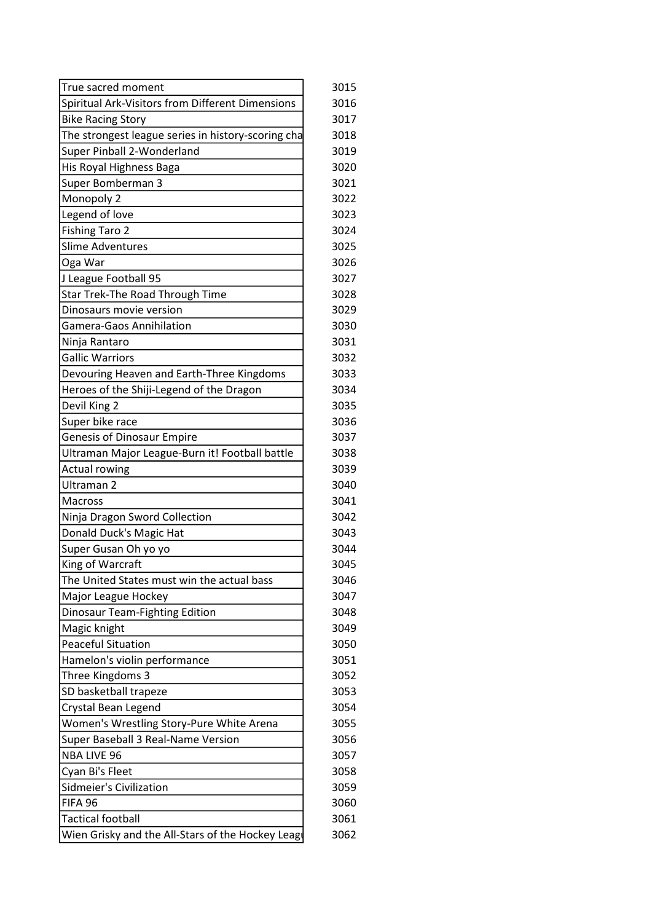| True sacred moment                                 | 3015 |
|----------------------------------------------------|------|
| Spiritual Ark-Visitors from Different Dimensions   | 3016 |
| <b>Bike Racing Story</b>                           | 3017 |
| The strongest league series in history-scoring cha | 3018 |
| Super Pinball 2-Wonderland                         | 3019 |
| His Royal Highness Baga                            | 3020 |
| Super Bomberman 3                                  | 3021 |
| Monopoly 2                                         | 3022 |
| Legend of love                                     | 3023 |
| <b>Fishing Taro 2</b>                              | 3024 |
| <b>Slime Adventures</b>                            | 3025 |
| Oga War                                            | 3026 |
| J League Football 95                               | 3027 |
| Star Trek-The Road Through Time                    | 3028 |
| Dinosaurs movie version                            | 3029 |
| <b>Gamera-Gaos Annihilation</b>                    | 3030 |
| Ninja Rantaro                                      | 3031 |
| <b>Gallic Warriors</b>                             | 3032 |
| Devouring Heaven and Earth-Three Kingdoms          | 3033 |
| Heroes of the Shiji-Legend of the Dragon           | 3034 |
| Devil King 2                                       | 3035 |
| Super bike race                                    | 3036 |
| <b>Genesis of Dinosaur Empire</b>                  | 3037 |
| Ultraman Major League-Burn it! Football battle     | 3038 |
| <b>Actual rowing</b>                               | 3039 |
| Ultraman 2                                         | 3040 |
| <b>Macross</b>                                     | 3041 |
| Ninja Dragon Sword Collection                      | 3042 |
| Donald Duck's Magic Hat                            | 3043 |
| Super Gusan Oh yo yo                               | 3044 |
| King of Warcraft                                   | 3045 |
| The United States must win the actual bass         | 3046 |
| Major League Hockey                                | 3047 |
| Dinosaur Team-Fighting Edition                     | 3048 |
| Magic knight                                       | 3049 |
| <b>Peaceful Situation</b>                          | 3050 |
| Hamelon's violin performance                       | 3051 |
| Three Kingdoms 3                                   | 3052 |
| SD basketball trapeze                              | 3053 |
| Crystal Bean Legend                                | 3054 |
| Women's Wrestling Story-Pure White Arena           | 3055 |
| Super Baseball 3 Real-Name Version                 | 3056 |
| <b>NBA LIVE 96</b>                                 | 3057 |
| Cyan Bi's Fleet                                    | 3058 |
| Sidmeier's Civilization                            | 3059 |
| FIFA 96                                            | 3060 |
| <b>Tactical football</b>                           | 3061 |
| Wien Grisky and the All-Stars of the Hockey Leagu  | 3062 |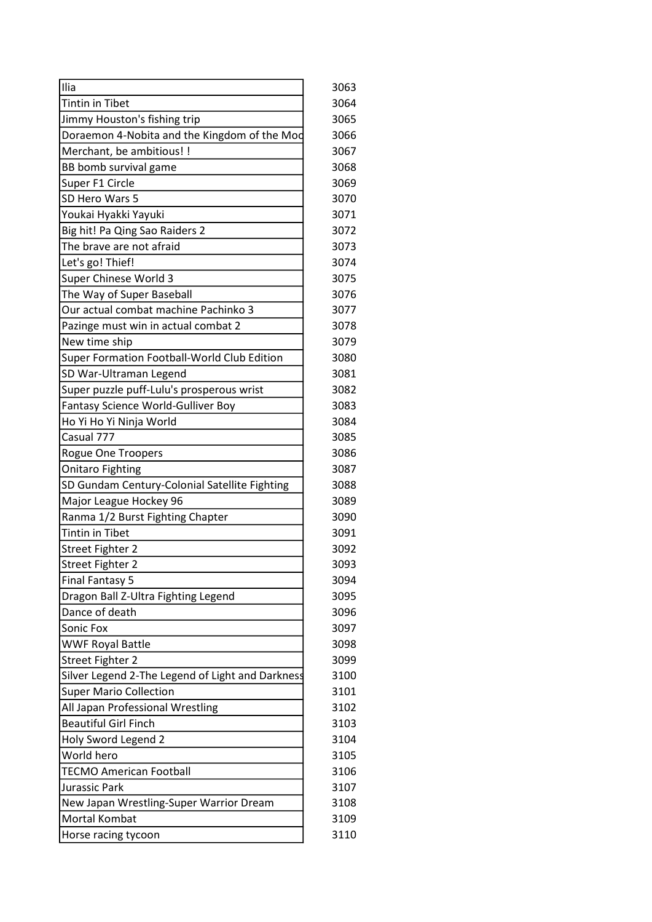| Ilia                                                       | 3063 |
|------------------------------------------------------------|------|
| <b>Tintin in Tibet</b>                                     | 3064 |
| Jimmy Houston's fishing trip                               | 3065 |
| Doraemon 4-Nobita and the Kingdom of the Mod               | 3066 |
| Merchant, be ambitious! !                                  | 3067 |
| BB bomb survival game                                      | 3068 |
| Super F1 Circle                                            | 3069 |
| SD Hero Wars 5                                             | 3070 |
| Youkai Hyakki Yayuki                                       | 3071 |
| Big hit! Pa Qing Sao Raiders 2                             | 3072 |
| The brave are not afraid                                   | 3073 |
| Let's go! Thief!                                           | 3074 |
| Super Chinese World 3                                      | 3075 |
| The Way of Super Baseball                                  | 3076 |
| Our actual combat machine Pachinko 3                       | 3077 |
| Pazinge must win in actual combat 2                        | 3078 |
| New time ship                                              | 3079 |
| Super Formation Football-World Club Edition                | 3080 |
| SD War-Ultraman Legend                                     | 3081 |
| Super puzzle puff-Lulu's prosperous wrist                  | 3082 |
| Fantasy Science World-Gulliver Boy                         | 3083 |
| Ho Yi Ho Yi Ninja World                                    | 3084 |
| Casual 777                                                 | 3085 |
| Rogue One Troopers                                         | 3086 |
| <b>Onitaro Fighting</b>                                    | 3087 |
| SD Gundam Century-Colonial Satellite Fighting              | 3088 |
| Major League Hockey 96                                     | 3089 |
|                                                            | 3090 |
| Ranma 1/2 Burst Fighting Chapter<br><b>Tintin in Tibet</b> | 3091 |
|                                                            | 3092 |
| <b>Street Fighter 2</b>                                    |      |
| <b>Street Fighter 2</b>                                    | 3093 |
| <b>Final Fantasy 5</b>                                     | 3094 |
| Dragon Ball Z-Ultra Fighting Legend                        | 3095 |
| Dance of death                                             | 3096 |
| Sonic Fox                                                  | 3097 |
| <b>WWF Royal Battle</b>                                    | 3098 |
| <b>Street Fighter 2</b>                                    | 3099 |
| Silver Legend 2-The Legend of Light and Darkness           | 3100 |
| <b>Super Mario Collection</b>                              | 3101 |
| All Japan Professional Wrestling                           | 3102 |
| <b>Beautiful Girl Finch</b>                                | 3103 |
| Holy Sword Legend 2                                        | 3104 |
| World hero                                                 | 3105 |
| <b>TECMO American Football</b>                             | 3106 |
| Jurassic Park                                              | 3107 |
| New Japan Wrestling-Super Warrior Dream                    | 3108 |
| Mortal Kombat                                              | 3109 |
| Horse racing tycoon                                        | 3110 |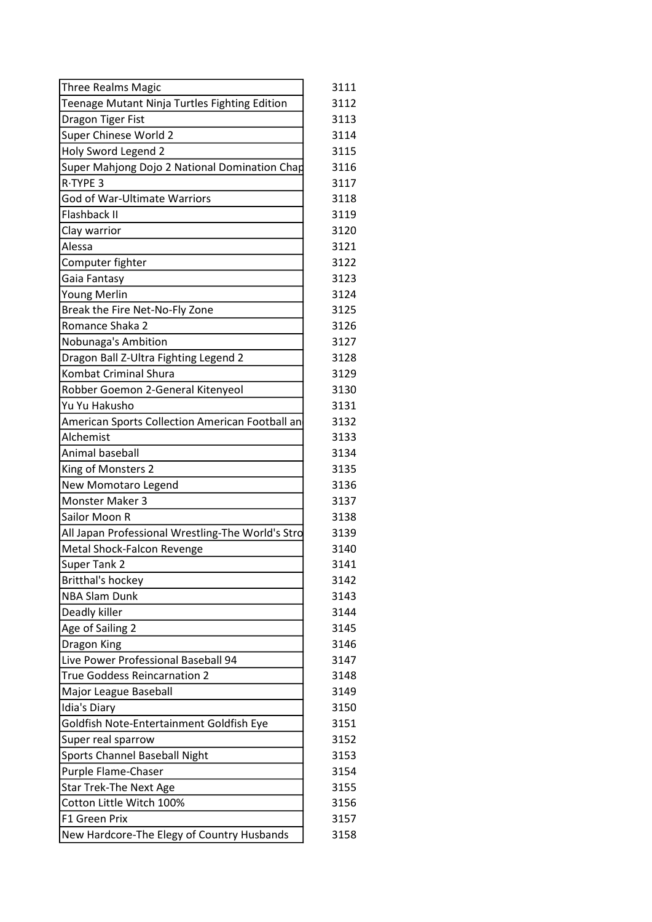| <b>Three Realms Magic</b>                         | 3111 |
|---------------------------------------------------|------|
| Teenage Mutant Ninja Turtles Fighting Edition     | 3112 |
| Dragon Tiger Fist                                 | 3113 |
| Super Chinese World 2                             | 3114 |
| Holy Sword Legend 2                               | 3115 |
| Super Mahjong Dojo 2 National Domination Chap     | 3116 |
| R-TYPE 3                                          | 3117 |
| God of War-Ultimate Warriors                      | 3118 |
| Flashback II                                      | 3119 |
| Clay warrior                                      | 3120 |
| Alessa                                            | 3121 |
| Computer fighter                                  | 3122 |
| Gaia Fantasy                                      | 3123 |
| Young Merlin                                      | 3124 |
| Break the Fire Net-No-Fly Zone                    | 3125 |
| Romance Shaka 2                                   | 3126 |
| Nobunaga's Ambition                               | 3127 |
| Dragon Ball Z-Ultra Fighting Legend 2             | 3128 |
| <b>Kombat Criminal Shura</b>                      | 3129 |
| Robber Goemon 2-General Kitenyeol                 | 3130 |
| Yu Yu Hakusho                                     | 3131 |
| American Sports Collection American Football an   | 3132 |
| Alchemist                                         | 3133 |
| Animal baseball                                   | 3134 |
| King of Monsters 2                                | 3135 |
| New Momotaro Legend                               | 3136 |
| Monster Maker 3                                   | 3137 |
| Sailor Moon R                                     | 3138 |
| All Japan Professional Wrestling-The World's Stro | 3139 |
| Metal Shock-Falcon Revenge                        | 3140 |
| <b>Super Tank 2</b>                               | 3141 |
| <b>Britthal's hockey</b>                          | 3142 |
| <b>NBA Slam Dunk</b>                              | 3143 |
| Deadly killer                                     | 3144 |
| Age of Sailing 2                                  | 3145 |
| Dragon King                                       | 3146 |
| Live Power Professional Baseball 94               | 3147 |
| <b>True Goddess Reincarnation 2</b>               | 3148 |
| Major League Baseball                             | 3149 |
| Idia's Diary                                      | 3150 |
| Goldfish Note-Entertainment Goldfish Eye          | 3151 |
| Super real sparrow                                | 3152 |
| Sports Channel Baseball Night                     | 3153 |
| Purple Flame-Chaser                               | 3154 |
| <b>Star Trek-The Next Age</b>                     | 3155 |
| Cotton Little Witch 100%                          | 3156 |
| F1 Green Prix                                     | 3157 |
| New Hardcore-The Elegy of Country Husbands        | 3158 |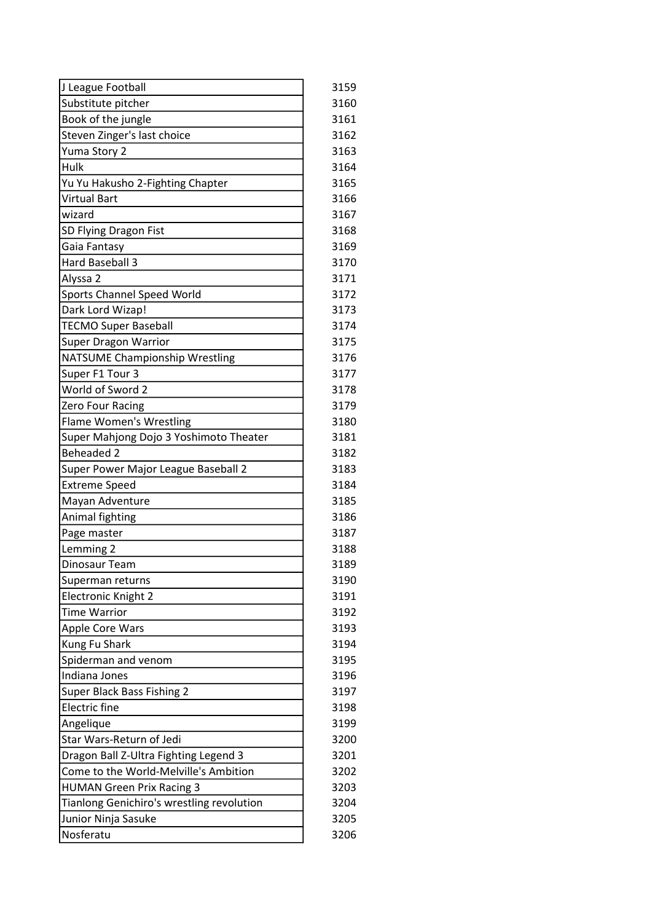| J League Football                         | 3159 |
|-------------------------------------------|------|
| Substitute pitcher                        | 3160 |
| Book of the jungle                        | 3161 |
| Steven Zinger's last choice               | 3162 |
| Yuma Story 2                              | 3163 |
| Hulk                                      | 3164 |
| Yu Yu Hakusho 2-Fighting Chapter          | 3165 |
| <b>Virtual Bart</b>                       | 3166 |
| wizard                                    | 3167 |
| SD Flying Dragon Fist                     | 3168 |
| Gaia Fantasy                              | 3169 |
| Hard Baseball 3                           | 3170 |
| Alyssa 2                                  | 3171 |
| Sports Channel Speed World                | 3172 |
| Dark Lord Wizap!                          | 3173 |
| <b>TECMO Super Baseball</b>               | 3174 |
| <b>Super Dragon Warrior</b>               | 3175 |
| <b>NATSUME Championship Wrestling</b>     | 3176 |
| Super F1 Tour 3                           | 3177 |
| World of Sword 2                          | 3178 |
| Zero Four Racing                          | 3179 |
| <b>Flame Women's Wrestling</b>            | 3180 |
| Super Mahjong Dojo 3 Yoshimoto Theater    | 3181 |
| <b>Beheaded 2</b>                         | 3182 |
| Super Power Major League Baseball 2       | 3183 |
| <b>Extreme Speed</b>                      | 3184 |
| Mayan Adventure                           | 3185 |
| Animal fighting                           | 3186 |
| Page master                               | 3187 |
| Lemming 2                                 | 3188 |
| Dinosaur Team                             | 3189 |
| Superman returns                          | 3190 |
| <b>Electronic Knight 2</b>                | 3191 |
| <b>Time Warrior</b>                       | 3192 |
| Apple Core Wars                           | 3193 |
| Kung Fu Shark                             | 3194 |
| Spiderman and venom                       | 3195 |
| Indiana Jones                             | 3196 |
| Super Black Bass Fishing 2                | 3197 |
| <b>Electric</b> fine                      | 3198 |
| Angelique                                 | 3199 |
| Star Wars-Return of Jedi                  | 3200 |
| Dragon Ball Z-Ultra Fighting Legend 3     | 3201 |
| Come to the World-Melville's Ambition     | 3202 |
| <b>HUMAN Green Prix Racing 3</b>          | 3203 |
| Tianlong Genichiro's wrestling revolution | 3204 |
| Junior Ninja Sasuke                       | 3205 |
| Nosferatu                                 | 3206 |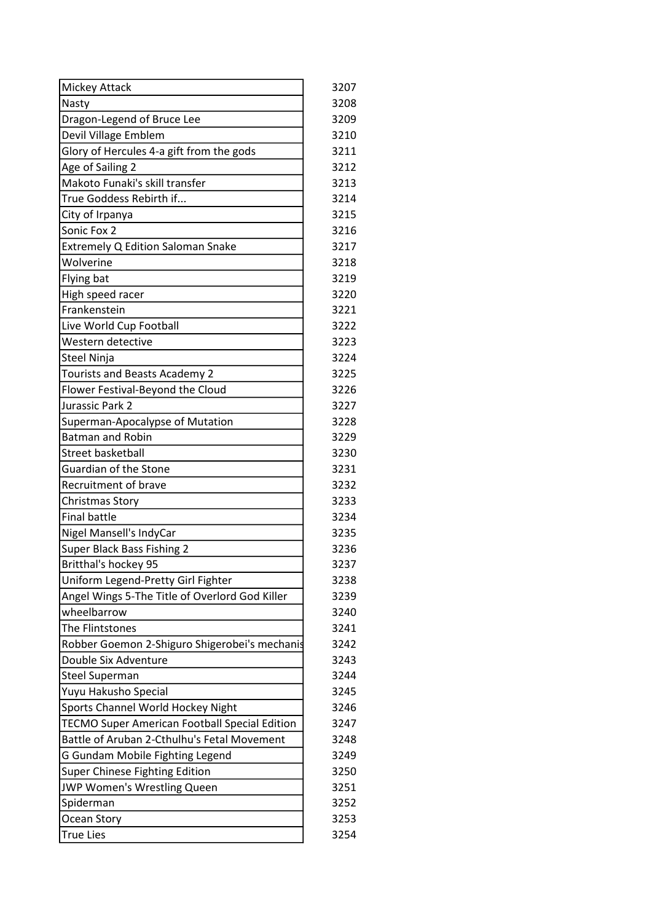| Mickey Attack                                  | 3207 |
|------------------------------------------------|------|
| Nasty                                          | 3208 |
| Dragon-Legend of Bruce Lee                     | 3209 |
| Devil Village Emblem                           | 3210 |
| Glory of Hercules 4-a gift from the gods       | 3211 |
| Age of Sailing 2                               | 3212 |
| Makoto Funaki's skill transfer                 | 3213 |
| True Goddess Rebirth if                        | 3214 |
| City of Irpanya                                | 3215 |
| Sonic Fox 2                                    | 3216 |
| Extremely Q Edition Saloman Snake              | 3217 |
| Wolverine                                      | 3218 |
| Flying bat                                     | 3219 |
| High speed racer                               | 3220 |
| Frankenstein                                   | 3221 |
| Live World Cup Football                        | 3222 |
| Western detective                              | 3223 |
| <b>Steel Ninja</b>                             | 3224 |
| Tourists and Beasts Academy 2                  | 3225 |
| Flower Festival-Beyond the Cloud               | 3226 |
| Jurassic Park 2                                | 3227 |
| Superman-Apocalypse of Mutation                | 3228 |
| <b>Batman and Robin</b>                        | 3229 |
| <b>Street basketball</b>                       | 3230 |
| Guardian of the Stone                          | 3231 |
| Recruitment of brave                           | 3232 |
| Christmas Story                                | 3233 |
| <b>Final battle</b>                            | 3234 |
| Nigel Mansell's IndyCar                        | 3235 |
| Super Black Bass Fishing 2                     | 3236 |
| Britthal's hockey 95                           | 3237 |
| Uniform Legend-Pretty Girl Fighter             | 3238 |
| Angel Wings 5-The Title of Overlord God Killer | 3239 |
| wheelbarrow                                    | 3240 |
| The Flintstones                                | 3241 |
| Robber Goemon 2-Shiguro Shigerobei's mechanis  | 3242 |
| Double Six Adventure                           | 3243 |
| <b>Steel Superman</b>                          | 3244 |
| Yuyu Hakusho Special                           | 3245 |
| Sports Channel World Hockey Night              | 3246 |
| TECMO Super American Football Special Edition  | 3247 |
| Battle of Aruban 2-Cthulhu's Fetal Movement    | 3248 |
| G Gundam Mobile Fighting Legend                | 3249 |
| Super Chinese Fighting Edition                 | 3250 |
| JWP Women's Wrestling Queen                    | 3251 |
| Spiderman                                      | 3252 |
| Ocean Story                                    | 3253 |
| <b>True Lies</b>                               | 3254 |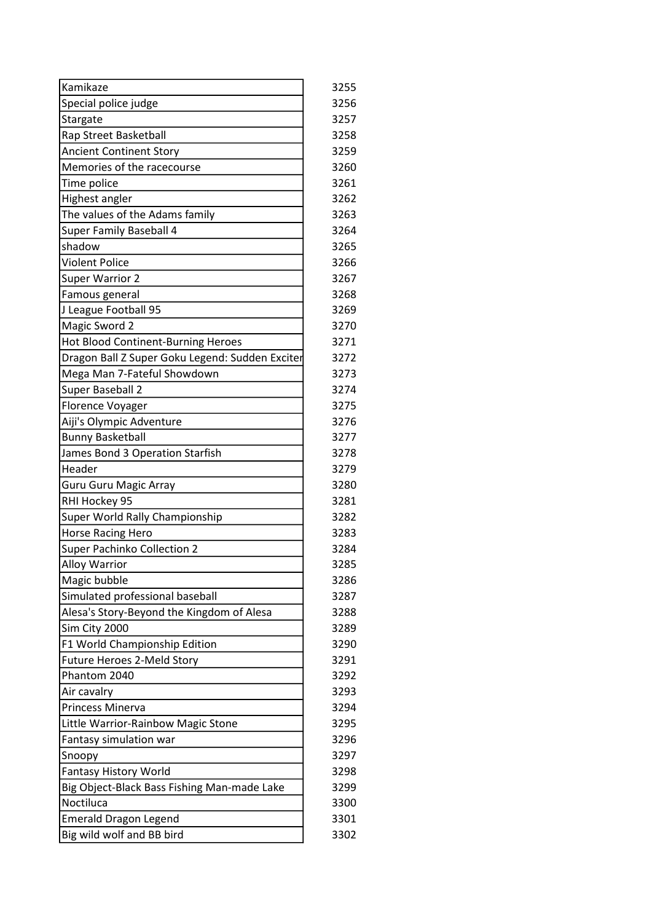| Kamikaze                                        | 3255 |
|-------------------------------------------------|------|
| Special police judge                            | 3256 |
| Stargate                                        | 3257 |
| Rap Street Basketball                           | 3258 |
| <b>Ancient Continent Story</b>                  | 3259 |
| Memories of the racecourse                      | 3260 |
| Time police                                     | 3261 |
| Highest angler                                  | 3262 |
| The values of the Adams family                  | 3263 |
| Super Family Baseball 4                         | 3264 |
| shadow                                          | 3265 |
| <b>Violent Police</b>                           | 3266 |
| <b>Super Warrior 2</b>                          | 3267 |
| Famous general                                  | 3268 |
| J League Football 95                            | 3269 |
| Magic Sword 2                                   | 3270 |
| <b>Hot Blood Continent-Burning Heroes</b>       | 3271 |
| Dragon Ball Z Super Goku Legend: Sudden Exciter | 3272 |
| Mega Man 7-Fateful Showdown                     | 3273 |
| Super Baseball 2                                | 3274 |
| Florence Voyager                                | 3275 |
| Aiji's Olympic Adventure                        | 3276 |
| <b>Bunny Basketball</b>                         | 3277 |
| James Bond 3 Operation Starfish                 | 3278 |
| Header                                          | 3279 |
| <b>Guru Guru Magic Array</b>                    | 3280 |
| RHI Hockey 95                                   | 3281 |
| Super World Rally Championship                  | 3282 |
| <b>Horse Racing Hero</b>                        | 3283 |
| <b>Super Pachinko Collection 2</b>              | 3284 |
| <b>Alloy Warrior</b>                            | 3285 |
| Magic bubble                                    | 3286 |
| Simulated professional baseball                 | 3287 |
| Alesa's Story-Beyond the Kingdom of Alesa       | 3288 |
| Sim City 2000                                   | 3289 |
| F1 World Championship Edition                   | 3290 |
| Future Heroes 2-Meld Story                      | 3291 |
| Phantom 2040                                    | 3292 |
| Air cavalry                                     | 3293 |
| <b>Princess Minerva</b>                         | 3294 |
| Little Warrior-Rainbow Magic Stone              | 3295 |
| Fantasy simulation war                          | 3296 |
| Snoopy                                          | 3297 |
| <b>Fantasy History World</b>                    | 3298 |
| Big Object-Black Bass Fishing Man-made Lake     | 3299 |
| Noctiluca                                       | 3300 |
| <b>Emerald Dragon Legend</b>                    | 3301 |
| Big wild wolf and BB bird                       | 3302 |
|                                                 |      |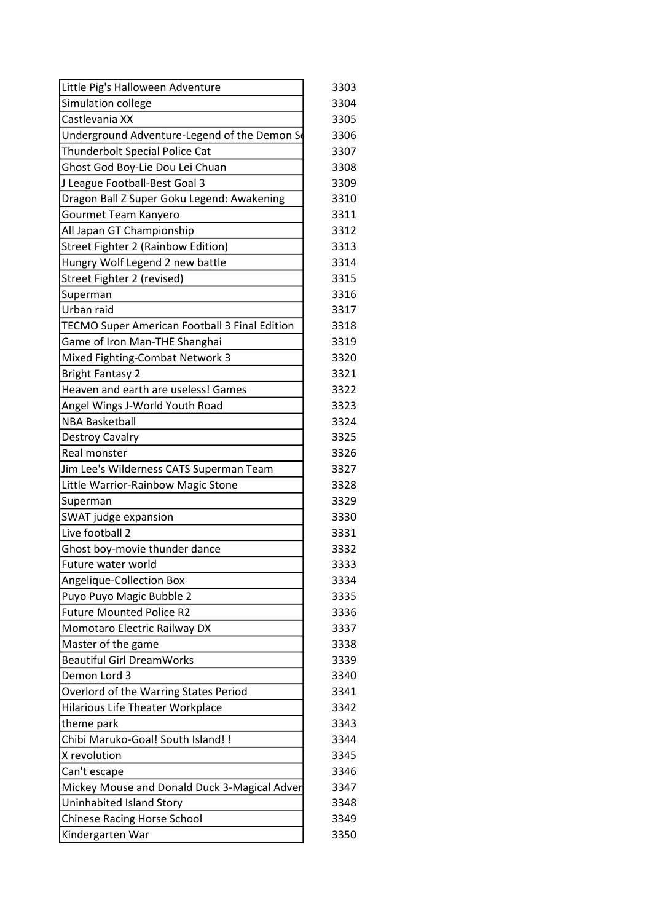| Little Pig's Halloween Adventure                     | 3303 |
|------------------------------------------------------|------|
| Simulation college                                   | 3304 |
| Castlevania XX                                       | 3305 |
| Underground Adventure-Legend of the Demon S          | 3306 |
| Thunderbolt Special Police Cat                       | 3307 |
| Ghost God Boy-Lie Dou Lei Chuan                      | 3308 |
| J League Football-Best Goal 3                        | 3309 |
| Dragon Ball Z Super Goku Legend: Awakening           | 3310 |
| Gourmet Team Kanyero                                 | 3311 |
| All Japan GT Championship                            | 3312 |
| Street Fighter 2 (Rainbow Edition)                   | 3313 |
| Hungry Wolf Legend 2 new battle                      | 3314 |
| Street Fighter 2 (revised)                           | 3315 |
| Superman                                             | 3316 |
| Urban raid                                           | 3317 |
| <b>TECMO Super American Football 3 Final Edition</b> | 3318 |
| Game of Iron Man-THE Shanghai                        | 3319 |
| Mixed Fighting-Combat Network 3                      | 3320 |
| <b>Bright Fantasy 2</b>                              | 3321 |
| Heaven and earth are useless! Games                  | 3322 |
| Angel Wings J-World Youth Road                       | 3323 |
| <b>NBA Basketball</b>                                | 3324 |
| Destroy Cavalry                                      | 3325 |
| Real monster                                         | 3326 |
| Jim Lee's Wilderness CATS Superman Team              | 3327 |
| Little Warrior-Rainbow Magic Stone                   | 3328 |
| Superman                                             | 3329 |
| SWAT judge expansion                                 | 3330 |
| Live football 2                                      | 3331 |
| Ghost boy-movie thunder dance                        | 3332 |
| Future water world                                   | 3333 |
| Angelique-Collection Box                             | 3334 |
| Puyo Puyo Magic Bubble 2                             | 3335 |
| <b>Future Mounted Police R2</b>                      | 3336 |
| Momotaro Electric Railway DX                         | 3337 |
| Master of the game                                   | 3338 |
| <b>Beautiful Girl DreamWorks</b>                     | 3339 |
| Demon Lord 3                                         | 3340 |
| Overlord of the Warring States Period                | 3341 |
| Hilarious Life Theater Workplace                     | 3342 |
| theme park                                           | 3343 |
| Chibi Maruko-Goal! South Island! !                   | 3344 |
| X revolution                                         | 3345 |
| Can't escape                                         | 3346 |
| Mickey Mouse and Donald Duck 3-Magical Adver         | 3347 |
| Uninhabited Island Story                             | 3348 |
| <b>Chinese Racing Horse School</b>                   | 3349 |
| Kindergarten War                                     | 3350 |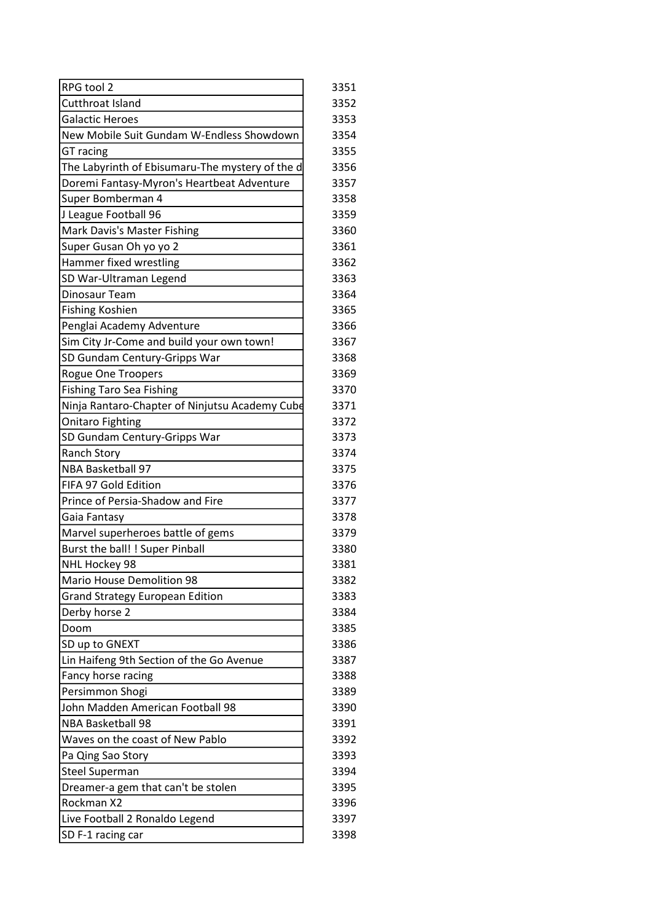| RPG tool 2                                      | 3351 |
|-------------------------------------------------|------|
| Cutthroat Island                                | 3352 |
| <b>Galactic Heroes</b>                          | 3353 |
| New Mobile Suit Gundam W-Endless Showdown       | 3354 |
| GT racing                                       | 3355 |
| The Labyrinth of Ebisumaru-The mystery of the d | 3356 |
| Doremi Fantasy-Myron's Heartbeat Adventure      | 3357 |
| Super Bomberman 4                               | 3358 |
| J League Football 96                            | 3359 |
| Mark Davis's Master Fishing                     | 3360 |
| Super Gusan Oh yo yo 2                          | 3361 |
| Hammer fixed wrestling                          | 3362 |
| SD War-Ultraman Legend                          | 3363 |
| Dinosaur Team                                   | 3364 |
| <b>Fishing Koshien</b>                          | 3365 |
| Penglai Academy Adventure                       | 3366 |
| Sim City Jr-Come and build your own town!       | 3367 |
| SD Gundam Century-Gripps War                    | 3368 |
| Rogue One Troopers                              | 3369 |
| <b>Fishing Taro Sea Fishing</b>                 | 3370 |
| Ninja Rantaro-Chapter of Ninjutsu Academy Cube  | 3371 |
| <b>Onitaro Fighting</b>                         | 3372 |
| SD Gundam Century-Gripps War                    | 3373 |
| <b>Ranch Story</b>                              | 3374 |
| NBA Basketball 97                               | 3375 |
| FIFA 97 Gold Edition                            | 3376 |
| Prince of Persia-Shadow and Fire                | 3377 |
| Gaia Fantasy                                    | 3378 |
| Marvel superheroes battle of gems               | 3379 |
| Burst the ball! ! Super Pinball                 | 3380 |
| NHL Hockey 98                                   | 3381 |
| <b>Mario House Demolition 98</b>                | 3382 |
| <b>Grand Strategy European Edition</b>          | 3383 |
| Derby horse 2                                   | 3384 |
| Doom                                            | 3385 |
| SD up to GNEXT                                  | 3386 |
| Lin Haifeng 9th Section of the Go Avenue        | 3387 |
| Fancy horse racing                              | 3388 |
| Persimmon Shogi                                 | 3389 |
| John Madden American Football 98                | 3390 |
| <b>NBA Basketball 98</b>                        | 3391 |
| Waves on the coast of New Pablo                 | 3392 |
| Pa Qing Sao Story                               | 3393 |
| <b>Steel Superman</b>                           | 3394 |
| Dreamer-a gem that can't be stolen              | 3395 |
| Rockman X2                                      | 3396 |
| Live Football 2 Ronaldo Legend                  | 3397 |
| SD F-1 racing car                               | 3398 |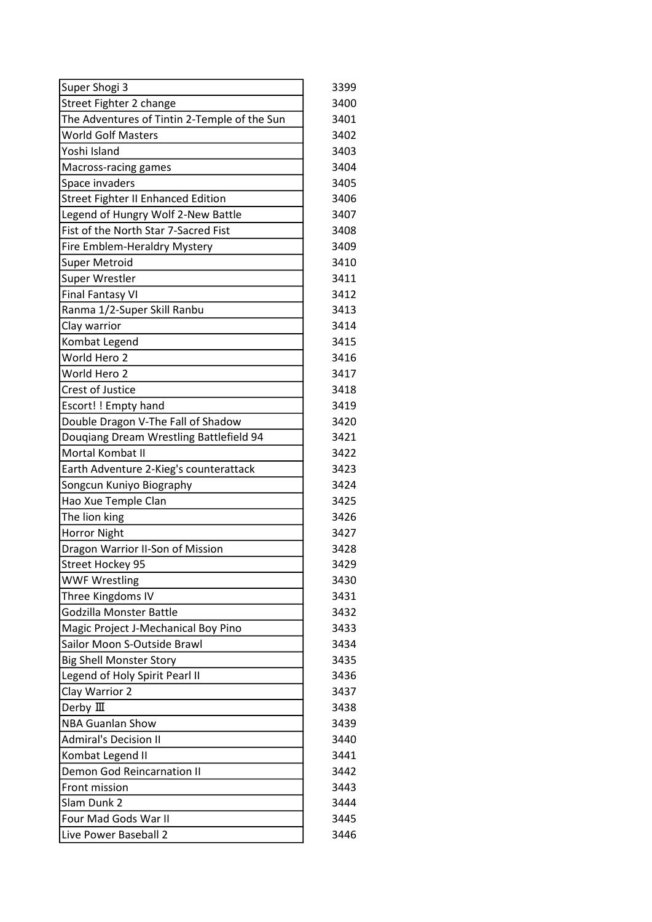| Super Shogi 3                                | 3399 |
|----------------------------------------------|------|
| Street Fighter 2 change                      | 3400 |
| The Adventures of Tintin 2-Temple of the Sun | 3401 |
| <b>World Golf Masters</b>                    | 3402 |
| Yoshi Island                                 | 3403 |
| Macross-racing games                         | 3404 |
| Space invaders                               | 3405 |
| <b>Street Fighter II Enhanced Edition</b>    | 3406 |
| Legend of Hungry Wolf 2-New Battle           | 3407 |
| Fist of the North Star 7-Sacred Fist         | 3408 |
| Fire Emblem-Heraldry Mystery                 | 3409 |
| <b>Super Metroid</b>                         | 3410 |
| Super Wrestler                               | 3411 |
| <b>Final Fantasy VI</b>                      | 3412 |
| Ranma 1/2-Super Skill Ranbu                  | 3413 |
| Clay warrior                                 | 3414 |
| Kombat Legend                                | 3415 |
| World Hero 2                                 | 3416 |
| World Hero 2                                 | 3417 |
| <b>Crest of Justice</b>                      | 3418 |
| Escort!! Empty hand                          | 3419 |
| Double Dragon V-The Fall of Shadow           | 3420 |
| Douqiang Dream Wrestling Battlefield 94      | 3421 |
| Mortal Kombat II                             | 3422 |
| Earth Adventure 2-Kieg's counterattack       | 3423 |
| Songcun Kuniyo Biography                     | 3424 |
| Hao Xue Temple Clan                          | 3425 |
| The lion king                                | 3426 |
| <b>Horror Night</b>                          | 3427 |
| Dragon Warrior II-Son of Mission             | 3428 |
| <b>Street Hockey 95</b>                      | 3429 |
| <b>WWF Wrestling</b>                         | 3430 |
| Three Kingdoms IV                            | 3431 |
| Godzilla Monster Battle                      | 3432 |
| Magic Project J-Mechanical Boy Pino          | 3433 |
| Sailor Moon S-Outside Brawl                  | 3434 |
| <b>Big Shell Monster Story</b>               | 3435 |
| Legend of Holy Spirit Pearl II               | 3436 |
| Clay Warrior 2                               | 3437 |
| Derby $\rm I\!I\!I$                          | 3438 |
| <b>NBA Guanlan Show</b>                      | 3439 |
| <b>Admiral's Decision II</b>                 | 3440 |
|                                              |      |
| Kombat Legend II                             | 3441 |
| Demon God Reincarnation II                   | 3442 |
| Front mission                                | 3443 |
| Slam Dunk 2                                  | 3444 |
| Four Mad Gods War II                         | 3445 |
| Live Power Baseball 2                        | 3446 |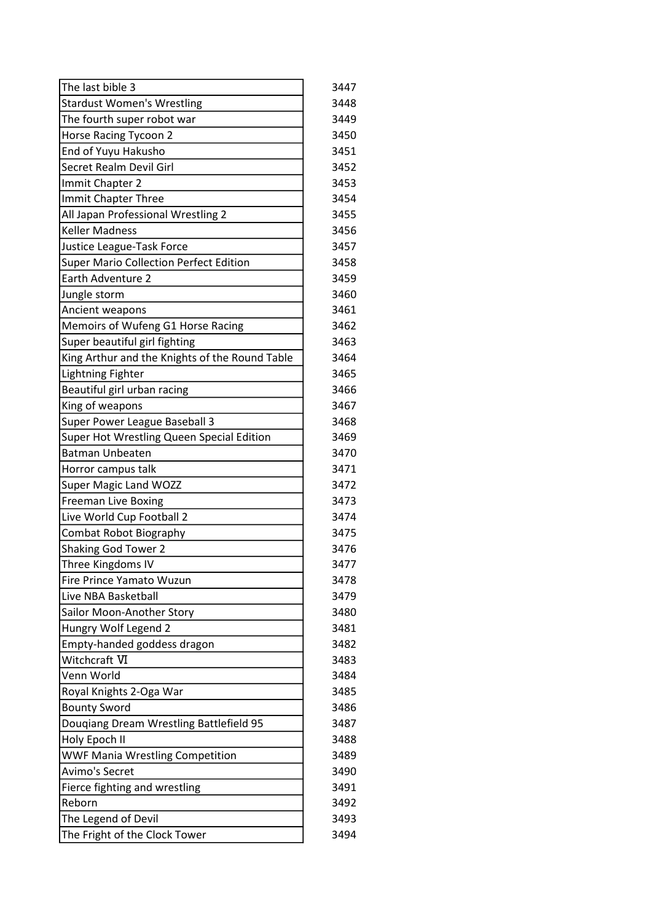| The last bible 3                               | 3447 |
|------------------------------------------------|------|
| <b>Stardust Women's Wrestling</b>              | 3448 |
| The fourth super robot war                     | 3449 |
| Horse Racing Tycoon 2                          | 3450 |
| End of Yuyu Hakusho                            | 3451 |
| Secret Realm Devil Girl                        | 3452 |
| Immit Chapter 2                                | 3453 |
| Immit Chapter Three                            | 3454 |
| All Japan Professional Wrestling 2             | 3455 |
| <b>Keller Madness</b>                          | 3456 |
|                                                | 3457 |
| Justice League-Task Force                      | 3458 |
| <b>Super Mario Collection Perfect Edition</b>  |      |
| Earth Adventure 2                              | 3459 |
| Jungle storm                                   | 3460 |
| Ancient weapons                                | 3461 |
| Memoirs of Wufeng G1 Horse Racing              | 3462 |
| Super beautiful girl fighting                  | 3463 |
| King Arthur and the Knights of the Round Table | 3464 |
| Lightning Fighter                              | 3465 |
| Beautiful girl urban racing                    | 3466 |
| King of weapons                                | 3467 |
| Super Power League Baseball 3                  | 3468 |
| Super Hot Wrestling Queen Special Edition      | 3469 |
| <b>Batman Unbeaten</b>                         | 3470 |
| Horror campus talk                             | 3471 |
| Super Magic Land WOZZ                          | 3472 |
| Freeman Live Boxing                            | 3473 |
| Live World Cup Football 2                      | 3474 |
| <b>Combat Robot Biography</b>                  | 3475 |
| <b>Shaking God Tower 2</b>                     | 3476 |
| Three Kingdoms IV                              | 3477 |
| Fire Prince Yamato Wuzun                       | 3478 |
| Live NBA Basketball                            | 3479 |
| Sailor Moon-Another Story                      | 3480 |
| Hungry Wolf Legend 2                           | 3481 |
| Empty-handed goddess dragon                    | 3482 |
| Witchcraft VI                                  | 3483 |
| Venn World                                     | 3484 |
| Royal Knights 2-Oga War                        | 3485 |
| <b>Bounty Sword</b>                            | 3486 |
| Douqiang Dream Wrestling Battlefield 95        | 3487 |
| Holy Epoch II                                  | 3488 |
| <b>WWF Mania Wrestling Competition</b>         | 3489 |
| Avimo's Secret                                 | 3490 |
| Fierce fighting and wrestling                  | 3491 |
| Reborn                                         | 3492 |
| The Legend of Devil                            | 3493 |
| The Fright of the Clock Tower                  | 3494 |
|                                                |      |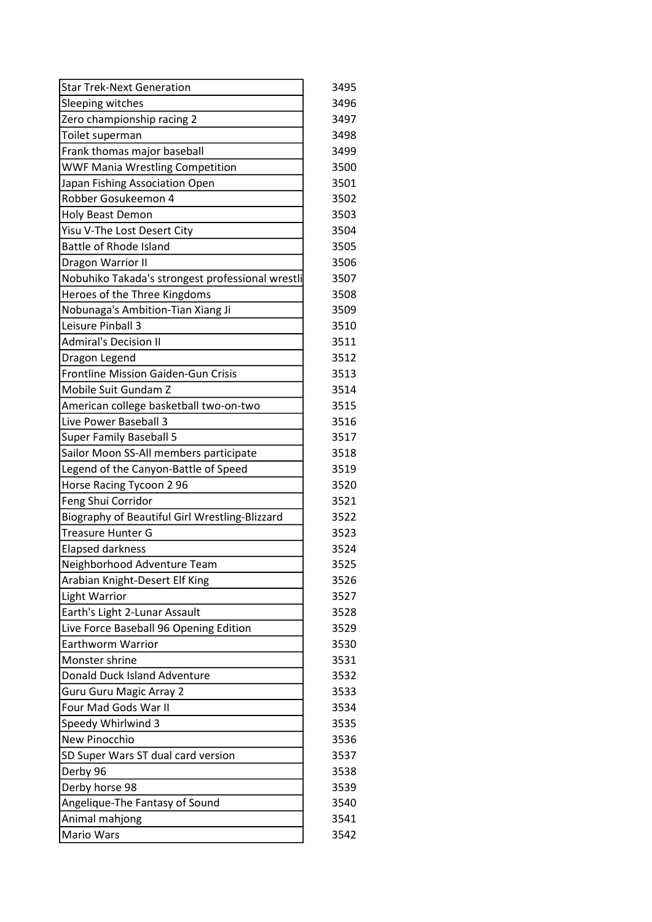| <b>Star Trek-Next Generation</b>                 | 3495 |
|--------------------------------------------------|------|
| Sleeping witches                                 | 3496 |
| Zero championship racing 2                       | 3497 |
| Toilet superman                                  | 3498 |
| Frank thomas major baseball                      | 3499 |
| <b>WWF Mania Wrestling Competition</b>           | 3500 |
| Japan Fishing Association Open                   | 3501 |
| Robber Gosukeemon 4                              | 3502 |
| Holy Beast Demon                                 | 3503 |
| Yisu V-The Lost Desert City                      | 3504 |
| <b>Battle of Rhode Island</b>                    | 3505 |
| Dragon Warrior II                                | 3506 |
| Nobuhiko Takada's strongest professional wrestli | 3507 |
| Heroes of the Three Kingdoms                     | 3508 |
| Nobunaga's Ambition-Tian Xiang Ji                | 3509 |
| Leisure Pinball 3                                | 3510 |
| <b>Admiral's Decision II</b>                     | 3511 |
| Dragon Legend                                    | 3512 |
| Frontline Mission Gaiden-Gun Crisis              | 3513 |
| Mobile Suit Gundam Z                             | 3514 |
| American college basketball two-on-two           | 3515 |
| Live Power Baseball 3                            | 3516 |
| <b>Super Family Baseball 5</b>                   | 3517 |
| Sailor Moon SS-All members participate           | 3518 |
| Legend of the Canyon-Battle of Speed             | 3519 |
| Horse Racing Tycoon 2 96                         | 3520 |
| Feng Shui Corridor                               | 3521 |
| Biography of Beautiful Girl Wrestling-Blizzard   | 3522 |
| <b>Treasure Hunter G</b>                         | 3523 |
| <b>Elapsed darkness</b>                          | 3524 |
| Neighborhood Adventure Team                      | 3525 |
| Arabian Knight-Desert Elf King                   | 3526 |
| <b>Light Warrior</b>                             | 3527 |
| Earth's Light 2-Lunar Assault                    | 3528 |
| Live Force Baseball 96 Opening Edition           | 3529 |
| Earthworm Warrior                                | 3530 |
| Monster shrine                                   | 3531 |
| Donald Duck Island Adventure                     | 3532 |
| <b>Guru Guru Magic Array 2</b>                   | 3533 |
| Four Mad Gods War II                             | 3534 |
| Speedy Whirlwind 3                               | 3535 |
| New Pinocchio                                    | 3536 |
| SD Super Wars ST dual card version               | 3537 |
| Derby 96                                         | 3538 |
| Derby horse 98                                   | 3539 |
| Angelique-The Fantasy of Sound                   | 3540 |
| Animal mahjong                                   | 3541 |
| Mario Wars                                       | 3542 |
|                                                  |      |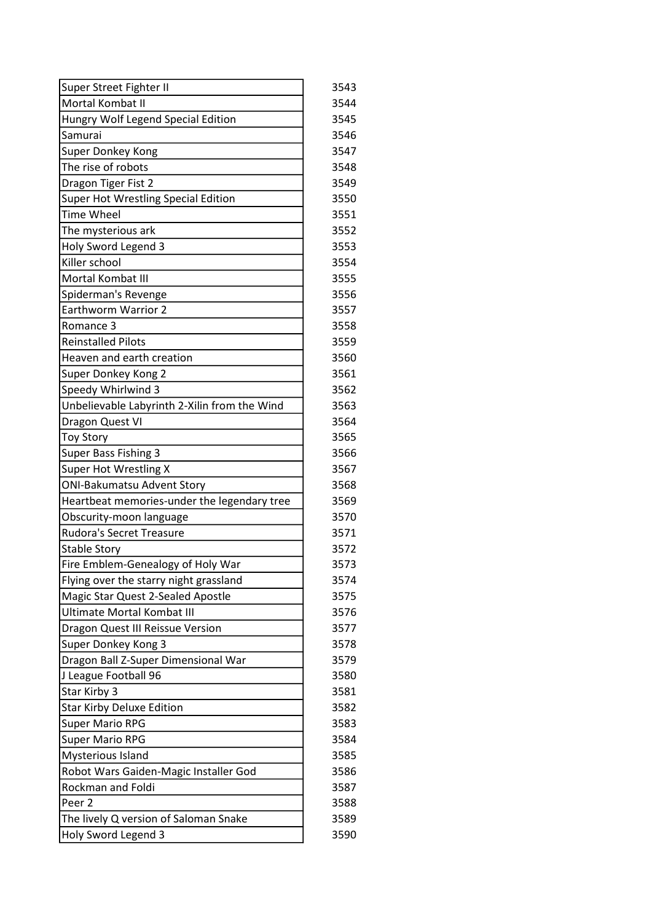| Super Street Fighter II                      | 3543 |
|----------------------------------------------|------|
| Mortal Kombat II                             | 3544 |
| Hungry Wolf Legend Special Edition           | 3545 |
| Samurai                                      | 3546 |
| Super Donkey Kong                            | 3547 |
| The rise of robots                           | 3548 |
| Dragon Tiger Fist 2                          | 3549 |
| Super Hot Wrestling Special Edition          | 3550 |
| <b>Time Wheel</b>                            | 3551 |
| The mysterious ark                           | 3552 |
| Holy Sword Legend 3                          | 3553 |
| Killer school                                | 3554 |
| Mortal Kombat III                            | 3555 |
| Spiderman's Revenge                          | 3556 |
| <b>Earthworm Warrior 2</b>                   | 3557 |
| Romance 3                                    | 3558 |
| <b>Reinstalled Pilots</b>                    | 3559 |
| Heaven and earth creation                    | 3560 |
| Super Donkey Kong 2                          | 3561 |
| Speedy Whirlwind 3                           | 3562 |
| Unbelievable Labyrinth 2-Xilin from the Wind | 3563 |
| Dragon Quest VI                              | 3564 |
| <b>Toy Story</b>                             | 3565 |
| Super Bass Fishing 3                         | 3566 |
| Super Hot Wrestling X                        | 3567 |
| <b>ONI-Bakumatsu Advent Story</b>            | 3568 |
| Heartbeat memories-under the legendary tree  | 3569 |
| Obscurity-moon language                      | 3570 |
| Rudora's Secret Treasure                     | 3571 |
| <b>Stable Story</b>                          | 3572 |
| Fire Emblem-Genealogy of Holy War            | 3573 |
| Flying over the starry night grassland       | 3574 |
| Magic Star Quest 2-Sealed Apostle            | 3575 |
| <b>Ultimate Mortal Kombat III</b>            | 3576 |
| Dragon Quest III Reissue Version             | 3577 |
| Super Donkey Kong 3                          | 3578 |
| Dragon Ball Z-Super Dimensional War          | 3579 |
| J League Football 96                         | 3580 |
| Star Kirby 3                                 | 3581 |
| <b>Star Kirby Deluxe Edition</b>             | 3582 |
| <b>Super Mario RPG</b>                       | 3583 |
| <b>Super Mario RPG</b>                       | 3584 |
| Mysterious Island                            | 3585 |
| Robot Wars Gaiden-Magic Installer God        | 3586 |
| Rockman and Foldi                            | 3587 |
| Peer <sub>2</sub>                            | 3588 |
| The lively Q version of Saloman Snake        | 3589 |
| Holy Sword Legend 3                          | 3590 |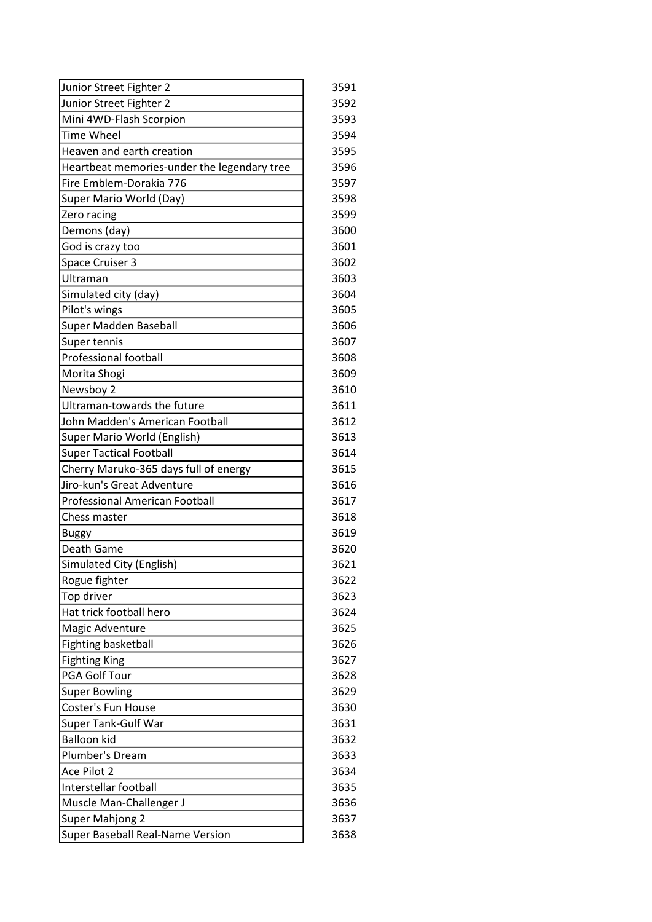| Junior Street Fighter 2                     | 3591 |
|---------------------------------------------|------|
| Junior Street Fighter 2                     | 3592 |
| Mini 4WD-Flash Scorpion                     | 3593 |
| <b>Time Wheel</b>                           | 3594 |
| Heaven and earth creation                   | 3595 |
| Heartbeat memories-under the legendary tree | 3596 |
| Fire Emblem-Dorakia 776                     | 3597 |
| Super Mario World (Day)                     | 3598 |
| Zero racing                                 | 3599 |
| Demons (day)                                | 3600 |
| God is crazy too                            | 3601 |
| Space Cruiser 3                             | 3602 |
| Ultraman                                    | 3603 |
| Simulated city (day)                        | 3604 |
| Pilot's wings                               | 3605 |
| Super Madden Baseball                       | 3606 |
| Super tennis                                | 3607 |
| <b>Professional football</b>                | 3608 |
| Morita Shogi                                | 3609 |
| Newsboy 2                                   | 3610 |
| Ultraman-towards the future                 | 3611 |
| John Madden's American Football             | 3612 |
| Super Mario World (English)                 | 3613 |
| <b>Super Tactical Football</b>              | 3614 |
| Cherry Maruko-365 days full of energy       | 3615 |
| Jiro-kun's Great Adventure                  | 3616 |
| <b>Professional American Football</b>       | 3617 |
| Chess master                                | 3618 |
| <b>Buggy</b>                                | 3619 |
| Death Game                                  | 3620 |
| Simulated City (English)                    | 3621 |
| Rogue fighter                               | 3622 |
| Top driver                                  | 3623 |
| Hat trick football hero                     | 3624 |
| Magic Adventure                             | 3625 |
| <b>Fighting basketball</b>                  | 3626 |
| <b>Fighting King</b>                        | 3627 |
| PGA Golf Tour                               | 3628 |
| <b>Super Bowling</b>                        | 3629 |
| Coster's Fun House                          | 3630 |
| Super Tank-Gulf War                         | 3631 |
| <b>Balloon kid</b>                          | 3632 |
| Plumber's Dream                             | 3633 |
| Ace Pilot 2                                 | 3634 |
| Interstellar football                       | 3635 |
| Muscle Man-Challenger J                     | 3636 |
| <b>Super Mahjong 2</b>                      | 3637 |
| <b>Super Baseball Real-Name Version</b>     | 3638 |
|                                             |      |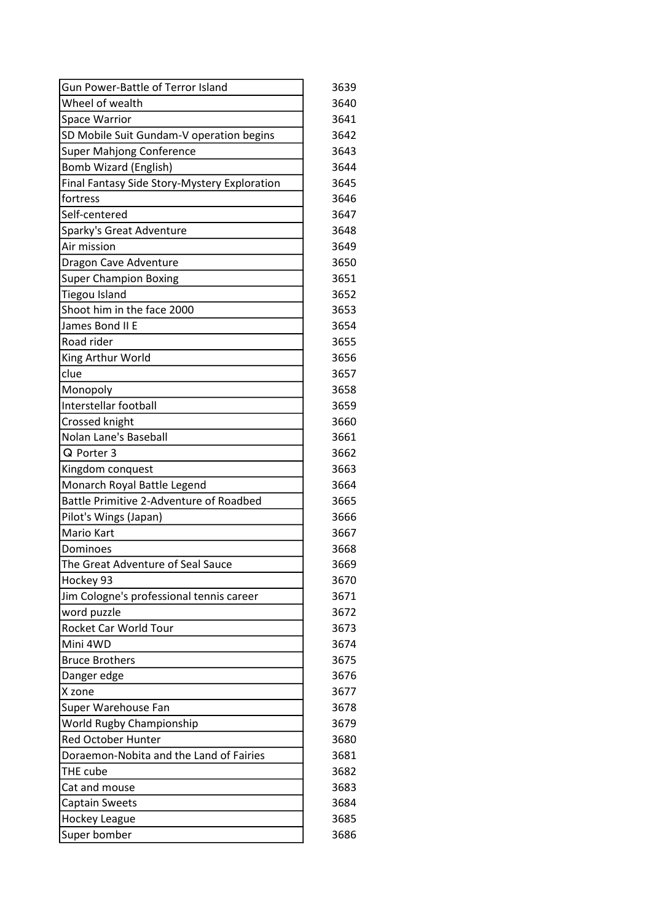| Gun Power-Battle of Terror Island            | 3639 |
|----------------------------------------------|------|
| Wheel of wealth                              | 3640 |
| <b>Space Warrior</b>                         | 3641 |
| SD Mobile Suit Gundam-V operation begins     | 3642 |
| <b>Super Mahjong Conference</b>              | 3643 |
| <b>Bomb Wizard (English)</b>                 | 3644 |
| Final Fantasy Side Story-Mystery Exploration | 3645 |
| fortress                                     | 3646 |
| Self-centered                                | 3647 |
| Sparky's Great Adventure                     | 3648 |
| Air mission                                  | 3649 |
| Dragon Cave Adventure                        | 3650 |
| <b>Super Champion Boxing</b>                 | 3651 |
| <b>Tiegou Island</b>                         | 3652 |
| Shoot him in the face 2000                   | 3653 |
| James Bond II E                              | 3654 |
| Road rider                                   | 3655 |
| King Arthur World                            | 3656 |
| clue                                         | 3657 |
| Monopoly                                     | 3658 |
| Interstellar football                        | 3659 |
| Crossed knight                               | 3660 |
| Nolan Lane's Baseball                        | 3661 |
| Q Porter 3                                   | 3662 |
| Kingdom conquest                             | 3663 |
| Monarch Royal Battle Legend                  | 3664 |
| Battle Primitive 2-Adventure of Roadbed      | 3665 |
| Pilot's Wings (Japan)                        | 3666 |
| <b>Mario Kart</b>                            | 3667 |
| Dominoes                                     | 3668 |
| The Great Adventure of Seal Sauce            | 3669 |
| Hockey 93                                    | 3670 |
| Jim Cologne's professional tennis career     | 3671 |
| word puzzle                                  | 3672 |
| Rocket Car World Tour                        | 3673 |
| Mini 4WD                                     | 3674 |
| <b>Bruce Brothers</b>                        | 3675 |
| Danger edge                                  | 3676 |
| X zone                                       | 3677 |
| Super Warehouse Fan                          | 3678 |
| World Rugby Championship                     | 3679 |
| <b>Red October Hunter</b>                    | 3680 |
| Doraemon-Nobita and the Land of Fairies      | 3681 |
| THE cube                                     | 3682 |
| Cat and mouse                                | 3683 |
| <b>Captain Sweets</b>                        | 3684 |
| <b>Hockey League</b>                         | 3685 |
| Super bomber                                 | 3686 |
|                                              |      |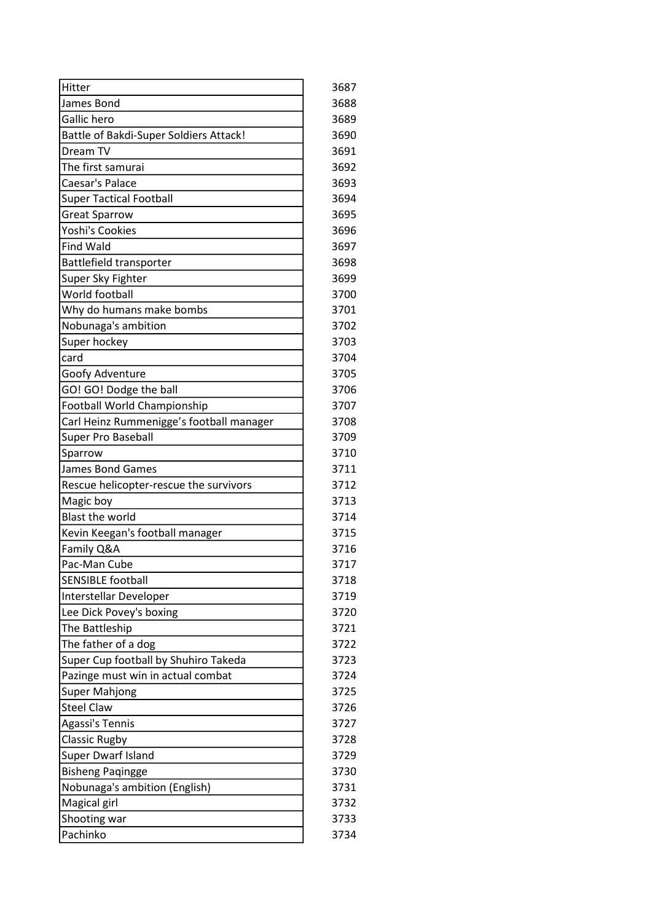| Hitter                                        | 3687 |
|-----------------------------------------------|------|
| James Bond                                    | 3688 |
| Gallic hero                                   | 3689 |
| <b>Battle of Bakdi-Super Soldiers Attack!</b> | 3690 |
| Dream TV                                      | 3691 |
| The first samurai                             | 3692 |
| Caesar's Palace                               | 3693 |
| <b>Super Tactical Football</b>                | 3694 |
| <b>Great Sparrow</b>                          | 3695 |
| <b>Yoshi's Cookies</b>                        | 3696 |
| <b>Find Wald</b>                              | 3697 |
| Battlefield transporter                       | 3698 |
| Super Sky Fighter                             | 3699 |
| World football                                | 3700 |
| Why do humans make bombs                      | 3701 |
| Nobunaga's ambition                           | 3702 |
| Super hockey                                  | 3703 |
| card                                          | 3704 |
| Goofy Adventure                               | 3705 |
| GO! GO! Dodge the ball                        | 3706 |
| Football World Championship                   | 3707 |
| Carl Heinz Rummenigge's football manager      | 3708 |
| Super Pro Baseball                            | 3709 |
| Sparrow                                       | 3710 |
| <b>James Bond Games</b>                       | 3711 |
| Rescue helicopter-rescue the survivors        | 3712 |
| Magic boy                                     | 3713 |
| <b>Blast the world</b>                        | 3714 |
| Kevin Keegan's football manager               | 3715 |
| Family Q&A                                    | 3716 |
| Pac-Man Cube                                  | 3717 |
| <b>SENSIBLE football</b>                      | 3718 |
| Interstellar Developer                        | 3719 |
| Lee Dick Povey's boxing                       | 3720 |
| The Battleship                                | 3721 |
| The father of a dog                           | 3722 |
| Super Cup football by Shuhiro Takeda          | 3723 |
| Pazinge must win in actual combat             | 3724 |
| <b>Super Mahjong</b>                          | 3725 |
| <b>Steel Claw</b>                             | 3726 |
| Agassi's Tennis                               | 3727 |
| <b>Classic Rugby</b>                          | 3728 |
| Super Dwarf Island                            | 3729 |
| <b>Bisheng Paqingge</b>                       | 3730 |
| Nobunaga's ambition (English)                 | 3731 |
| Magical girl                                  | 3732 |
| Shooting war                                  | 3733 |
| Pachinko                                      | 3734 |
|                                               |      |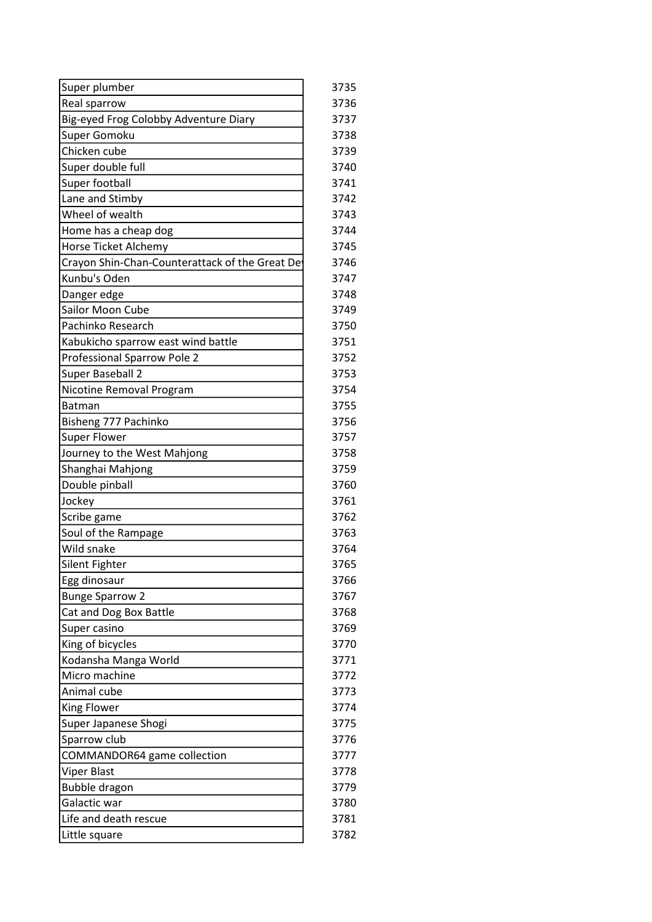| Super plumber                                   | 3735 |
|-------------------------------------------------|------|
| Real sparrow                                    | 3736 |
| Big-eyed Frog Colobby Adventure Diary           | 3737 |
| Super Gomoku                                    | 3738 |
| Chicken cube                                    | 3739 |
| Super double full                               | 3740 |
| Super football                                  | 3741 |
| Lane and Stimby                                 | 3742 |
| Wheel of wealth                                 | 3743 |
| Home has a cheap dog                            | 3744 |
| Horse Ticket Alchemy                            | 3745 |
| Crayon Shin-Chan-Counterattack of the Great Det | 3746 |
| Kunbu's Oden                                    | 3747 |
| Danger edge                                     | 3748 |
| Sailor Moon Cube                                | 3749 |
| Pachinko Research                               | 3750 |
| Kabukicho sparrow east wind battle              | 3751 |
| Professional Sparrow Pole 2                     | 3752 |
| Super Baseball 2                                | 3753 |
| Nicotine Removal Program                        | 3754 |
| <b>Batman</b>                                   | 3755 |
| Bisheng 777 Pachinko                            | 3756 |
| <b>Super Flower</b>                             | 3757 |
| Journey to the West Mahjong                     | 3758 |
| Shanghai Mahjong                                | 3759 |
| Double pinball                                  | 3760 |
| Jockey                                          | 3761 |
| Scribe game                                     | 3762 |
| Soul of the Rampage                             | 3763 |
| Wild snake                                      | 3764 |
| Silent Fighter                                  | 3765 |
| Egg dinosaur                                    | 3766 |
| <b>Bunge Sparrow 2</b>                          | 3767 |
| Cat and Dog Box Battle                          | 3768 |
| Super casino                                    | 3769 |
| King of bicycles                                | 3770 |
| Kodansha Manga World                            | 3771 |
| Micro machine                                   | 3772 |
| Animal cube                                     | 3773 |
| <b>King Flower</b>                              | 3774 |
| Super Japanese Shogi                            | 3775 |
| Sparrow club                                    | 3776 |
| COMMANDOR64 game collection                     | 3777 |
| Viper Blast                                     | 3778 |
| Bubble dragon                                   | 3779 |
| Galactic war                                    | 3780 |
| Life and death rescue                           | 3781 |
| Little square                                   | 3782 |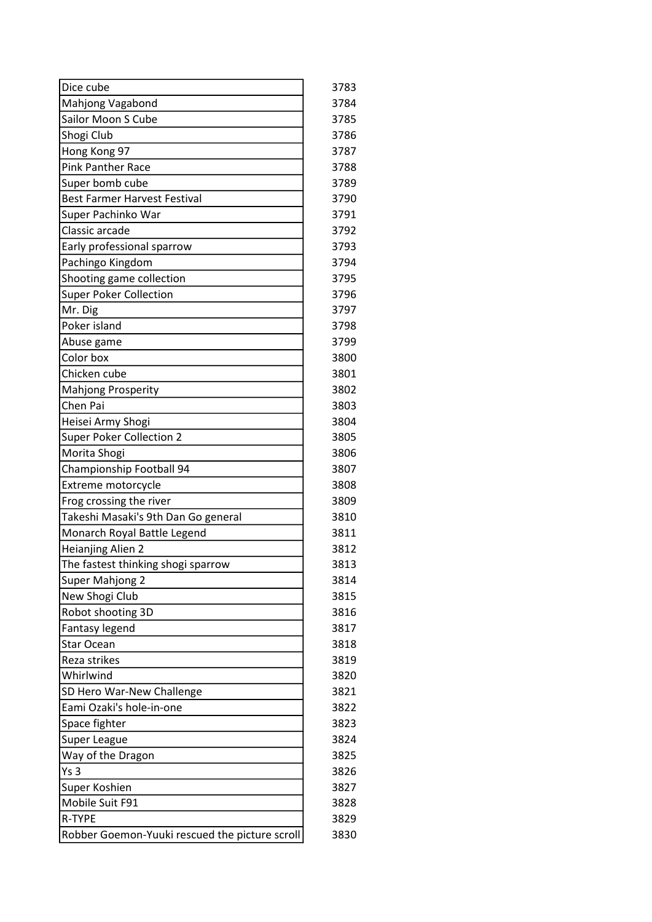| Dice cube                                             | 3783 |
|-------------------------------------------------------|------|
| Mahjong Vagabond                                      | 3784 |
| Sailor Moon S Cube                                    | 3785 |
| Shogi Club                                            | 3786 |
| Hong Kong 97                                          | 3787 |
| <b>Pink Panther Race</b>                              | 3788 |
| Super bomb cube                                       | 3789 |
| <b>Best Farmer Harvest Festival</b>                   | 3790 |
| Super Pachinko War                                    | 3791 |
| Classic arcade                                        | 3792 |
| Early professional sparrow                            | 3793 |
| Pachingo Kingdom                                      | 3794 |
| Shooting game collection                              | 3795 |
| <b>Super Poker Collection</b>                         | 3796 |
| Mr. Dig                                               | 3797 |
| Poker island                                          | 3798 |
| Abuse game                                            | 3799 |
| Color box                                             | 3800 |
| Chicken cube                                          | 3801 |
| Mahjong Prosperity                                    | 3802 |
| Chen Pai                                              | 3803 |
| Heisei Army Shogi                                     | 3804 |
| <b>Super Poker Collection 2</b>                       | 3805 |
| Morita Shogi                                          | 3806 |
| Championship Football 94                              | 3807 |
| Extreme motorcycle                                    | 3808 |
| Frog crossing the river                               | 3809 |
| Takeshi Masaki's 9th Dan Go general                   | 3810 |
| Monarch Royal Battle Legend                           | 3811 |
| Heianjing Alien 2                                     | 3812 |
| The fastest thinking shogi sparrow                    | 3813 |
| Super Mahjong 2                                       | 3814 |
| New Shogi Club                                        | 3815 |
| Robot shooting 3D                                     | 3816 |
|                                                       | 3817 |
| Fantasy legend<br>Star Ocean                          | 3818 |
| Reza strikes                                          | 3819 |
| Whirlwind                                             | 3820 |
|                                                       | 3821 |
| SD Hero War-New Challenge<br>Eami Ozaki's hole-in-one | 3822 |
| Space fighter                                         | 3823 |
|                                                       | 3824 |
| Super League                                          |      |
| Way of the Dragon                                     | 3825 |
| Ys <sub>3</sub>                                       | 3826 |
| Super Koshien                                         | 3827 |
| Mobile Suit F91                                       | 3828 |
| R-TYPE                                                | 3829 |
| Robber Goemon-Yuuki rescued the picture scroll        | 3830 |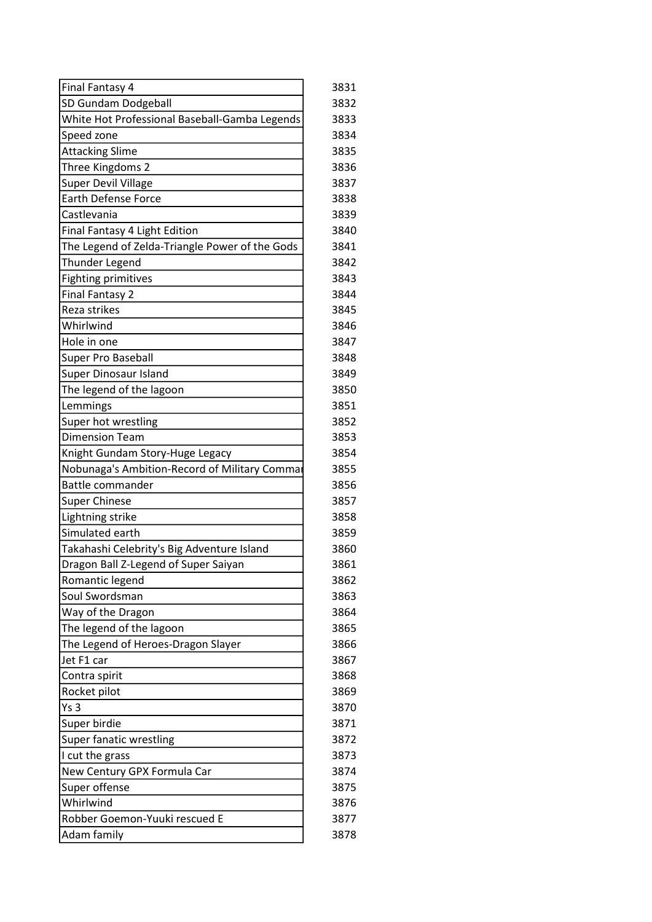| Final Fantasy 4                                | 3831 |
|------------------------------------------------|------|
| SD Gundam Dodgeball                            | 3832 |
| White Hot Professional Baseball-Gamba Legends  | 3833 |
| Speed zone                                     | 3834 |
| <b>Attacking Slime</b>                         | 3835 |
| Three Kingdoms 2                               | 3836 |
| <b>Super Devil Village</b>                     | 3837 |
| <b>Earth Defense Force</b>                     | 3838 |
| Castlevania                                    | 3839 |
| Final Fantasy 4 Light Edition                  | 3840 |
| The Legend of Zelda-Triangle Power of the Gods | 3841 |
| Thunder Legend                                 | 3842 |
| <b>Fighting primitives</b>                     | 3843 |
| <b>Final Fantasy 2</b>                         | 3844 |
| Reza strikes                                   | 3845 |
| Whirlwind                                      | 3846 |
| Hole in one                                    | 3847 |
| Super Pro Baseball                             | 3848 |
| Super Dinosaur Island                          | 3849 |
| The legend of the lagoon                       | 3850 |
| Lemmings                                       | 3851 |
| Super hot wrestling                            | 3852 |
| <b>Dimension Team</b>                          | 3853 |
| Knight Gundam Story-Huge Legacy                | 3854 |
| Nobunaga's Ambition-Record of Military Commar  | 3855 |
| <b>Battle commander</b>                        | 3856 |
| <b>Super Chinese</b>                           | 3857 |
| Lightning strike                               | 3858 |
| Simulated earth                                | 3859 |
| Takahashi Celebrity's Big Adventure Island     | 3860 |
| Dragon Ball Z-Legend of Super Saiyan           | 3861 |
| Romantic legend                                | 3862 |
| Soul Swordsman                                 | 3863 |
| Way of the Dragon                              | 3864 |
| The legend of the lagoon                       | 3865 |
| The Legend of Heroes-Dragon Slayer             | 3866 |
| Jet F1 car                                     | 3867 |
| Contra spirit                                  | 3868 |
| Rocket pilot                                   | 3869 |
| Ys <sub>3</sub>                                | 3870 |
| Super birdie                                   | 3871 |
| Super fanatic wrestling                        | 3872 |
| I cut the grass                                | 3873 |
| New Century GPX Formula Car                    | 3874 |
| Super offense                                  | 3875 |
| Whirlwind                                      | 3876 |
| Robber Goemon-Yuuki rescued E                  | 3877 |
| Adam family                                    | 3878 |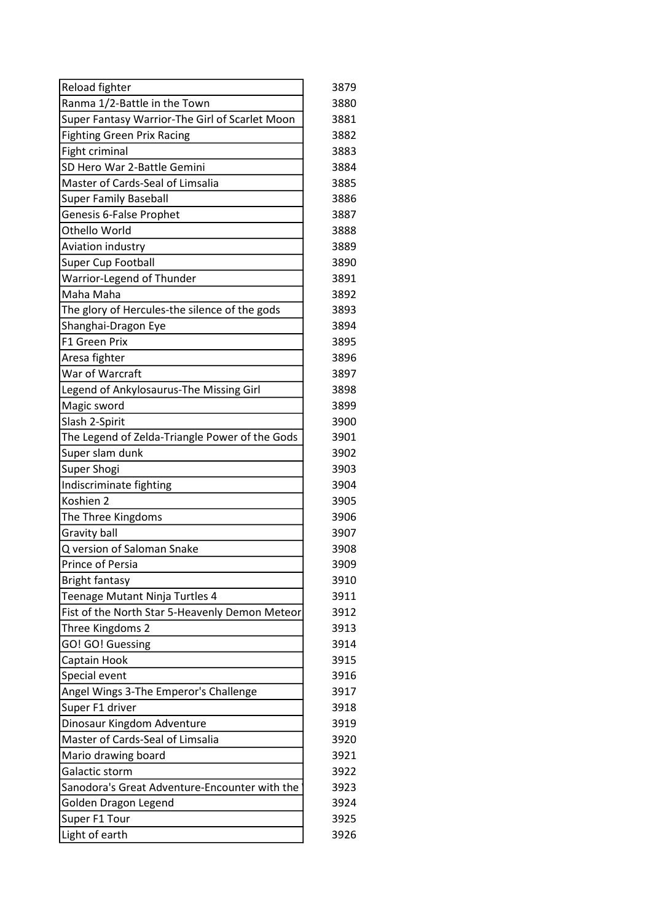| Reload fighter                                 | 3879 |
|------------------------------------------------|------|
| Ranma 1/2-Battle in the Town                   | 3880 |
| Super Fantasy Warrior-The Girl of Scarlet Moon | 3881 |
| <b>Fighting Green Prix Racing</b>              | 3882 |
| Fight criminal                                 | 3883 |
| SD Hero War 2-Battle Gemini                    | 3884 |
| Master of Cards-Seal of Limsalia               | 3885 |
| <b>Super Family Baseball</b>                   | 3886 |
| Genesis 6-False Prophet                        | 3887 |
| Othello World                                  | 3888 |
| Aviation industry                              | 3889 |
| Super Cup Football                             | 3890 |
| Warrior-Legend of Thunder                      | 3891 |
| Maha Maha                                      | 3892 |
| The glory of Hercules-the silence of the gods  | 3893 |
| Shanghai-Dragon Eye                            | 3894 |
| F1 Green Prix                                  | 3895 |
| Aresa fighter                                  | 3896 |
| War of Warcraft                                | 3897 |
| Legend of Ankylosaurus-The Missing Girl        | 3898 |
| Magic sword                                    | 3899 |
| Slash 2-Spirit                                 | 3900 |
| The Legend of Zelda-Triangle Power of the Gods | 3901 |
| Super slam dunk                                | 3902 |
| Super Shogi                                    | 3903 |
| Indiscriminate fighting                        | 3904 |
| Koshien 2                                      | 3905 |
| The Three Kingdoms                             | 3906 |
| Gravity ball                                   | 3907 |
| Q version of Saloman Snake                     | 3908 |
| Prince of Persia                               | 3909 |
| <b>Bright fantasy</b>                          | 3910 |
| Teenage Mutant Ninja Turtles 4                 | 3911 |
| Fist of the North Star 5-Heavenly Demon Meteor | 3912 |
| Three Kingdoms 2                               | 3913 |
| GO! GO! Guessing                               | 3914 |
| Captain Hook                                   | 3915 |
| Special event                                  | 3916 |
| Angel Wings 3-The Emperor's Challenge          | 3917 |
| Super F1 driver                                | 3918 |
| Dinosaur Kingdom Adventure                     | 3919 |
| Master of Cards-Seal of Limsalia               | 3920 |
| Mario drawing board                            | 3921 |
| Galactic storm                                 | 3922 |
| Sanodora's Great Adventure-Encounter with the  | 3923 |
| Golden Dragon Legend                           | 3924 |
| Super F1 Tour                                  | 3925 |
| Light of earth                                 | 3926 |
|                                                |      |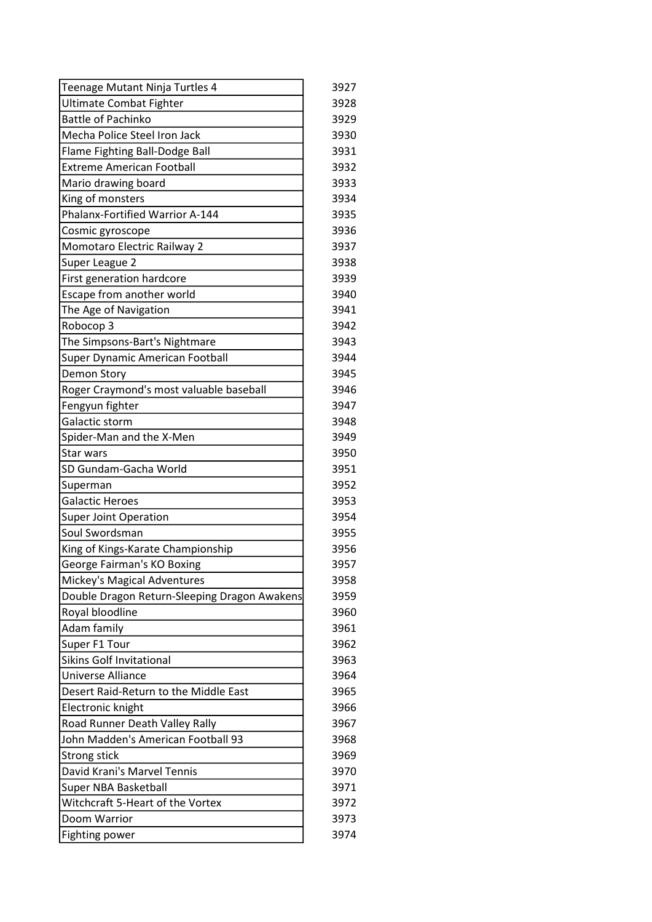| Teenage Mutant Ninja Turtles 4               | 3927 |
|----------------------------------------------|------|
| Ultimate Combat Fighter                      | 3928 |
| <b>Battle of Pachinko</b>                    | 3929 |
| Mecha Police Steel Iron Jack                 | 3930 |
| Flame Fighting Ball-Dodge Ball               | 3931 |
| <b>Extreme American Football</b>             | 3932 |
| Mario drawing board                          | 3933 |
| King of monsters                             | 3934 |
| Phalanx-Fortified Warrior A-144              | 3935 |
| Cosmic gyroscope                             | 3936 |
| Momotaro Electric Railway 2                  | 3937 |
| Super League 2                               | 3938 |
| First generation hardcore                    | 3939 |
| Escape from another world                    | 3940 |
| The Age of Navigation                        | 3941 |
| Robocop 3                                    | 3942 |
| The Simpsons-Bart's Nightmare                | 3943 |
| Super Dynamic American Football              | 3944 |
| Demon Story                                  | 3945 |
| Roger Craymond's most valuable baseball      | 3946 |
| Fengyun fighter                              | 3947 |
| Galactic storm                               | 3948 |
| Spider-Man and the X-Men                     | 3949 |
| Star wars                                    | 3950 |
| SD Gundam-Gacha World                        | 3951 |
| Superman                                     | 3952 |
| <b>Galactic Heroes</b>                       | 3953 |
| <b>Super Joint Operation</b>                 | 3954 |
| Soul Swordsman                               | 3955 |
| King of Kings-Karate Championship            | 3956 |
| George Fairman's KO Boxing                   | 3957 |
| Mickey's Magical Adventures                  | 3958 |
| Double Dragon Return-Sleeping Dragon Awakens | 3959 |
| Royal bloodline                              | 3960 |
| Adam family                                  | 3961 |
| Super F1 Tour                                | 3962 |
| <b>Sikins Golf Invitational</b>              | 3963 |
| Universe Alliance                            | 3964 |
| Desert Raid-Return to the Middle East        | 3965 |
| Electronic knight                            | 3966 |
| Road Runner Death Valley Rally               | 3967 |
| John Madden's American Football 93           | 3968 |
| <b>Strong stick</b>                          | 3969 |
| David Krani's Marvel Tennis                  | 3970 |
| Super NBA Basketball                         | 3971 |
| Witchcraft 5-Heart of the Vortex             | 3972 |
| Doom Warrior                                 | 3973 |
| Fighting power                               | 3974 |
|                                              |      |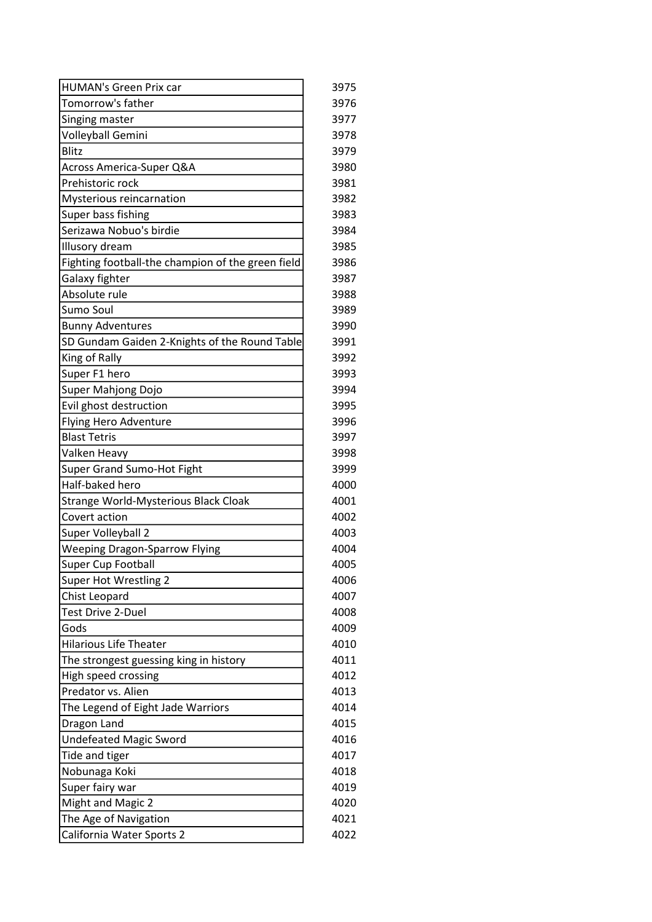| 3975 |
|------|
| 3976 |
| 3977 |
| 3978 |
| 3979 |
| 3980 |
| 3981 |
| 3982 |
| 3983 |
| 3984 |
| 3985 |
| 3986 |
| 3987 |
| 3988 |
| 3989 |
| 3990 |
| 3991 |
| 3992 |
| 3993 |
| 3994 |
| 3995 |
| 3996 |
| 3997 |
| 3998 |
| 3999 |
| 4000 |
| 4001 |
| 4002 |
| 4003 |
| 4004 |
| 4005 |
| 4006 |
| 4007 |
| 4008 |
| 4009 |
| 4010 |
| 4011 |
| 4012 |
| 4013 |
| 4014 |
| 4015 |
| 4016 |
| 4017 |
| 4018 |
| 4019 |
| 4020 |
| 4021 |
| 4022 |
|      |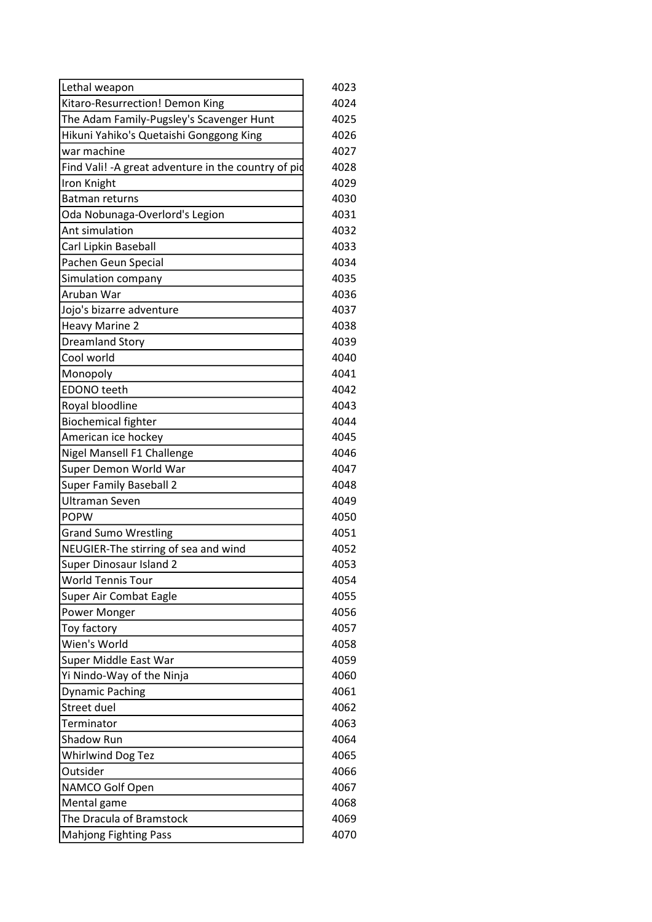| Lethal weapon                                        | 4023 |
|------------------------------------------------------|------|
| Kitaro-Resurrection! Demon King                      | 4024 |
| The Adam Family-Pugsley's Scavenger Hunt             | 4025 |
| Hikuni Yahiko's Quetaishi Gonggong King              | 4026 |
| war machine                                          | 4027 |
| Find Vali! - A great adventure in the country of pid | 4028 |
| Iron Knight                                          | 4029 |
| <b>Batman returns</b>                                | 4030 |
| Oda Nobunaga-Overlord's Legion                       | 4031 |
| Ant simulation                                       | 4032 |
| Carl Lipkin Baseball                                 | 4033 |
| Pachen Geun Special                                  | 4034 |
| Simulation company                                   | 4035 |
| Aruban War                                           | 4036 |
| Jojo's bizarre adventure                             | 4037 |
| <b>Heavy Marine 2</b>                                | 4038 |
| <b>Dreamland Story</b>                               | 4039 |
| Cool world                                           | 4040 |
| Monopoly                                             | 4041 |
| <b>EDONO</b> teeth                                   | 4042 |
| Royal bloodline                                      | 4043 |
| <b>Biochemical fighter</b>                           | 4044 |
| American ice hockey                                  | 4045 |
| Nigel Mansell F1 Challenge                           | 4046 |
| Super Demon World War                                | 4047 |
| <b>Super Family Baseball 2</b>                       | 4048 |
| <b>Ultraman Seven</b>                                | 4049 |
| <b>POPW</b>                                          | 4050 |
| <b>Grand Sumo Wrestling</b>                          | 4051 |
| NEUGIER-The stirring of sea and wind                 | 4052 |
| Super Dinosaur Island 2                              | 4053 |
| <b>World Tennis Tour</b>                             | 4054 |
| Super Air Combat Eagle                               | 4055 |
| Power Monger                                         | 4056 |
| Toy factory                                          | 4057 |
| Wien's World                                         | 4058 |
| Super Middle East War                                | 4059 |
| Yi Nindo-Way of the Ninja                            | 4060 |
| <b>Dynamic Paching</b>                               | 4061 |
| Street duel                                          | 4062 |
| Terminator                                           | 4063 |
| Shadow Run                                           | 4064 |
| Whirlwind Dog Tez                                    | 4065 |
| Outsider                                             | 4066 |
| NAMCO Golf Open                                      | 4067 |
| Mental game                                          | 4068 |
| The Dracula of Bramstock                             | 4069 |
| <b>Mahjong Fighting Pass</b>                         | 4070 |
|                                                      |      |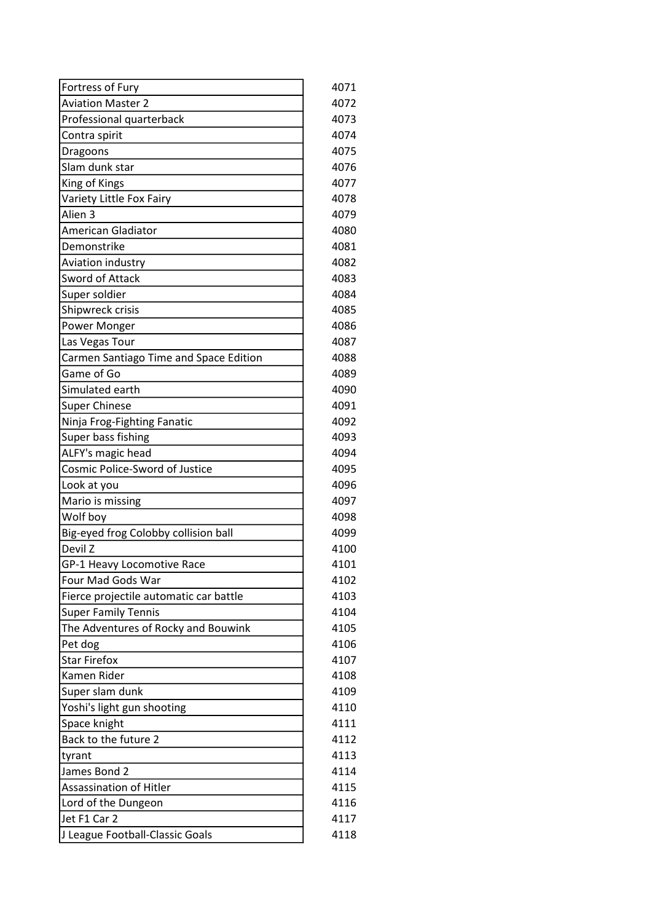| Fortress of Fury                       | 4071 |
|----------------------------------------|------|
| <b>Aviation Master 2</b>               | 4072 |
| Professional quarterback               | 4073 |
| Contra spirit                          | 4074 |
| Dragoons                               | 4075 |
| Slam dunk star                         | 4076 |
| King of Kings                          | 4077 |
| Variety Little Fox Fairy               | 4078 |
| Alien <sub>3</sub>                     | 4079 |
| <b>American Gladiator</b>              | 4080 |
| Demonstrike                            | 4081 |
| Aviation industry                      | 4082 |
| <b>Sword of Attack</b>                 | 4083 |
| Super soldier                          | 4084 |
| Shipwreck crisis                       | 4085 |
| Power Monger                           | 4086 |
| Las Vegas Tour                         | 4087 |
| Carmen Santiago Time and Space Edition | 4088 |
| Game of Go                             | 4089 |
| Simulated earth                        | 4090 |
| <b>Super Chinese</b>                   | 4091 |
| Ninja Frog-Fighting Fanatic            | 4092 |
| Super bass fishing                     | 4093 |
| ALFY's magic head                      | 4094 |
| Cosmic Police-Sword of Justice         | 4095 |
| Look at you                            | 4096 |
| Mario is missing                       | 4097 |
| Wolf boy                               | 4098 |
| Big-eyed frog Colobby collision ball   | 4099 |
| Devil Z                                | 4100 |
| GP-1 Heavy Locomotive Race             | 4101 |
| Four Mad Gods War                      | 4102 |
| Fierce projectile automatic car battle | 4103 |
| <b>Super Family Tennis</b>             | 4104 |
| The Adventures of Rocky and Bouwink    | 4105 |
| Pet dog                                | 4106 |
| <b>Star Firefox</b>                    | 4107 |
| Kamen Rider                            | 4108 |
| Super slam dunk                        | 4109 |
| Yoshi's light gun shooting             | 4110 |
| Space knight                           | 4111 |
| Back to the future 2                   | 4112 |
| tyrant                                 | 4113 |
| James Bond 2                           | 4114 |
| <b>Assassination of Hitler</b>         | 4115 |
| Lord of the Dungeon                    | 4116 |
| Jet F1 Car 2                           | 4117 |
| J League Football-Classic Goals        | 4118 |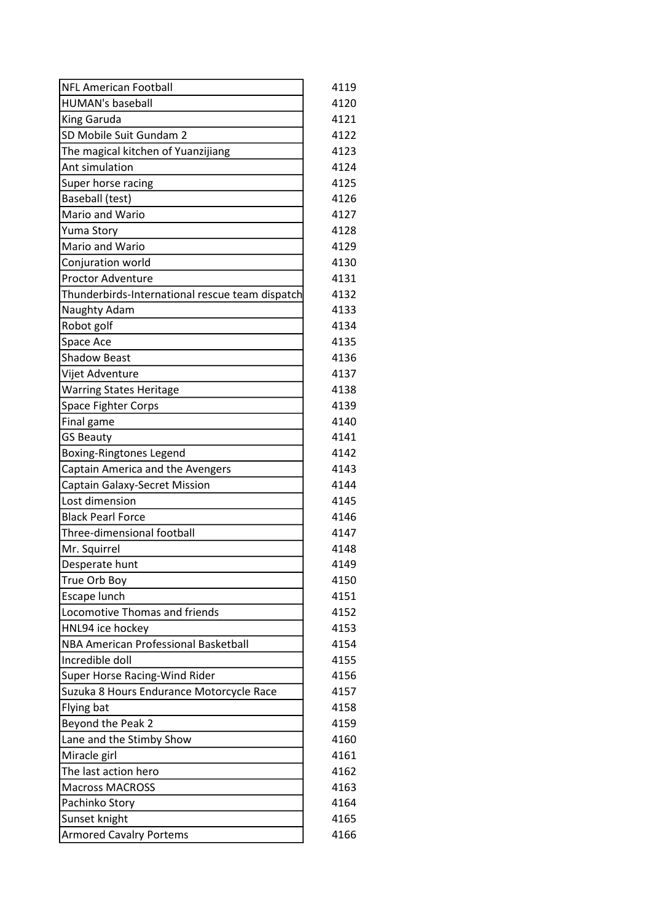| <b>NFL American Football</b>                    | 4119 |
|-------------------------------------------------|------|
| <b>HUMAN's baseball</b>                         | 4120 |
| King Garuda                                     | 4121 |
| SD Mobile Suit Gundam 2                         | 4122 |
| The magical kitchen of Yuanzijiang              | 4123 |
| Ant simulation                                  | 4124 |
| Super horse racing                              | 4125 |
| Baseball (test)                                 | 4126 |
| Mario and Wario                                 | 4127 |
| Yuma Story                                      | 4128 |
| Mario and Wario                                 | 4129 |
| Conjuration world                               | 4130 |
| <b>Proctor Adventure</b>                        | 4131 |
| Thunderbirds-International rescue team dispatch | 4132 |
| Naughty Adam                                    | 4133 |
| Robot golf                                      | 4134 |
| Space Ace                                       | 4135 |
| <b>Shadow Beast</b>                             | 4136 |
| Vijet Adventure                                 | 4137 |
| <b>Warring States Heritage</b>                  | 4138 |
| Space Fighter Corps                             | 4139 |
| Final game                                      | 4140 |
| <b>GS Beauty</b>                                | 4141 |
| Boxing-Ringtones Legend                         | 4142 |
| Captain America and the Avengers                | 4143 |
| <b>Captain Galaxy-Secret Mission</b>            | 4144 |
| Lost dimension                                  | 4145 |
| <b>Black Pearl Force</b>                        | 4146 |
| Three-dimensional football                      | 4147 |
| Mr. Squirrel                                    | 4148 |
| Desperate hunt                                  | 4149 |
| True Orb Boy                                    | 4150 |
| Escape lunch                                    | 4151 |
| Locomotive Thomas and friends                   | 4152 |
| HNL94 ice hockey                                | 4153 |
| NBA American Professional Basketball            | 4154 |
| Incredible doll                                 | 4155 |
| Super Horse Racing-Wind Rider                   | 4156 |
| Suzuka 8 Hours Endurance Motorcycle Race        | 4157 |
| Flying bat                                      | 4158 |
| Beyond the Peak 2                               | 4159 |
| Lane and the Stimby Show                        | 4160 |
| Miracle girl                                    | 4161 |
| The last action hero                            | 4162 |
| <b>Macross MACROSS</b>                          | 4163 |
| Pachinko Story                                  | 4164 |
| Sunset knight                                   | 4165 |
| <b>Armored Cavalry Portems</b>                  | 4166 |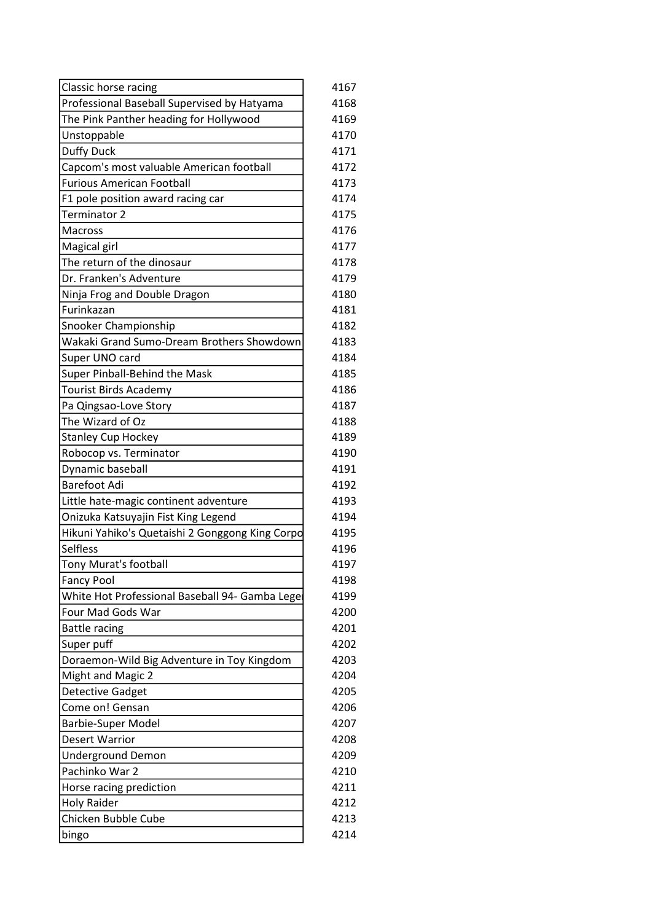| Classic horse racing                            | 4167 |
|-------------------------------------------------|------|
| Professional Baseball Supervised by Hatyama     | 4168 |
| The Pink Panther heading for Hollywood          | 4169 |
| Unstoppable                                     | 4170 |
| <b>Duffy Duck</b>                               | 4171 |
| Capcom's most valuable American football        | 4172 |
| <b>Furious American Football</b>                | 4173 |
| F1 pole position award racing car               | 4174 |
| Terminator 2                                    | 4175 |
| <b>Macross</b>                                  | 4176 |
| Magical girl                                    | 4177 |
| The return of the dinosaur                      | 4178 |
| Dr. Franken's Adventure                         | 4179 |
| Ninja Frog and Double Dragon                    | 4180 |
| Furinkazan                                      | 4181 |
| Snooker Championship                            | 4182 |
| Wakaki Grand Sumo-Dream Brothers Showdown       | 4183 |
| Super UNO card                                  | 4184 |
| Super Pinball-Behind the Mask                   | 4185 |
| Tourist Birds Academy                           | 4186 |
| Pa Qingsao-Love Story                           | 4187 |
| The Wizard of Oz                                | 4188 |
| <b>Stanley Cup Hockey</b>                       | 4189 |
| Robocop vs. Terminator                          | 4190 |
| Dynamic baseball                                | 4191 |
| <b>Barefoot Adi</b>                             | 4192 |
| Little hate-magic continent adventure           | 4193 |
| Onizuka Katsuyajin Fist King Legend             | 4194 |
| Hikuni Yahiko's Quetaishi 2 Gonggong King Corpo | 4195 |
| <b>Selfless</b>                                 | 4196 |
| Tony Murat's football                           | 4197 |
| <b>Fancy Pool</b>                               | 4198 |
| White Hot Professional Baseball 94- Gamba Lege  | 4199 |
| Four Mad Gods War                               | 4200 |
| <b>Battle racing</b>                            | 4201 |
| Super puff                                      | 4202 |
| Doraemon-Wild Big Adventure in Toy Kingdom      | 4203 |
| <b>Might and Magic 2</b>                        | 4204 |
| <b>Detective Gadget</b>                         | 4205 |
| Come on! Gensan                                 | 4206 |
| <b>Barbie-Super Model</b>                       | 4207 |
| <b>Desert Warrior</b>                           | 4208 |
| <b>Underground Demon</b>                        | 4209 |
| Pachinko War 2                                  | 4210 |
| Horse racing prediction                         | 4211 |
| Holy Raider                                     | 4212 |
| Chicken Bubble Cube                             | 4213 |
| bingo                                           | 4214 |
|                                                 |      |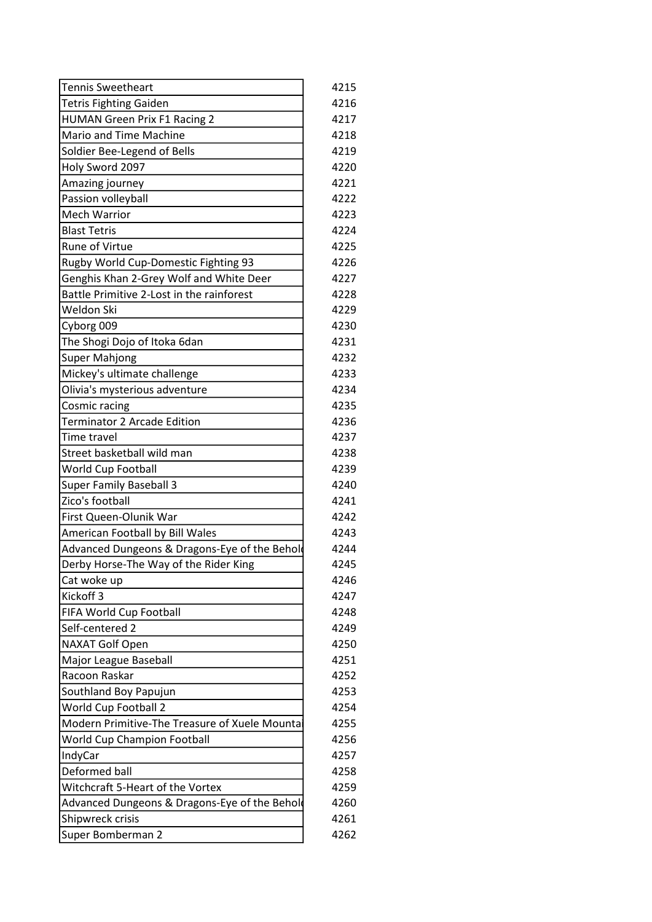| <b>Tennis Sweetheart</b>                       | 4215 |
|------------------------------------------------|------|
| <b>Tetris Fighting Gaiden</b>                  | 4216 |
| <b>HUMAN Green Prix F1 Racing 2</b>            | 4217 |
| Mario and Time Machine                         | 4218 |
| Soldier Bee-Legend of Bells                    | 4219 |
| Holy Sword 2097                                | 4220 |
| Amazing journey                                | 4221 |
| Passion volleyball                             | 4222 |
| Mech Warrior                                   | 4223 |
| <b>Blast Tetris</b>                            | 4224 |
| <b>Rune of Virtue</b>                          | 4225 |
| Rugby World Cup-Domestic Fighting 93           | 4226 |
| Genghis Khan 2-Grey Wolf and White Deer        | 4227 |
| Battle Primitive 2-Lost in the rainforest      | 4228 |
| Weldon Ski                                     | 4229 |
| Cyborg 009                                     | 4230 |
| The Shogi Dojo of Itoka 6dan                   | 4231 |
| <b>Super Mahjong</b>                           | 4232 |
| Mickey's ultimate challenge                    | 4233 |
| Olivia's mysterious adventure                  | 4234 |
| Cosmic racing                                  | 4235 |
| <b>Terminator 2 Arcade Edition</b>             | 4236 |
| Time travel                                    | 4237 |
| Street basketball wild man                     | 4238 |
| World Cup Football                             | 4239 |
| <b>Super Family Baseball 3</b>                 | 4240 |
| Zico's football                                | 4241 |
| First Queen-Olunik War                         | 4242 |
| American Football by Bill Wales                | 4243 |
| Advanced Dungeons & Dragons-Eye of the Behold  | 4244 |
| Derby Horse-The Way of the Rider King          | 4245 |
| Cat woke up                                    | 4246 |
| Kickoff <sub>3</sub>                           | 4247 |
| FIFA World Cup Football                        | 4248 |
| Self-centered 2                                | 4249 |
| <b>NAXAT Golf Open</b>                         | 4250 |
| Major League Baseball                          | 4251 |
| Racoon Raskar                                  | 4252 |
|                                                |      |
| Southland Boy Papujun                          | 4253 |
| World Cup Football 2                           | 4254 |
| Modern Primitive-The Treasure of Xuele Mountai | 4255 |
| World Cup Champion Football                    | 4256 |
| IndyCar                                        | 4257 |
| Deformed ball                                  | 4258 |
| Witchcraft 5-Heart of the Vortex               | 4259 |
| Advanced Dungeons & Dragons-Eye of the Behold  | 4260 |
| Shipwreck crisis                               | 4261 |
| Super Bomberman 2                              | 4262 |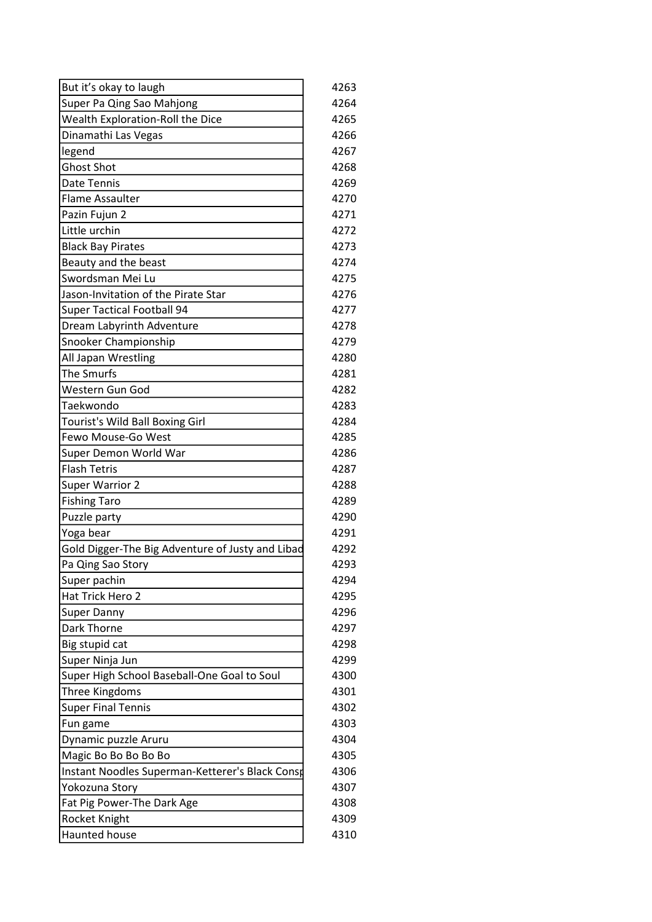| But it's okay to laugh                           | 4263 |
|--------------------------------------------------|------|
| Super Pa Qing Sao Mahjong                        | 4264 |
| Wealth Exploration-Roll the Dice                 | 4265 |
| Dinamathi Las Vegas                              | 4266 |
| legend                                           | 4267 |
| <b>Ghost Shot</b>                                | 4268 |
| Date Tennis                                      | 4269 |
| <b>Flame Assaulter</b>                           | 4270 |
| Pazin Fujun 2                                    | 4271 |
| Little urchin                                    | 4272 |
| <b>Black Bay Pirates</b>                         | 4273 |
| Beauty and the beast                             | 4274 |
| Swordsman Mei Lu                                 | 4275 |
| Jason-Invitation of the Pirate Star              | 4276 |
| <b>Super Tactical Football 94</b>                | 4277 |
| Dream Labyrinth Adventure                        | 4278 |
| Snooker Championship                             | 4279 |
| All Japan Wrestling                              | 4280 |
| The Smurfs                                       | 4281 |
| Western Gun God                                  | 4282 |
| Taekwondo                                        | 4283 |
| Tourist's Wild Ball Boxing Girl                  | 4284 |
| Fewo Mouse-Go West                               | 4285 |
| Super Demon World War                            | 4286 |
| <b>Flash Tetris</b>                              | 4287 |
| Super Warrior 2                                  | 4288 |
| <b>Fishing Taro</b>                              | 4289 |
| Puzzle party                                     | 4290 |
| Yoga bear                                        | 4291 |
| Gold Digger-The Big Adventure of Justy and Libad | 4292 |
| Pa Qing Sao Story                                | 4293 |
| Super pachin                                     | 4294 |
| Hat Trick Hero 2                                 | 4295 |
| <b>Super Danny</b>                               | 4296 |
| Dark Thorne                                      | 4297 |
| Big stupid cat                                   | 4298 |
| Super Ninja Jun                                  | 4299 |
| Super High School Baseball-One Goal to Soul      | 4300 |
| Three Kingdoms                                   | 4301 |
| <b>Super Final Tennis</b>                        | 4302 |
| Fun game                                         | 4303 |
| Dynamic puzzle Aruru                             | 4304 |
| Magic Bo Bo Bo Bo Bo                             | 4305 |
| Instant Noodles Superman-Ketterer's Black Consp  | 4306 |
| Yokozuna Story                                   | 4307 |
| Fat Pig Power-The Dark Age                       | 4308 |
| Rocket Knight                                    | 4309 |
| Haunted house                                    | 4310 |
|                                                  |      |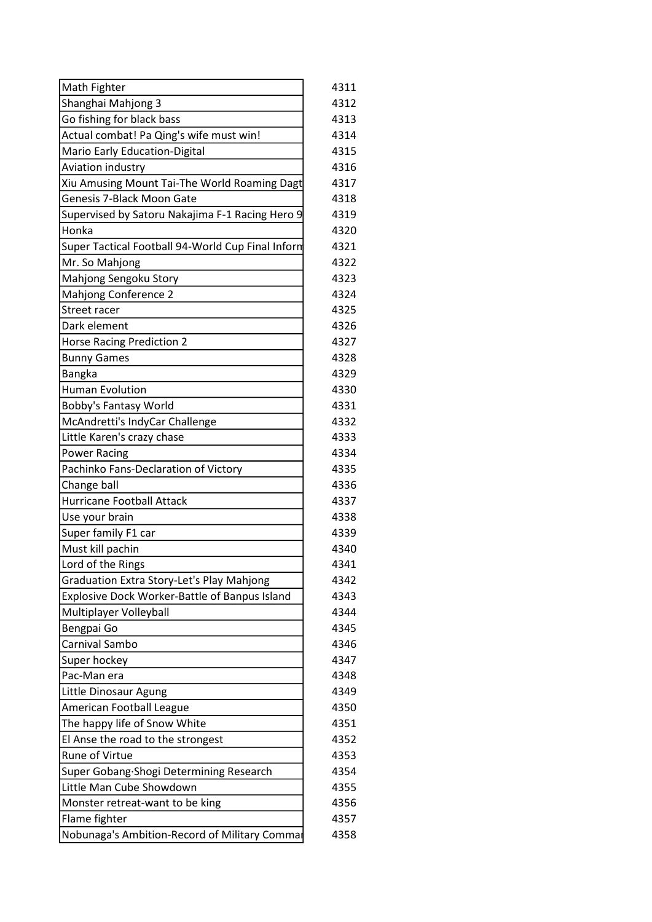| Math Fighter                                      | 4311 |
|---------------------------------------------------|------|
| Shanghai Mahjong 3                                | 4312 |
| Go fishing for black bass                         | 4313 |
| Actual combat! Pa Qing's wife must win!           | 4314 |
| Mario Early Education-Digital                     | 4315 |
| Aviation industry                                 | 4316 |
| Xiu Amusing Mount Tai-The World Roaming Dagt      | 4317 |
| <b>Genesis 7-Black Moon Gate</b>                  | 4318 |
| Supervised by Satoru Nakajima F-1 Racing Hero 9   | 4319 |
| Honka                                             | 4320 |
| Super Tactical Football 94-World Cup Final Inform | 4321 |
| Mr. So Mahjong                                    | 4322 |
| Mahjong Sengoku Story                             | 4323 |
| Mahjong Conference 2                              | 4324 |
| Street racer                                      | 4325 |
| Dark element                                      | 4326 |
| <b>Horse Racing Prediction 2</b>                  | 4327 |
| <b>Bunny Games</b>                                | 4328 |
| Bangka                                            | 4329 |
| <b>Human Evolution</b>                            | 4330 |
| Bobby's Fantasy World                             | 4331 |
| McAndretti's IndyCar Challenge                    | 4332 |
| Little Karen's crazy chase                        | 4333 |
| <b>Power Racing</b>                               | 4334 |
| Pachinko Fans-Declaration of Victory              | 4335 |
| Change ball                                       | 4336 |
| <b>Hurricane Football Attack</b>                  | 4337 |
| Use your brain                                    | 4338 |
| Super family F1 car                               | 4339 |
| Must kill pachin                                  | 4340 |
| Lord of the Rings                                 | 4341 |
| Graduation Extra Story-Let's Play Mahjong         | 4342 |
| Explosive Dock Worker-Battle of Banpus Island     | 4343 |
| Multiplayer Volleyball                            | 4344 |
| Bengpai Go                                        | 4345 |
| Carnival Sambo                                    | 4346 |
| Super hockey                                      | 4347 |
| Pac-Man era                                       | 4348 |
| Little Dinosaur Agung                             | 4349 |
| American Football League                          | 4350 |
| The happy life of Snow White                      | 4351 |
| El Anse the road to the strongest                 | 4352 |
|                                                   |      |
| <b>Rune of Virtue</b>                             | 4353 |
| Super Gobang Shogi Determining Research           | 4354 |
| Little Man Cube Showdown                          | 4355 |
| Monster retreat-want to be king                   | 4356 |
| Flame fighter                                     | 4357 |
| Nobunaga's Ambition-Record of Military Comma      | 4358 |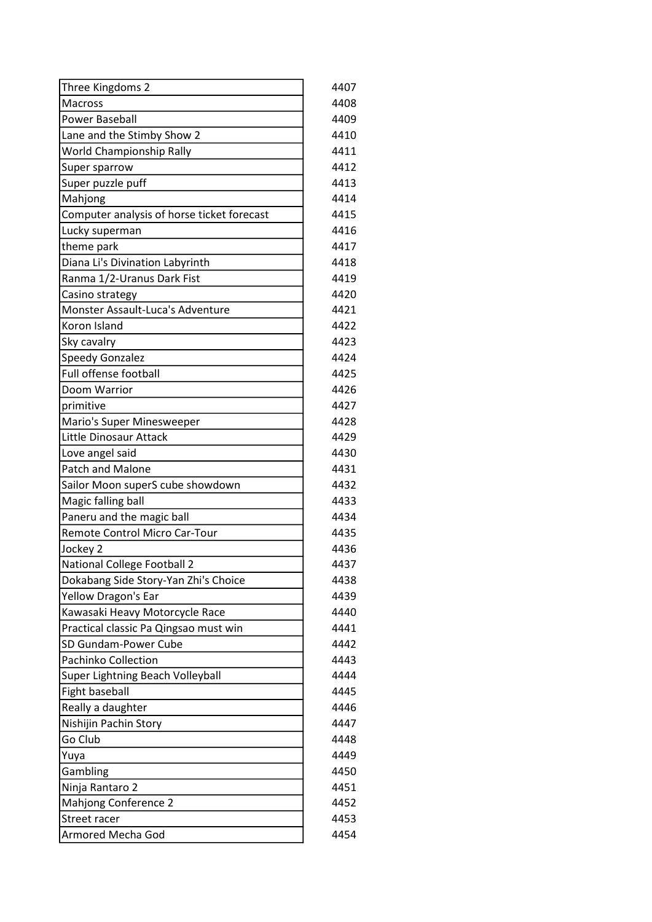| Three Kingdoms 2                           | 4407 |
|--------------------------------------------|------|
| Macross                                    | 4408 |
| <b>Power Baseball</b>                      | 4409 |
| Lane and the Stimby Show 2                 | 4410 |
| World Championship Rally                   | 4411 |
| Super sparrow                              | 4412 |
| Super puzzle puff                          | 4413 |
| Mahjong                                    | 4414 |
| Computer analysis of horse ticket forecast | 4415 |
| Lucky superman                             | 4416 |
| theme park                                 | 4417 |
| Diana Li's Divination Labyrinth            | 4418 |
| Ranma 1/2-Uranus Dark Fist                 | 4419 |
| Casino strategy                            | 4420 |
| Monster Assault-Luca's Adventure           | 4421 |
| Koron Island                               | 4422 |
| Sky cavalry                                | 4423 |
| Speedy Gonzalez                            | 4424 |
| <b>Full offense football</b>               | 4425 |
| Doom Warrior                               | 4426 |
| primitive                                  | 4427 |
| Mario's Super Minesweeper                  | 4428 |
| Little Dinosaur Attack                     | 4429 |
| Love angel said                            | 4430 |
| Patch and Malone                           | 4431 |
| Sailor Moon superS cube showdown           | 4432 |
| Magic falling ball                         | 4433 |
| Paneru and the magic ball                  | 4434 |
| Remote Control Micro Car-Tour              | 4435 |
| Jockey 2                                   | 4436 |
| National College Football 2                | 4437 |
| Dokabang Side Story-Yan Zhi's Choice       | 4438 |
| Yellow Dragon's Ear                        | 4439 |
| Kawasaki Heavy Motorcycle Race             | 4440 |
| Practical classic Pa Qingsao must win      | 4441 |
| SD Gundam-Power Cube                       | 4442 |
| <b>Pachinko Collection</b>                 | 4443 |
| Super Lightning Beach Volleyball           | 4444 |
| Fight baseball                             | 4445 |
| Really a daughter                          | 4446 |
| Nishijin Pachin Story                      | 4447 |
| Go Club                                    | 4448 |
| Yuya                                       | 4449 |
| Gambling                                   | 4450 |
| Ninja Rantaro 2                            | 4451 |
| Mahjong Conference 2                       | 4452 |
| Street racer                               | 4453 |
| Armored Mecha God                          | 4454 |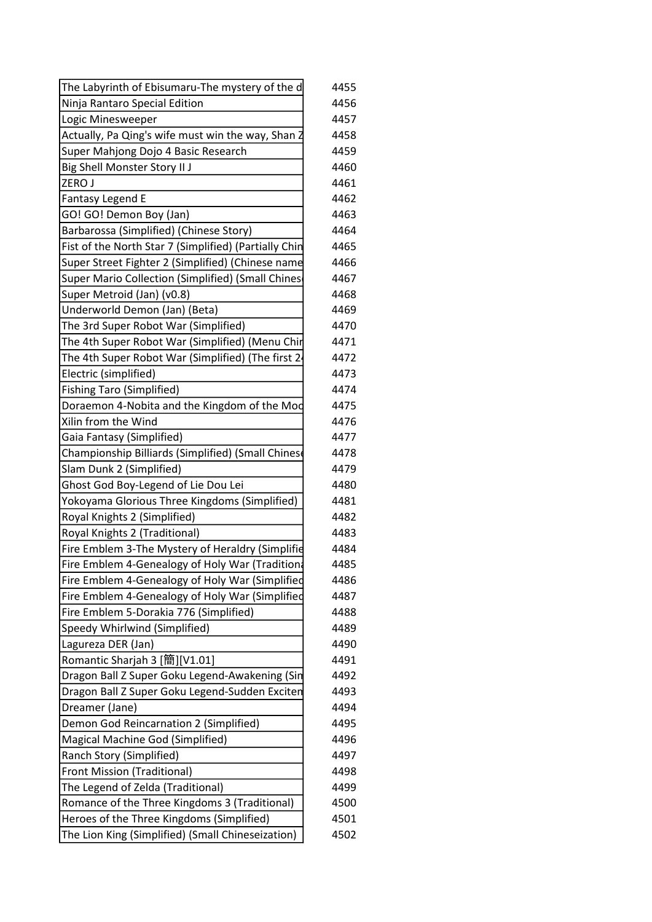| The Labyrinth of Ebisumaru-The mystery of the d       | 4455 |
|-------------------------------------------------------|------|
| Ninja Rantaro Special Edition                         | 4456 |
| Logic Minesweeper                                     | 4457 |
| Actually, Pa Qing's wife must win the way, Shan Z     | 4458 |
| Super Mahjong Dojo 4 Basic Research                   | 4459 |
| <b>Big Shell Monster Story II J</b>                   | 4460 |
| ZERO J                                                | 4461 |
| <b>Fantasy Legend E</b>                               | 4462 |
| GO! GO! Demon Boy (Jan)                               | 4463 |
| Barbarossa (Simplified) (Chinese Story)               | 4464 |
| Fist of the North Star 7 (Simplified) (Partially Chin | 4465 |
| Super Street Fighter 2 (Simplified) (Chinese name     | 4466 |
| Super Mario Collection (Simplified) (Small Chines     | 4467 |
| Super Metroid (Jan) (v0.8)                            | 4468 |
| Underworld Demon (Jan) (Beta)                         | 4469 |
| The 3rd Super Robot War (Simplified)                  | 4470 |
| The 4th Super Robot War (Simplified) (Menu Chir       | 4471 |
| The 4th Super Robot War (Simplified) (The first 2     | 4472 |
| Electric (simplified)                                 | 4473 |
| <b>Fishing Taro (Simplified)</b>                      | 4474 |
| Doraemon 4-Nobita and the Kingdom of the Mod          | 4475 |
| Xilin from the Wind                                   | 4476 |
| Gaia Fantasy (Simplified)                             | 4477 |
| Championship Billiards (Simplified) (Small Chinese    | 4478 |
| Slam Dunk 2 (Simplified)                              | 4479 |
| Ghost God Boy-Legend of Lie Dou Lei                   | 4480 |
| Yokoyama Glorious Three Kingdoms (Simplified)         | 4481 |
| Royal Knights 2 (Simplified)                          | 4482 |
| Royal Knights 2 (Traditional)                         | 4483 |
| Fire Emblem 3-The Mystery of Heraldry (Simplifie      | 4484 |
| Fire Emblem 4-Genealogy of Holy War (Tradition        | 4485 |
| Fire Emblem 4-Genealogy of Holy War (Simplified       | 4486 |
| Fire Emblem 4-Genealogy of Holy War (Simplified       | 4487 |
| Fire Emblem 5-Dorakia 776 (Simplified)                | 4488 |
| Speedy Whirlwind (Simplified)                         | 4489 |
| Lagureza DER (Jan)                                    | 4490 |
| Romantic Sharjah 3 [簡][V1.01]                         | 4491 |
| Dragon Ball Z Super Goku Legend-Awakening (Sin        | 4492 |
| Dragon Ball Z Super Goku Legend-Sudden Exciten        | 4493 |
| Dreamer (Jane)                                        | 4494 |
| Demon God Reincarnation 2 (Simplified)                | 4495 |
| Magical Machine God (Simplified)                      | 4496 |
| Ranch Story (Simplified)                              | 4497 |
| <b>Front Mission (Traditional)</b>                    | 4498 |
| The Legend of Zelda (Traditional)                     | 4499 |
| Romance of the Three Kingdoms 3 (Traditional)         | 4500 |
| Heroes of the Three Kingdoms (Simplified)             | 4501 |
| The Lion King (Simplified) (Small Chineseization)     | 4502 |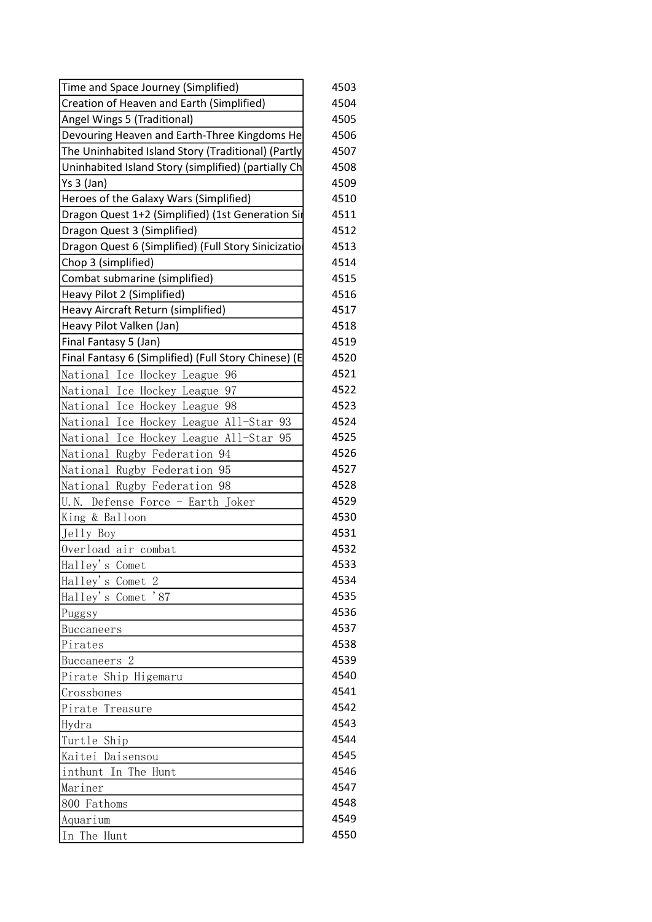| Time and Space Journey (Simplified)                  | 4503 |
|------------------------------------------------------|------|
| Creation of Heaven and Earth (Simplified)            | 4504 |
| Angel Wings 5 (Traditional)                          | 4505 |
| Devouring Heaven and Earth-Three Kingdoms He         | 4506 |
| The Uninhabited Island Story (Traditional) (Partly   | 4507 |
| Uninhabited Island Story (simplified) (partially Ch  | 4508 |
| Ys 3 (Jan)                                           | 4509 |
| Heroes of the Galaxy Wars (Simplified)               | 4510 |
| Dragon Quest 1+2 (Simplified) (1st Generation Sir    | 4511 |
| Dragon Quest 3 (Simplified)                          | 4512 |
| Dragon Quest 6 (Simplified) (Full Story Sinicizatio  | 4513 |
| Chop 3 (simplified)                                  | 4514 |
| Combat submarine (simplified)                        | 4515 |
| Heavy Pilot 2 (Simplified)                           | 4516 |
| Heavy Aircraft Return (simplified)                   | 4517 |
| Heavy Pilot Valken (Jan)                             | 4518 |
| Final Fantasy 5 (Jan)                                | 4519 |
| Final Fantasy 6 (Simplified) (Full Story Chinese) (E | 4520 |
| National Ice Hockey League 96                        | 4521 |
| National Ice Hockey League 97                        | 4522 |
| National Ice Hockey League 98                        | 4523 |
| National Ice Hockey League All-Star 93               | 4524 |
| National Ice Hockey League All-Star 95               | 4525 |
| National Rugby Federation 94                         | 4526 |
| National Rugby Federation 95                         | 4527 |
| National Rugby Federation 98                         | 4528 |
| U.N. Defense Force - Earth Joker                     | 4529 |
| King & Balloon                                       | 4530 |
| Jelly Boy                                            | 4531 |
| Overload air combat                                  | 4532 |
| Halley's Comet                                       | 4533 |
| Halley's Comet 2                                     | 4534 |
| Halley's Comet<br>$^{\prime}87$                      | 4535 |
| Puggsy                                               | 4536 |
| Buccaneers                                           | 4537 |
| Pirates                                              | 4538 |
| Buccaneers <sub>2</sub>                              | 4539 |
| Pirate Ship Higemaru                                 | 4540 |
| Crossbones                                           | 4541 |
| Pirate Treasure                                      | 4542 |
| Hydra                                                | 4543 |
| Turtle Ship                                          | 4544 |
| Kaitei Daisensou                                     | 4545 |
| inthunt In The Hunt                                  | 4546 |
| Mariner                                              | 4547 |
| 800 Fathoms                                          | 4548 |
| Aquarium                                             | 4549 |
| In The Hunt                                          | 4550 |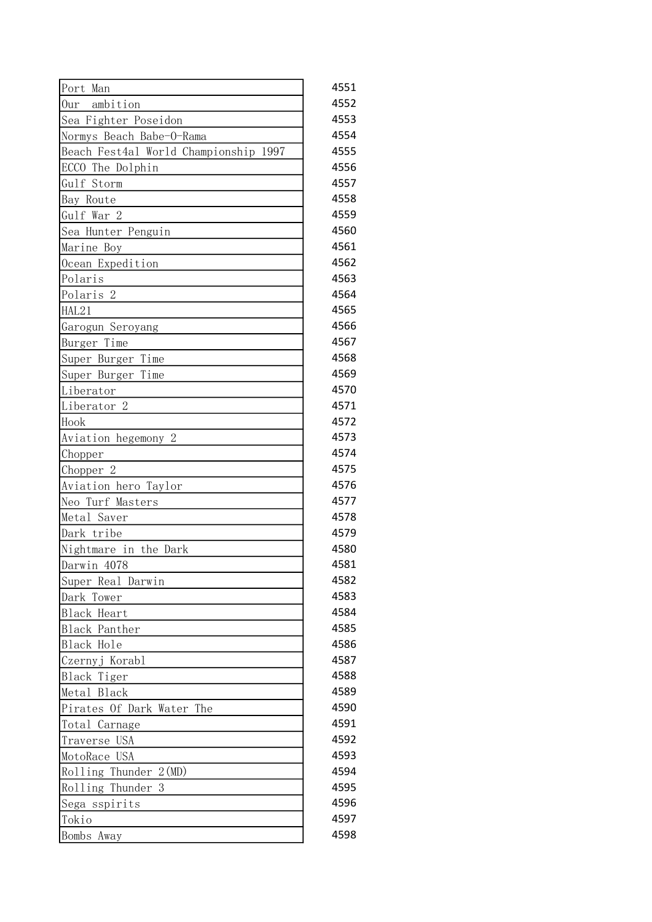| Port Man                              | 4551 |
|---------------------------------------|------|
| ambition<br>0 <sub>ur</sub>           | 4552 |
| Sea Fighter Poseidon                  | 4553 |
| Normys Beach Babe-O-Rama              | 4554 |
| Beach Fest4al World Championship 1997 | 4555 |
| ECCO The Dolphin                      | 4556 |
| Gulf Storm                            | 4557 |
| Bay Route                             | 4558 |
| Gulf War 2                            | 4559 |
| Sea Hunter Penguin                    | 4560 |
| Marine Boy                            | 4561 |
| Ocean Expedition                      | 4562 |
| Polaris                               | 4563 |
| Polaris <sub>2</sub>                  | 4564 |
| HAL21                                 | 4565 |
| Garogun Seroyang                      | 4566 |
| Burger Time                           | 4567 |
| Super Burger Time                     | 4568 |
| Super Burger Time                     | 4569 |
| Liberator                             | 4570 |
| Liberator <sub>2</sub>                | 4571 |
| Hook                                  | 4572 |
| Aviation hegemony 2                   | 4573 |
| Chopper                               | 4574 |
| Chopper 2                             | 4575 |
| Aviation hero Taylor                  | 4576 |
| Neo Turf Masters                      | 4577 |
| Metal Saver                           | 4578 |
| Dark tribe                            | 4579 |
| Nightmare in the Dark                 | 4580 |
| Darwin 4078                           | 4581 |
| Super Real Darwin                     | 4582 |
| Dark Tower                            | 4583 |
| Black Heart                           | 4584 |
| Black Panther                         | 4585 |
| Black Hole                            | 4586 |
| Czernyj Korabl                        | 4587 |
| Black Tiger                           | 4588 |
| Metal Black                           | 4589 |
| Pirates Of Dark Water<br>The          | 4590 |
| Total Carnage                         | 4591 |
| Traverse USA                          | 4592 |
| MotoRace USA                          | 4593 |
| $Rolling$ Thunder $2(MD)$             | 4594 |
| Rolling Thunder<br>3                  | 4595 |
| Sega sspirits                         | 4596 |
| Tokio                                 | 4597 |
| Bombs Away                            | 4598 |
|                                       |      |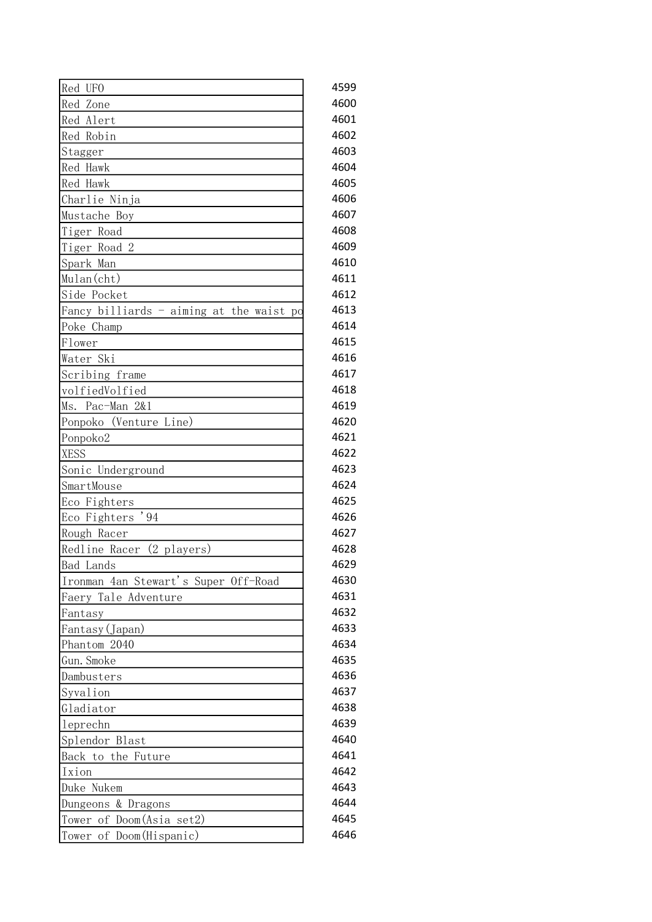| Red UFO                                  | 4599 |
|------------------------------------------|------|
| Red Zone                                 | 4600 |
| Red Alert                                | 4601 |
| Red Robin                                | 4602 |
| Stagger                                  | 4603 |
| Red Hawk                                 | 4604 |
| Red Hawk                                 | 4605 |
| Charlie Ninja                            | 4606 |
| Mustache Boy                             | 4607 |
| Tiger Road                               | 4608 |
| Tiger Road 2                             | 4609 |
| Spark Man                                | 4610 |
| Mulan(cht)                               | 4611 |
| Side Pocket                              | 4612 |
| Fancy billiards - aiming at the waist po | 4613 |
| Poke Champ                               | 4614 |
| Flower                                   | 4615 |
| Water Ski                                | 4616 |
| Scribing frame                           | 4617 |
| volfiedVolfied                           | 4618 |
| Ms. Pac-Man 2&1                          | 4619 |
| Ponpoko (Venture Line)                   | 4620 |
| Ponpoko2                                 | 4621 |
| <b>XESS</b>                              | 4622 |
| Sonic Underground                        | 4623 |
| SmartMouse                               | 4624 |
| Eco Fighters                             | 4625 |
| , 94<br>Eco Fighters                     | 4626 |
| Rough Racer                              | 4627 |
| $(2$ players)<br>Redline Racer           | 4628 |
| <b>Bad</b> Lands                         | 4629 |
| Ironman 4an Stewart's Super Off-Road     | 4630 |
| Faery Tale Adventure                     | 4631 |
| Fantasy                                  | 4632 |
| Fantasy (Japan)                          | 4633 |
| Phantom 2040                             | 4634 |
| Gun. Smoke                               | 4635 |
| Dambusters                               | 4636 |
| Syvalion                                 | 4637 |
| Gladiator                                | 4638 |
| leprechn                                 | 4639 |
| Splendor Blast                           | 4640 |
| Back to the Future                       | 4641 |
| Ixion                                    | 4642 |
| Duke Nukem                               | 4643 |
| Dungeons & Dragons                       | 4644 |
| Tower of Doom(Asia set2)                 | 4645 |
| Tower of Doom(Hispanic)                  | 4646 |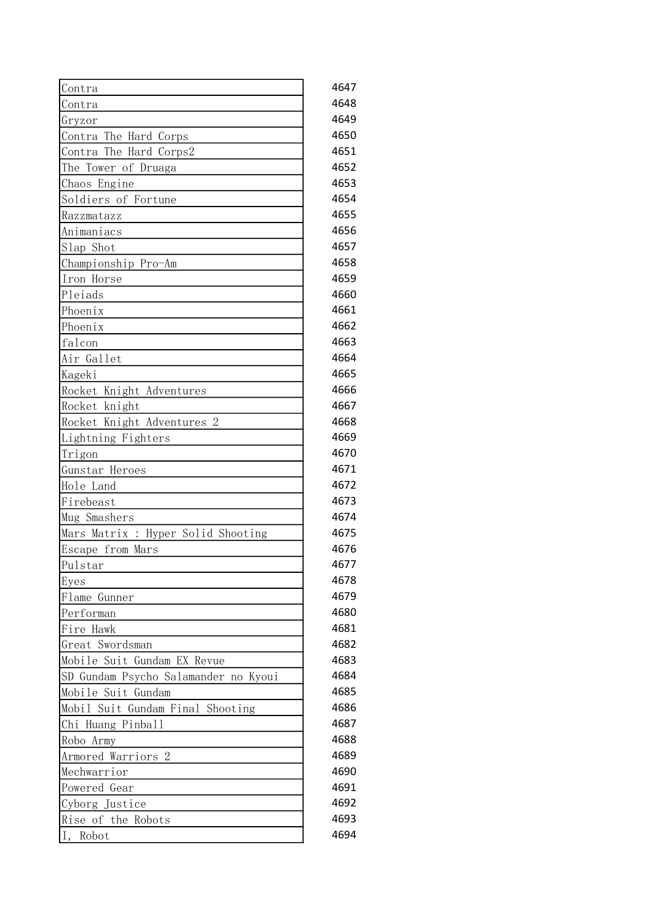| Contra                               | 4647 |
|--------------------------------------|------|
| Contra                               | 4648 |
| Gryzor                               | 4649 |
| Contra The Hard Corps                | 4650 |
| Contra The Hard Corps2               | 4651 |
| The Tower of Druaga                  | 4652 |
| Chaos Engine                         | 4653 |
| Soldiers of Fortune                  | 4654 |
| Razzmatazz                           | 4655 |
| Animaniacs                           | 4656 |
| Slap Shot                            | 4657 |
| Championship Pro-Am                  | 4658 |
| Iron Horse                           | 4659 |
| Pleiads                              | 4660 |
| Phoenix                              | 4661 |
| Phoenix                              | 4662 |
| falcon                               | 4663 |
| Air Gallet                           | 4664 |
| Kageki                               | 4665 |
| Rocket Knight Adventures             | 4666 |
| Rocket knight                        | 4667 |
| Rocket Knight Adventures 2           | 4668 |
| Lightning Fighters                   | 4669 |
| Trigon                               | 4670 |
| Gunstar Heroes                       | 4671 |
| Hole Land                            | 4672 |
| Firebeast                            | 4673 |
| Mug Smashers                         | 4674 |
| Mars Matrix : Hyper Solid Shooting   | 4675 |
| Escape from Mars                     | 4676 |
| $\bar{p}$ ulstar                     | 4677 |
| Eyes                                 | 4678 |
| Flame Gunner                         | 4679 |
| Performan                            | 4680 |
| Fire Hawk                            | 4681 |
| Great Swordsman                      | 4682 |
| Mobile Suit Gundam EX Revue          | 4683 |
| SD Gundam Psycho Salamander no Kyoui | 4684 |
| Mobile Suit Gundam                   | 4685 |
| Mobil Suit Gundam Final Shooting     | 4686 |
| Chi Huang Pinball                    | 4687 |
| Robo Army                            | 4688 |
| $\overline{2}$<br>Armored Warriors   | 4689 |
| Mechwarrior                          | 4690 |
| Powered Gear                         | 4691 |
| Cyborg Justice                       | 4692 |
| Rise of the Robots                   | 4693 |
| I,<br>Robot                          | 4694 |
|                                      |      |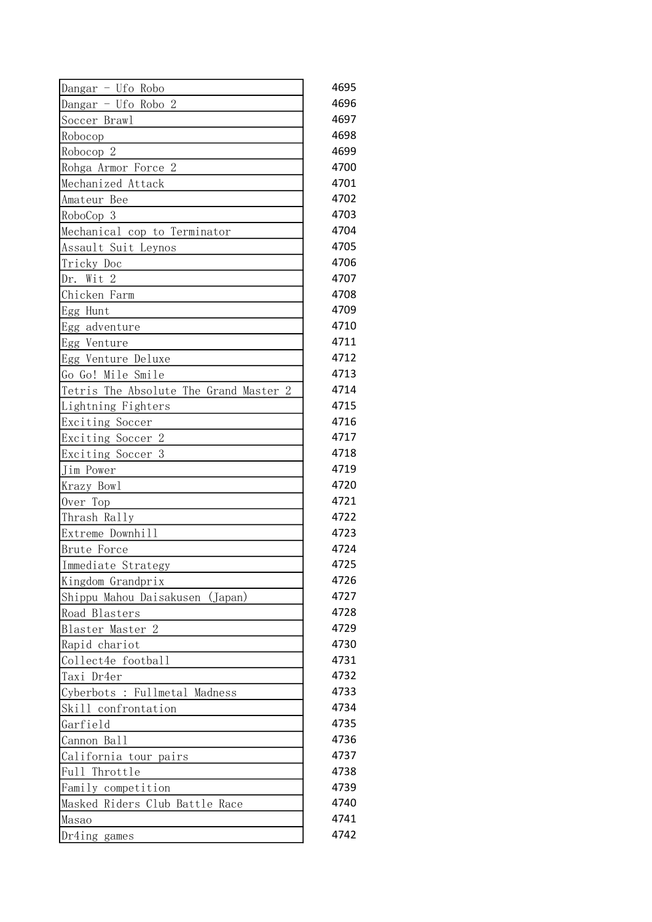| Dangar - Ufo Robo                      | 4695 |
|----------------------------------------|------|
| Dangar - Ufo Robo 2                    | 4696 |
| Soccer Brawl                           | 4697 |
| Robocop                                | 4698 |
| Robocop 2                              | 4699 |
| Rohga Armor Force 2                    | 4700 |
| Mechanized Attack                      | 4701 |
| Amateur Bee                            | 4702 |
| RoboCop 3                              | 4703 |
| Mechanical cop to Terminator           | 4704 |
| Assault Suit Leynos                    | 4705 |
| Tricky Doc                             | 4706 |
| Dr. Wit 2                              | 4707 |
| Chicken Farm                           | 4708 |
| Egg Hunt                               | 4709 |
| Egg adventure                          | 4710 |
| Egg Venture                            | 4711 |
| Egg Venture Deluxe                     | 4712 |
| Go Go! Mile Smile                      | 4713 |
| Tetris The Absolute The Grand Master 2 | 4714 |
| Lightning Fighters                     | 4715 |
| Exciting Soccer                        | 4716 |
| Exciting Soccer 2                      | 4717 |
| Exciting Soccer<br>3                   | 4718 |
| Jim Power                              | 4719 |
| Krazy Bowl                             | 4720 |
| Over Top                               | 4721 |
| Thrash Rally                           | 4722 |
| Extreme Downhill                       | 4723 |
| <b>Brute Force</b>                     | 4724 |
| Immediate Strategy                     | 4725 |
| Kingdom Grandprix                      | 4726 |
| Shippu Mahou Daisakusen (Japan)        | 4727 |
| Road Blasters                          | 4728 |
| Blaster Master 2                       | 4729 |
| Rapid chariot                          | 4730 |
| Collect4e football                     | 4731 |
| Taxi Dr4er                             | 4732 |
| Cyberbots : Fullmetal Madness          | 4733 |
| Skill confrontation                    | 4734 |
| Garfield                               | 4735 |
| Cannon Ball                            | 4736 |
| California tour pairs                  | 4737 |
| Full Throttle                          | 4738 |
| Family competition                     | 4739 |
| Masked Riders Club Battle Race         | 4740 |
| Masao                                  | 4741 |
| Dr4ing games                           | 4742 |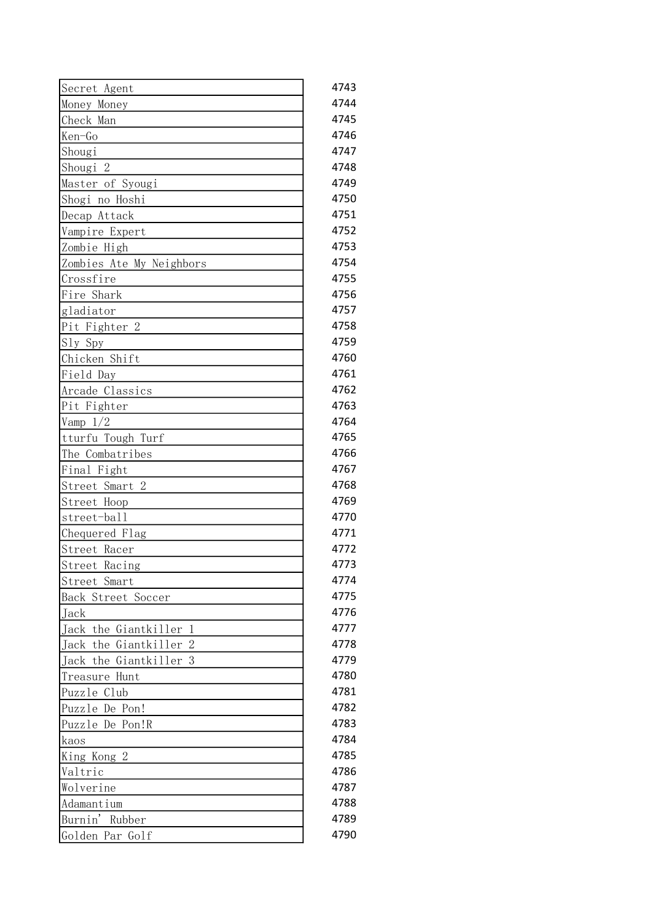| Secret Agent                                 | 4743 |
|----------------------------------------------|------|
| Money Money                                  | 4744 |
| Check Man                                    | 4745 |
| Ken-Go                                       | 4746 |
| Shougi                                       | 4747 |
| Shougi 2                                     | 4748 |
| Master of Syougi                             | 4749 |
| Shogi no Hoshi                               | 4750 |
| Decap Attack                                 | 4751 |
| Vampire Expert                               | 4752 |
| Zombie High                                  | 4753 |
| Zombies Ate My Neighbors                     | 4754 |
| Crossfire                                    | 4755 |
| Fire Shark                                   | 4756 |
| gladiator                                    | 4757 |
| Pit Fighter 2                                | 4758 |
| Sly Spy                                      | 4759 |
| Chicken Shift                                | 4760 |
| Field Day                                    | 4761 |
| Arcade Classics                              | 4762 |
| Pit Fighter                                  | 4763 |
| Vamp $1/2$                                   | 4764 |
| tturfu Tough Turf                            | 4765 |
| The Combatribes                              | 4766 |
| Final Fight                                  | 4767 |
| Street Smart 2                               | 4768 |
| Street Hoop                                  | 4769 |
| street-ball                                  | 4770 |
| Chequered Flag                               | 4771 |
| Street Racer                                 | 4772 |
| Street Racing                                | 4773 |
| Street Smart                                 | 4774 |
| Back Street Soccer                           | 4775 |
| Jack                                         | 4776 |
| Jack the Giantkiller<br>1                    | 4777 |
| $\overline{2}$<br>Jack<br>the<br>Giantkiller | 4778 |
| Giantkiller<br>Jack the<br>3                 | 4779 |
| Treasure<br>Hunt                             | 4780 |
| Puzzle Club                                  | 4781 |
| Puzzle De Pon!                               | 4782 |
| Puzzle De Pon!R                              | 4783 |
| kaos                                         | 4784 |
| King Kong 2                                  | 4785 |
| Valtric                                      | 4786 |
| Wolverine                                    | 4787 |
| Adamantium                                   | 4788 |
| Burnin'<br>Rubber                            | 4789 |
| Golden Par Golf                              | 4790 |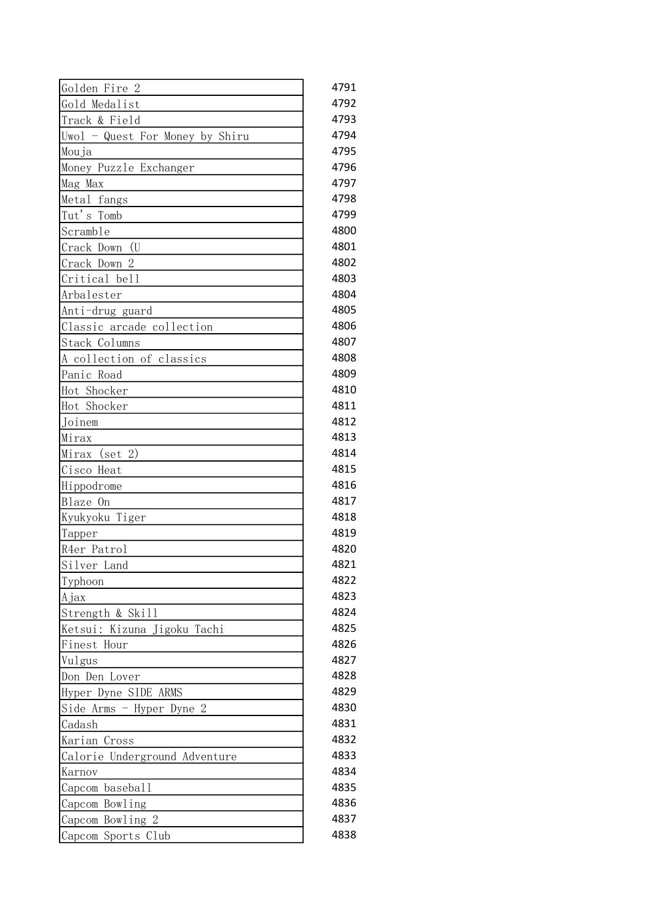| Gold Medalist<br>4792<br>4793<br>Track & Field<br>4794<br>Uwol - Quest For Money by Shiru<br>4795<br>Mouja<br>4796<br>Money Puzzle Exchanger<br>4797<br>Mag Max<br>4798<br>Metal fangs<br>Tut's Tomb<br>4799<br>4800<br>Scramble<br>Crack Down<br>(U <sub>0</sub> )<br>Crack Down 2<br>4802<br>Critical bell<br>4803<br>4804<br>Arbalester<br>4805<br>Anti-drug guard<br>Classic arcade collection<br>4806<br>4807<br>Stack Columns<br>4808<br>A collection of classics<br>4809<br>Panic Road<br>4810<br>Hot Shocker<br>Hot Shocker<br>4811<br>4812<br>Joinem<br>4813<br>Mirax<br>$(\text{set} 2)$<br>4814<br>Mirax<br>Cisco Heat<br>4815<br>4816<br>Hippodrome<br>4817<br>Blaze On<br>4818<br>Kyukyoku Tiger<br>4819<br>Tapper<br>4820<br>R4er Patrol<br>Silver Land<br>4821<br>4822<br>Typhoon<br>4823<br>Ajax<br>Strength & Skill<br>4825<br>Ketsui: Kizuna Jigoku Tachi<br>4826<br>Finest Hour<br>4827<br>Vulgus<br>4828<br>Don Den Lover<br>4829<br>Hyper Dyne SIDE ARMS<br>4830<br>Side Arms - Hyper Dyne 2<br>4831<br>Cadash<br>4832<br>Karian Cross<br>4833<br>Calorie Underground Adventure<br>4834<br>Karnov<br>4835<br>Capcom baseball<br>4836<br>Capcom Bowling<br>4837<br>Capcom Bowling 2<br>4838<br>Capcom Sports Club | Golden Fire 2 | 4791 |
|---------------------------------------------------------------------------------------------------------------------------------------------------------------------------------------------------------------------------------------------------------------------------------------------------------------------------------------------------------------------------------------------------------------------------------------------------------------------------------------------------------------------------------------------------------------------------------------------------------------------------------------------------------------------------------------------------------------------------------------------------------------------------------------------------------------------------------------------------------------------------------------------------------------------------------------------------------------------------------------------------------------------------------------------------------------------------------------------------------------------------------------------------------------------------------------------------------------------------------------|---------------|------|
|                                                                                                                                                                                                                                                                                                                                                                                                                                                                                                                                                                                                                                                                                                                                                                                                                                                                                                                                                                                                                                                                                                                                                                                                                                       |               |      |
|                                                                                                                                                                                                                                                                                                                                                                                                                                                                                                                                                                                                                                                                                                                                                                                                                                                                                                                                                                                                                                                                                                                                                                                                                                       |               |      |
|                                                                                                                                                                                                                                                                                                                                                                                                                                                                                                                                                                                                                                                                                                                                                                                                                                                                                                                                                                                                                                                                                                                                                                                                                                       |               |      |
|                                                                                                                                                                                                                                                                                                                                                                                                                                                                                                                                                                                                                                                                                                                                                                                                                                                                                                                                                                                                                                                                                                                                                                                                                                       |               |      |
|                                                                                                                                                                                                                                                                                                                                                                                                                                                                                                                                                                                                                                                                                                                                                                                                                                                                                                                                                                                                                                                                                                                                                                                                                                       |               |      |
|                                                                                                                                                                                                                                                                                                                                                                                                                                                                                                                                                                                                                                                                                                                                                                                                                                                                                                                                                                                                                                                                                                                                                                                                                                       |               |      |
|                                                                                                                                                                                                                                                                                                                                                                                                                                                                                                                                                                                                                                                                                                                                                                                                                                                                                                                                                                                                                                                                                                                                                                                                                                       |               |      |
|                                                                                                                                                                                                                                                                                                                                                                                                                                                                                                                                                                                                                                                                                                                                                                                                                                                                                                                                                                                                                                                                                                                                                                                                                                       |               |      |
|                                                                                                                                                                                                                                                                                                                                                                                                                                                                                                                                                                                                                                                                                                                                                                                                                                                                                                                                                                                                                                                                                                                                                                                                                                       |               |      |
|                                                                                                                                                                                                                                                                                                                                                                                                                                                                                                                                                                                                                                                                                                                                                                                                                                                                                                                                                                                                                                                                                                                                                                                                                                       |               | 4801 |
|                                                                                                                                                                                                                                                                                                                                                                                                                                                                                                                                                                                                                                                                                                                                                                                                                                                                                                                                                                                                                                                                                                                                                                                                                                       |               |      |
|                                                                                                                                                                                                                                                                                                                                                                                                                                                                                                                                                                                                                                                                                                                                                                                                                                                                                                                                                                                                                                                                                                                                                                                                                                       |               |      |
|                                                                                                                                                                                                                                                                                                                                                                                                                                                                                                                                                                                                                                                                                                                                                                                                                                                                                                                                                                                                                                                                                                                                                                                                                                       |               |      |
|                                                                                                                                                                                                                                                                                                                                                                                                                                                                                                                                                                                                                                                                                                                                                                                                                                                                                                                                                                                                                                                                                                                                                                                                                                       |               |      |
|                                                                                                                                                                                                                                                                                                                                                                                                                                                                                                                                                                                                                                                                                                                                                                                                                                                                                                                                                                                                                                                                                                                                                                                                                                       |               |      |
|                                                                                                                                                                                                                                                                                                                                                                                                                                                                                                                                                                                                                                                                                                                                                                                                                                                                                                                                                                                                                                                                                                                                                                                                                                       |               |      |
|                                                                                                                                                                                                                                                                                                                                                                                                                                                                                                                                                                                                                                                                                                                                                                                                                                                                                                                                                                                                                                                                                                                                                                                                                                       |               |      |
|                                                                                                                                                                                                                                                                                                                                                                                                                                                                                                                                                                                                                                                                                                                                                                                                                                                                                                                                                                                                                                                                                                                                                                                                                                       |               |      |
|                                                                                                                                                                                                                                                                                                                                                                                                                                                                                                                                                                                                                                                                                                                                                                                                                                                                                                                                                                                                                                                                                                                                                                                                                                       |               |      |
|                                                                                                                                                                                                                                                                                                                                                                                                                                                                                                                                                                                                                                                                                                                                                                                                                                                                                                                                                                                                                                                                                                                                                                                                                                       |               |      |
|                                                                                                                                                                                                                                                                                                                                                                                                                                                                                                                                                                                                                                                                                                                                                                                                                                                                                                                                                                                                                                                                                                                                                                                                                                       |               |      |
|                                                                                                                                                                                                                                                                                                                                                                                                                                                                                                                                                                                                                                                                                                                                                                                                                                                                                                                                                                                                                                                                                                                                                                                                                                       |               |      |
|                                                                                                                                                                                                                                                                                                                                                                                                                                                                                                                                                                                                                                                                                                                                                                                                                                                                                                                                                                                                                                                                                                                                                                                                                                       |               |      |
|                                                                                                                                                                                                                                                                                                                                                                                                                                                                                                                                                                                                                                                                                                                                                                                                                                                                                                                                                                                                                                                                                                                                                                                                                                       |               |      |
|                                                                                                                                                                                                                                                                                                                                                                                                                                                                                                                                                                                                                                                                                                                                                                                                                                                                                                                                                                                                                                                                                                                                                                                                                                       |               |      |
|                                                                                                                                                                                                                                                                                                                                                                                                                                                                                                                                                                                                                                                                                                                                                                                                                                                                                                                                                                                                                                                                                                                                                                                                                                       |               |      |
|                                                                                                                                                                                                                                                                                                                                                                                                                                                                                                                                                                                                                                                                                                                                                                                                                                                                                                                                                                                                                                                                                                                                                                                                                                       |               |      |
|                                                                                                                                                                                                                                                                                                                                                                                                                                                                                                                                                                                                                                                                                                                                                                                                                                                                                                                                                                                                                                                                                                                                                                                                                                       |               |      |
|                                                                                                                                                                                                                                                                                                                                                                                                                                                                                                                                                                                                                                                                                                                                                                                                                                                                                                                                                                                                                                                                                                                                                                                                                                       |               |      |
|                                                                                                                                                                                                                                                                                                                                                                                                                                                                                                                                                                                                                                                                                                                                                                                                                                                                                                                                                                                                                                                                                                                                                                                                                                       |               |      |
|                                                                                                                                                                                                                                                                                                                                                                                                                                                                                                                                                                                                                                                                                                                                                                                                                                                                                                                                                                                                                                                                                                                                                                                                                                       |               |      |
|                                                                                                                                                                                                                                                                                                                                                                                                                                                                                                                                                                                                                                                                                                                                                                                                                                                                                                                                                                                                                                                                                                                                                                                                                                       |               |      |
|                                                                                                                                                                                                                                                                                                                                                                                                                                                                                                                                                                                                                                                                                                                                                                                                                                                                                                                                                                                                                                                                                                                                                                                                                                       |               | 4824 |
|                                                                                                                                                                                                                                                                                                                                                                                                                                                                                                                                                                                                                                                                                                                                                                                                                                                                                                                                                                                                                                                                                                                                                                                                                                       |               |      |
|                                                                                                                                                                                                                                                                                                                                                                                                                                                                                                                                                                                                                                                                                                                                                                                                                                                                                                                                                                                                                                                                                                                                                                                                                                       |               |      |
|                                                                                                                                                                                                                                                                                                                                                                                                                                                                                                                                                                                                                                                                                                                                                                                                                                                                                                                                                                                                                                                                                                                                                                                                                                       |               |      |
|                                                                                                                                                                                                                                                                                                                                                                                                                                                                                                                                                                                                                                                                                                                                                                                                                                                                                                                                                                                                                                                                                                                                                                                                                                       |               |      |
|                                                                                                                                                                                                                                                                                                                                                                                                                                                                                                                                                                                                                                                                                                                                                                                                                                                                                                                                                                                                                                                                                                                                                                                                                                       |               |      |
|                                                                                                                                                                                                                                                                                                                                                                                                                                                                                                                                                                                                                                                                                                                                                                                                                                                                                                                                                                                                                                                                                                                                                                                                                                       |               |      |
|                                                                                                                                                                                                                                                                                                                                                                                                                                                                                                                                                                                                                                                                                                                                                                                                                                                                                                                                                                                                                                                                                                                                                                                                                                       |               |      |
|                                                                                                                                                                                                                                                                                                                                                                                                                                                                                                                                                                                                                                                                                                                                                                                                                                                                                                                                                                                                                                                                                                                                                                                                                                       |               |      |
|                                                                                                                                                                                                                                                                                                                                                                                                                                                                                                                                                                                                                                                                                                                                                                                                                                                                                                                                                                                                                                                                                                                                                                                                                                       |               |      |
|                                                                                                                                                                                                                                                                                                                                                                                                                                                                                                                                                                                                                                                                                                                                                                                                                                                                                                                                                                                                                                                                                                                                                                                                                                       |               |      |
|                                                                                                                                                                                                                                                                                                                                                                                                                                                                                                                                                                                                                                                                                                                                                                                                                                                                                                                                                                                                                                                                                                                                                                                                                                       |               |      |
|                                                                                                                                                                                                                                                                                                                                                                                                                                                                                                                                                                                                                                                                                                                                                                                                                                                                                                                                                                                                                                                                                                                                                                                                                                       |               |      |
|                                                                                                                                                                                                                                                                                                                                                                                                                                                                                                                                                                                                                                                                                                                                                                                                                                                                                                                                                                                                                                                                                                                                                                                                                                       |               |      |
|                                                                                                                                                                                                                                                                                                                                                                                                                                                                                                                                                                                                                                                                                                                                                                                                                                                                                                                                                                                                                                                                                                                                                                                                                                       |               |      |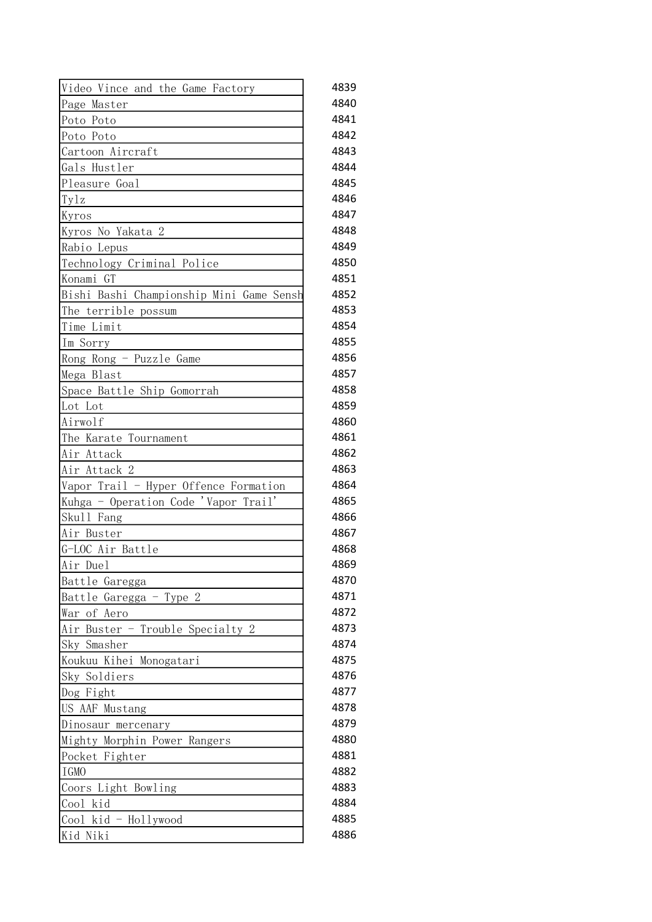| Video Vince and the Game Factory         | 4839 |
|------------------------------------------|------|
| Page Master                              | 4840 |
| Poto Poto                                | 4841 |
| Poto Poto                                | 4842 |
| Cartoon Aircraft                         | 4843 |
| Gals Hustler                             | 4844 |
| Pleasure Goal                            | 4845 |
| Tylz                                     | 4846 |
| Kyros                                    | 4847 |
| Kyros No Yakata 2                        | 4848 |
| Rabio Lepus                              | 4849 |
| Technology Criminal Police               | 4850 |
| Konami GT                                | 4851 |
| Bishi Bashi Championship Mini Game Sensh | 4852 |
| The terrible possum                      | 4853 |
| Time Limit                               | 4854 |
| Im Sorry                                 | 4855 |
| Rong Rong - Puzzle Game                  | 4856 |
| Mega Blast                               | 4857 |
| Space Battle Ship Gomorrah               | 4858 |
| Lot Lot                                  | 4859 |
| Airwolf                                  | 4860 |
| The Karate Tournament                    | 4861 |
| Air Attack                               | 4862 |
| Air Attack 2                             | 4863 |
| Vapor Trail - Hyper Offence Formation    | 4864 |
| Kuhga - Operation Code 'Vapor Trail'     | 4865 |
| Skull Fang                               | 4866 |
| Air Buster                               | 4867 |
| G-LOC Air Battle                         | 4868 |
| Air Duel                                 | 4869 |
| Battle Garegga                           | 4870 |
| Battle Garegga - Type 2                  | 4871 |
| War of Aero                              | 4872 |
| Air Buster - Trouble Specialty 2         | 4873 |
| Sky Smasher                              | 4874 |
| Koukuu Kihei Monogatari                  | 4875 |
| Sky Soldiers                             | 4876 |
| Dog Fight                                | 4877 |
| US AAF Mustang                           | 4878 |
| Dinosaur mercenary                       | 4879 |
| Mighty Morphin Power Rangers             | 4880 |
| Pocket Fighter                           | 4881 |
| IGMO                                     | 4882 |
| Coors Light Bowling                      | 4883 |
| Cool kid                                 | 4884 |
| Cool kid - Hollywood                     | 4885 |
| Niki<br>Kid                              | 4886 |
|                                          |      |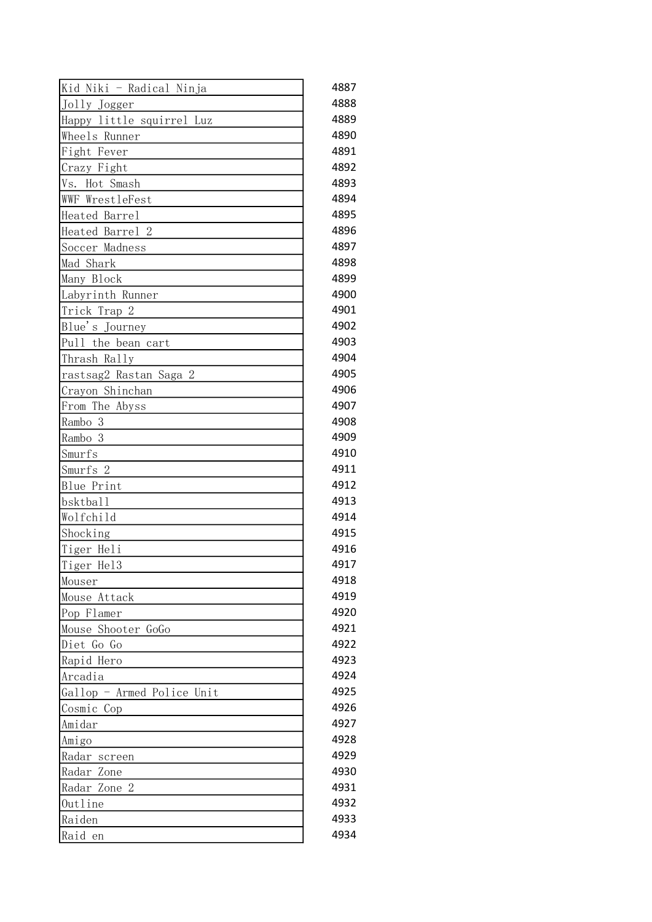| Kid Niki - Radical Ninja   | 4887 |
|----------------------------|------|
| Jolly Jogger               | 4888 |
| Happy little squirrel Luz  | 4889 |
| Wheels Runner              | 4890 |
| Fight Fever                | 4891 |
| Crazy Fight                | 4892 |
| Vs. Hot Smash              | 4893 |
| WWF WrestleFest            | 4894 |
| Heated Barrel              | 4895 |
| Heated Barrel 2            | 4896 |
| Soccer Madness             | 4897 |
| Mad Shark                  | 4898 |
| Many Block                 | 4899 |
| Labyrinth Runner           | 4900 |
| Trick Trap 2               | 4901 |
| Blue's Journey             | 4902 |
| Pull the bean cart         | 4903 |
| Thrash Rally               | 4904 |
| rastsag2 Rastan Saga 2     | 4905 |
| Crayon Shinchan            | 4906 |
| From The Abyss             | 4907 |
|                            | 4908 |
| Rambo 3                    | 4909 |
| Rambo 3                    |      |
| Smurfs                     | 4910 |
| Smurfs 2                   | 4911 |
| Blue Print                 | 4912 |
| bsktball                   | 4913 |
| Wolfchild                  | 4914 |
| Shocking                   | 4915 |
| Tiger Heli                 | 4916 |
| Tiger Hel3                 | 4917 |
| Mouser                     | 4918 |
| Mouse Attack               | 4919 |
| Pop Flamer                 | 4920 |
| Mouse Shooter GoGo         | 4921 |
| Diet Go Go                 | 4922 |
| Rapid Hero                 | 4923 |
| Arcadia                    | 4924 |
| Gallop - Armed Police Unit | 4925 |
| Cosmic Cop                 | 4926 |
| Amidar                     | 4927 |
| Amigo                      | 4928 |
| Radar screen               | 4929 |
| Radar Zone                 | 4930 |
| Radar Zone 2               | 4931 |
| Outline                    | 4932 |
| Raiden                     | 4933 |
| Raid<br>en                 | 4934 |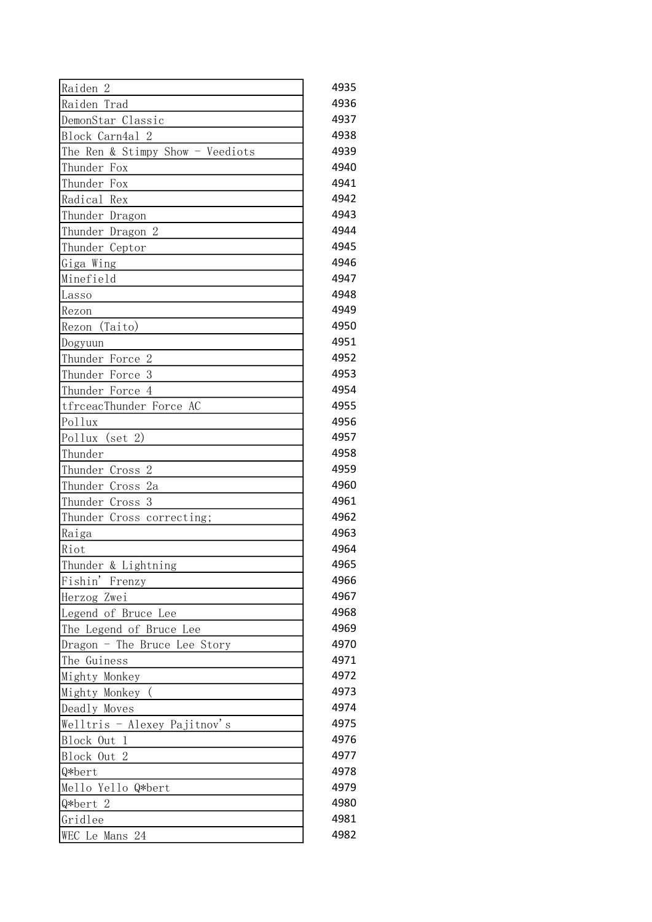| Raiden<br>-2                     | 4935 |
|----------------------------------|------|
| Raiden Trad                      | 4936 |
| DemonStar Classic                | 4937 |
| Block Carn4al 2                  | 4938 |
| The Ren & Stimpy Show - Veediots | 4939 |
| Thunder<br>Fox                   | 4940 |
| Thunder<br>Fox                   | 4941 |
| Radical<br>Rex                   | 4942 |
| Thunder Dragon                   | 4943 |
| Thunder Dragon 2                 | 4944 |
| Thunder Ceptor                   | 4945 |
| Giga Wing                        | 4946 |
| Minefield                        | 4947 |
| Lasso                            | 4948 |
| Rezon                            | 4949 |
| (Taito)<br>Rezon                 | 4950 |
| Dogyuun                          | 4951 |
| $\mathbf{2}$<br>Thunder Force    | 4952 |
| 3<br>Thunder Force               | 4953 |
| Thunder Force 4                  | 4954 |
| tfrceacThunder Force AC          | 4955 |
| Pollux                           | 4956 |
| Pollux<br>(set 2)                | 4957 |
| Thunder                          | 4958 |
| $\mathbf{2}$<br>Thunder Cross    | 4959 |
| Thunder<br>2a<br>Cross           | 4960 |
| 3<br>Thunder<br>Cross            | 4961 |
| Thunder Cross correcting;        | 4962 |
| Raiga                            | 4963 |
| Riot                             | 4964 |
| Thunder & Lightning              | 4965 |
| Fishin' Frenzy                   | 4966 |
| Herzog Zwei                      | 4967 |
| Legend of Bruce Lee              | 4968 |
| The Legend of Bruce Lee          | 4969 |
| Dragon - The Bruce Lee Story     | 4970 |
| The Guiness                      | 4971 |
| Mighty Monkey                    | 4972 |
| Mighty Monkey (                  | 4973 |
| Deadly Moves                     | 4974 |
| Welltris - Alexey Pajitnov's     | 4975 |
| Block Out 1                      | 4976 |
| Block Out 2                      | 4977 |
| Q*bert                           | 4978 |
| Mello Yello Q*bert               | 4979 |
| Q*bert 2                         | 4980 |
| Gridlee                          | 4981 |
| WEC Le Mans 24                   | 4982 |
|                                  |      |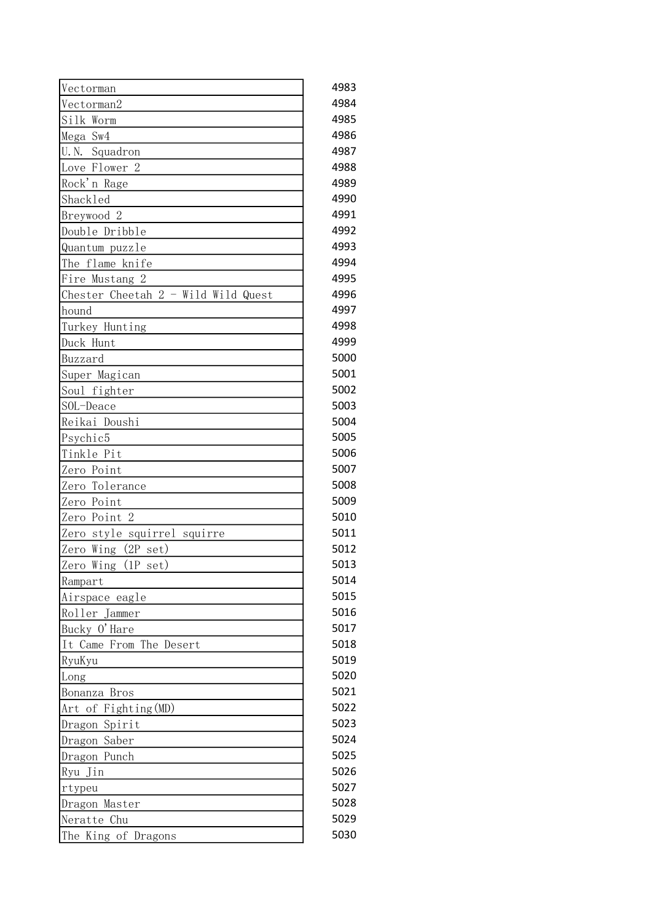| Vectorman                             | 4983 |
|---------------------------------------|------|
| Vectorman2                            | 4984 |
| Silk Worm                             | 4985 |
| Mega Sw4                              | 4986 |
| Squadron<br>U. N.                     | 4987 |
| Love Flower 2                         | 4988 |
| Rock'n Rage                           | 4989 |
| Shackled                              | 4990 |
| Breywood 2                            | 4991 |
| Double Dribble                        | 4992 |
| Quantum puzzle                        | 4993 |
| The flame<br>knife                    | 4994 |
| Fire Mustang 2                        | 4995 |
| Chester Cheetah $2$ - Wild Wild Quest | 4996 |
| hound                                 | 4997 |
| Turkey Hunting                        | 4998 |
| Duck Hunt                             | 4999 |
| Buzzard                               | 5000 |
| Super Magican                         | 5001 |
| Soul fighter                          | 5002 |
| SOL-Deace                             | 5003 |
| Reikai Doushi                         | 5004 |
| Psychic5                              | 5005 |
| Tinkle Pit                            | 5006 |
| Zero Point                            | 5007 |
| Zero Tolerance                        | 5008 |
| Zero Point                            | 5009 |
| Zero Point 2                          | 5010 |
| Zero style squirrel squirre           | 5011 |
| $(2P \text{ set})$<br>Zero Wing       | 5012 |
| Zero<br>$(1P \text{ set})$<br>Wing    | 5013 |
| Rampart                               | 5014 |
| Airspace eagle                        | 5015 |
| Roller Jammer                         | 5016 |
| Bucky O'Hare                          | 5017 |
| It Came From The Desert               | 5018 |
| RyuKyu                                | 5019 |
| Long                                  | 5020 |
| Bonanza Bros                          | 5021 |
| Art of Fighting (MD)                  | 5022 |
| Dragon Spirit                         | 5023 |
| Dragon Saber                          | 5024 |
| Dragon Punch                          | 5025 |
| Ryu Jin                               | 5026 |
| rtypeu                                | 5027 |
| Dragon Master                         | 5028 |
| Neratte Chu                           | 5029 |
| The King of Dragons                   | 5030 |
|                                       |      |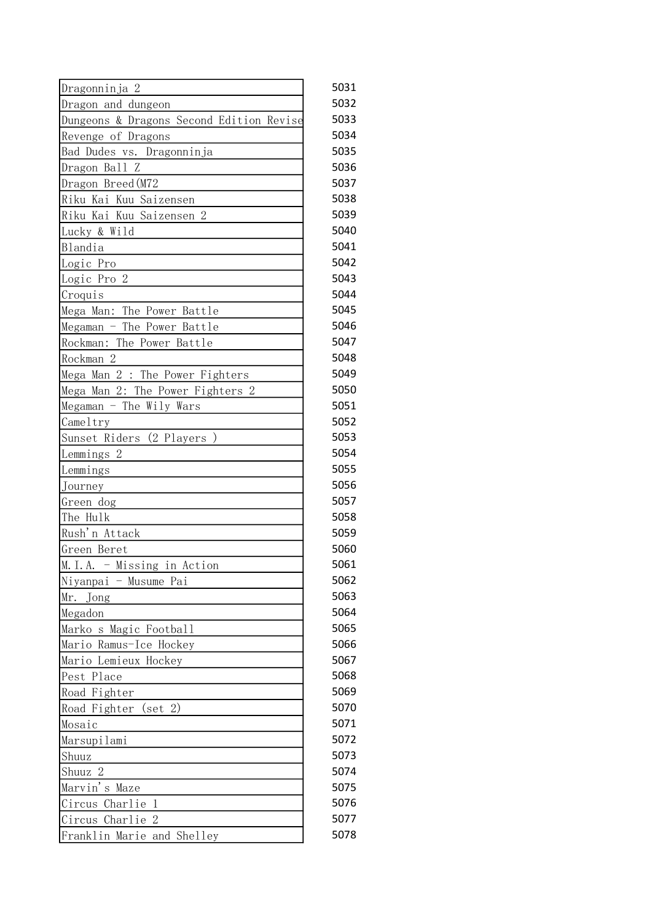| Dragonninja 2                            | 5031 |
|------------------------------------------|------|
| Dragon and dungeon                       | 5032 |
| Dungeons & Dragons Second Edition Revise | 5033 |
| Revenge of Dragons                       | 5034 |
| Bad Dudes vs. Dragonninja                | 5035 |
| Dragon Ball Z                            | 5036 |
| Dragon Breed (M72                        | 5037 |
| Riku Kai Kuu Saizensen                   | 5038 |
| Riku Kai Kuu Saizensen 2                 | 5039 |
| Lucky & Wild                             | 5040 |
| Blandia                                  | 5041 |
| Logic Pro                                | 5042 |
| Logic Pro 2                              | 5043 |
| Croquis                                  | 5044 |
| Mega Man: The Power Battle               | 5045 |
| Megaman - The Power Battle               | 5046 |
| Rockman: The Power Battle                | 5047 |
| Rockman <sub>2</sub>                     | 5048 |
| Mega Man 2 : The Power Fighters          | 5049 |
| Mega Man 2: The Power Fighters 2         | 5050 |
| Megaman - The Wily Wars                  | 5051 |
| Cameltry                                 | 5052 |
| Sunset Riders (2 Players)                | 5053 |
| Lemmings <sub>2</sub>                    | 5054 |
| Lemmings                                 | 5055 |
| Journey                                  | 5056 |
| Green dog                                | 5057 |
| The Hulk                                 | 5058 |
| Rush'n Attack                            | 5059 |
| Green Beret                              | 5060 |
| M.I.A. - Missing in Action               | 5061 |
| Niyanpai - Musume Pai                    | 5062 |
| Mr.<br>Jong                              | 5063 |
| Megadon                                  | 5064 |
| Marko s Magic Football                   | 5065 |
| Mario Ramus-Ice Hockey                   | 5066 |
| Mario Lemieux Hockey                     | 5067 |
| Pest Place                               | 5068 |
| Road Fighter                             | 5069 |
| (set 2)<br>Road Fighter                  | 5070 |
| Mosaic                                   | 5071 |
| Marsupilami                              | 5072 |
| Shuuz                                    | 5073 |
| Shuuz 2                                  | 5074 |
| Marvin's Maze                            | 5075 |
| Circus Charlie<br>1                      | 5076 |
| $\overline{2}$<br>Circus Charlie         | 5077 |
| Franklin Marie and Shelley               | 5078 |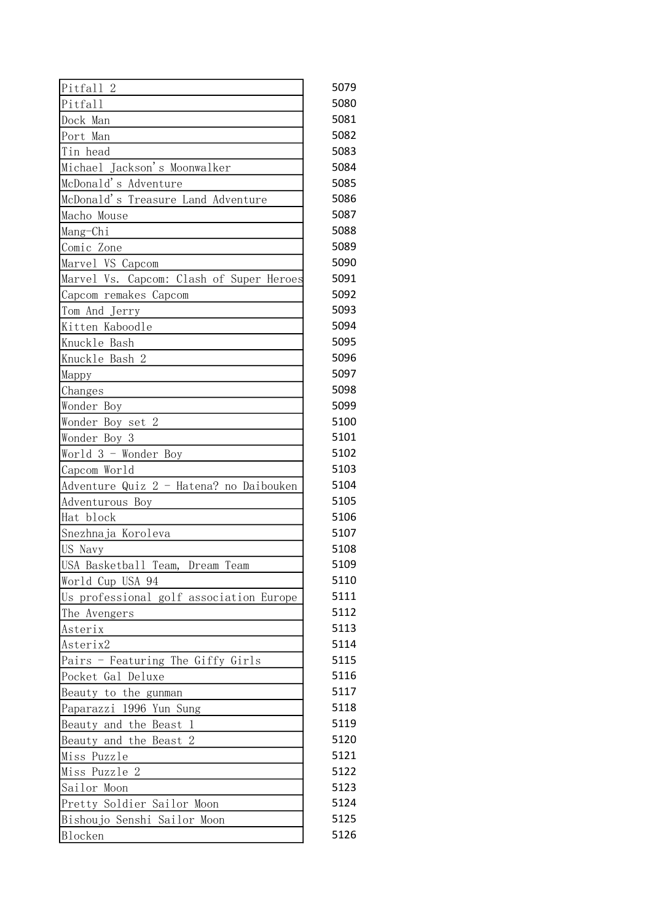| Pitfall 2                                | 5079 |
|------------------------------------------|------|
| Pitfall                                  | 5080 |
| Dock Man                                 | 5081 |
| Port Man                                 | 5082 |
| Tin head                                 | 5083 |
| Michael Jackson's Moonwalker             | 5084 |
| McDonald's Adventure                     | 5085 |
| McDonald's Treasure Land Adventure       | 5086 |
| Macho Mouse                              | 5087 |
| Mang-Chi                                 | 5088 |
| Comic Zone                               | 5089 |
| Marvel VS Capcom                         | 5090 |
| Marvel Vs. Capcom: Clash of Super Heroes | 5091 |
| Capcom remakes Capcom                    | 5092 |
| Tom And Jerry                            | 5093 |
| Kitten Kaboodle                          | 5094 |
| Knuckle Bash                             | 5095 |
| Knuckle Bash 2                           | 5096 |
| Mappy                                    | 5097 |
| Changes                                  | 5098 |
| Wonder Boy                               | 5099 |
| Wonder Boy set 2                         | 5100 |
| Wonder Boy 3                             | 5101 |
| World 3 - Wonder Boy                     | 5102 |
| Capcom World                             | 5103 |
| Adventure Quiz 2 - Hatena? no Daibouken  | 5104 |
| Adventurous Boy                          | 5105 |
| Hat block                                | 5106 |
| Snezhnaja Koroleva                       | 5107 |
| US Navy                                  | 5108 |
| USA Basketball Team,<br>Dream Team       | 5109 |
| World Cup USA 94                         | 5110 |
| Us professional golf association Europe  | 5111 |
| The Avengers                             | 5112 |
| Asterix                                  | 5113 |
| Asterix2                                 | 5114 |
| Pairs - Featuring The Giffy Girls        | 5115 |
| Pocket Gal Deluxe                        | 5116 |
| Beauty to the gunman                     | 5117 |
| Paparazzi 1996 Yun Sung                  | 5118 |
| Beauty and the Beast 1                   | 5119 |
| Beauty and the Beast<br>2                | 5120 |
| Miss Puzzle                              | 5121 |
| Miss Puzzle 2                            | 5122 |
| Sailor Moon                              | 5123 |
| Pretty Soldier Sailor Moon               | 5124 |
| Bishoujo Senshi Sailor Moon              | 5125 |
| <b>Blocken</b>                           | 5126 |
|                                          |      |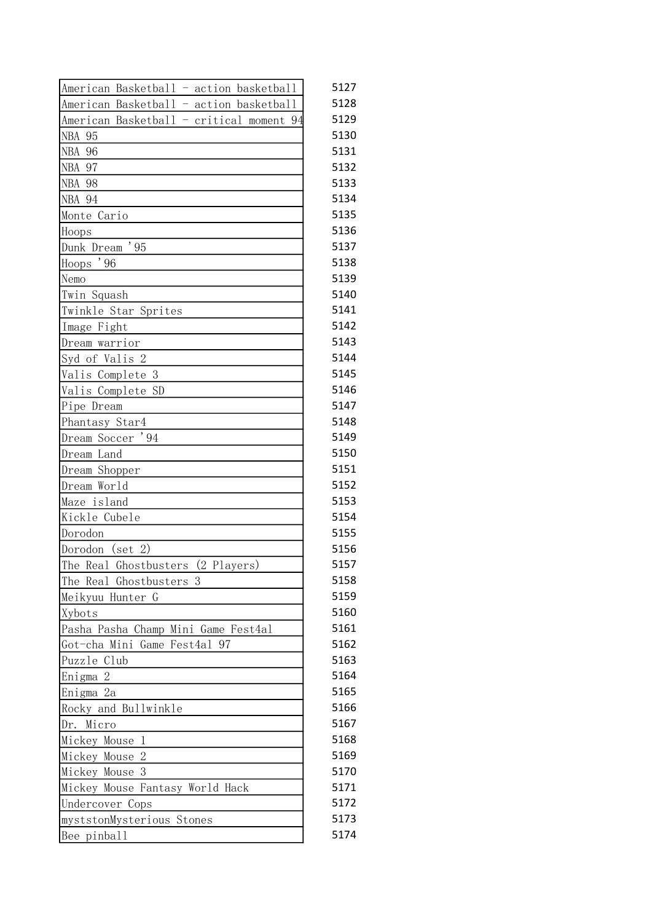| American Basketball - action basketball  | 5127 |
|------------------------------------------|------|
| American Basketball - action basketball  | 5128 |
| American Basketball - critical moment 94 | 5129 |
| NBA 95                                   | 5130 |
| <b>NBA 96</b>                            | 5131 |
| NBA 97                                   | 5132 |
| <b>NBA 98</b>                            | 5133 |
| NBA 94                                   | 5134 |
| Monte Cario                              | 5135 |
| Hoops                                    | 5136 |
| Dunk Dream '95                           | 5137 |
| Hoops '96                                | 5138 |
| Nemo                                     | 5139 |
| Twin Squash                              | 5140 |
| Twinkle Star Sprites                     | 5141 |
| Image Fight                              | 5142 |
| Dream warrior                            | 5143 |
| Syd of Valis 2                           | 5144 |
| Valis Complete 3                         | 5145 |
| Valis Complete SD                        | 5146 |
| Pipe Dream                               | 5147 |
| Phantasy Star4                           | 5148 |
| Dream Soccer '94                         | 5149 |
| Dream Land                               | 5150 |
| Dream Shopper                            | 5151 |
| Dream World                              | 5152 |
| Maze island                              | 5153 |
| Kickle Cubele                            | 5154 |
| Dorodon                                  | 5155 |
| Dorodon (set 2)                          | 5156 |
| (2 Players)<br>The Real Ghostbusters     | 5157 |
| The Real Ghostbusters 3                  | 5158 |
| Meikyuu Hunter G                         | 5159 |
| Xybots                                   | 5160 |
| Pasha Pasha Champ Mini Game Fest4al      | 5161 |
| Got-cha Mini Game Fest4al 97             | 5162 |
| Puzzle Club                              | 5163 |
| Enigma 2                                 | 5164 |
| Enigma 2a                                | 5165 |
| Rocky and Bullwinkle                     | 5166 |
| Dr. Micro                                | 5167 |
| Mickey Mouse 1                           | 5168 |
| Mickey Mouse<br>-2                       | 5169 |
| -3<br>Mickey Mouse                       | 5170 |
| Mickey Mouse Fantasy World Hack          | 5171 |
| Undercover Cops                          | 5172 |
| myststonMysterious Stones                | 5173 |
| Bee pinball                              | 5174 |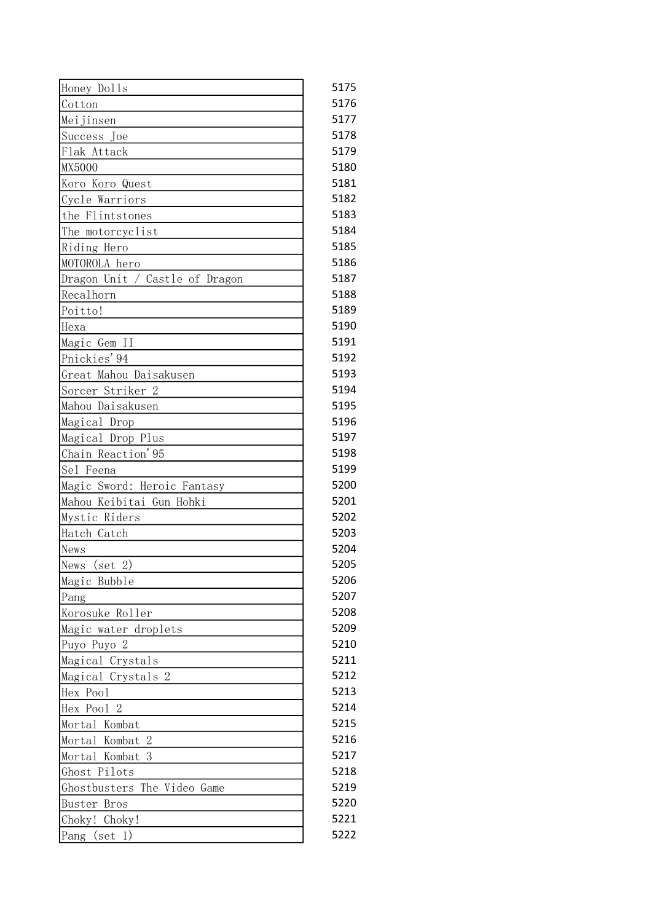| Honey Dolls                    | 5175 |
|--------------------------------|------|
| Cotton                         | 5176 |
| Meijinsen                      | 5177 |
| Success Joe                    | 5178 |
| Flak Attack                    | 5179 |
| <b>MX5000</b>                  | 5180 |
| Koro Koro Quest                | 5181 |
| Cycle Warriors                 | 5182 |
| the Flintstones                | 5183 |
| The motorcyclist               | 5184 |
| Riding Hero                    | 5185 |
| MOTOROLA hero                  | 5186 |
| Dragon Unit / Castle of Dragon | 5187 |
| Recalhorn                      | 5188 |
| Poitto!                        | 5189 |
| Hexa                           | 5190 |
| Magic Gem II                   | 5191 |
| Pnickies'94                    | 5192 |
| Great Mahou Daisakusen         | 5193 |
| Sorcer Striker 2               | 5194 |
| Mahou Daisakusen               | 5195 |
| Magical Drop                   | 5196 |
| Magical Drop Plus              | 5197 |
| Chain Reaction'95              | 5198 |
| Sel Feena                      | 5199 |
| Magic Sword: Heroic Fantasy    | 5200 |
| Mahou Keibitai Gun Hohki       | 5201 |
| Mystic Riders                  | 5202 |
| Hatch Catch                    | 5203 |
| News                           | 5204 |
| News<br>$(\text{set} 2)$       | 5205 |
| Magic Bubble                   | 5206 |
| Pang                           | 5207 |
| Korosuke Roller                | 5208 |
| Magic water droplets           | 5209 |
| Puyo Puyo 2                    | 5210 |
| Magical Crystals               | 5211 |
| Magical Crystals 2             | 5212 |
| Hex Pool                       | 5213 |
| Hex Pool 2                     | 5214 |
| Mortal Kombat                  | 5215 |
| Mortal Kombat<br>2             | 5216 |
| Mortal Kombat<br>3             | 5217 |
| Ghost Pilots                   | 5218 |
| The Video Game<br>Ghostbusters | 5219 |
| <b>Buster Bros</b>             | 5220 |
|                                | 5221 |
| Choky! Choky!                  |      |
| $(\text{set } 1)$<br>Pang      | 5222 |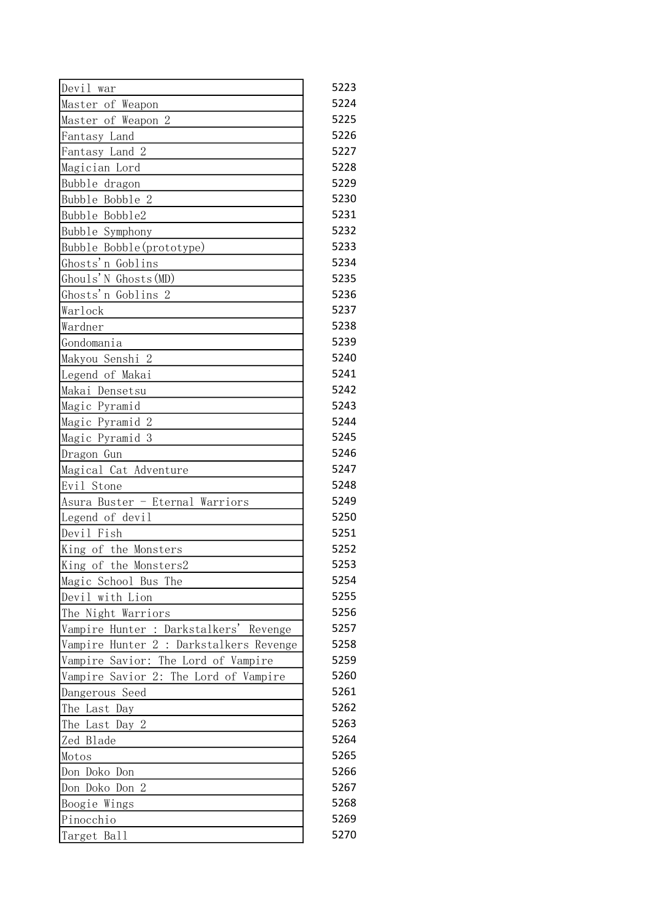| Devil war                               | 5223 |
|-----------------------------------------|------|
| Master of Weapon                        | 5224 |
| Master of Weapon 2                      | 5225 |
| Fantasy Land                            | 5226 |
| Fantasy Land 2                          | 5227 |
| Magician Lord                           | 5228 |
| Bubble dragon                           | 5229 |
| Bubble Bobble 2                         | 5230 |
| Bubble Bobble2                          | 5231 |
| Bubble Symphony                         | 5232 |
| Bubble Bobble(prototype)                | 5233 |
| Ghosts'n Goblins                        | 5234 |
| Ghouls'N Ghosts (MD)                    | 5235 |
| Ghosts'n Goblins 2                      | 5236 |
| Warlock                                 | 5237 |
| Wardner                                 | 5238 |
| Gondomania                              | 5239 |
| Makyou Senshi 2                         | 5240 |
| Legend of Makai                         | 5241 |
| Makai Densetsu                          | 5242 |
| Magic Pyramid                           | 5243 |
| Magic Pyramid 2                         | 5244 |
| Magic Pyramid 3                         | 5245 |
| Dragon Gun                              | 5246 |
| Magical Cat Adventure                   | 5247 |
| Evil Stone                              | 5248 |
| Asura Buster - Eternal Warriors         | 5249 |
| Legend of devil                         | 5250 |
| Devil Fish                              | 5251 |
| King of the Monsters                    | 5252 |
| King of the Monsters2                   | 5253 |
| Magic School Bus The                    | 5254 |
| Devil with Lion                         | 5255 |
| The Night Warriors                      | 5256 |
| Vampire Hunter : Darkstalkers' Revenge  | 5257 |
| Vampire Hunter 2 : Darkstalkers Revenge | 5258 |
| Vampire Savior: The Lord of Vampire     | 5259 |
| Vampire Savior 2: The Lord of Vampire   | 5260 |
| Dangerous Seed                          | 5261 |
| The Last Day                            | 5262 |
| The Last Day 2                          | 5263 |
| Zed Blade                               | 5264 |
| Motos                                   | 5265 |
| Don Doko Don                            | 5266 |
| Don Doko Don 2                          | 5267 |
| Boogie Wings                            | 5268 |
| Pinocchio                               | 5269 |
| Target Ball                             | 5270 |
|                                         |      |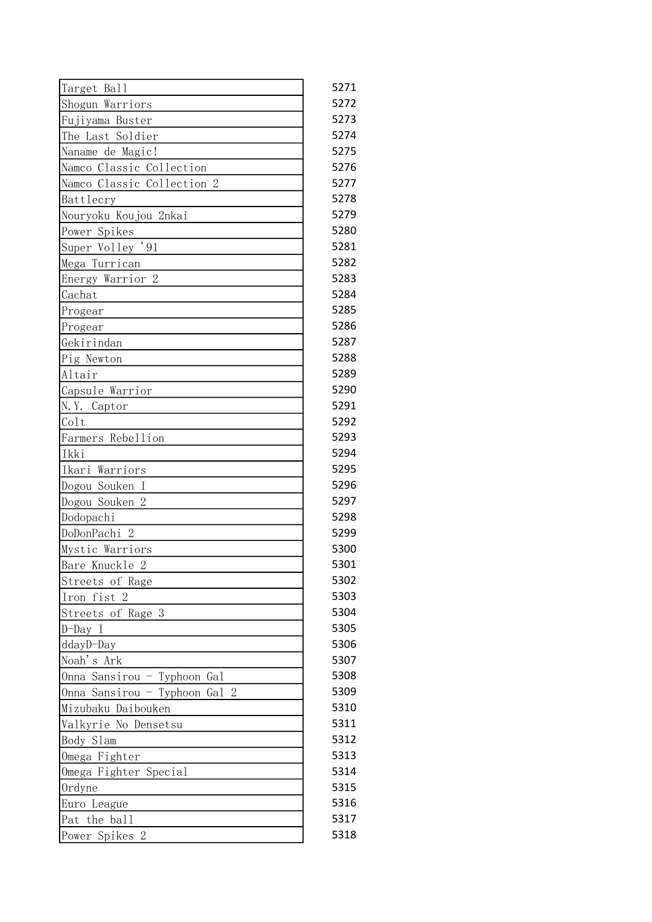| Target Ball                   | 5271 |
|-------------------------------|------|
| Shogun Warriors               | 5272 |
| Fujiyama Buster               | 5273 |
| The Last Soldier              | 5274 |
| Naname de Magic!              | 5275 |
| Namco Classic Collection      | 5276 |
| Namco Classic Collection 2    | 5277 |
| Battlecry                     | 5278 |
| Nouryoku Koujou 2nkai         | 5279 |
| Power Spikes                  | 5280 |
| Super Volley '91              | 5281 |
| Mega Turrican                 | 5282 |
| Energy Warrior 2              | 5283 |
| Cachat                        | 5284 |
| Progear                       | 5285 |
| Progear                       | 5286 |
| Gekirindan                    | 5287 |
| Pig Newton                    | 5288 |
| Altair                        | 5289 |
| Capsule Warrior               | 5290 |
| N.Y. Captor                   | 5291 |
| Colt                          | 5292 |
| Farmers Rebellion             | 5293 |
| Ikki                          | 5294 |
| Ikari Warriors                | 5295 |
| Dogou Souken I                | 5296 |
| Dogou Souken 2                | 5297 |
| Dodopachi                     | 5298 |
| DoDonPachi 2                  | 5299 |
| Mystic Warriors               | 5300 |
| Bare Knuckle 2                | 5301 |
| Streets of Rage               | 5302 |
| Iron fist 2                   | 5303 |
| Streets of Rage 3             | 5304 |
| D-Day I                       | 5305 |
| ddayD-Day                     | 5306 |
| Noah's Ark                    | 5307 |
| Onna Sansirou - Typhoon Gal   | 5308 |
| Onna Sansirou - Typhoon Gal 2 | 5309 |
| Mizubaku Daibouken            | 5310 |
| Valkyrie No Densetsu          | 5311 |
| Body Slam                     | 5312 |
| Omega Fighter                 | 5313 |
| Omega Fighter Special         | 5314 |
| Ordyne                        | 5315 |
| Euro League                   | 5316 |
| Pat the ball                  | 5317 |
| Power Spikes 2                | 5318 |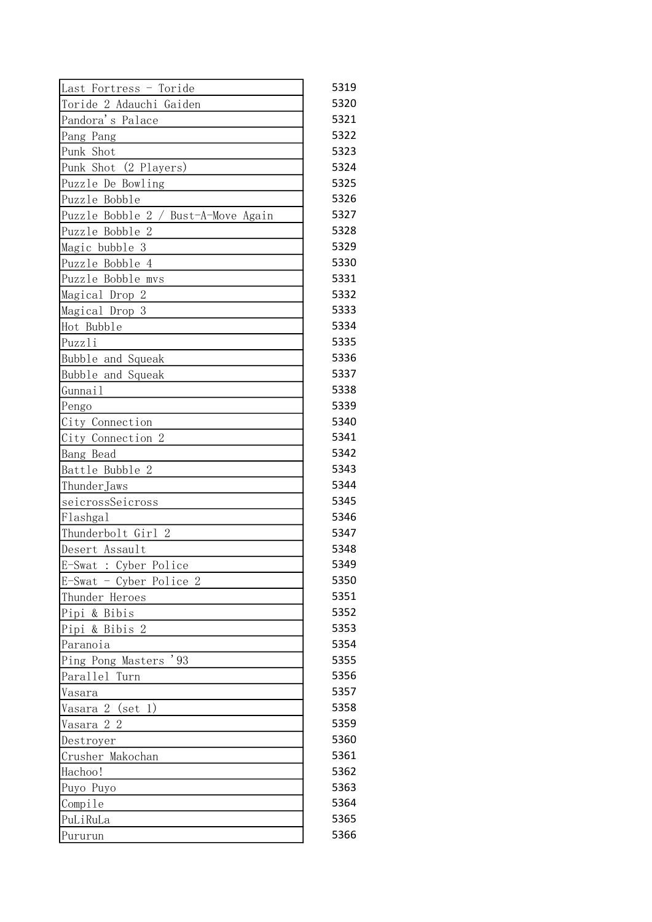| Last Fortress - Toride              | 5319 |
|-------------------------------------|------|
| Toride 2 Adauchi Gaiden             | 5320 |
| Pandora's Palace                    | 5321 |
| Pang Pang                           | 5322 |
| Punk Shot                           | 5323 |
| Punk Shot (2 Players)               | 5324 |
| Puzzle De Bowling                   | 5325 |
| Puzzle Bobble                       | 5326 |
| Puzzle Bobble 2 / Bust-A-Move Again | 5327 |
| Puzzle Bobble 2                     | 5328 |
| Magic bubble 3                      | 5329 |
| Puzzle Bobble 4                     | 5330 |
| Puzzle Bobble mvs                   | 5331 |
| Magical Drop 2                      | 5332 |
| Magical Drop 3                      | 5333 |
| Hot Bubble                          | 5334 |
| Puzzli                              | 5335 |
| Bubble and Squeak                   | 5336 |
| Bubble and Squeak                   | 5337 |
| Gunnail                             | 5338 |
| Pengo                               | 5339 |
| City Connection                     | 5340 |
| City Connection 2                   | 5341 |
| Bang Bead                           | 5342 |
| Battle Bubble 2                     | 5343 |
| ThunderJaws                         | 5344 |
| seicrossSeicross                    | 5345 |
| Flashgal                            | 5346 |
| Thunderbolt Girl 2                  | 5347 |
| Desert Assault                      | 5348 |
| E-Swat : Cyber Police               | 5349 |
| $E-Swat$ - Cyber Police 2           | 5350 |
| Thunder Heroes                      | 5351 |
| Pipi & Bibis                        | 5352 |
| Pipi & Bibis 2                      | 5353 |
| Paranoia                            | 5354 |
| Ping Pong Masters '93               | 5355 |
| Parallel Turn                       | 5356 |
| Vasara                              | 5357 |
| Vasara 2 (set 1)                    | 5358 |
| Vasara 2 2                          | 5359 |
| Destroyer                           | 5360 |
| Crusher Makochan                    | 5361 |
| Hachoo!                             | 5362 |
| Puyo Puyo                           | 5363 |
| Compile                             | 5364 |
| PuLiRuLa                            | 5365 |
| Pururun                             | 5366 |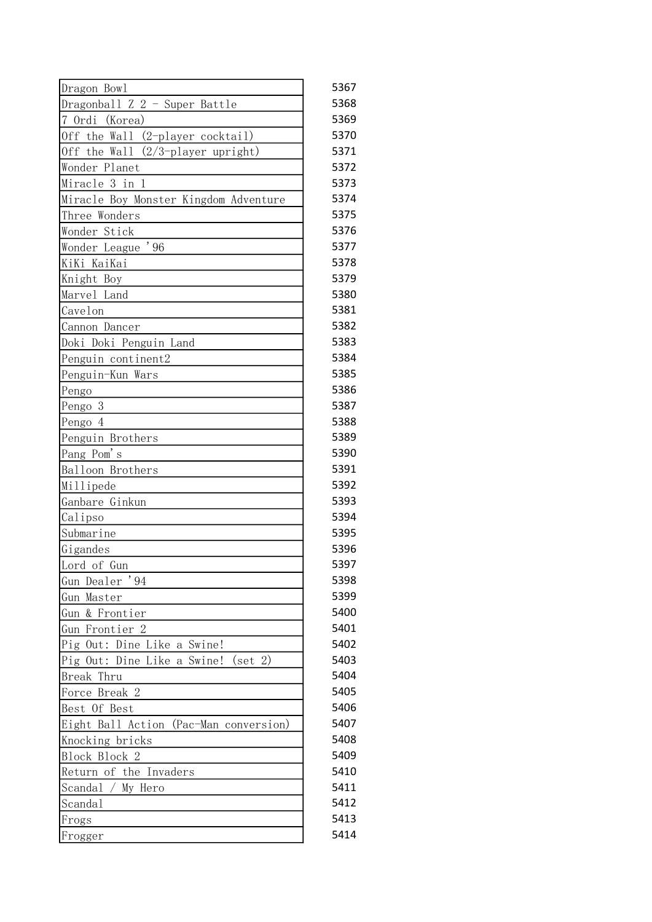| Dragon Bowl                                     | 5367 |
|-------------------------------------------------|------|
| Dragonball Z 2 - Super Battle                   | 5368 |
| 7 Ordi<br>(Korea)                               | 5369 |
| Off the Wall (2-player cocktail)                | 5370 |
| $(2/3$ -player upright)<br>Off the Wall         | 5371 |
| Wonder Planet                                   | 5372 |
| Miracle 3 in 1                                  | 5373 |
| Miracle Boy Monster Kingdom Adventure           | 5374 |
| Three Wonders                                   | 5375 |
| Wonder Stick                                    | 5376 |
| Wonder League '96                               | 5377 |
| KiKi KaiKai                                     | 5378 |
| Knight Boy                                      | 5379 |
| Marvel Land                                     | 5380 |
| Cavelon                                         | 5381 |
| Cannon Dancer                                   | 5382 |
| Doki Doki Penguin Land                          | 5383 |
| Penguin continent2                              | 5384 |
| Penguin-Kun Wars                                | 5385 |
| Pengo                                           | 5386 |
| Pengo 3                                         | 5387 |
| Pengo 4                                         | 5388 |
| Penguin Brothers                                | 5389 |
| Pang Pom's                                      | 5390 |
| Balloon Brothers                                | 5391 |
| Millipede                                       | 5392 |
| Ganbare Ginkun                                  | 5393 |
| Calipso                                         | 5394 |
| Submarine                                       | 5395 |
| Gigandes                                        | 5396 |
| Lord of Gun                                     | 5397 |
| Gun Dealer '94                                  | 5398 |
| Gun Master                                      | 5399 |
| Gun & Frontier                                  | 5400 |
| Gun Frontier 2                                  | 5401 |
| Pig Out: Dine Like a Swine!                     | 5402 |
| Pig Out: Dine Like a Swine!<br>$(\text{set} 2)$ | 5403 |
| Break Thru                                      | 5404 |
| Force Break 2                                   | 5405 |
| Best Of Best                                    | 5406 |
| Eight Ball Action (Pac-Man conversion)          | 5407 |
| Knocking bricks                                 | 5408 |
| Block Block 2                                   | 5409 |
| Return of the Invaders                          | 5410 |
| My Hero<br>Scandal                              | 5411 |
| Scandal                                         | 5412 |
| Frogs                                           | 5413 |
| Frogger                                         | 5414 |
|                                                 |      |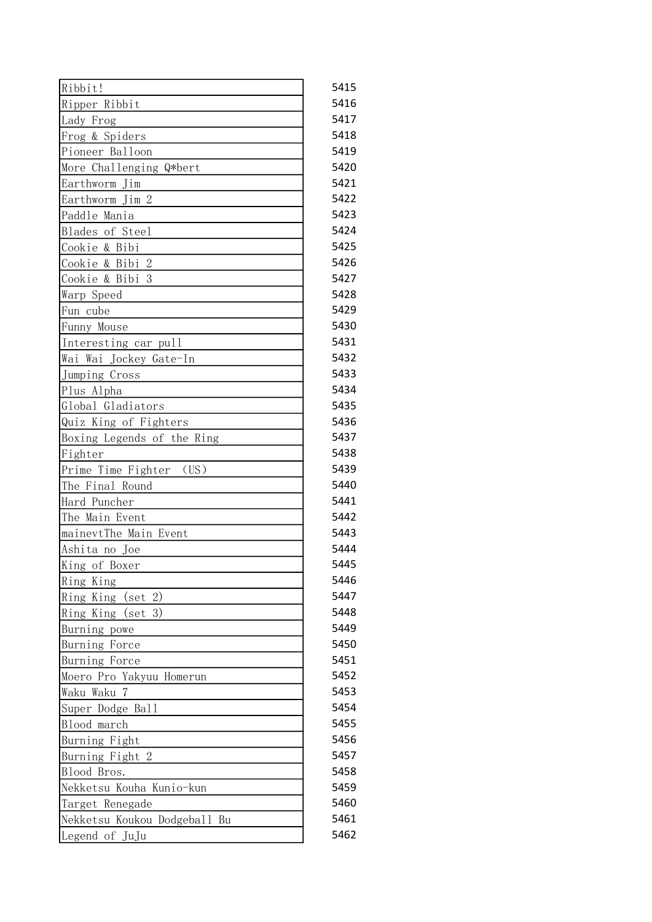| Ribbit!                         | 5415 |
|---------------------------------|------|
|                                 |      |
| Ripper Ribbit                   | 5416 |
| Lady Frog                       | 5417 |
| Frog & Spiders                  | 5418 |
| Pioneer Balloon                 | 5419 |
| More Challenging Q*bert         | 5420 |
| Earthworm Jim                   | 5421 |
| Earthworm Jim 2                 | 5422 |
| Paddle Mania                    | 5423 |
| Blades of Steel                 | 5424 |
| Cookie & Bibi                   | 5425 |
| Cookie & Bibi 2                 | 5426 |
| Cookie & Bibi 3                 | 5427 |
| Warp Speed                      | 5428 |
| Fun cube                        | 5429 |
| Funny Mouse                     | 5430 |
| Interesting car pull            | 5431 |
| Wai Wai Jockey Gate-In          | 5432 |
| Jumping Cross                   | 5433 |
| Plus Alpha                      | 5434 |
| Global Gladiators               | 5435 |
| Quiz King of Fighters           | 5436 |
| Boxing Legends of the Ring      | 5437 |
| Fighter                         | 5438 |
| (US)<br>Prime Time Fighter      | 5439 |
| The Final Round                 | 5440 |
| Hard Puncher                    | 5441 |
| The Main Event                  | 5442 |
| mainevtThe Main Event           | 5443 |
| Ashita no Joe                   | 5444 |
| King of Boxer                   | 5445 |
|                                 | 5446 |
| Ring King                       | 5447 |
| (set 2)<br>Ring King            | 5448 |
| Ring King (set 3)               |      |
| Burning powe                    | 5449 |
| Burning Force                   | 5450 |
| Burning Force                   | 5451 |
| Moero Pro Yakyuu Homerun        | 5452 |
| Waku Waku<br>7                  | 5453 |
| Super Dodge Ball                | 5454 |
| Blood march                     | 5455 |
| Burning Fight                   | 5456 |
| Burning Fight 2                 | 5457 |
| Blood Bros.                     | 5458 |
| Nekketsu Kouha Kunio-kun        | 5459 |
| Target Renegade                 | 5460 |
| Nekketsu Koukou Dodgeball<br>Bu | 5461 |
| Legend of JuJu                  | 5462 |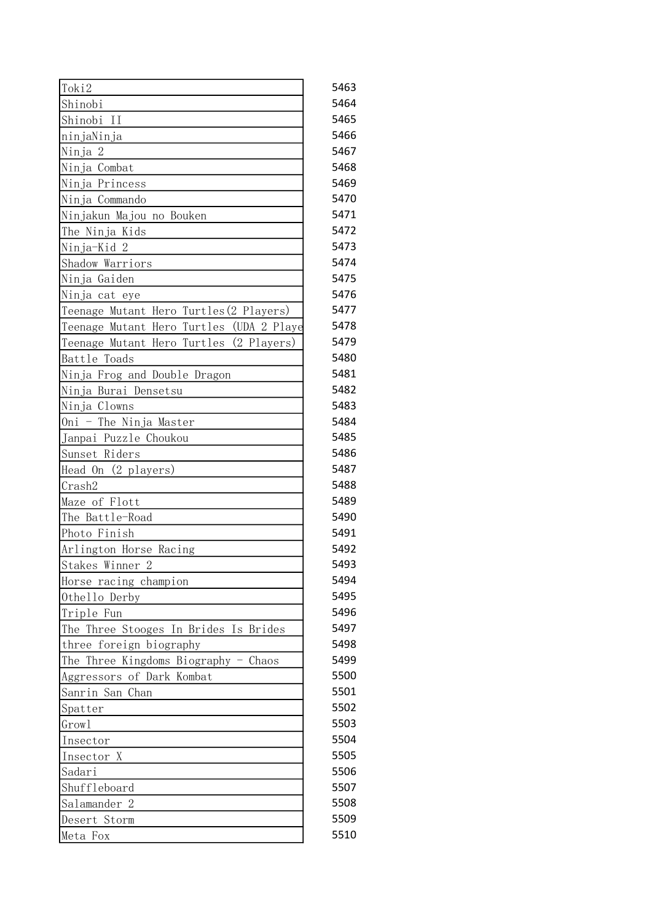| Toki2                                       | 5463 |
|---------------------------------------------|------|
| Shinobi                                     | 5464 |
| Shinobi<br>$\rm II$                         | 5465 |
| ninjaNinja                                  | 5466 |
| Ninja 2                                     | 5467 |
| Ninja Combat                                | 5468 |
| Ninja Princess                              | 5469 |
| Ninja Commando                              | 5470 |
| Ninjakun Majou no Bouken                    | 5471 |
| The Ninja Kids                              | 5472 |
| Ninja-Kid 2                                 | 5473 |
| Shadow Warriors                             | 5474 |
| Ninja Gaiden                                | 5475 |
| Ninja cat eye                               | 5476 |
| Teenage Mutant Hero Turtles (2 Players)     | 5477 |
| (UDA 2 Playe<br>Teenage Mutant Hero Turtles | 5478 |
| Teenage Mutant Hero Turtles (2 Players)     | 5479 |
| Battle Toads                                | 5480 |
|                                             | 5481 |
| Ninja Frog and Double Dragon                |      |
| Ninja Burai Densetsu                        | 5482 |
| Ninja Clowns                                | 5483 |
| - The Ninja Master<br>Oni                   | 5484 |
| Janpai Puzzle Choukou                       | 5485 |
| Sunset Riders                               | 5486 |
| Head On (2 players)                         | 5487 |
| Crash2                                      | 5488 |
| Maze of Flott                               | 5489 |
| The Battle-Road                             | 5490 |
| Photo Finish                                | 5491 |
| Arlington Horse Racing                      | 5492 |
| Stakes Winner 2                             | 5493 |
| Horse racing champion                       | 5494 |
| Othello Derby                               | 5495 |
| Triple Fun                                  | 5496 |
| The Three Stooges In Brides Is Brides       | 5497 |
| three foreign biography                     | 5498 |
| The Three Kingdoms Biography - Chaos        | 5499 |
| Aggressors of Dark Kombat                   | 5500 |
| Sanrin San Chan                             | 5501 |
| Spatter                                     | 5502 |
| Growl                                       | 5503 |
| Insector                                    | 5504 |
| Insector X                                  | 5505 |
| Sadari                                      | 5506 |
| Shuffleboard                                | 5507 |
| Salamander 2                                | 5508 |
| Desert Storm                                | 5509 |
|                                             | 5510 |
| Meta Fox                                    |      |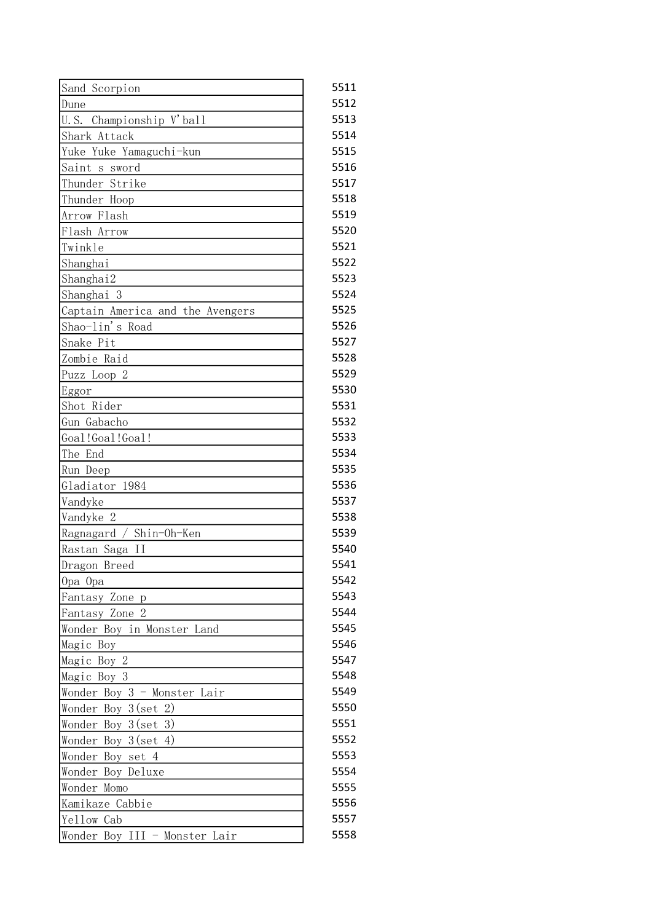| Sand Scorpion                    | 5511 |
|----------------------------------|------|
| Dune                             | 5512 |
| U.S. Championship V'ball         | 5513 |
| Shark Attack                     | 5514 |
| Yuke Yuke Yamaguchi-kun          | 5515 |
| Saint s sword                    | 5516 |
| Thunder Strike                   | 5517 |
| Thunder Hoop                     | 5518 |
| Arrow Flash                      | 5519 |
| Flash Arrow                      | 5520 |
| Twinkle                          | 5521 |
| Shanghai                         | 5522 |
| Shanghai2                        | 5523 |
| Shanghai 3                       | 5524 |
| Captain America and the Avengers | 5525 |
| Shao-lin's Road                  | 5526 |
| Snake Pit                        | 5527 |
| Zombie Raid                      | 5528 |
| Puzz Loop 2                      | 5529 |
| Eggor                            | 5530 |
| Shot Rider                       | 5531 |
| Gun Gabacho                      | 5532 |
| Goal!Goal!Goal!                  | 5533 |
| The End                          | 5534 |
| Run Deep                         | 5535 |
| Gladiator 1984                   | 5536 |
| Vandyke                          | 5537 |
| Vandyke 2                        | 5538 |
| Ragnagard / Shin-Oh-Ken          | 5539 |
| Rastan Saga II                   | 5540 |
| Dragon Breed                     | 5541 |
| Opa Opa                          | 5542 |
| Fantasy Zone<br>p                | 5543 |
| Fantasy Zone 2                   | 5544 |
| Wonder Boy in Monster Land       | 5545 |
| Magic Boy                        | 5546 |
| Magic Boy 2                      | 5547 |
| Magic Boy 3                      | 5548 |
| Wonder Boy 3 - Monster Lair      | 5549 |
| Wonder Boy $3(\text{set }2)$     | 5550 |
| Wonder Boy $3(\text{set } 3)$    | 5551 |
| Wonder Boy 3(set 4)              | 5552 |
| Wonder Boy set 4                 | 5553 |
| Wonder Boy Deluxe                | 5554 |
| Wonder Momo                      | 5555 |
| Kamikaze Cabbie                  | 5556 |
| Yellow Cab                       | 5557 |
| Wonder Boy III - Monster Lair    | 5558 |
|                                  |      |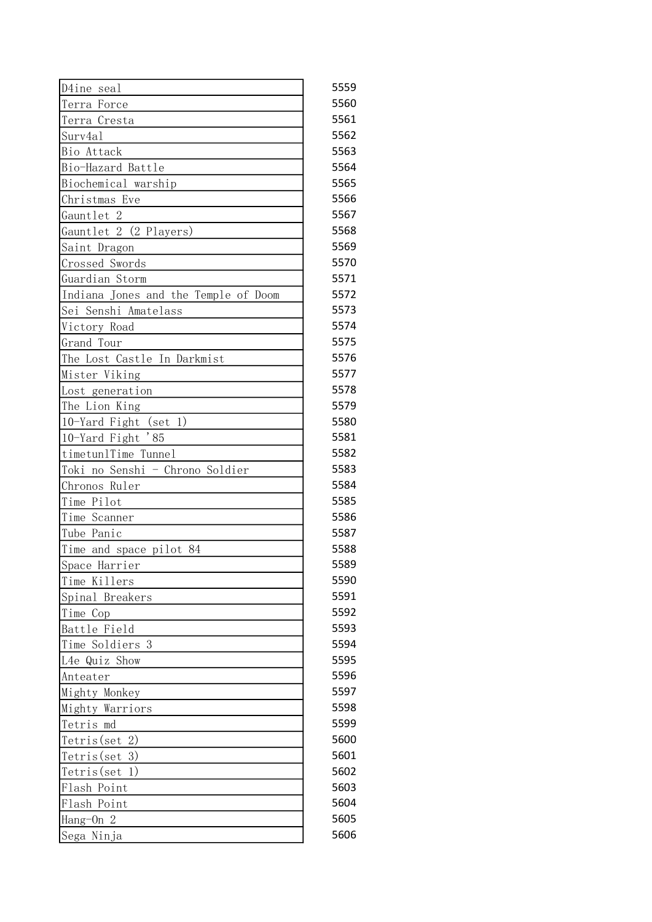| D4ine seal                           | 5559 |
|--------------------------------------|------|
| Terra Force                          | 5560 |
| Terra Cresta                         | 5561 |
| Surv4a1                              | 5562 |
| Bio Attack                           | 5563 |
| Bio-Hazard Battle                    | 5564 |
| Biochemical warship                  | 5565 |
| Christmas Eve                        | 5566 |
| Gauntlet 2                           | 5567 |
| Gauntlet 2 (2 Players)               | 5568 |
| Saint Dragon                         | 5569 |
| Crossed Swords                       | 5570 |
| Guardian Storm                       | 5571 |
| Indiana Jones and the Temple of Doom | 5572 |
| Sei Senshi Amatelass                 | 5573 |
| Victory Road                         | 5574 |
| Grand Tour                           | 5575 |
| The Lost Castle In Darkmist          | 5576 |
| Mister Viking                        | 5577 |
| Lost generation                      | 5578 |
| The Lion King                        | 5579 |
| 10-Yard Fight (set 1)                | 5580 |
| 10-Yard Fight '85                    | 5581 |
| timetunlTime Tunnel                  | 5582 |
| Toki no Senshi - Chrono Soldier      | 5583 |
| Chronos Ruler                        | 5584 |
| Time Pilot                           | 5585 |
| Time Scanner                         | 5586 |
| Tube Panic                           | 5587 |
| Time and space pilot 84              | 5588 |
| Space Harrier                        | 5589 |
| Time Killers                         | 5590 |
| Spinal Breakers                      | 5591 |
| Time Cop                             | 5592 |
| Battle Field                         | 5593 |
| Time Soldiers 3                      | 5594 |
| L4e Quiz Show                        | 5595 |
| Anteater                             | 5596 |
|                                      | 5597 |
| Mighty Monkey<br>Mighty Warriors     | 5598 |
|                                      | 5599 |
| Tetris md                            | 5600 |
| Tetris (set 2)                       |      |
| 3)<br>Tetris (set                    | 5601 |
| $Tetris$ (set 1)                     | 5602 |
| Flash Point                          | 5603 |
| Flash Point                          | 5604 |
| Hang-On 2                            | 5605 |
| Sega Ninja                           | 5606 |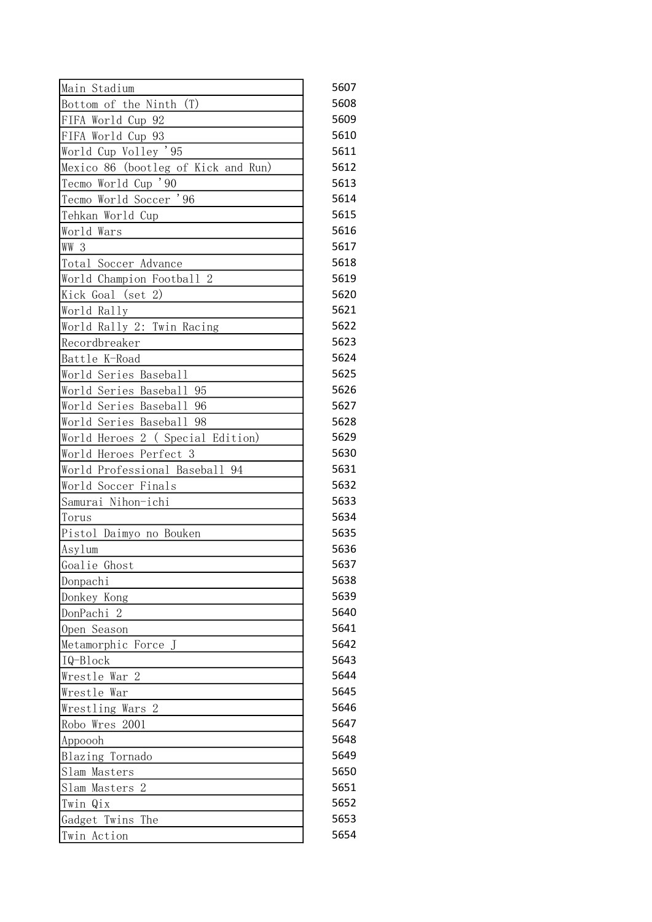| Main Stadium                        | 5607 |
|-------------------------------------|------|
| Bottom of the Ninth (T)             | 5608 |
| FIFA World Cup 92                   | 5609 |
| FIFA World Cup 93                   | 5610 |
| World Cup Volley '95                | 5611 |
| Mexico 86 (bootleg of Kick and Run) | 5612 |
| Tecmo World Cup '90                 | 5613 |
| Tecmo World Soccer '96              | 5614 |
| Tehkan World Cup                    | 5615 |
| World Wars                          | 5616 |
| WW 3                                | 5617 |
| Total Soccer Advance                | 5618 |
| World Champion Football 2           | 5619 |
| Kick Goal (set 2)                   | 5620 |
| World Rally                         | 5621 |
| World Rally 2: Twin Racing          | 5622 |
| Recordbreaker                       | 5623 |
| Battle K-Road                       | 5624 |
| World Series Baseball               | 5625 |
| World Series Baseball 95            | 5626 |
| World Series Baseball 96            | 5627 |
| World Series Baseball 98            | 5628 |
| World Heroes 2 ( Special Edition)   | 5629 |
| World Heroes Perfect 3              | 5630 |
| World Professional Baseball 94      | 5631 |
| World Soccer Finals                 | 5632 |
| Samurai Nihon-ichi                  | 5633 |
| Torus                               | 5634 |
| Pistol Daimyo no Bouken             | 5635 |
| Asylum                              | 5636 |
| Goalie Ghost                        | 5637 |
| Donpachi                            | 5638 |
| Donkey Kong                         | 5639 |
| DonPachi 2                          | 5640 |
| Open Season                         | 5641 |
| Metamorphic Force J                 | 5642 |
| IQ-Block                            | 5643 |
| Wrestle War 2                       | 5644 |
| Wrestle War                         | 5645 |
| Wrestling Wars 2                    | 5646 |
| Robo Wres 2001                      | 5647 |
| Appoooh                             | 5648 |
| Blazing Tornado                     | 5649 |
| Slam Masters                        | 5650 |
| Slam Masters 2                      | 5651 |
| Twin<br>Qix                         | 5652 |
| The<br>Gadget Twins                 | 5653 |
| Twin Action                         | 5654 |
|                                     |      |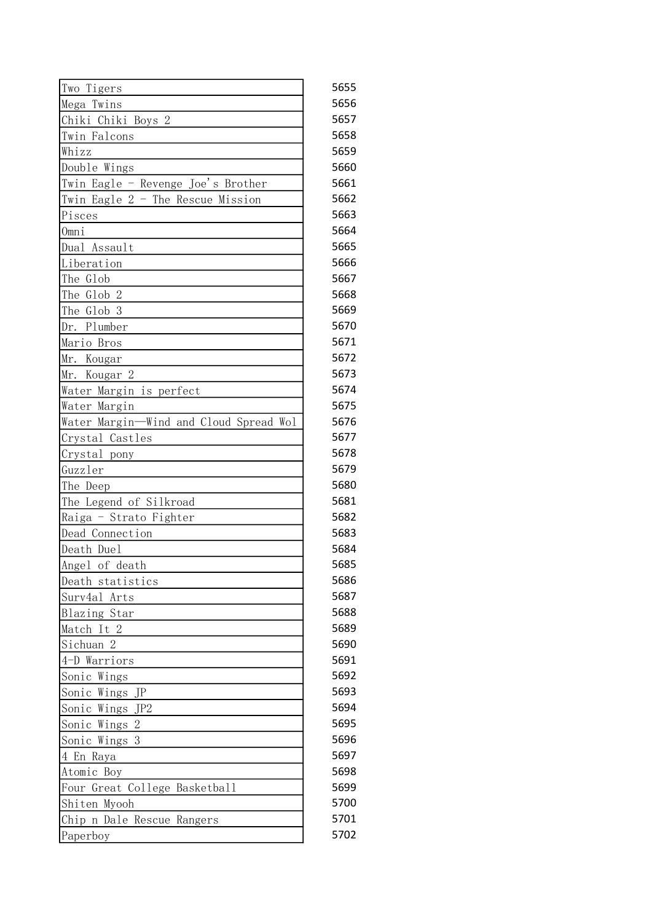| Two Tigers                             | 5655 |
|----------------------------------------|------|
| Mega Twins                             | 5656 |
| Chiki Chiki Boys 2                     | 5657 |
| Twin Falcons                           | 5658 |
| Whizz                                  | 5659 |
| Double Wings                           | 5660 |
| Twin Eagle - Revenge Joe's Brother     | 5661 |
| Twin Eagle 2 - The Rescue Mission      | 5662 |
| Pisces                                 | 5663 |
| Omni                                   | 5664 |
| Dual Assault                           | 5665 |
| Liberation                             | 5666 |
| The Glob                               | 5667 |
| The Glob 2                             | 5668 |
| The Glob 3                             | 5669 |
| Dr. Plumber                            | 5670 |
| Mario Bros                             | 5671 |
| Mr. Kougar                             | 5672 |
| Mr. Kougar 2                           | 5673 |
| Water Margin is perfect                | 5674 |
| Water Margin                           | 5675 |
| Water Margin-Wind and Cloud Spread Wol | 5676 |
| Crystal Castles                        | 5677 |
| Crystal pony                           | 5678 |
| Guzzler                                | 5679 |
| The Deep                               | 5680 |
| The Legend of Silkroad                 | 5681 |
| Raiga - Strato Fighter                 | 5682 |
| Dead Connection                        | 5683 |
| Death Duel                             | 5684 |
| Angel of death                         | 5685 |
| Death statistics                       | 5686 |
| Surv4al<br>Arts                        | 5687 |
| Blazing Star                           | 5688 |
| Match It 2                             | 5689 |
| Sichuan 2                              | 5690 |
| 4-D Warriors                           | 5691 |
| Sonic Wings                            | 5692 |
| Sonic Wings JP                         | 5693 |
| Sonic Wings JP2                        | 5694 |
| Sonic Wings 2                          | 5695 |
| 3<br>Sonic Wings                       | 5696 |
| 4 En Raya                              | 5697 |
| Atomic Boy                             | 5698 |
| Four Great College Basketball          | 5699 |
| Shiten Myooh                           | 5700 |
| Chip n Dale Rescue Rangers             | 5701 |
| Paperboy                               | 5702 |
|                                        |      |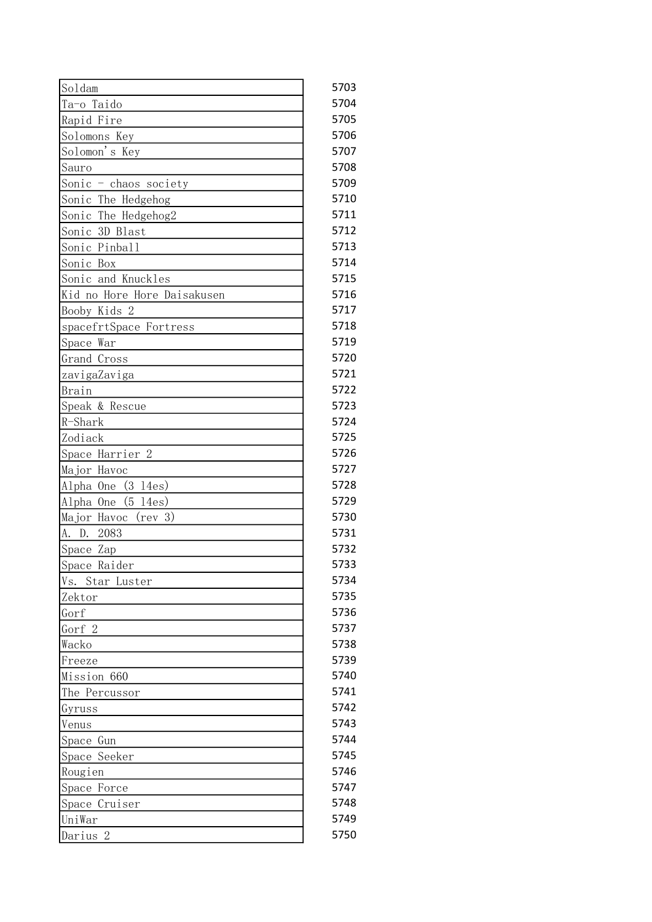| Soldam                       | 5703 |
|------------------------------|------|
| Ta-o Taido                   | 5704 |
| Rapid Fire                   | 5705 |
| Solomons Key                 | 5706 |
| Solomon's Key                | 5707 |
| Sauro                        | 5708 |
| Sonic - chaos society        | 5709 |
| Sonic The Hedgehog           | 5710 |
| Sonic The Hedgehog2          | 5711 |
| Sonic 3D Blast               | 5712 |
| Sonic Pinball                | 5713 |
| Sonic Box                    | 5714 |
| Sonic and Knuckles           | 5715 |
| Kid no Hore Hore Daisakusen  | 5716 |
| Booby Kids 2                 | 5717 |
| spacefrtSpace Fortress       | 5718 |
| Space War                    | 5719 |
| Grand Cross                  | 5720 |
| zavigaZaviga                 | 5721 |
| Brain                        | 5722 |
| Speak & Rescue               | 5723 |
| R-Shark                      | 5724 |
| Zodiack                      | 5725 |
| Space Harrier 2              | 5726 |
| Major Havoc                  | 5727 |
| $(3 \ 14es)$<br>Alpha One    | 5728 |
| (5)<br>14es)<br>Alpha One    | 5729 |
| Major Havoc<br>(rev 3)       | 5730 |
| 2083<br>A. D.                | 5731 |
| Space Zap                    | 5732 |
| Space Raider                 | 5733 |
| Star Luster<br>Vs.           | 5734 |
| Zektor                       | 5735 |
| Gorf                         | 5736 |
| Gorf 2                       | 5737 |
| Wacko                        | 5738 |
| Freeze                       | 5739 |
| Mission 660                  | 5740 |
| The Percussor                | 5741 |
| Gyruss                       | 5742 |
| Venus                        | 5743 |
| Space Gun                    | 5744 |
| Space Seeker                 | 5745 |
|                              | 5746 |
| Rougien                      | 5747 |
| Space Force<br>Space Cruiser | 5748 |
|                              |      |
| UniWar                       | 5749 |
| Darius <sub>2</sub>          | 5750 |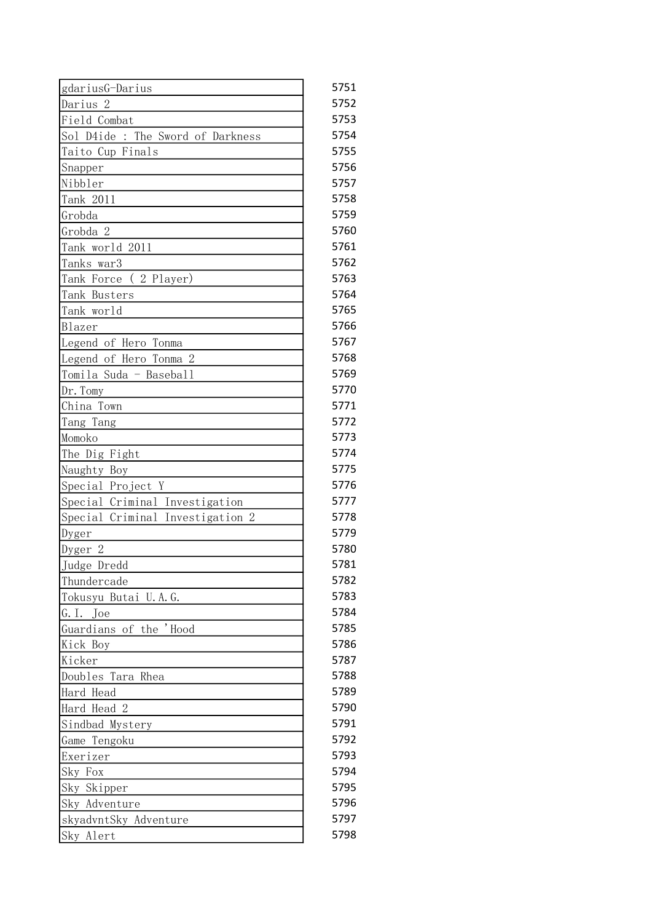| gdariusG-Darius                   | 5751 |
|-----------------------------------|------|
| Darius <sub>2</sub>               | 5752 |
| Field Combat                      | 5753 |
| Sol D4ide : The Sword of Darkness | 5754 |
| Taito Cup Finals                  | 5755 |
| Snapper                           | 5756 |
| Nibbler                           | 5757 |
| Tank 2011                         | 5758 |
| Grobda                            | 5759 |
| Grobda 2                          | 5760 |
| Tank world 2011                   | 5761 |
| Tanks war3                        | 5762 |
| Tank Force (2 Player)             | 5763 |
| Tank Busters                      | 5764 |
| Tank world                        | 5765 |
| Blazer                            | 5766 |
| Legend of Hero Tonma              | 5767 |
| Legend of Hero Tonma 2            | 5768 |
| Tomila Suda - Baseball            | 5769 |
| Dr. Tomy                          | 5770 |
| China Town                        | 5771 |
| Tang Tang                         | 5772 |
| Momoko                            | 5773 |
| The Dig Fight                     | 5774 |
| Naughty Boy                       | 5775 |
| Special Project Y                 | 5776 |
| Special Criminal Investigation    | 5777 |
| Special Criminal Investigation 2  | 5778 |
| Dyger                             | 5779 |
| Dyger 2                           | 5780 |
| Judge Dredd                       | 5781 |
| Thundercade                       | 5782 |
| Tokusyu Butai U.A.G.              | 5783 |
| G.I. Joe                          | 5784 |
| Guardians of the 'Hood            | 5785 |
| Kick Boy                          | 5786 |
| Kicker                            | 5787 |
| Doubles<br>Tara Rhea              | 5788 |
| Hard Head                         | 5789 |
| Hard Head 2                       | 5790 |
| Sindbad Mystery                   | 5791 |
| Game Tengoku                      | 5792 |
| Exerizer                          | 5793 |
| Sky Fox                           | 5794 |
| Sky Skipper                       | 5795 |
| Sky Adventure                     | 5796 |
| skyadvntSky Adventure             | 5797 |
| Sky Alert                         | 5798 |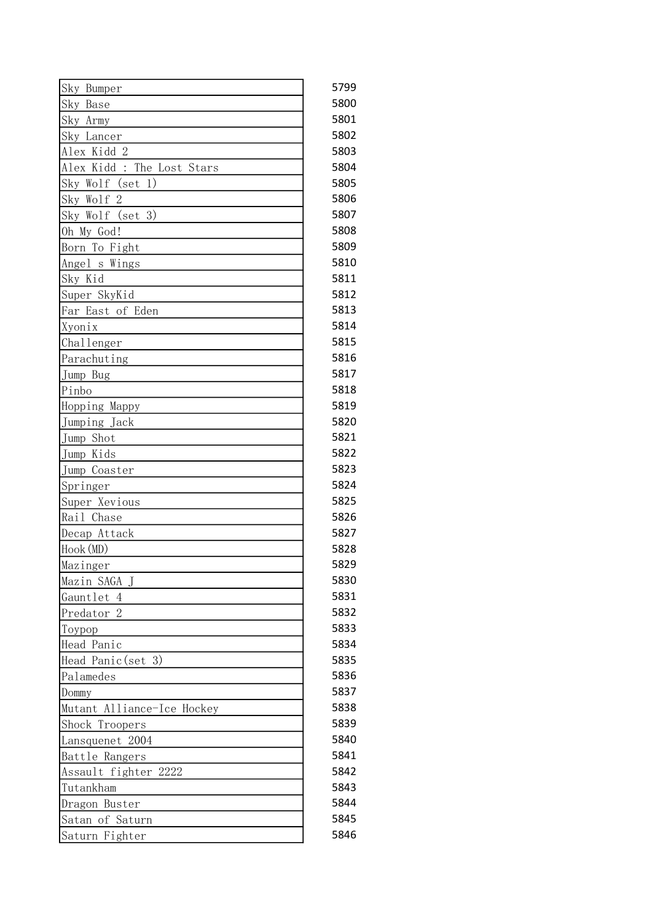| Sky Bumper                 | 5799 |
|----------------------------|------|
| Sky Base                   | 5800 |
| Sky Army                   | 5801 |
| Sky Lancer                 | 5802 |
| Alex Kidd 2                | 5803 |
| Alex Kidd : The Lost Stars | 5804 |
| Sky Wolf (set 1)           | 5805 |
| Sky Wolf 2                 | 5806 |
| Sky Wolf (set 3)           | 5807 |
| Oh My God!                 | 5808 |
| Born To Fight              | 5809 |
| Angel s Wings              | 5810 |
| Sky Kid                    | 5811 |
| Super SkyKid               | 5812 |
| Far East of Eden           | 5813 |
| Xyonix                     | 5814 |
| Challenger                 | 5815 |
| Parachuting                | 5816 |
| Jump Bug                   | 5817 |
| Pinbo                      | 5818 |
| Hopping Mappy              | 5819 |
| Jumping Jack               | 5820 |
| Jump Shot                  | 5821 |
| Jump Kids                  | 5822 |
| Jump Coaster               | 5823 |
| Springer                   | 5824 |
| Super Xevious              | 5825 |
| Rail Chase                 | 5826 |
| Decap Attack               | 5827 |
| Hook (MD)                  | 5828 |
| Mazinger                   | 5829 |
| Mazin SAGA J               | 5830 |
| Gauntlet 4                 | 5831 |
| Predator <sub>2</sub>      | 5832 |
| Toypop                     | 5833 |
| Head Panic                 | 5834 |
| Head Panic (set 3)         | 5835 |
| Palamedes                  | 5836 |
| Dommy                      | 5837 |
| Mutant Alliance-Ice Hockey | 5838 |
| Shock Troopers             | 5839 |
| Lansquenet 2004            | 5840 |
| Battle Rangers             | 5841 |
| Assault fighter 2222       | 5842 |
| Tutankham                  | 5843 |
| Dragon Buster              | 5844 |
| Satan of Saturn            | 5845 |
| Saturn Fighter             | 5846 |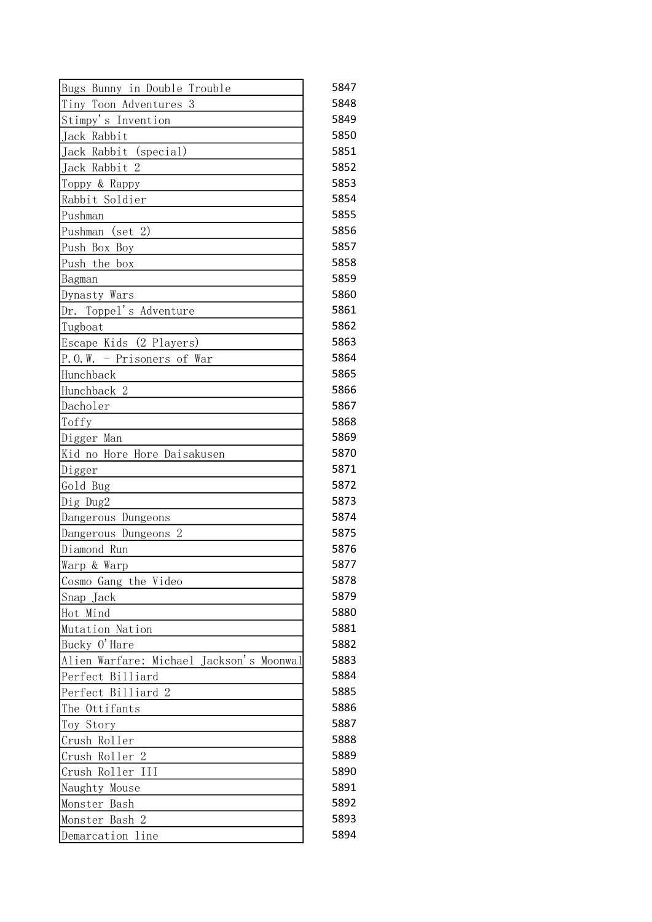| Bugs Bunny in Double Trouble             | 5847 |
|------------------------------------------|------|
| Tiny Toon Adventures 3                   | 5848 |
| Stimpy's Invention                       | 5849 |
| Jack Rabbit                              | 5850 |
| Jack Rabbit (special)                    | 5851 |
| Jack Rabbit 2                            | 5852 |
| Toppy & Rappy                            | 5853 |
| Rabbit Soldier                           | 5854 |
| Pushman                                  | 5855 |
| (set 2)<br>Pushman                       | 5856 |
| Push Box Boy                             | 5857 |
| Push the box                             | 5858 |
| Bagman                                   | 5859 |
| Dynasty Wars                             | 5860 |
| Dr. Toppel's Adventure                   | 5861 |
| Tugboat                                  | 5862 |
| Escape Kids (2 Players)                  | 5863 |
| $P. 0. W.$ - Prisoners of War            | 5864 |
| Hunchback                                | 5865 |
| Hunchback 2                              | 5866 |
| Dacholer                                 | 5867 |
| Toffy                                    | 5868 |
| Digger Man                               | 5869 |
| Kid no Hore Hore Daisakusen              | 5870 |
| Digger                                   | 5871 |
| Gold Bug                                 | 5872 |
| Dig Dug2                                 | 5873 |
| Dangerous Dungeons                       | 5874 |
| $\overline{2}$<br>Dangerous Dungeons     | 5875 |
| Diamond Run                              | 5876 |
| Warp & Warp                              | 5877 |
| Cosmo Gang the Video                     | 5878 |
| Snap Jack                                | 5879 |
| Hot Mind                                 | 5880 |
| Mutation Nation                          | 5881 |
| Bucky O'Hare                             | 5882 |
| Alien Warfare: Michael Jackson's Moonwal | 5883 |
| Perfect Billiard                         | 5884 |
| Perfect Billiard 2                       | 5885 |
| The Ottifants                            | 5886 |
| Toy Story                                | 5887 |
| Crush Roller                             | 5888 |
| Crush Roller 2                           | 5889 |
| Crush Roller III                         | 5890 |
| Naughty Mouse                            | 5891 |
| Monster Bash                             | 5892 |
| Monster Bash 2                           | 5893 |
| Demarcation line                         | 5894 |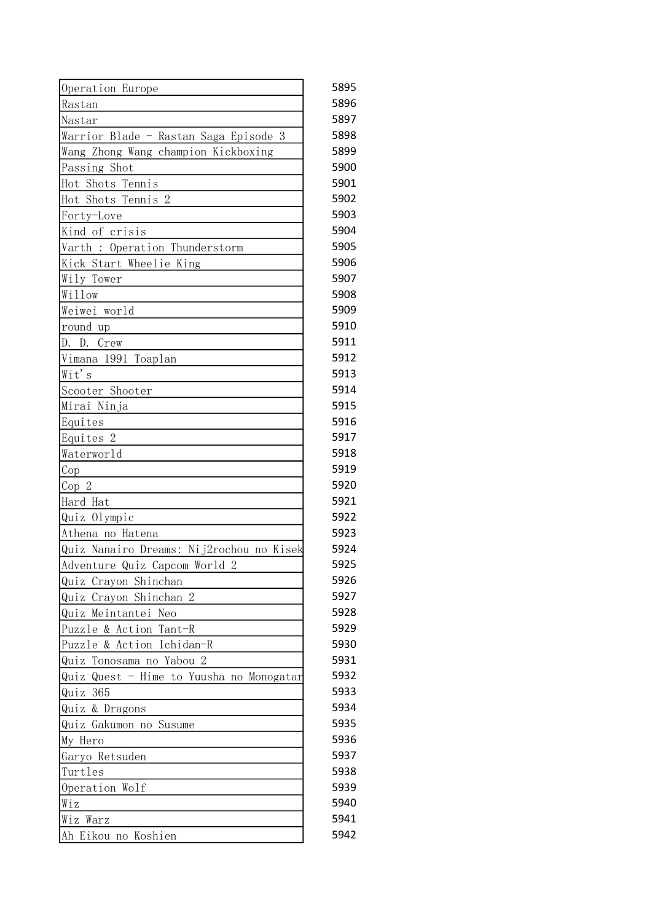| Operation Europe                         | 5895 |
|------------------------------------------|------|
| Rastan                                   | 5896 |
| Nastar                                   | 5897 |
| Warrior Blade - Rastan Saga Episode 3    | 5898 |
| Wang Zhong Wang champion Kickboxing      | 5899 |
| Passing Shot                             | 5900 |
| Hot Shots Tennis                         | 5901 |
| Hot Shots Tennis 2                       | 5902 |
| Forty-Love                               | 5903 |
| Kind of crisis                           | 5904 |
| Varth : Operation Thunderstorm           | 5905 |
| Kick Start Wheelie King                  | 5906 |
| Wily Tower                               | 5907 |
| Willow                                   | 5908 |
| Weiwei world                             | 5909 |
| round up                                 | 5910 |
| Crew<br>D. D.                            | 5911 |
| Vimana 1991 Toaplan                      | 5912 |
| Wit's                                    | 5913 |
| Scooter Shooter                          | 5914 |
| Mirai Ninja                              | 5915 |
| Equites                                  | 5916 |
| Equites 2                                | 5917 |
| Waterworld                               | 5918 |
| Cop                                      | 5919 |
| Cop 2                                    | 5920 |
| Hard Hat                                 | 5921 |
| Quiz Olympic                             | 5922 |
| Athena no Hatena                         | 5923 |
| Quiz Nanairo Dreams: Nij2rochou no Kisek | 5924 |
| Adventure Quiz Capcom World 2            | 5925 |
| Quiz Crayon Shinchan                     | 5926 |
| Quiz Crayon Shinchan 2                   | 5927 |
| Quiz Meintantei Neo                      | 5928 |
| Puzzle & Action Tant-R                   | 5929 |
| Puzzle & Action Ichidan-R                | 5930 |
| Tonosama no Yabou 2<br>Quiz              | 5931 |
| Quiz Quest - Hime to Yuusha no Monogatar | 5932 |
| 365<br>Quiz                              | 5933 |
| Quiz & Dragons                           | 5934 |
| Quiz Gakumon no Susume                   | 5935 |
| My Hero                                  | 5936 |
| Garyo Retsuden                           | 5937 |
| Turtles                                  | 5938 |
| Operation Wolf                           | 5939 |
| Wiz                                      | 5940 |
| Wiz Warz                                 | 5941 |
| Ah Eikou no Koshien                      | 5942 |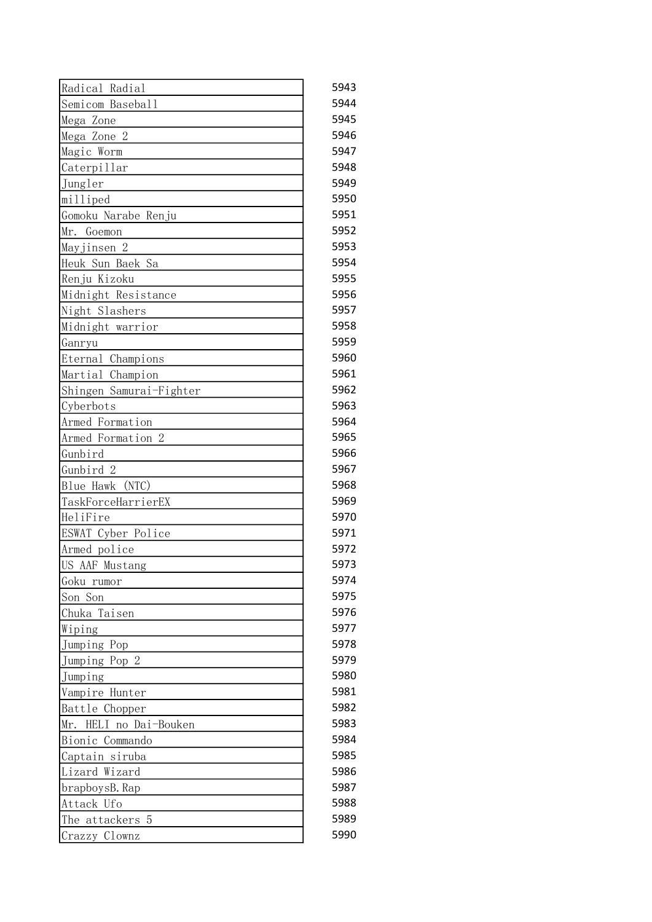| Radical Radial          | 5943 |
|-------------------------|------|
| Semicom Baseball        | 5944 |
| Mega Zone               | 5945 |
| Mega Zone 2             | 5946 |
| Magic Worm              | 5947 |
| Caterpillar             | 5948 |
| Jungler                 | 5949 |
| milliped                | 5950 |
| Gomoku Narabe Renju     | 5951 |
| Mr.<br>Goemon           | 5952 |
| Mayjinsen 2             | 5953 |
| Heuk Sun Baek Sa        | 5954 |
| Renju Kizoku            | 5955 |
| Midnight Resistance     | 5956 |
| Night Slashers          | 5957 |
| Midnight warrior        | 5958 |
| Ganryu                  | 5959 |
| Eternal Champions       | 5960 |
| Martial Champion        | 5961 |
| Shingen Samurai-Fighter | 5962 |
| Cyberbots               | 5963 |
| Armed Formation         | 5964 |
| Armed Formation 2       | 5965 |
| Gunbird                 | 5966 |
| Gunbird 2               | 5967 |
| (NTC)<br>Blue Hawk      | 5968 |
| TaskForceHarrierEX      | 5969 |
| HeliFire                | 5970 |
| ESWAT Cyber Police      | 5971 |
| Armed police            | 5972 |
| US AAF Mustang          | 5973 |
| Goku rumor              | 5974 |
| Son Son                 | 5975 |
| Chuka Taisen            | 5976 |
| Wiping                  | 5977 |
| Jumping Pop             | 5978 |
| Jumping Pop 2           | 5979 |
| Jumping                 | 5980 |
| Vampire Hunter          | 5981 |
| Battle Chopper          | 5982 |
| Mr. HELI no Dai-Bouken  | 5983 |
| Bionic Commando         | 5984 |
| Captain siruba          | 5985 |
| Lizard Wizard           | 5986 |
| brapboysB. Rap          | 5987 |
| Attack Ufo              | 5988 |
| The attackers 5         | 5989 |
| Crazzy Clownz           | 5990 |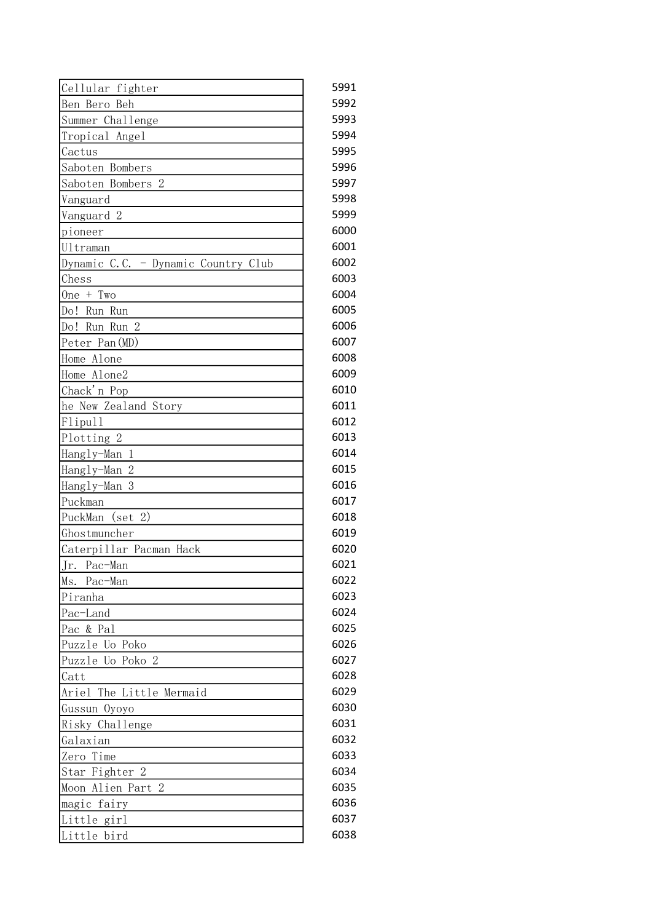| Cellular fighter                    | 5991 |
|-------------------------------------|------|
| Ben Bero Beh                        | 5992 |
| Summer Challenge                    | 5993 |
| Tropical Angel                      | 5994 |
| Cactus                              | 5995 |
| Saboten Bombers                     | 5996 |
| Saboten Bombers 2                   | 5997 |
| Vanguard                            | 5998 |
| Vanguard 2                          | 5999 |
| pioneer                             | 6000 |
| Ultraman                            | 6001 |
| Dynamic C.C. - Dynamic Country Club | 6002 |
| Chess                               | 6003 |
| One $+$ Two                         | 6004 |
| Do! Run Run                         | 6005 |
| Do! Run Run 2                       | 6006 |
| Peter Pan (MD)                      | 6007 |
| Home Alone                          | 6008 |
| Home Alone2                         | 6009 |
| Chack'n Pop                         | 6010 |
| he New Zealand Story                | 6011 |
| Flipull                             | 6012 |
| Plotting 2                          | 6013 |
| $\mathbf{1}$<br>Hangly-Man          | 6014 |
| Hangly-Man 2                        | 6015 |
| Hangly-Man<br>3                     | 6016 |
| Puckman                             | 6017 |
| PuckMan (set 2)                     | 6018 |
| Ghostmuncher                        | 6019 |
| Caterpillar Pacman Hack             | 6020 |
| Jr. Pac-Man                         | 6021 |
| Ms.<br>Pac-Man                      | 6022 |
| Piranha                             | 6023 |
| Pac-Land                            | 6024 |
| Pac & Pal                           | 6025 |
| Puzzle Uo Poko                      | 6026 |
| Puzzle Uo Poko 2                    | 6027 |
| Catt                                | 6028 |
| Ariel The Little Mermaid            | 6029 |
| Gussun Oyoyo                        | 6030 |
| Risky Challenge                     | 6031 |
| Galaxian                            | 6032 |
| Zero Time                           | 6033 |
| Star Fighter 2                      | 6034 |
| Moon Alien Part 2                   | 6035 |
| magic fairy                         | 6036 |
| Little girl                         | 6037 |
| Little bird                         | 6038 |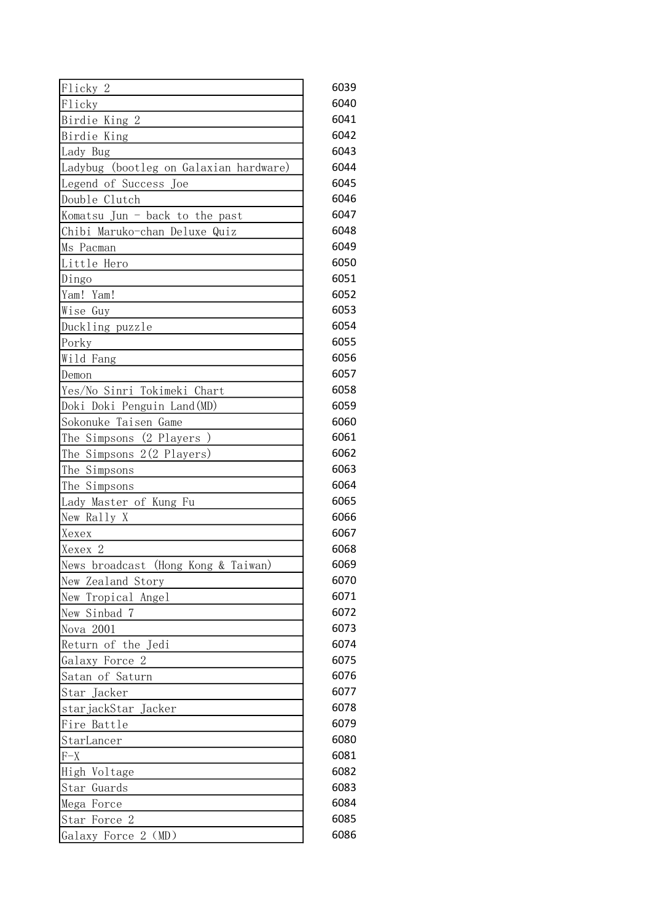| Flicky <sub>2</sub>                    | 6039 |
|----------------------------------------|------|
| Flicky                                 | 6040 |
| Birdie King 2                          | 6041 |
| Birdie King                            | 6042 |
| Lady Bug                               | 6043 |
| Ladybug (bootleg on Galaxian hardware) | 6044 |
| Legend of Success Joe                  | 6045 |
| Double Clutch                          | 6046 |
| Komatsu Jun - back to the past         | 6047 |
| Chibi Maruko-chan Deluxe Quiz          | 6048 |
| Ms Pacman                              | 6049 |
| Little Hero                            | 6050 |
| Dingo                                  | 6051 |
| Yam! Yam!                              | 6052 |
| Wise Guy                               | 6053 |
| Duckling puzzle                        | 6054 |
| Porky                                  | 6055 |
| Wild Fang                              | 6056 |
| Demon                                  | 6057 |
| Yes/No Sinri Tokimeki Chart            | 6058 |
| Doki Doki Penguin Land (MD)            | 6059 |
| Sokonuke Taisen Game                   | 6060 |
| The Simpsons (2 Players)               | 6061 |
| The Simpsons 2(2 Players)              | 6062 |
| The Simpsons                           | 6063 |
| The Simpsons                           | 6064 |
| Lady Master of Kung Fu                 | 6065 |
| New Rally X                            | 6066 |
| Xexex                                  | 6067 |
| Xexex 2                                | 6068 |
| News broadcast (Hong Kong & Taiwan)    | 6069 |
| New Zealand Story                      | 6070 |
| Tropical Angel<br>New                  | 6071 |
| New Sinbad<br>-7                       | 6072 |
| Nova 2001                              | 6073 |
| Return of the Jedi                     | 6074 |
| Galaxy Force 2                         | 6075 |
| Satan of Saturn                        | 6076 |
| Star Jacker                            | 6077 |
| starjackStar Jacker                    | 6078 |
| Fire Battle                            | 6079 |
| StarLancer                             | 6080 |
| $F-X$                                  | 6081 |
| High<br>Voltage                        | 6082 |
| Star<br>Guards                         | 6083 |
| Mega<br>Force                          | 6084 |
| $\overline{2}$<br>Star Force           | 6085 |
| Galaxy Force 2 (MD)                    | 6086 |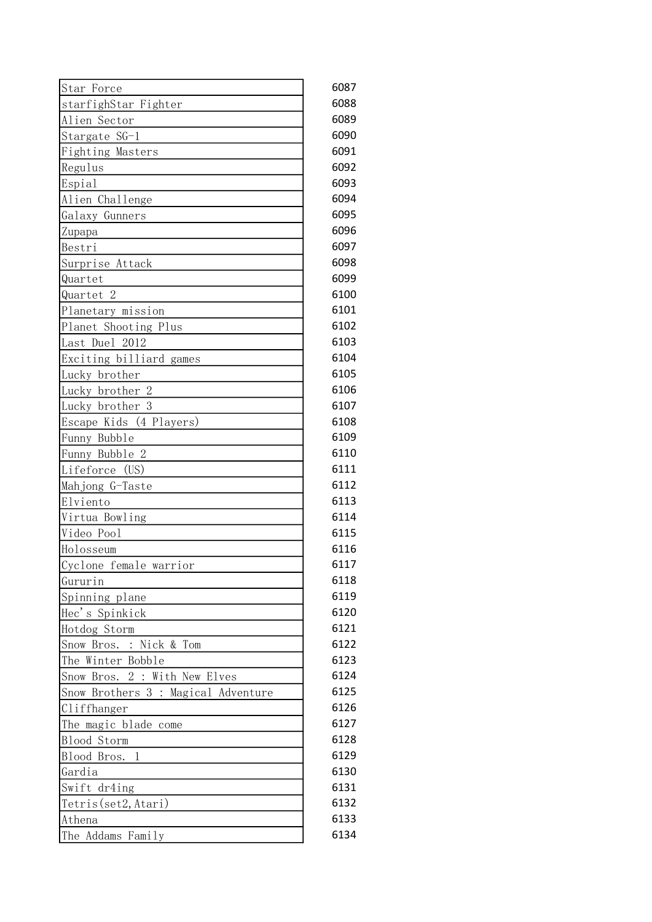| Star Force                          | 6087 |
|-------------------------------------|------|
| starfighStar Fighter                | 6088 |
| Alien Sector                        | 6089 |
| Stargate SG-1                       | 6090 |
| Fighting Masters                    | 6091 |
| Regulus                             | 6092 |
| Espial                              | 6093 |
| Alien Challenge                     | 6094 |
| Galaxy Gunners                      | 6095 |
| Zupapa                              | 6096 |
| Bestri                              | 6097 |
| Surprise Attack                     | 6098 |
| Quartet                             | 6099 |
| Quartet <sub>2</sub>                | 6100 |
| Planetary mission                   | 6101 |
| Planet Shooting Plus                | 6102 |
| Last Duel 2012                      | 6103 |
| Exciting billiard games             | 6104 |
| Lucky brother                       | 6105 |
| Lucky brother 2                     | 6106 |
| Lucky brother 3                     | 6107 |
| Escape Kids (4 Players)             | 6108 |
| Funny Bubble                        | 6109 |
| Funny Bubble 2                      | 6110 |
| Lifeforce (US)                      | 6111 |
| Mahjong G-Taste                     | 6112 |
| Elviento                            | 6113 |
| Virtua Bowling                      | 6114 |
| Video Pool                          | 6115 |
| Holosseum                           | 6116 |
| Cyclone female warrior              | 6117 |
| Gururin                             | 6118 |
| Spinning plane                      | 6119 |
| Hec's Spinkick                      | 6120 |
| Hotdog Storm                        | 6121 |
| Snow Bros. : Nick & Tom             | 6122 |
| The Winter Bobble                   | 6123 |
| Snow Bros. 2 : With New Elves       | 6124 |
| Snow Brothers 3 : Magical Adventure | 6125 |
| Cliffhanger                         | 6126 |
| The magic blade come                | 6127 |
| Blood Storm                         | 6128 |
| Blood Bros.<br>1                    | 6129 |
| Gardia                              | 6130 |
| Swift dr4ing                        | 6131 |
| Tetris (set2, Atari)                | 6132 |
| Athena                              | 6133 |
| The Addams Family                   | 6134 |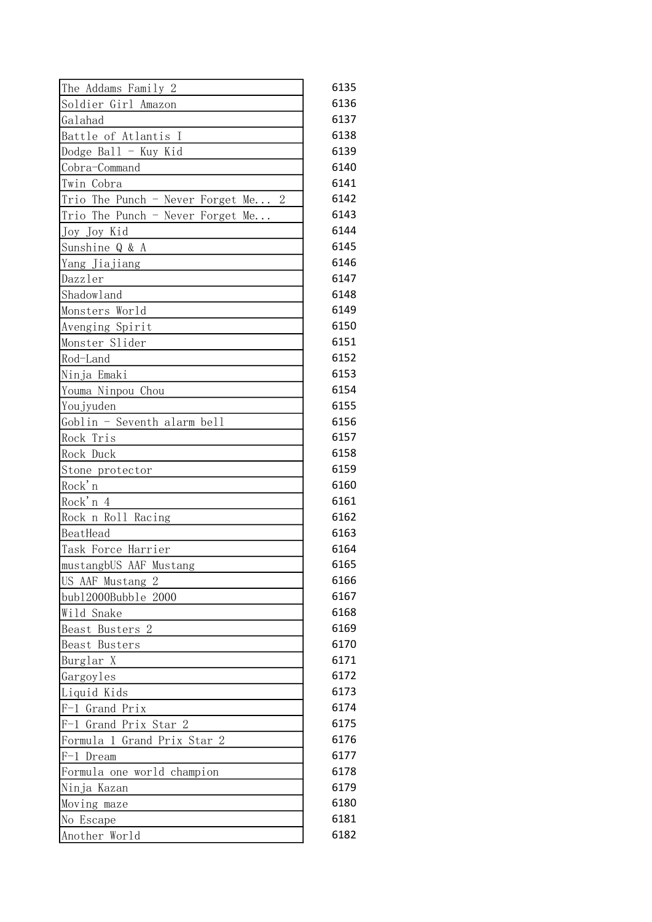| The Addams Family 2                | 6135 |
|------------------------------------|------|
| Soldier Girl Amazon                | 6136 |
| Galahad                            | 6137 |
| Battle of Atlantis I               | 6138 |
| Dodge Ball - Kuy Kid               | 6139 |
| Cobra-Command                      | 6140 |
| Twin Cobra                         | 6141 |
| Trio The Punch - Never Forget Me 2 | 6142 |
| Trio The Punch - Never Forget Me   | 6143 |
| Joy Joy Kid                        | 6144 |
| Sunshine Q & A                     | 6145 |
| Yang Jiajiang                      | 6146 |
| Dazzler                            | 6147 |
| Shadowland                         | 6148 |
| Monsters World                     | 6149 |
| Avenging Spirit                    | 6150 |
| Monster Slider                     | 6151 |
| Rod-Land                           | 6152 |
| Ninja Emaki                        | 6153 |
| Youma Ninpou Chou                  | 6154 |
| Youjyuden                          | 6155 |
| Goblin - Seventh alarm bell        | 6156 |
| Rock Tris                          | 6157 |
| Rock Duck                          | 6158 |
| Stone protector                    | 6159 |
| Rock'n                             | 6160 |
| Rock'n 4                           | 6161 |
| Rock n Roll Racing                 | 6162 |
| BeatHead                           | 6163 |
| Task Force Harrier                 | 6164 |
| mustangbUS AAF Mustang             | 6165 |
| US AAF Mustang 2                   | 6166 |
| bub12000Bubble 2000                | 6167 |
| Wild Snake                         | 6168 |
| Beast Busters 2                    | 6169 |
| Beast Busters                      | 6170 |
| Burglar X                          | 6171 |
| Gargoyles                          | 6172 |
| Liquid Kids                        | 6173 |
| F-1 Grand Prix                     | 6174 |
| Grand Prix Star 2<br>$F-1$         | 6175 |
| Formula 1 Grand Prix Star<br>2     | 6176 |
| F-1 Dream                          | 6177 |
| Formula one world champion         | 6178 |
| Ninja Kazan                        | 6179 |
| Moving maze                        | 6180 |
| No Escape                          | 6181 |
| Another World                      | 6182 |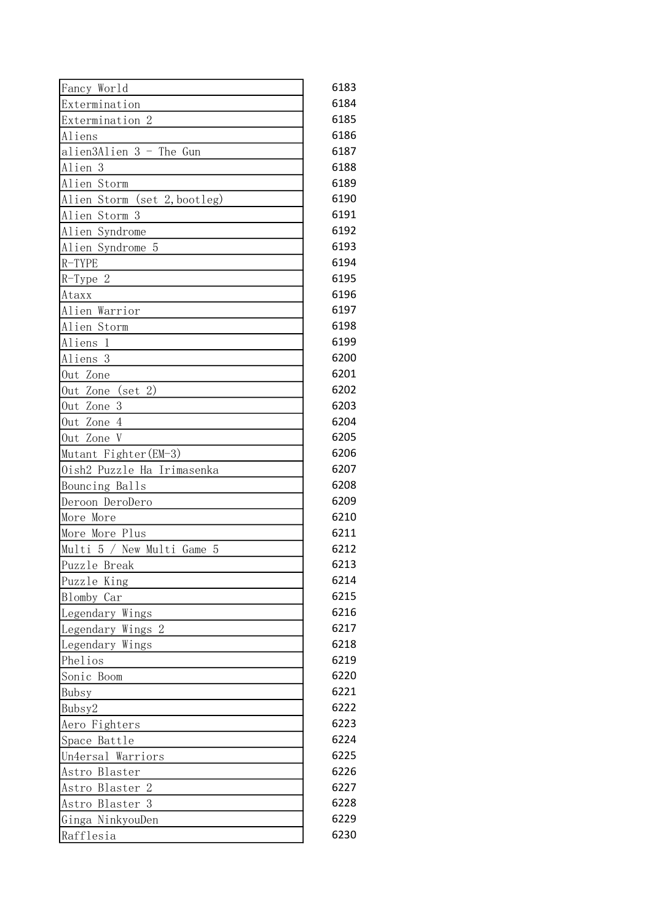| Fancy World                   | 6183 |
|-------------------------------|------|
| Extermination                 | 6184 |
| Extermination 2               | 6185 |
| Aliens                        | 6186 |
| alien3Alien 3 - The Gun       | 6187 |
| Alien <sub>3</sub>            | 6188 |
| Alien Storm                   | 6189 |
| Alien Storm (set 2, bootleg)  | 6190 |
| Alien Storm 3                 | 6191 |
| Alien Syndrome                | 6192 |
| Alien Syndrome<br>- 5         | 6193 |
| $R-TYPE$                      | 6194 |
| $R-Type 2$                    | 6195 |
| Ataxx                         | 6196 |
| Alien Warrior                 | 6197 |
| Alien Storm                   | 6198 |
| Aliens<br>-1                  | 6199 |
| Aliens 3                      | 6200 |
| Out Zone                      | 6201 |
| (set 2)<br>Out Zone           | 6202 |
| 3<br>Out Zone                 | 6203 |
| Out Zone<br>$\overline{4}$    | 6204 |
| Out Zone V                    | 6205 |
| Mutant Fighter (EM-3)         | 6206 |
| Oish2 Puzzle Ha Irimasenka    | 6207 |
| Bouncing Balls                | 6208 |
| Deroon DeroDero               | 6209 |
| More More                     | 6210 |
| More More Plus                | 6211 |
| Multi 5 / New Multi Game<br>5 | 6212 |
| Puzzle Break                  | 6213 |
| Puzzle King                   | 6214 |
| Blomby Car                    | 6215 |
| Legendary Wings               | 6216 |
| Legendary Wings 2             | 6217 |
| Legendary Wings               | 6218 |
| Phelios                       | 6219 |
| Sonic Boom                    | 6220 |
| Bubsy                         | 6221 |
| Bubsy2                        | 6222 |
| Aero Fighters                 | 6223 |
| Space Battle                  | 6224 |
|                               | 6225 |
| Un4ersal Warriors             | 6226 |
| Astro Blaster                 | 6227 |
| Astro Blaster 2               |      |
| Astro Blaster 3               | 6228 |
| Ginga NinkyouDen              | 6229 |
| Rafflesia                     | 6230 |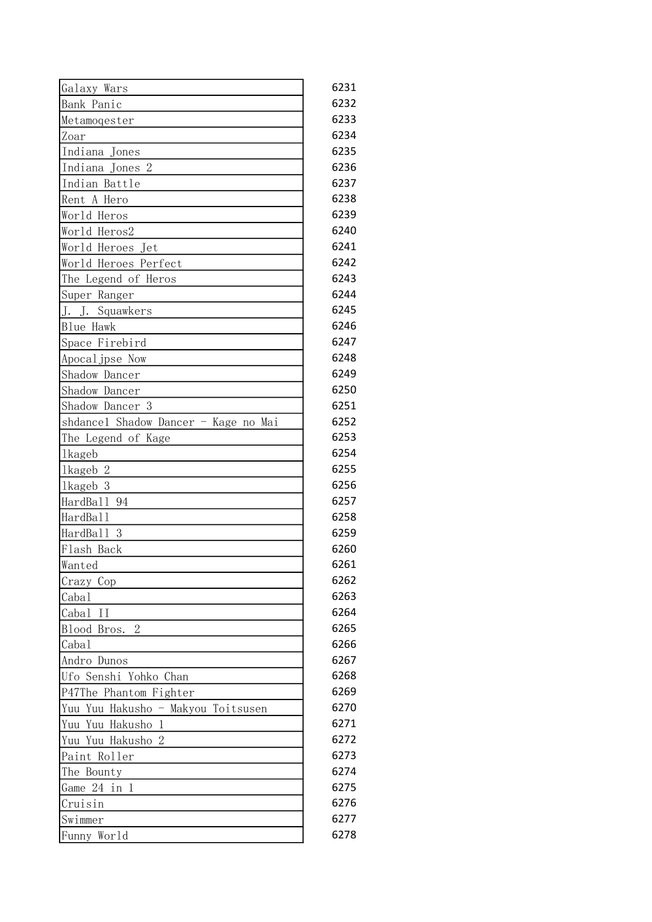| Galaxy Wars                          | 6231 |
|--------------------------------------|------|
| Bank Panic                           | 6232 |
| Metamoqester                         | 6233 |
| Zoar                                 | 6234 |
| Indiana Jones                        | 6235 |
| Indiana Jones 2                      | 6236 |
| Indian Battle                        | 6237 |
| Rent A Hero                          | 6238 |
| World Heros                          | 6239 |
| World Heros2                         | 6240 |
| World Heroes Jet                     | 6241 |
| World Heroes Perfect                 | 6242 |
| The Legend of Heros                  | 6243 |
| Super Ranger                         | 6244 |
| J. J. Squawkers                      | 6245 |
| Blue Hawk                            | 6246 |
| Space Firebird                       | 6247 |
| Apocal jpse Now                      | 6248 |
| Shadow Dancer                        | 6249 |
| Shadow Dancer                        | 6250 |
| Shadow Dancer 3                      | 6251 |
| shdancel Shadow Dancer - Kage no Mai | 6252 |
| The Legend of Kage                   | 6253 |
| <b>lkageb</b>                        | 6254 |
| 1kageb 2                             | 6255 |
| 3<br><i>lkageb</i>                   | 6256 |
| HardBall 94                          | 6257 |
| HardBall                             | 6258 |
| HardBall 3                           | 6259 |
| Flash Back                           | 6260 |
| Wanted                               | 6261 |
| Crazy Cop                            | 6262 |
| Cabal                                | 6263 |
| Cabal<br>Π                           | 6264 |
| $\overline{2}$<br>Blood Bros.        | 6265 |
| Cabal                                | 6266 |
| Andro Dunos                          | 6267 |
| Ufo Senshi Yohko Chan                | 6268 |
| P47The Phantom Fighter               | 6269 |
| Yuu Yuu Hakusho - Makyou Toitsusen   | 6270 |
| Yuu Yuu Hakusho 1                    | 6271 |
| Yuu Yuu Hakusho 2                    | 6272 |
| Paint Roller                         | 6273 |
| The Bounty                           | 6274 |
| Game 24 in 1                         | 6275 |
| Cruisin                              | 6276 |
| Swimmer                              | 6277 |
|                                      | 6278 |
| Funny World                          |      |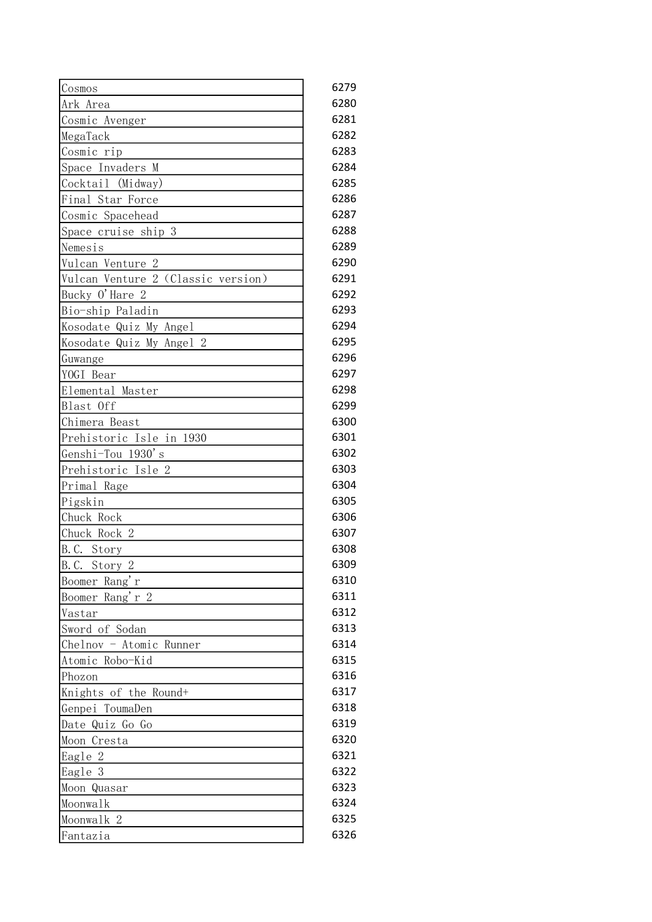| Cosmos                                         | 6279 |
|------------------------------------------------|------|
| Ark Area                                       | 6280 |
| Cosmic Avenger                                 | 6281 |
| MegaTack                                       | 6282 |
| Cosmic rip                                     | 6283 |
| Space Invaders M                               | 6284 |
| Cocktail (Midway)                              | 6285 |
| Final Star Force                               | 6286 |
| Cosmic Spacehead                               | 6287 |
| Space cruise ship 3                            | 6288 |
| Nemesis                                        | 6289 |
| 2<br>Vulcan Venture                            | 6290 |
| Vulcan Venture 2 (Classic version)             | 6291 |
| Bucky O'Hare 2                                 | 6292 |
| Bio-ship Paladin                               | 6293 |
| Kosodate Quiz My Angel                         | 6294 |
| Kosodate Quiz My Angel 2                       | 6295 |
| Guwange                                        | 6296 |
| YOGI Bear                                      | 6297 |
| Elemental Master                               | 6298 |
| Blast Off                                      | 6299 |
| Chimera Beast                                  | 6300 |
| Prehistoric Isle in 1930                       | 6301 |
| Genshi-Tou 1930's                              | 6302 |
| Prehistoric Isle 2                             | 6303 |
| Primal Rage                                    | 6304 |
| Pigskin                                        | 6305 |
| Chuck Rock                                     | 6306 |
| Chuck Rock 2                                   | 6307 |
| B.C. Story                                     | 6308 |
| $\overline{B}$ . C.<br>Story<br>$\overline{2}$ | 6309 |
| Boomer Rang'r                                  | 6310 |
| Boomer Rang'r 2                                | 6311 |
| Vastar                                         | 6312 |
| Sword of Sodan                                 | 6313 |
| Chelnov - Atomic Runner                        | 6314 |
| Atomic Robo-Kid                                | 6315 |
| Phozon                                         | 6316 |
| Knights of the Round+                          | 6317 |
| Genpei ToumaDen                                | 6318 |
| Date Quiz Go Go                                | 6319 |
| Moon Cresta                                    | 6320 |
| Eagle 2                                        | 6321 |
| Eagle 3                                        | 6322 |
| Moon Quasar                                    | 6323 |
| Moonwalk                                       | 6324 |
| Moonwalk 2                                     | 6325 |
| Fantazia                                       | 6326 |
|                                                |      |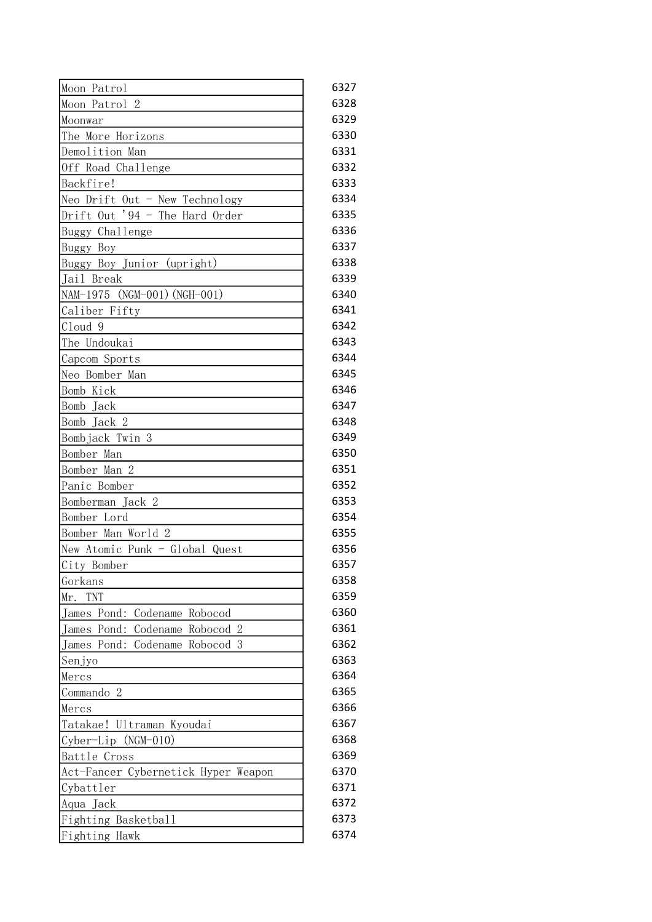| Moon Patrol                                      | 6327 |
|--------------------------------------------------|------|
| Moon Patrol 2                                    | 6328 |
| Moonwar                                          | 6329 |
| The More Horizons                                | 6330 |
| Demolition Man                                   | 6331 |
| Off Road Challenge                               | 6332 |
| Backfire!                                        | 6333 |
| Neo Drift Out - New Technology                   | 6334 |
| Drift Out '94 - The Hard Order                   | 6335 |
| Buggy Challenge                                  | 6336 |
| Buggy Boy                                        | 6337 |
| Buggy Boy Junior (upright)                       | 6338 |
| Jail Break                                       | 6339 |
| NAM-1975 (NGM-001) (NGH-001)                     | 6340 |
| Caliber Fifty                                    | 6341 |
| Cloud 9                                          | 6342 |
| The Undoukai                                     | 6343 |
| Capcom Sports                                    | 6344 |
| Neo Bomber Man                                   | 6345 |
| Bomb Kick                                        | 6346 |
| Bomb Jack                                        | 6347 |
| Bomb Jack 2                                      | 6348 |
| Bombjack Twin 3                                  | 6349 |
| Bomber Man                                       | 6350 |
| Bomber Man 2                                     | 6351 |
| Panic Bomber                                     | 6352 |
| Bomberman Jack 2                                 | 6353 |
| Bomber Lord                                      | 6354 |
| Bomber Man World 2                               | 6355 |
| New Atomic Punk - Global Quest                   | 6356 |
| City Bomber                                      | 6357 |
| Gorkans                                          | 6358 |
| TNT<br>Mr.                                       | 6359 |
| James Pond: Codename Robocod                     | 6360 |
| James Pond:<br>Codename Robocod 2                | 6361 |
| James Pond:<br>Codename<br>Robocod<br>3          | 6362 |
| Senjyo                                           | 6363 |
| Mercs                                            | 6364 |
| Commando 2                                       | 6365 |
| Mercs                                            | 6366 |
|                                                  | 6367 |
| Tatakae! Ultraman Kyoudai<br>Cyber-Lip (NGM-010) | 6368 |
|                                                  | 6369 |
| Battle Cross                                     | 6370 |
| Act-Fancer Cybernetick Hyper Weapon              |      |
| Cybattler                                        | 6371 |
| Aqua Jack                                        | 6372 |
| Fighting Basketball                              | 6373 |
| Fighting Hawk                                    | 6374 |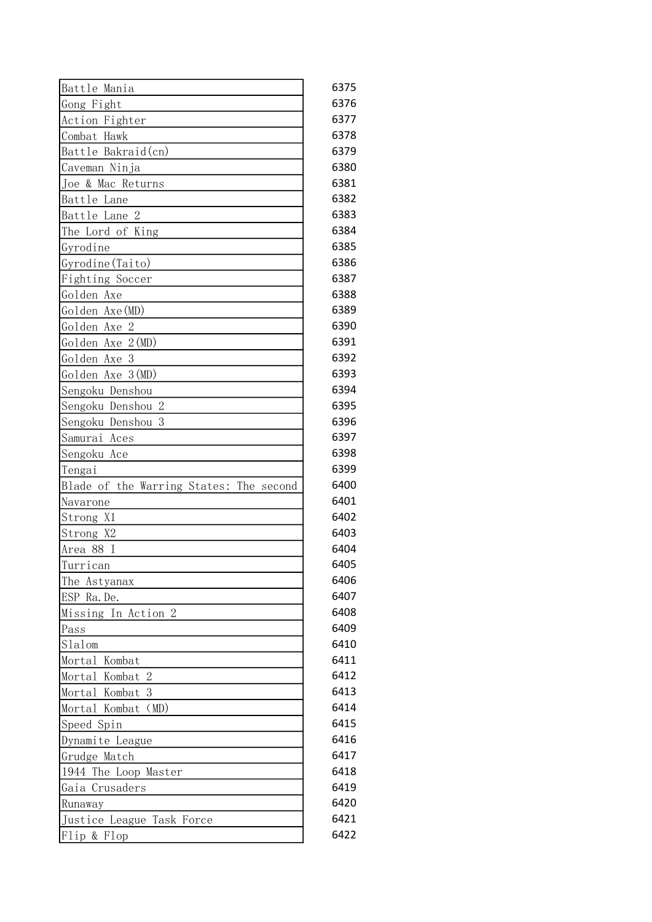| Battle Mania                            | 6375 |
|-----------------------------------------|------|
| Gong Fight                              | 6376 |
| Action Fighter                          | 6377 |
| Combat Hawk                             | 6378 |
| Battle Bakraid(cn)                      | 6379 |
| Caveman Ninja                           | 6380 |
| Joe & Mac Returns                       | 6381 |
| Battle Lane                             | 6382 |
| Battle Lane 2                           | 6383 |
| The Lord of King                        | 6384 |
| Gyrodine                                | 6385 |
| Gyrodine (Taito)                        | 6386 |
| Fighting Soccer                         | 6387 |
| Golden Axe                              | 6388 |
| Golden Axe(MD)                          | 6389 |
| Golden Axe 2                            | 6390 |
| Golden Axe 2 (MD)                       | 6391 |
| Golden Axe 3                            | 6392 |
| Golden Axe 3(MD)                        | 6393 |
| Sengoku Denshou                         | 6394 |
| Sengoku Denshou 2                       | 6395 |
| Sengoku Denshou 3                       | 6396 |
| Samurai Aces                            | 6397 |
| Sengoku Ace                             | 6398 |
| Tengai                                  | 6399 |
| Blade of the Warring States: The second | 6400 |
| Navarone                                | 6401 |
| Strong X1                               | 6402 |
| Strong X2                               | 6403 |
| Area 88 I                               | 6404 |
| Turrican                                | 6405 |
| The Astyanax                            | 6406 |
| ESP Ra. De.                             | 6407 |
| Missing In Action 2                     | 6408 |
| Pass                                    | 6409 |
| Slalom                                  | 6410 |
| Mortal Kombat                           | 6411 |
| Mortal Kombat 2                         | 6412 |
| Mortal Kombat 3                         | 6413 |
| Mortal Kombat (MD)                      | 6414 |
| Speed Spin                              | 6415 |
| Dynamite League                         | 6416 |
| Grudge Match                            | 6417 |
| 1944 The Loop Master                    | 6418 |
| Gaia Crusaders                          | 6419 |
| Runaway                                 | 6420 |
| Justice League Task Force               | 6421 |
| Flip & Flop                             | 6422 |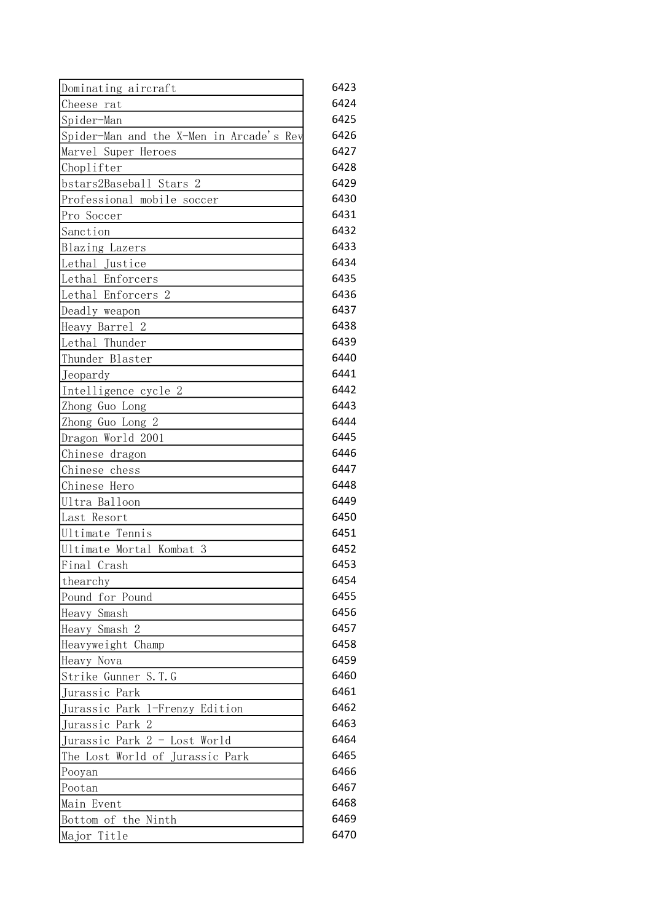| Dominating aircraft                      | 6423 |
|------------------------------------------|------|
| Cheese rat                               | 6424 |
| Spider-Man                               | 6425 |
| Spider-Man and the X-Men in Arcade's Rev | 6426 |
| Marvel Super Heroes                      | 6427 |
| Choplifter                               | 6428 |
| bstars2Baseball Stars 2                  | 6429 |
| Professional mobile soccer               | 6430 |
| Pro Soccer                               | 6431 |
| Sanction                                 | 6432 |
| Blazing Lazers                           | 6433 |
| Lethal Justice                           | 6434 |
| Lethal Enforcers                         | 6435 |
| Lethal Enforcers 2                       | 6436 |
| Deadly weapon                            | 6437 |
| Heavy Barrel 2                           | 6438 |
| Lethal Thunder                           | 6439 |
| Thunder Blaster                          | 6440 |
| Jeopardy                                 | 6441 |
| Intelligence cycle 2                     | 6442 |
| Zhong Guo Long                           | 6443 |
| Zhong Guo Long 2                         | 6444 |
| Dragon World 2001                        | 6445 |
| Chinese dragon                           | 6446 |
| Chinese chess                            | 6447 |
| Chinese Hero                             | 6448 |
| Ultra Balloon                            | 6449 |
| Last Resort                              | 6450 |
| Ultimate Tennis                          | 6451 |
| Ultimate Mortal Kombat<br>3              | 6452 |
| Final Crash                              | 6453 |
| thearchy                                 | 6454 |
| Pound for Pound                          | 6455 |
| Heavy Smash                              | 6456 |
| Heavy Smash 2                            | 6457 |
| Heavyweight Champ                        | 6458 |
| Heavy Nova                               | 6459 |
| Strike Gunner S.T.G                      | 6460 |
| Jurassic Park                            | 6461 |
| Jurassic Park 1-Frenzy Edition           | 6462 |
| Jurassic Park 2                          | 6463 |
| Jurassic Park 2 - Lost World             | 6464 |
| The Lost World of Jurassic Park          | 6465 |
| Pooyan                                   | 6466 |
| Pootan                                   | 6467 |
| Main Event                               | 6468 |
| Bottom of the Ninth                      | 6469 |
| Major Title                              | 6470 |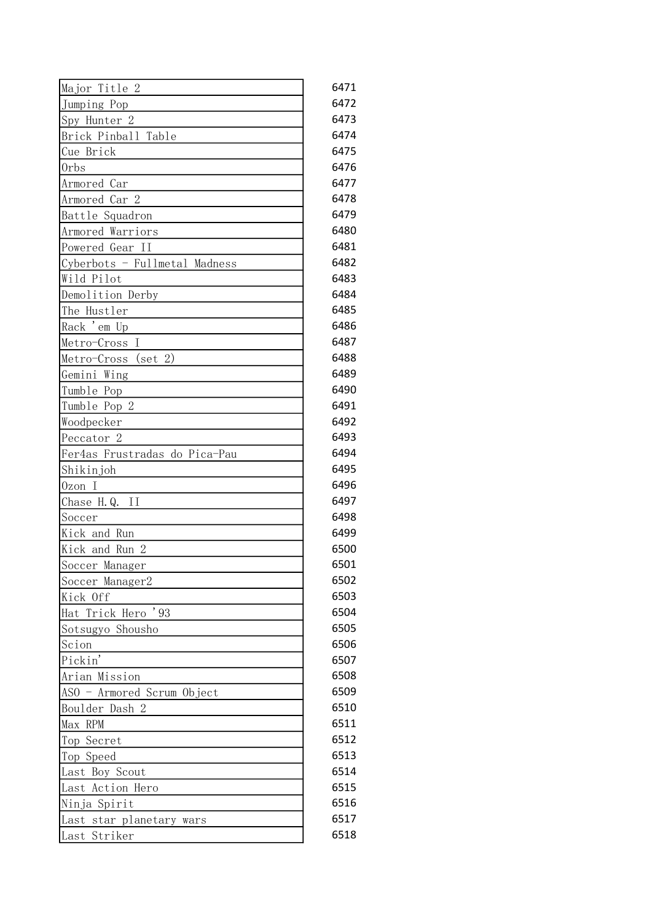| Major Title 2                            | 6471 |
|------------------------------------------|------|
| Jumping Pop                              | 6472 |
| Spy Hunter 2                             | 6473 |
| Brick Pinball Table                      | 6474 |
| Cue Brick                                | 6475 |
| Orbs                                     | 6476 |
| Armored Car                              | 6477 |
| Armored Car 2                            | 6478 |
| Battle Squadron                          | 6479 |
| Armored Warriors                         | 6480 |
| Powered Gear II                          | 6481 |
| Cyberbots - Fullmetal Madness            | 6482 |
| Wild Pilot                               | 6483 |
| Demolition Derby                         | 6484 |
| The Hustler                              | 6485 |
| Rack 'em Up                              | 6486 |
| Metro-Cross<br>Ι                         | 6487 |
| Metro-Cross (set 2)                      | 6488 |
| Gemini Wing                              | 6489 |
| Tumble Pop                               | 6490 |
| Tumble Pop 2                             | 6491 |
| Woodpecker                               | 6492 |
| Peccator <sub>2</sub>                    | 6493 |
| Fer4as Frustradas do Pica-Pau            | 6494 |
| Shikinjoh                                | 6495 |
| Ozon I                                   | 6496 |
| Chase H.Q. II                            | 6497 |
| Soccer                                   | 6498 |
| Kick and Run                             | 6499 |
| Kick and Run 2                           | 6500 |
| Soccer Manager                           | 6501 |
| Soccer Manager2                          | 6502 |
| Kick Off                                 | 6503 |
| Hat Trick Hero '93                       | 6504 |
| Sotsugyo Shousho                         | 6505 |
| Scion                                    | 6506 |
| Pickin'                                  | 6507 |
| Arian Mission                            | 6508 |
| ASO - Armored Scrum Object               | 6509 |
| Boulder Dash 2                           | 6510 |
| Max RPM                                  | 6511 |
| Top Secret                               | 6512 |
| Top Speed                                | 6513 |
| Last Boy Scout                           | 6514 |
| Last Action Hero                         | 6515 |
| Ninja Spirit                             | 6516 |
|                                          | 6517 |
| Last star planetary wars<br>Last Striker | 6518 |
|                                          |      |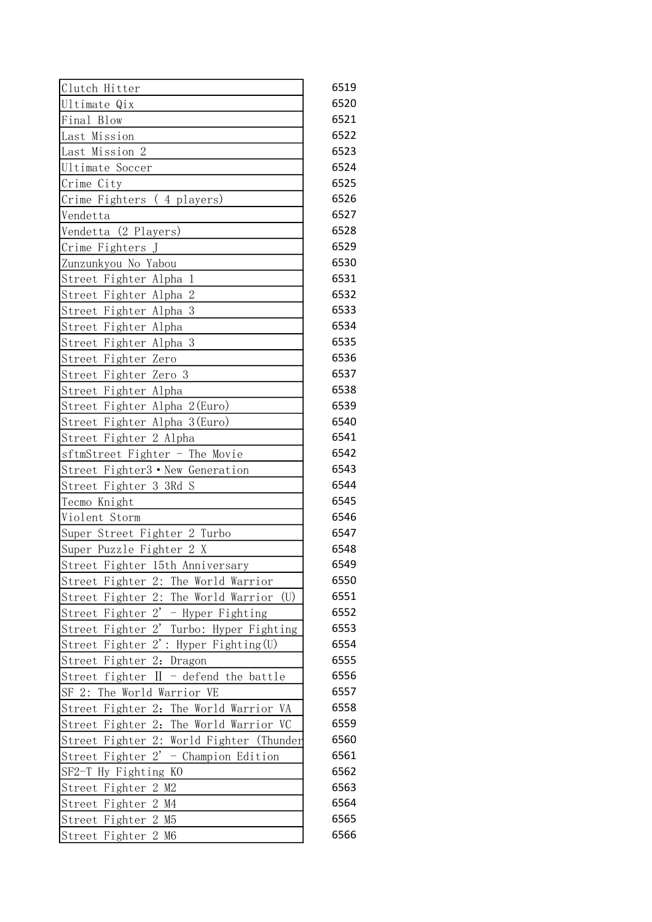| Clutch Hitter                                        | 6519 |
|------------------------------------------------------|------|
| Ultimate Qix                                         | 6520 |
| Final Blow                                           | 6521 |
| Last Mission                                         | 6522 |
| Last Mission 2                                       | 6523 |
| Ultimate Soccer                                      | 6524 |
| Crime City                                           | 6525 |
| Crime Fighters (4 players)                           | 6526 |
| Vendetta                                             | 6527 |
| Vendetta (2 Players)                                 | 6528 |
| Crime Fighters J                                     | 6529 |
| Zunzunkyou No Yabou                                  | 6530 |
| Street Fighter Alpha 1                               | 6531 |
| Street Fighter Alpha 2                               | 6532 |
| Street Fighter Alpha 3                               | 6533 |
| Street Fighter Alpha                                 | 6534 |
| Street Fighter Alpha 3                               | 6535 |
| Street Fighter Zero                                  | 6536 |
| Street Fighter Zero 3                                | 6537 |
| Street Fighter Alpha                                 | 6538 |
| Street Fighter Alpha 2(Euro)                         | 6539 |
| Street Fighter Alpha 3(Euro)                         | 6540 |
| Street Fighter 2 Alpha                               | 6541 |
| sftmStreet Fighter - The Movie                       | 6542 |
| Street Fighter3 • New Generation                     | 6543 |
| Street Fighter 3 3Rd S                               | 6544 |
| Tecmo Knight                                         | 6545 |
| Violent Storm                                        | 6546 |
| Super Street Fighter 2 Turbo                         | 6547 |
| Super Puzzle Fighter 2 X                             | 6548 |
| Street Fighter 15th Anniversary                      | 6549 |
| Street Fighter 2: The World Warrior                  | 6550 |
| Street Fighter 2:<br>The World Warrior<br>(U)        | 6551 |
| Street Fighter 2'<br>- Hyper Fighting                | 6552 |
| Street Fighter 2'<br>Turbo: Hyper Fighting           | 6553 |
| Street Fighter 2': Hyper Fighting (U)                | 6554 |
| Street Fighter 2: Dragon                             | 6555 |
| - defend the battle<br>Street fighter II             | 6556 |
| SF 2: The World Warrior VE                           | 6557 |
| Street Fighter 2:<br>The World Warrior VA            | 6558 |
| Street Fighter 2:<br>The World Warrior VC            | 6559 |
| Street Fighter 2: World Fighter (Thunder             | 6560 |
| $2^{\prime}$<br>Street Fighter<br>- Champion Edition | 6561 |
| SF2-T Hy Fighting KO                                 | 6562 |
| Street Fighter 2 M2                                  | 6563 |
| Street Fighter 2<br>M4                               | 6564 |
| Street Fighter 2<br>M <sub>5</sub>                   | 6565 |
| Street Fighter<br>$\overline{2}$<br>M <sub>6</sub>   | 6566 |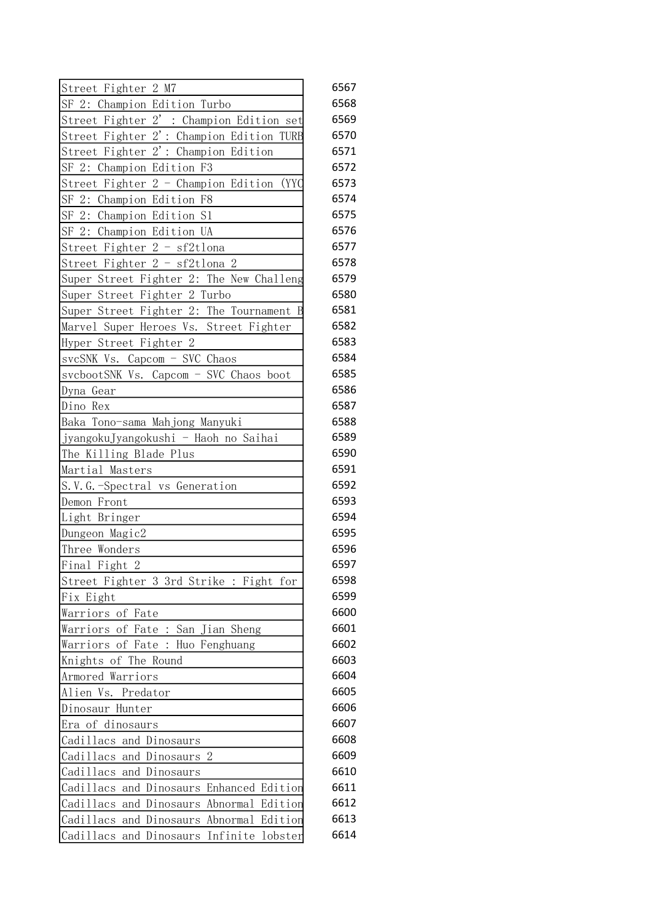| Street Fighter 2 M7                                  | 6567 |
|------------------------------------------------------|------|
| SF 2: Champion Edition Turbo                         | 6568 |
| Street Fighter 2': Champion Edition set              | 6569 |
| Street Fighter 2': Champion Edition TURB             | 6570 |
| Street Fighter 2': Champion Edition                  | 6571 |
| SF 2: Champion Edition F3                            | 6572 |
| Street Fighter 2 - Champion Edition<br>(YYC          | 6573 |
| SF 2: Champion Edition F8                            | 6574 |
| SF 2: Champion Edition S1                            | 6575 |
| SF 2: Champion Edition UA                            | 6576 |
| Street Fighter 2 - sf2tlona                          | 6577 |
| Street Fighter 2 - sf2tlona 2                        | 6578 |
| Super Street Fighter 2: The New Challeng             | 6579 |
| Super Street Fighter 2 Turbo                         | 6580 |
| Super Street Fighter 2: The Tournament B             | 6581 |
| Marvel Super Heroes Vs. Street Fighter               | 6582 |
| Hyper Street Fighter 2                               | 6583 |
| svcSNK Vs. Capcom - SVC Chaos                        | 6584 |
| svcbootSNK Vs. Capcom - SVC Chaos boot               | 6585 |
| Dyna Gear                                            | 6586 |
| Dino Rex                                             | 6587 |
| Baka Tono-sama Mahjong Manyuki                       | 6588 |
| jyangokuJyangokushi - Haoh no Saihai                 | 6589 |
| The Killing Blade Plus                               | 6590 |
| Martial Masters                                      | 6591 |
| S.V.G.-Spectral vs Generation                        | 6592 |
| Demon Front                                          | 6593 |
| Light Bringer                                        | 6594 |
| Dungeon Magic2                                       | 6595 |
| Three Wonders                                        | 6596 |
| Final Fight 2                                        | 6597 |
| Street Fighter 3 3rd Strike : Fight for              | 6598 |
| Fix Eight                                            | 6599 |
| Warriors of Fate                                     | 6600 |
| Warriors of Fate : San Jian Sheng                    | 6601 |
| Warriors of Fate: Huo Fenghuang                      | 6602 |
| Knights of The Round                                 | 6603 |
| Armored Warriors                                     | 6604 |
| Alien Vs.<br>Predator                                | 6605 |
| Dinosaur Hunter                                      | 6606 |
| Era of dinosaurs                                     | 6607 |
| Cadillacs<br>and Dinosaurs                           | 6608 |
| Cadillacs<br>2<br>and Dinosaurs                      | 6609 |
| Cadillacs<br>and Dinosaurs                           | 6610 |
| Cadillacs<br>and<br>Dinosaurs<br>Enhanced Edition    | 6611 |
| Cadillacs<br>Edition<br>Abnormal<br>and<br>Dinosaurs | 6612 |
| Edition<br>Cadillacs<br>Abnormal<br>and Dinosaurs    | 6613 |
|                                                      |      |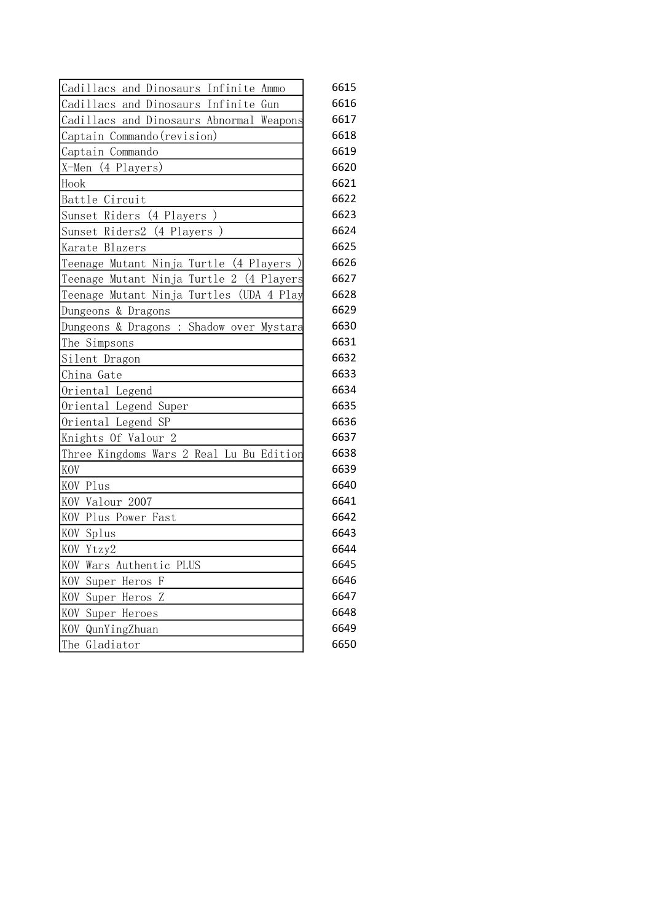| Cadillacs and Dinosaurs Infinite Ammo       | 6615 |
|---------------------------------------------|------|
| Cadillacs and Dinosaurs Infinite Gun        | 6616 |
| Cadillacs and Dinosaurs Abnormal Weapons    | 6617 |
| Captain Commando (revision)                 | 6618 |
| Captain Commando                            | 6619 |
| X-Men (4 Players)                           | 6620 |
| Hook                                        | 6621 |
| Battle Circuit                              | 6622 |
| Sunset Riders (4 Players)                   | 6623 |
| Sunset Riders2 (4 Players)                  | 6624 |
| Karate Blazers                              | 6625 |
| Teenage Mutant Ninja Turtle (4 Players      | 6626 |
| Teenage Mutant Ninja Turtle 2 (4 Players    | 6627 |
| Teenage Mutant Ninja Turtles<br>(UDA 4 Play | 6628 |
| Dungeons & Dragons                          | 6629 |
| Dungeons & Dragons : Shadow over Mystara    | 6630 |
| The Simpsons                                | 6631 |
| Silent Dragon                               | 6632 |
| China Gate                                  | 6633 |
| Oriental Legend                             | 6634 |
| Oriental Legend Super                       | 6635 |
| Oriental Legend SP                          | 6636 |
| Knights Of Valour 2                         | 6637 |
| Three Kingdoms Wars 2 Real Lu Bu Edition    | 6638 |
| KOV                                         | 6639 |
| KOV Plus                                    | 6640 |
| KOV Valour 2007                             | 6641 |
| KOV Plus Power Fast                         | 6642 |
| KOV Splus                                   | 6643 |
| KOV Ytzy2                                   | 6644 |
| KOV Wars Authentic PLUS                     | 6645 |
| KOV Super Heros F                           | 6646 |
| KOV Super Heros Z                           | 6647 |
| KOV Super Heroes                            | 6648 |
| KOV<br>QunYingZhuan                         | 6649 |
| The<br>Gladiator                            | 6650 |